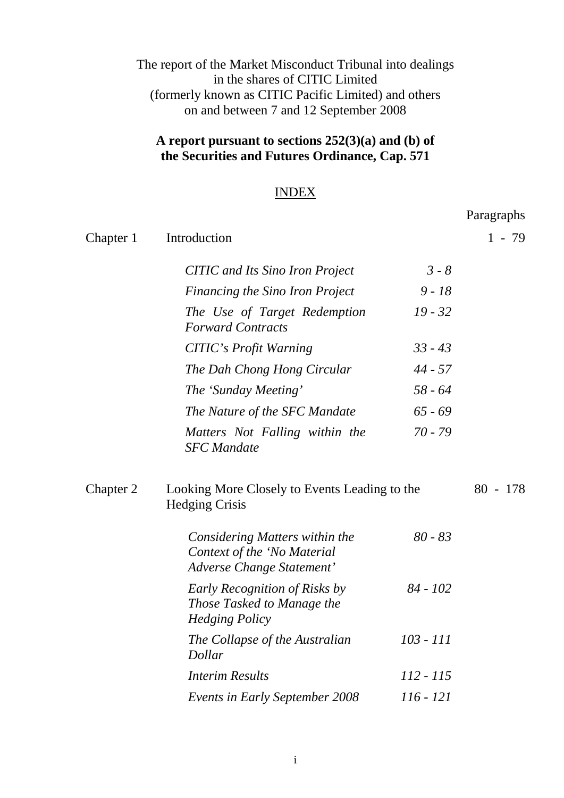# The report of the Market Misconduct Tribunal into dealings in the shares of CITIC Limited (formerly known as CITIC Pacific Limited) and others on and between 7 and 12 September 2008

# **A report pursuant to sections 252(3)(a) and (b) of the Securities and Futures Ordinance, Cap. 571**

# INDEX

Paragraphs

|           |                                                                                            |             | $\ldots$   |
|-----------|--------------------------------------------------------------------------------------------|-------------|------------|
| Chapter 1 | Introduction                                                                               |             | $1 - 79$   |
|           | <b>CITIC</b> and Its Sino Iron Project                                                     | $3 - 8$     |            |
|           | Financing the Sino Iron Project                                                            | $9 - 18$    |            |
|           | The Use of Target Redemption<br><b>Forward Contracts</b>                                   | $19 - 32$   |            |
|           | <b>CITIC's Profit Warning</b>                                                              | $33 - 43$   |            |
|           | The Dah Chong Hong Circular                                                                | $44 - 57$   |            |
|           | The 'Sunday Meeting'                                                                       | $58 - 64$   |            |
|           | The Nature of the SFC Mandate                                                              | $65 - 69$   |            |
|           | Matters Not Falling within the<br><b>SFC</b> Mandate                                       | $70 - 79$   |            |
| Chapter 2 | Looking More Closely to Events Leading to the<br><b>Hedging Crisis</b>                     |             | $80 - 178$ |
|           | Considering Matters within the<br>Context of the 'No Material<br>Adverse Change Statement' | $80 - 83$   |            |
|           | Early Recognition of Risks by<br>Those Tasked to Manage the<br><b>Hedging Policy</b>       | $84 - 102$  |            |
|           | The Collapse of the Australian<br>Dollar                                                   | $103 - 111$ |            |
|           | <b>Interim Results</b>                                                                     | 112 - 115   |            |
|           | <b>Events in Early September 2008</b>                                                      | 116 - 121   |            |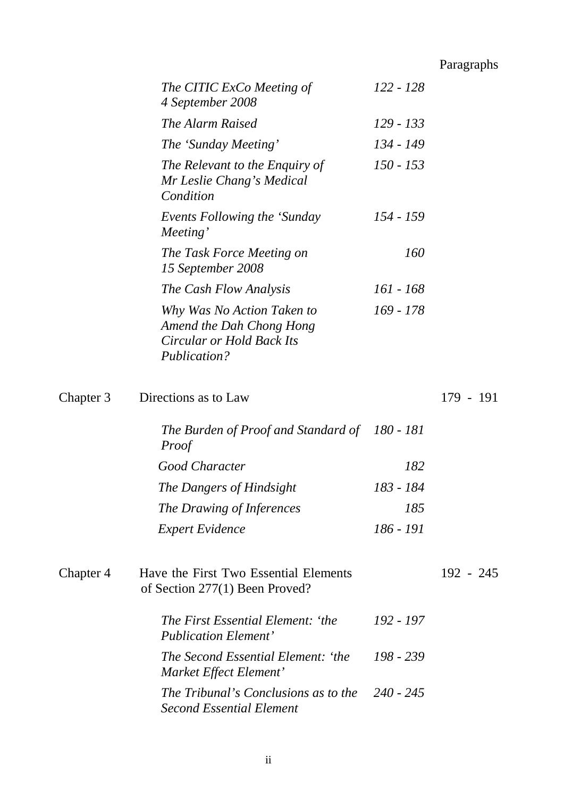Paragraphs

|           | The CITIC ExCo Meeting of<br>4 September 2008                                                              | 122 - 128   |             |
|-----------|------------------------------------------------------------------------------------------------------------|-------------|-------------|
|           | The Alarm Raised                                                                                           | 129 - 133   |             |
|           | The 'Sunday Meeting'                                                                                       | 134 - 149   |             |
|           | The Relevant to the Enquiry of<br>Mr Leslie Chang's Medical<br>Condition                                   | $150 - 153$ |             |
|           | Events Following the 'Sunday<br>Meeting'                                                                   | 154 - 159   |             |
|           | The Task Force Meeting on<br>15 September 2008                                                             | <i>160</i>  |             |
|           | The Cash Flow Analysis                                                                                     | 161 - 168   |             |
|           | Why Was No Action Taken to<br>Amend the Dah Chong Hong<br><b>Circular or Hold Back Its</b><br>Publication? | 169 - 178   |             |
| Chapter 3 | Directions as to Law                                                                                       |             | 179 - 191   |
|           | The Burden of Proof and Standard of 180 - 181<br>Proof                                                     |             |             |
|           | Good Character                                                                                             | 182         |             |
|           | The Dangers of Hindsight                                                                                   | 183 - 184   |             |
|           | The Drawing of Inferences                                                                                  | 185         |             |
|           | <b>Expert Evidence</b>                                                                                     | 186 - 191   |             |
| Chapter 4 | Have the First Two Essential Elements<br>of Section 277(1) Been Proved?                                    |             | $192 - 245$ |
|           | The First Essential Element: 'the<br><b>Publication Element'</b>                                           | 192 - 197   |             |
|           | The Second Essential Element: 'the<br>Market Effect Element'                                               | 198 - 239   |             |
|           | The Tribunal's Conclusions as to the<br><b>Second Essential Element</b>                                    | 240 - 245   |             |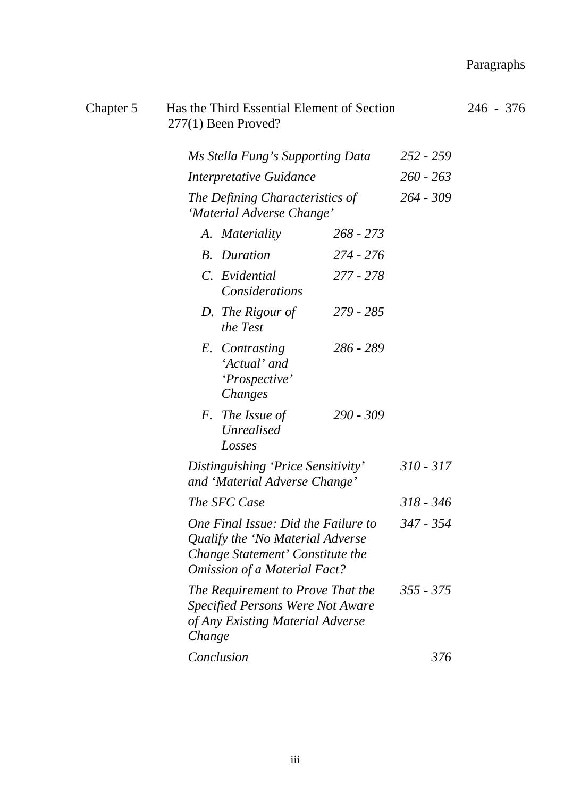# Paragraphs

| Chapter 5                                                                                                                                          | $277(1)$ Been Proved?                                                                   | Has the Third Essential Element of Section                                                                |             | $246 - 376$ |
|----------------------------------------------------------------------------------------------------------------------------------------------------|-----------------------------------------------------------------------------------------|-----------------------------------------------------------------------------------------------------------|-------------|-------------|
|                                                                                                                                                    |                                                                                         | Ms Stella Fung's Supporting Data                                                                          | $252 - 259$ |             |
|                                                                                                                                                    | Interpretative Guidance<br>The Defining Characteristics of<br>'Material Adverse Change' |                                                                                                           | $260 - 263$ |             |
|                                                                                                                                                    |                                                                                         |                                                                                                           | $264 - 309$ |             |
|                                                                                                                                                    | A. Materiality                                                                          | $268 - 273$                                                                                               |             |             |
|                                                                                                                                                    | <b>B.</b> Duration                                                                      | 274 - 276                                                                                                 |             |             |
|                                                                                                                                                    | C. Evidential                                                                           | 277 - 278<br>Considerations                                                                               |             |             |
|                                                                                                                                                    | D. The Rigour of<br>the Test                                                            | 279 - 285                                                                                                 |             |             |
|                                                                                                                                                    | E. Contrasting<br>'Actual' and<br>'Prospective'<br>Changes                              | 286 - 289                                                                                                 |             |             |
|                                                                                                                                                    | F. The Issue of<br>Unrealised<br>Losses                                                 | $290 - 309$                                                                                               |             |             |
|                                                                                                                                                    | Distinguishing 'Price Sensitivity'<br>and 'Material Adverse Change'<br>The SFC Case     |                                                                                                           | $310 - 317$ |             |
|                                                                                                                                                    |                                                                                         |                                                                                                           | $318 - 346$ |             |
| One Final Issue: Did the Failure to<br>Qualify the 'No Material Adverse<br>Change Statement' Constitute the<br><b>Omission of a Material Fact?</b> |                                                                                         | 347 - 354                                                                                                 |             |             |
|                                                                                                                                                    | Change                                                                                  | The Requirement to Prove That the<br>Specified Persons Were Not Aware<br>of Any Existing Material Adverse | $355 - 375$ |             |
|                                                                                                                                                    | Conclusion                                                                              |                                                                                                           | 376         |             |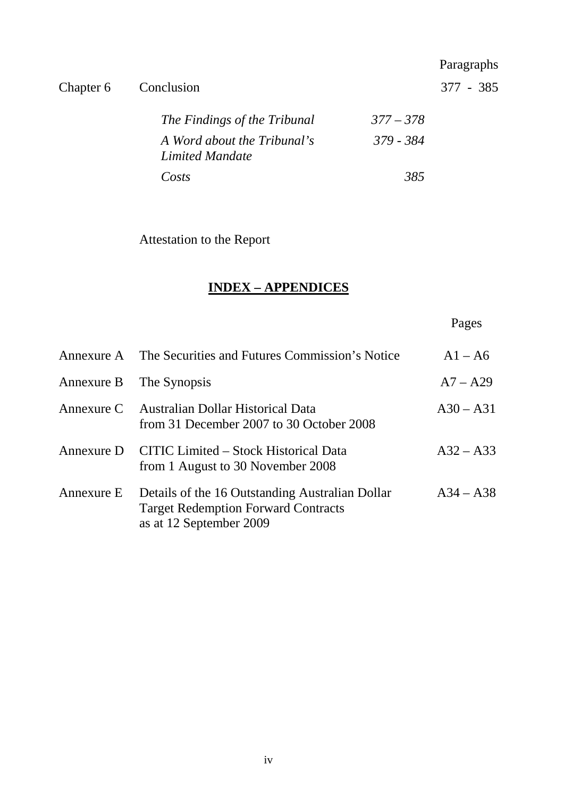|           |                                                |             | Paragraphs  |
|-----------|------------------------------------------------|-------------|-------------|
| Chapter 6 | Conclusion                                     |             | $377 - 385$ |
|           | The Findings of the Tribunal                   | $377 - 378$ |             |
|           | A Word about the Tribunal's<br>Limited Mandate | 379 - 384   |             |
|           | Costs                                          | 385         |             |

Attestation to the Report

# **INDEX – APPENDICES**

Pages

|            | Annexure A The Securities and Futures Commission's Notice                                                                | $A1 - A6$   |
|------------|--------------------------------------------------------------------------------------------------------------------------|-------------|
|            | Annexure B The Synopsis                                                                                                  | $A7 - A29$  |
|            | Annexure C Australian Dollar Historical Data<br>from 31 December 2007 to 30 October 2008                                 | $A30 - A31$ |
|            | Annexure D CITIC Limited - Stock Historical Data<br>from 1 August to 30 November 2008                                    | $A32 - A33$ |
| Annexure E | Details of the 16 Outstanding Australian Dollar<br><b>Target Redemption Forward Contracts</b><br>as at 12 September 2009 | $A34 - A38$ |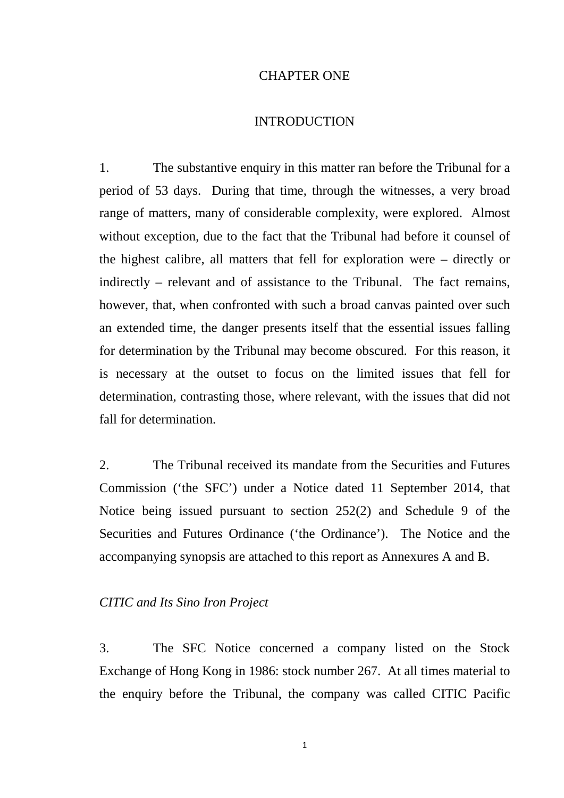#### CHAPTER ONE

### **INTRODUCTION**

1. The substantive enquiry in this matter ran before the Tribunal for a period of 53 days. During that time, through the witnesses, a very broad range of matters, many of considerable complexity, were explored. Almost without exception, due to the fact that the Tribunal had before it counsel of the highest calibre, all matters that fell for exploration were – directly or indirectly – relevant and of assistance to the Tribunal. The fact remains, however, that, when confronted with such a broad canvas painted over such an extended time, the danger presents itself that the essential issues falling for determination by the Tribunal may become obscured. For this reason, it is necessary at the outset to focus on the limited issues that fell for determination, contrasting those, where relevant, with the issues that did not fall for determination.

2. The Tribunal received its mandate from the Securities and Futures Commission ('the SFC') under a Notice dated 11 September 2014, that Notice being issued pursuant to section 252(2) and Schedule 9 of the Securities and Futures Ordinance ('the Ordinance'). The Notice and the accompanying synopsis are attached to this report as Annexures A and B.

# *CITIC and Its Sino Iron Project*

3. The SFC Notice concerned a company listed on the Stock Exchange of Hong Kong in 1986: stock number 267. At all times material to the enquiry before the Tribunal, the company was called CITIC Pacific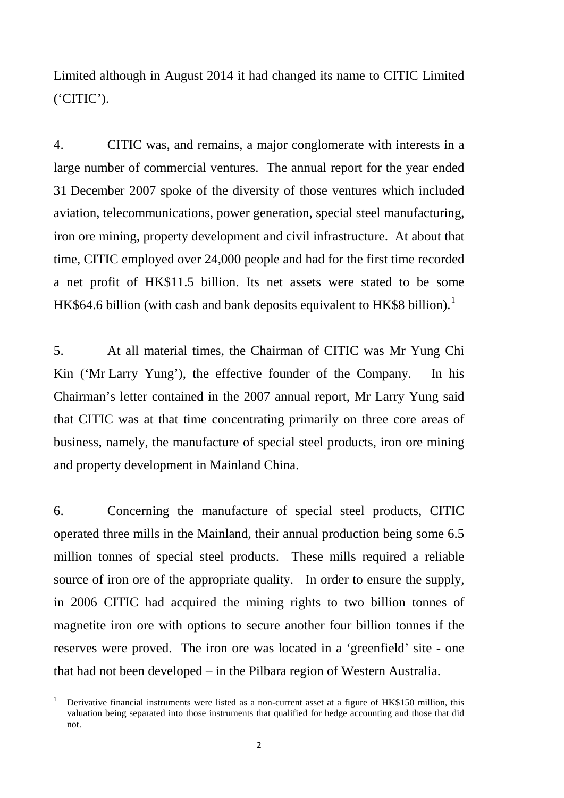Limited although in August 2014 it had changed its name to CITIC Limited ('CITIC').

4. CITIC was, and remains, a major conglomerate with interests in a large number of commercial ventures. The annual report for the year ended 31 December 2007 spoke of the diversity of those ventures which included aviation, telecommunications, power generation, special steel manufacturing, iron ore mining, property development and civil infrastructure. At about that time, CITIC employed over 24,000 people and had for the first time recorded a net profit of HK\$11.5 billion. Its net assets were stated to be some HK\$64.6 billion (with cash and bank deposits equivalent to HK\$8 billion).<sup>[1](#page-5-0)</sup>

5. At all material times, the Chairman of CITIC was Mr Yung Chi Kin ('Mr Larry Yung'), the effective founder of the Company. In his Chairman's letter contained in the 2007 annual report, Mr Larry Yung said that CITIC was at that time concentrating primarily on three core areas of business, namely, the manufacture of special steel products, iron ore mining and property development in Mainland China.

6. Concerning the manufacture of special steel products, CITIC operated three mills in the Mainland, their annual production being some 6.5 million tonnes of special steel products. These mills required a reliable source of iron ore of the appropriate quality. In order to ensure the supply, in 2006 CITIC had acquired the mining rights to two billion tonnes of magnetite iron ore with options to secure another four billion tonnes if the reserves were proved. The iron ore was located in a 'greenfield' site - one that had not been developed – in the Pilbara region of Western Australia.

<span id="page-5-0"></span><sup>1</sup> Derivative financial instruments were listed as a non-current asset at a figure of HK\$150 million, this valuation being separated into those instruments that qualified for hedge accounting and those that did not.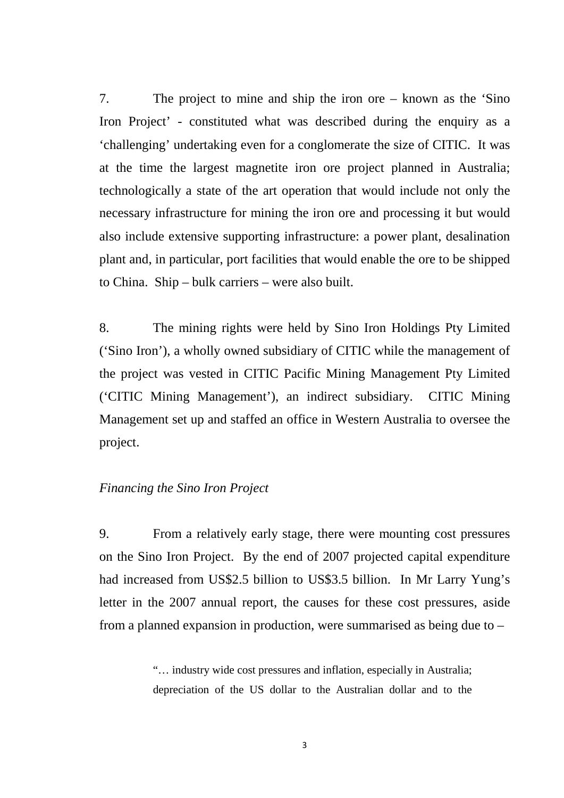7. The project to mine and ship the iron ore – known as the 'Sino Iron Project' - constituted what was described during the enquiry as a 'challenging' undertaking even for a conglomerate the size of CITIC. It was at the time the largest magnetite iron ore project planned in Australia; technologically a state of the art operation that would include not only the necessary infrastructure for mining the iron ore and processing it but would also include extensive supporting infrastructure: a power plant, desalination plant and, in particular, port facilities that would enable the ore to be shipped to China. Ship – bulk carriers – were also built.

8. The mining rights were held by Sino Iron Holdings Pty Limited ('Sino Iron'), a wholly owned subsidiary of CITIC while the management of the project was vested in CITIC Pacific Mining Management Pty Limited ('CITIC Mining Management'), an indirect subsidiary. CITIC Mining Management set up and staffed an office in Western Australia to oversee the project.

### *Financing the Sino Iron Project*

9. From a relatively early stage, there were mounting cost pressures on the Sino Iron Project. By the end of 2007 projected capital expenditure had increased from US\$2.5 billion to US\$3.5 billion. In Mr Larry Yung's letter in the 2007 annual report, the causes for these cost pressures, aside from a planned expansion in production, were summarised as being due to –

> "… industry wide cost pressures and inflation, especially in Australia; depreciation of the US dollar to the Australian dollar and to the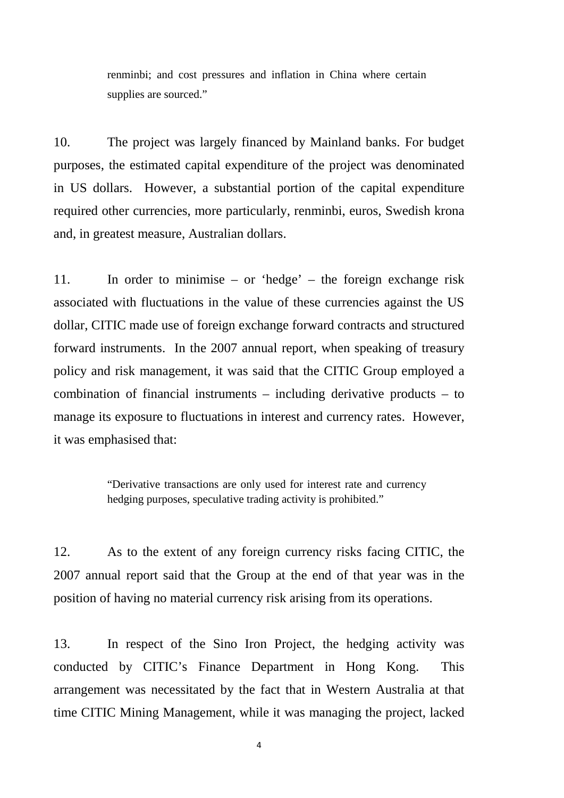renminbi; and cost pressures and inflation in China where certain supplies are sourced."

10. The project was largely financed by Mainland banks. For budget purposes, the estimated capital expenditure of the project was denominated in US dollars. However, a substantial portion of the capital expenditure required other currencies, more particularly, renminbi, euros, Swedish krona and, in greatest measure, Australian dollars.

11. In order to minimise – or 'hedge' – the foreign exchange risk associated with fluctuations in the value of these currencies against the US dollar, CITIC made use of foreign exchange forward contracts and structured forward instruments. In the 2007 annual report, when speaking of treasury policy and risk management, it was said that the CITIC Group employed a combination of financial instruments – including derivative products – to manage its exposure to fluctuations in interest and currency rates. However, it was emphasised that:

> "Derivative transactions are only used for interest rate and currency hedging purposes, speculative trading activity is prohibited."

12. As to the extent of any foreign currency risks facing CITIC, the 2007 annual report said that the Group at the end of that year was in the position of having no material currency risk arising from its operations.

13. In respect of the Sino Iron Project, the hedging activity was conducted by CITIC's Finance Department in Hong Kong. This arrangement was necessitated by the fact that in Western Australia at that time CITIC Mining Management, while it was managing the project, lacked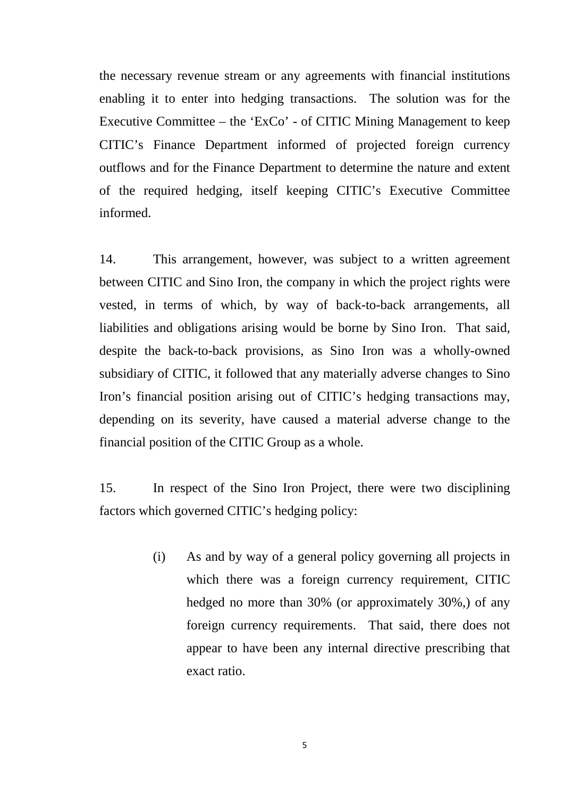the necessary revenue stream or any agreements with financial institutions enabling it to enter into hedging transactions. The solution was for the Executive Committee – the 'ExCo' - of CITIC Mining Management to keep CITIC's Finance Department informed of projected foreign currency outflows and for the Finance Department to determine the nature and extent of the required hedging, itself keeping CITIC's Executive Committee informed.

14. This arrangement, however, was subject to a written agreement between CITIC and Sino Iron, the company in which the project rights were vested, in terms of which, by way of back-to-back arrangements, all liabilities and obligations arising would be borne by Sino Iron. That said, despite the back-to-back provisions, as Sino Iron was a wholly-owned subsidiary of CITIC, it followed that any materially adverse changes to Sino Iron's financial position arising out of CITIC's hedging transactions may, depending on its severity, have caused a material adverse change to the financial position of the CITIC Group as a whole.

15. In respect of the Sino Iron Project, there were two disciplining factors which governed CITIC's hedging policy:

> (i) As and by way of a general policy governing all projects in which there was a foreign currency requirement, CITIC hedged no more than 30% (or approximately 30%,) of any foreign currency requirements. That said, there does not appear to have been any internal directive prescribing that exact ratio.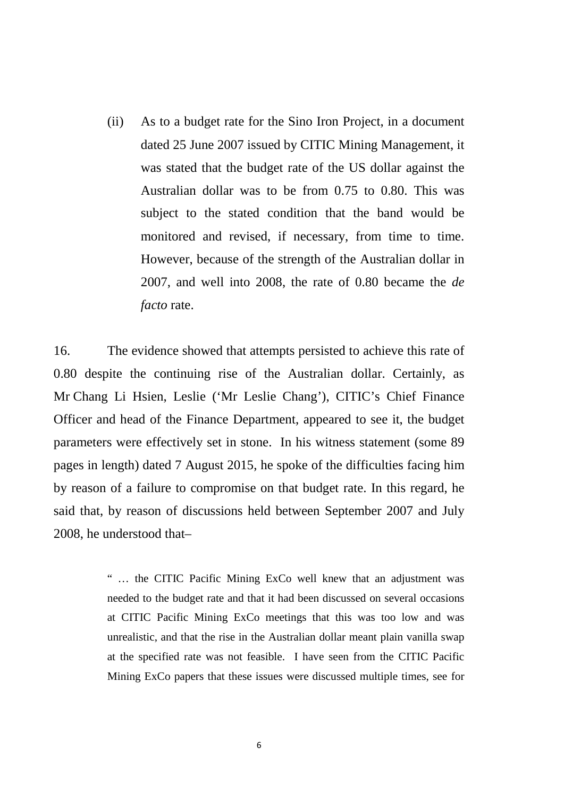(ii) As to a budget rate for the Sino Iron Project, in a document dated 25 June 2007 issued by CITIC Mining Management, it was stated that the budget rate of the US dollar against the Australian dollar was to be from 0.75 to 0.80. This was subject to the stated condition that the band would be monitored and revised, if necessary, from time to time. However, because of the strength of the Australian dollar in 2007, and well into 2008, the rate of 0.80 became the *de facto* rate.

16. The evidence showed that attempts persisted to achieve this rate of 0.80 despite the continuing rise of the Australian dollar. Certainly, as Mr Chang Li Hsien, Leslie ('Mr Leslie Chang'), CITIC's Chief Finance Officer and head of the Finance Department, appeared to see it, the budget parameters were effectively set in stone. In his witness statement (some 89 pages in length) dated 7 August 2015, he spoke of the difficulties facing him by reason of a failure to compromise on that budget rate. In this regard, he said that, by reason of discussions held between September 2007 and July 2008, he understood that–

> " … the CITIC Pacific Mining ExCo well knew that an adjustment was needed to the budget rate and that it had been discussed on several occasions at CITIC Pacific Mining ExCo meetings that this was too low and was unrealistic, and that the rise in the Australian dollar meant plain vanilla swap at the specified rate was not feasible. I have seen from the CITIC Pacific Mining ExCo papers that these issues were discussed multiple times, see for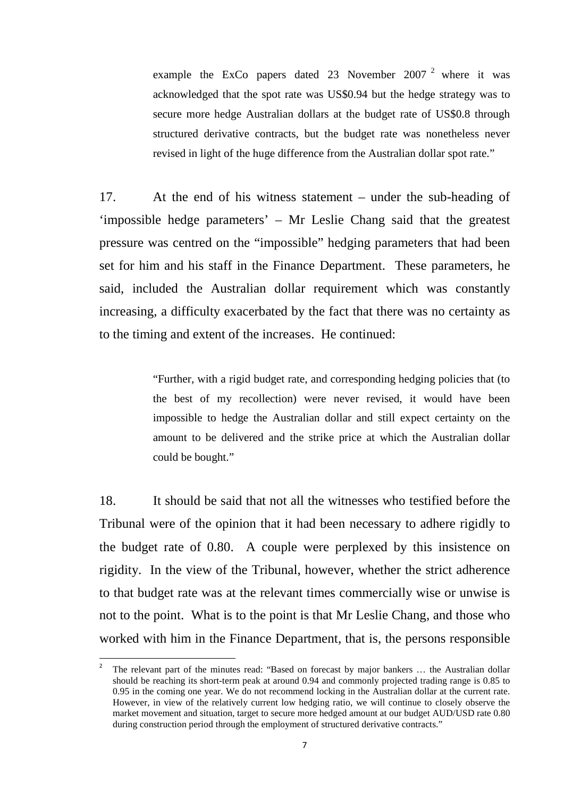example the ExCo papers dated [2](#page-10-0)3 November 2007<sup>2</sup> where it was acknowledged that the spot rate was US\$0.94 but the hedge strategy was to secure more hedge Australian dollars at the budget rate of US\$0.8 through structured derivative contracts, but the budget rate was nonetheless never revised in light of the huge difference from the Australian dollar spot rate."

17. At the end of his witness statement – under the sub-heading of 'impossible hedge parameters' – Mr Leslie Chang said that the greatest pressure was centred on the "impossible" hedging parameters that had been set for him and his staff in the Finance Department. These parameters, he said, included the Australian dollar requirement which was constantly increasing, a difficulty exacerbated by the fact that there was no certainty as to the timing and extent of the increases. He continued:

> "Further, with a rigid budget rate, and corresponding hedging policies that (to the best of my recollection) were never revised, it would have been impossible to hedge the Australian dollar and still expect certainty on the amount to be delivered and the strike price at which the Australian dollar could be bought."

18. It should be said that not all the witnesses who testified before the Tribunal were of the opinion that it had been necessary to adhere rigidly to the budget rate of 0.80. A couple were perplexed by this insistence on rigidity. In the view of the Tribunal, however, whether the strict adherence to that budget rate was at the relevant times commercially wise or unwise is not to the point. What is to the point is that Mr Leslie Chang, and those who worked with him in the Finance Department, that is, the persons responsible

<span id="page-10-0"></span> <sup>2</sup> The relevant part of the minutes read: "Based on forecast by major bankers … the Australian dollar should be reaching its short-term peak at around 0.94 and commonly projected trading range is 0.85 to 0.95 in the coming one year. We do not recommend locking in the Australian dollar at the current rate. However, in view of the relatively current low hedging ratio, we will continue to closely observe the market movement and situation, target to secure more hedged amount at our budget AUD/USD rate 0.80 during construction period through the employment of structured derivative contracts."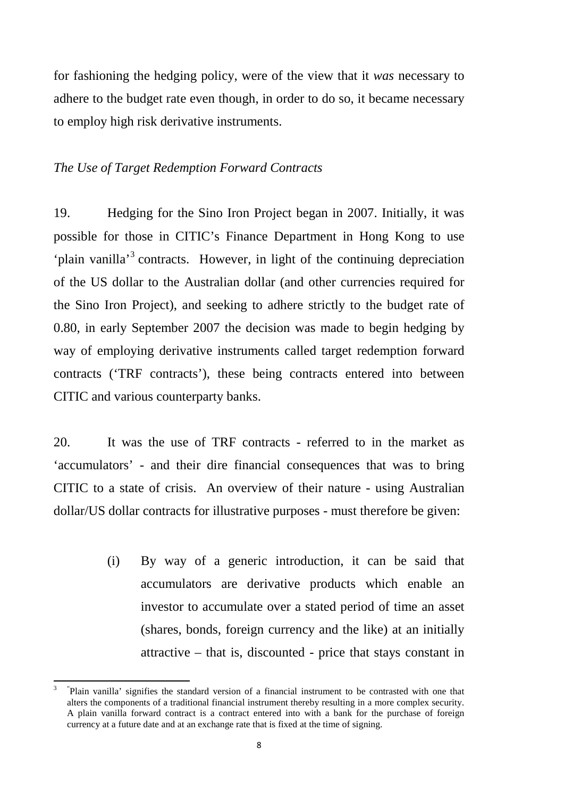for fashioning the hedging policy, were of the view that it *was* necessary to adhere to the budget rate even though, in order to do so, it became necessary to employ high risk derivative instruments.

# *The Use of Target Redemption Forward Contracts*

19. Hedging for the Sino Iron Project began in 2007. Initially, it was possible for those in CITIC's Finance Department in Hong Kong to use 'plain vanilla'[3](#page-11-0) contracts. However, in light of the continuing depreciation of the US dollar to the Australian dollar (and other currencies required for the Sino Iron Project), and seeking to adhere strictly to the budget rate of 0.80, in early September 2007 the decision was made to begin hedging by way of employing derivative instruments called target redemption forward contracts ('TRF contracts'), these being contracts entered into between CITIC and various counterparty banks.

20. It was the use of TRF contracts - referred to in the market as 'accumulators' - and their dire financial consequences that was to bring CITIC to a state of crisis. An overview of their nature - using Australian dollar/US dollar contracts for illustrative purposes - must therefore be given:

> (i) By way of a generic introduction, it can be said that accumulators are derivative products which enable an investor to accumulate over a stated period of time an asset (shares, bonds, foreign currency and the like) at an initially attractive – that is, discounted - price that stays constant in

<span id="page-11-0"></span><sup>&</sup>lt;sup>3</sup> "Plain vanilla' signifies the standard version of a financial instrument to be contrasted with one that alters the components of a traditional financial instrument thereby resulting in a more complex security. A plain vanilla forward contract is a contract entered into with a bank for the purchase of foreign currency at a future date and at an exchange rate that is fixed at the time of signing.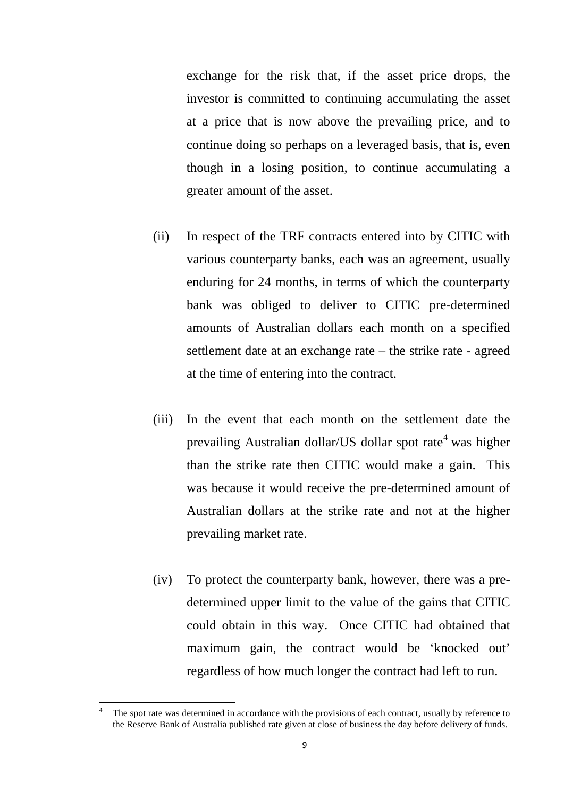exchange for the risk that, if the asset price drops, the investor is committed to continuing accumulating the asset at a price that is now above the prevailing price, and to continue doing so perhaps on a leveraged basis, that is, even though in a losing position, to continue accumulating a greater amount of the asset.

- (ii) In respect of the TRF contracts entered into by CITIC with various counterparty banks, each was an agreement, usually enduring for 24 months, in terms of which the counterparty bank was obliged to deliver to CITIC pre-determined amounts of Australian dollars each month on a specified settlement date at an exchange rate – the strike rate - agreed at the time of entering into the contract.
- (iii) In the event that each month on the settlement date the prevailing Australian dollar/US dollar spot rate<sup>[4](#page-12-0)</sup> was higher than the strike rate then CITIC would make a gain. This was because it would receive the pre-determined amount of Australian dollars at the strike rate and not at the higher prevailing market rate.
- (iv) To protect the counterparty bank, however, there was a predetermined upper limit to the value of the gains that CITIC could obtain in this way. Once CITIC had obtained that maximum gain, the contract would be 'knocked out' regardless of how much longer the contract had left to run.

<span id="page-12-0"></span>The spot rate was determined in accordance with the provisions of each contract, usually by reference to the Reserve Bank of Australia published rate given at close of business the day before delivery of funds.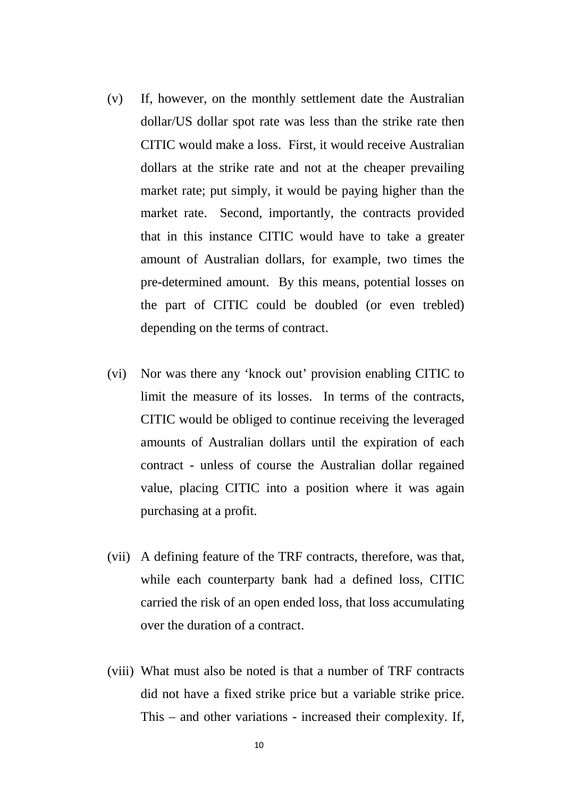- (v) If, however, on the monthly settlement date the Australian dollar/US dollar spot rate was less than the strike rate then CITIC would make a loss. First, it would receive Australian dollars at the strike rate and not at the cheaper prevailing market rate; put simply, it would be paying higher than the market rate. Second, importantly, the contracts provided that in this instance CITIC would have to take a greater amount of Australian dollars, for example, two times the pre-determined amount. By this means, potential losses on the part of CITIC could be doubled (or even trebled) depending on the terms of contract.
- (vi) Nor was there any 'knock out' provision enabling CITIC to limit the measure of its losses. In terms of the contracts, CITIC would be obliged to continue receiving the leveraged amounts of Australian dollars until the expiration of each contract - unless of course the Australian dollar regained value, placing CITIC into a position where it was again purchasing at a profit.
- (vii) A defining feature of the TRF contracts, therefore, was that, while each counterparty bank had a defined loss, CITIC carried the risk of an open ended loss, that loss accumulating over the duration of a contract.
- (viii) What must also be noted is that a number of TRF contracts did not have a fixed strike price but a variable strike price. This – and other variations - increased their complexity. If,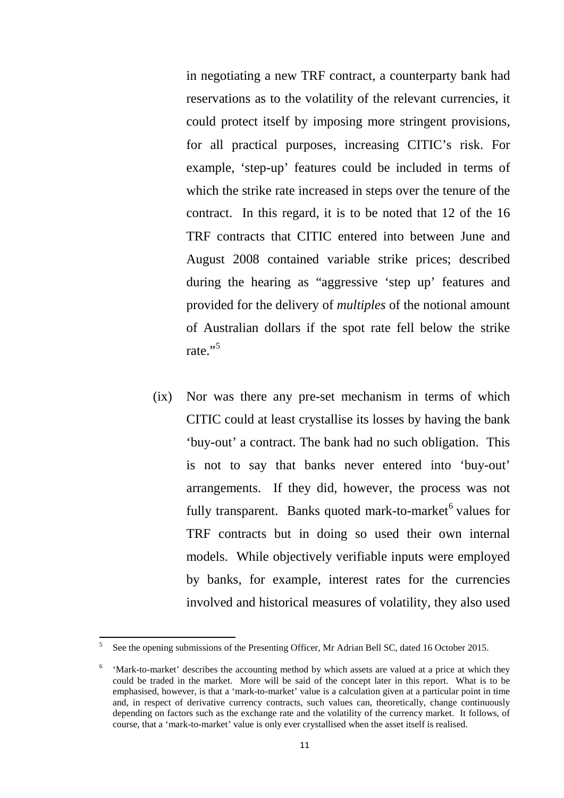in negotiating a new TRF contract, a counterparty bank had reservations as to the volatility of the relevant currencies, it could protect itself by imposing more stringent provisions, for all practical purposes, increasing CITIC's risk. For example, 'step-up' features could be included in terms of which the strike rate increased in steps over the tenure of the contract. In this regard, it is to be noted that 12 of the 16 TRF contracts that CITIC entered into between June and August 2008 contained variable strike prices; described during the hearing as "aggressive 'step up' features and provided for the delivery of *multiples* of the notional amount of Australian dollars if the spot rate fell below the strike rate."<sup>[5](#page-14-0)</sup>

(ix) Nor was there any pre-set mechanism in terms of which CITIC could at least crystallise its losses by having the bank 'buy-out' a contract. The bank had no such obligation. This is not to say that banks never entered into 'buy-out' arrangements. If they did, however, the process was not fully transparent. Banks quoted mark-to-market<sup>[6](#page-14-1)</sup> values for TRF contracts but in doing so used their own internal models. While objectively verifiable inputs were employed by banks, for example, interest rates for the currencies involved and historical measures of volatility, they also used

<span id="page-14-0"></span><sup>5</sup> See the opening submissions of the Presenting Officer, Mr Adrian Bell SC, dated 16 October 2015.

<span id="page-14-1"></span><sup>6</sup> 'Mark-to-market' describes the accounting method by which assets are valued at a price at which they could be traded in the market. More will be said of the concept later in this report. What is to be emphasised, however, is that a 'mark-to-market' value is a calculation given at a particular point in time and, in respect of derivative currency contracts, such values can, theoretically, change continuously depending on factors such as the exchange rate and the volatility of the currency market. It follows, of course, that a 'mark-to-market' value is only ever crystallised when the asset itself is realised.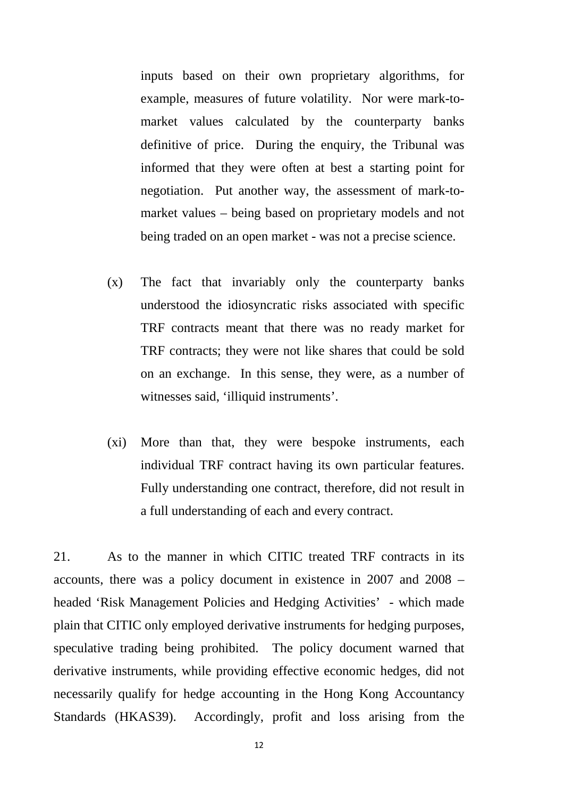inputs based on their own proprietary algorithms, for example, measures of future volatility. Nor were mark-tomarket values calculated by the counterparty banks definitive of price. During the enquiry, the Tribunal was informed that they were often at best a starting point for negotiation. Put another way, the assessment of mark-tomarket values – being based on proprietary models and not being traded on an open market - was not a precise science.

- (x) The fact that invariably only the counterparty banks understood the idiosyncratic risks associated with specific TRF contracts meant that there was no ready market for TRF contracts; they were not like shares that could be sold on an exchange. In this sense, they were, as a number of witnesses said, 'illiquid instruments'.
- (xi) More than that, they were bespoke instruments, each individual TRF contract having its own particular features. Fully understanding one contract, therefore, did not result in a full understanding of each and every contract.

21. As to the manner in which CITIC treated TRF contracts in its accounts, there was a policy document in existence in 2007 and 2008 – headed 'Risk Management Policies and Hedging Activities' - which made plain that CITIC only employed derivative instruments for hedging purposes, speculative trading being prohibited. The policy document warned that derivative instruments, while providing effective economic hedges, did not necessarily qualify for hedge accounting in the Hong Kong Accountancy Standards (HKAS39). Accordingly, profit and loss arising from the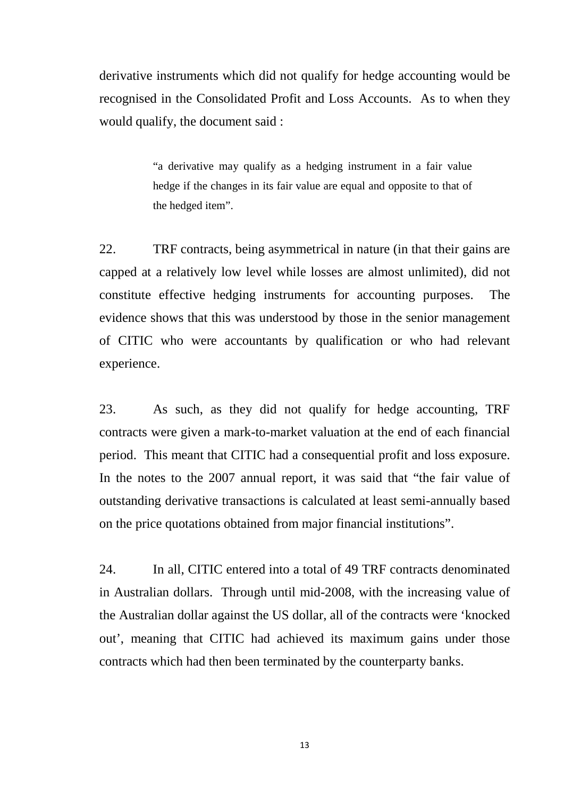derivative instruments which did not qualify for hedge accounting would be recognised in the Consolidated Profit and Loss Accounts. As to when they would qualify, the document said :

> "a derivative may qualify as a hedging instrument in a fair value hedge if the changes in its fair value are equal and opposite to that of the hedged item".

22. TRF contracts, being asymmetrical in nature (in that their gains are capped at a relatively low level while losses are almost unlimited), did not constitute effective hedging instruments for accounting purposes. The evidence shows that this was understood by those in the senior management of CITIC who were accountants by qualification or who had relevant experience.

23. As such, as they did not qualify for hedge accounting, TRF contracts were given a mark-to-market valuation at the end of each financial period. This meant that CITIC had a consequential profit and loss exposure. In the notes to the 2007 annual report, it was said that "the fair value of outstanding derivative transactions is calculated at least semi-annually based on the price quotations obtained from major financial institutions".

24. In all, CITIC entered into a total of 49 TRF contracts denominated in Australian dollars. Through until mid-2008, with the increasing value of the Australian dollar against the US dollar, all of the contracts were 'knocked out', meaning that CITIC had achieved its maximum gains under those contracts which had then been terminated by the counterparty banks.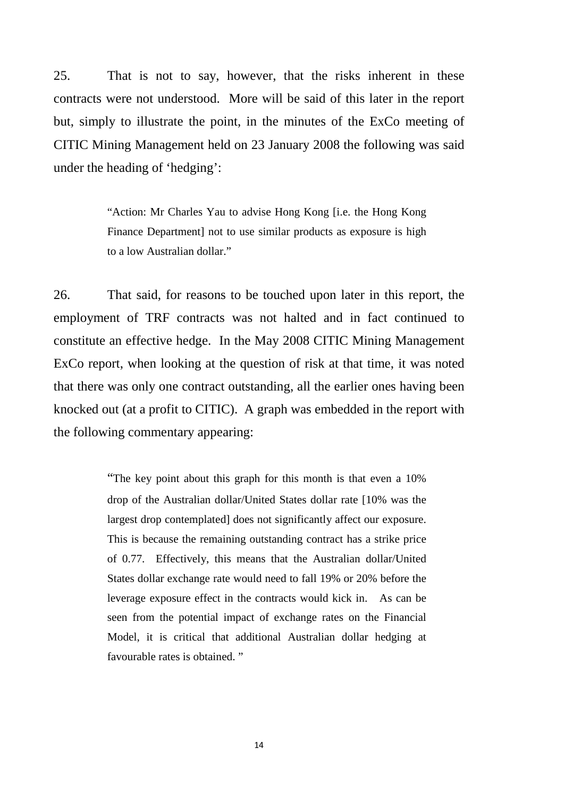25. That is not to say, however, that the risks inherent in these contracts were not understood. More will be said of this later in the report but, simply to illustrate the point, in the minutes of the ExCo meeting of CITIC Mining Management held on 23 January 2008 the following was said under the heading of 'hedging':

> "Action: Mr Charles Yau to advise Hong Kong [i.e. the Hong Kong Finance Department] not to use similar products as exposure is high to a low Australian dollar."

26. That said, for reasons to be touched upon later in this report, the employment of TRF contracts was not halted and in fact continued to constitute an effective hedge. In the May 2008 CITIC Mining Management ExCo report, when looking at the question of risk at that time, it was noted that there was only one contract outstanding, all the earlier ones having been knocked out (at a profit to CITIC). A graph was embedded in the report with the following commentary appearing:

> "The key point about this graph for this month is that even a 10% drop of the Australian dollar/United States dollar rate [10% was the largest drop contemplated] does not significantly affect our exposure. This is because the remaining outstanding contract has a strike price of 0.77. Effectively, this means that the Australian dollar/United States dollar exchange rate would need to fall 19% or 20% before the leverage exposure effect in the contracts would kick in. As can be seen from the potential impact of exchange rates on the Financial Model, it is critical that additional Australian dollar hedging at favourable rates is obtained. "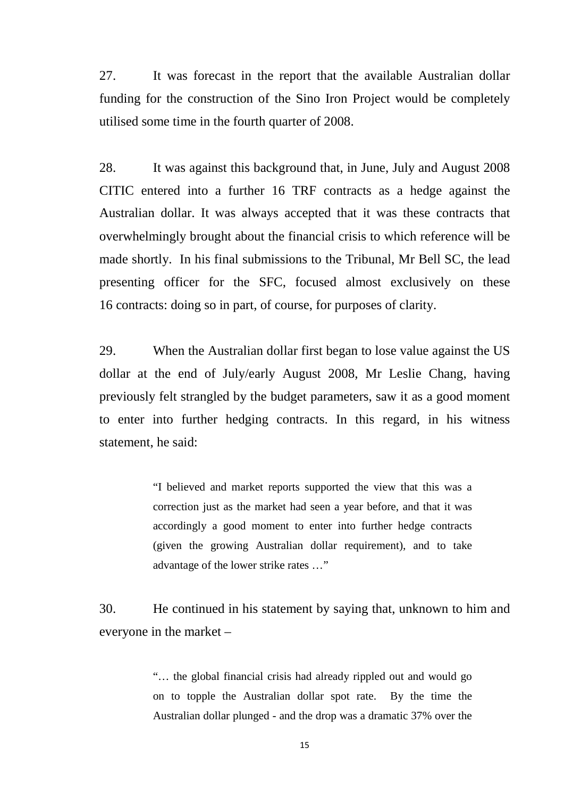27. It was forecast in the report that the available Australian dollar funding for the construction of the Sino Iron Project would be completely utilised some time in the fourth quarter of 2008.

28. It was against this background that, in June, July and August 2008 CITIC entered into a further 16 TRF contracts as a hedge against the Australian dollar. It was always accepted that it was these contracts that overwhelmingly brought about the financial crisis to which reference will be made shortly. In his final submissions to the Tribunal, Mr Bell SC, the lead presenting officer for the SFC, focused almost exclusively on these 16 contracts: doing so in part, of course, for purposes of clarity.

29. When the Australian dollar first began to lose value against the US dollar at the end of July/early August 2008, Mr Leslie Chang, having previously felt strangled by the budget parameters, saw it as a good moment to enter into further hedging contracts. In this regard, in his witness statement, he said:

> "I believed and market reports supported the view that this was a correction just as the market had seen a year before, and that it was accordingly a good moment to enter into further hedge contracts (given the growing Australian dollar requirement), and to take advantage of the lower strike rates …"

30. He continued in his statement by saying that, unknown to him and everyone in the market –

> "… the global financial crisis had already rippled out and would go on to topple the Australian dollar spot rate. By the time the Australian dollar plunged - and the drop was a dramatic 37% over the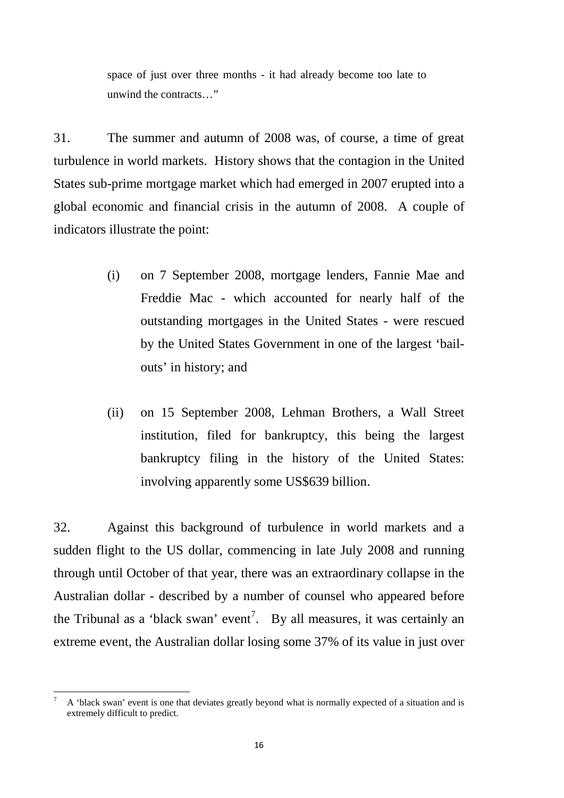space of just over three months - it had already become too late to unwind the contracts…"

31. The summer and autumn of 2008 was, of course, a time of great turbulence in world markets. History shows that the contagion in the United States sub-prime mortgage market which had emerged in 2007 erupted into a global economic and financial crisis in the autumn of 2008. A couple of indicators illustrate the point:

- (i) on 7 September 2008, mortgage lenders, Fannie Mae and Freddie Mac - which accounted for nearly half of the outstanding mortgages in the United States - were rescued by the United States Government in one of the largest 'bailouts' in history; and
- (ii) on 15 September 2008, Lehman Brothers, a Wall Street institution, filed for bankruptcy, this being the largest bankruptcy filing in the history of the United States: involving apparently some US\$639 billion.

32. Against this background of turbulence in world markets and a sudden flight to the US dollar, commencing in late July 2008 and running through until October of that year, there was an extraordinary collapse in the Australian dollar - described by a number of counsel who appeared before the Tribunal as a 'black swan' event<sup>[7](#page-19-0)</sup>. By all measures, it was certainly an extreme event, the Australian dollar losing some 37% of its value in just over

<span id="page-19-0"></span><sup>7</sup> A 'black swan' event is one that deviates greatly beyond what is normally expected of a situation and is extremely difficult to predict.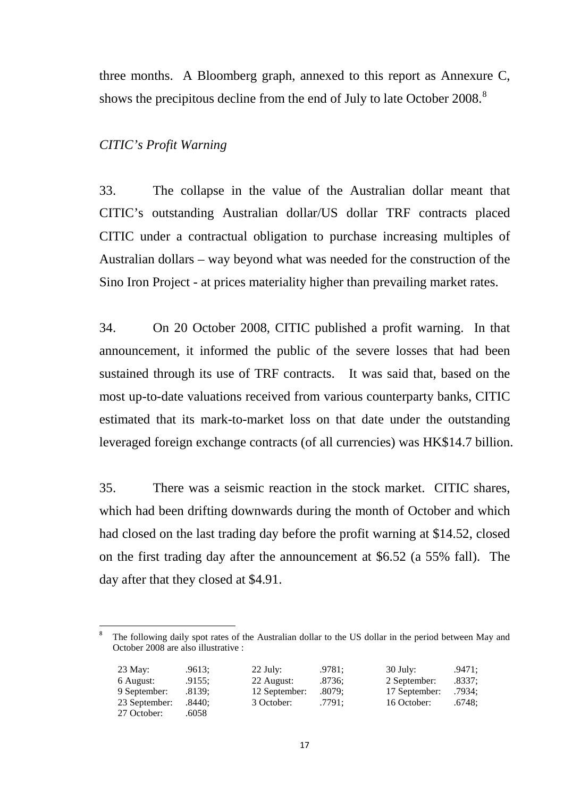three months. A Bloomberg graph, annexed to this report as Annexure C, shows the precipitous decline from the end of July to late October 200[8](#page-20-0).<sup>8</sup>

## *CITIC's Profit Warning*

33. The collapse in the value of the Australian dollar meant that CITIC's outstanding Australian dollar/US dollar TRF contracts placed CITIC under a contractual obligation to purchase increasing multiples of Australian dollars – way beyond what was needed for the construction of the Sino Iron Project - at prices materiality higher than prevailing market rates.

34. On 20 October 2008, CITIC published a profit warning. In that announcement, it informed the public of the severe losses that had been sustained through its use of TRF contracts. It was said that, based on the most up-to-date valuations received from various counterparty banks, CITIC estimated that its mark-to-market loss on that date under the outstanding leveraged foreign exchange contracts (of all currencies) was HK\$14.7 billion.

35. There was a seismic reaction in the stock market. CITIC shares, which had been drifting downwards during the month of October and which had closed on the last trading day before the profit warning at \$14.52, closed on the first trading day after the announcement at \$6.52 (a 55% fall). The day after that they closed at \$4.91.

<span id="page-20-0"></span>The following daily spot rates of the Australian dollar to the US dollar in the period between May and October 2008 are also illustrative :

| 23 May:       | .9613: | $22$ July:    | .9781: | $30$ July:    | .9471: |
|---------------|--------|---------------|--------|---------------|--------|
| 6 August:     | .9155: | 22 August:    | .8736: | 2 September:  | .8337: |
| 9 September:  | .8139: | 12 September: | .8079: | 17 September: | .7934; |
| 23 September: | .8440: | 3 October:    | .7791: | 16 October:   | .6748: |
| 27 October:   | .6058  |               |        |               |        |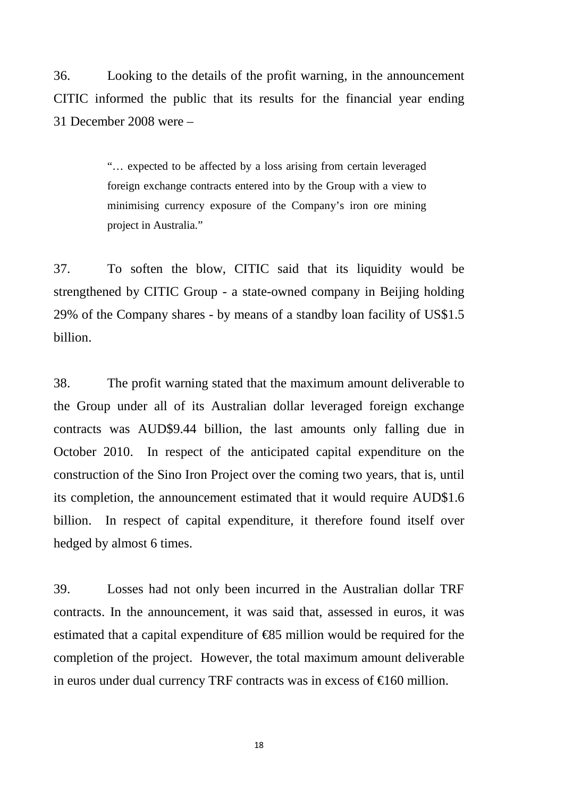36. Looking to the details of the profit warning, in the announcement CITIC informed the public that its results for the financial year ending 31 December 2008 were –

> "… expected to be affected by a loss arising from certain leveraged foreign exchange contracts entered into by the Group with a view to minimising currency exposure of the Company's iron ore mining project in Australia."

37. To soften the blow, CITIC said that its liquidity would be strengthened by CITIC Group - a state-owned company in Beijing holding 29% of the Company shares - by means of a standby loan facility of US\$1.5 billion.

38. The profit warning stated that the maximum amount deliverable to the Group under all of its Australian dollar leveraged foreign exchange contracts was AUD\$9.44 billion, the last amounts only falling due in October 2010. In respect of the anticipated capital expenditure on the construction of the Sino Iron Project over the coming two years, that is, until its completion, the announcement estimated that it would require AUD\$1.6 billion. In respect of capital expenditure, it therefore found itself over hedged by almost 6 times.

39. Losses had not only been incurred in the Australian dollar TRF contracts. In the announcement, it was said that, assessed in euros, it was estimated that a capital expenditure of €85 million would be required for the completion of the project. However, the total maximum amount deliverable in euros under dual currency TRF contracts was in excess of  $\epsilon$ 160 million.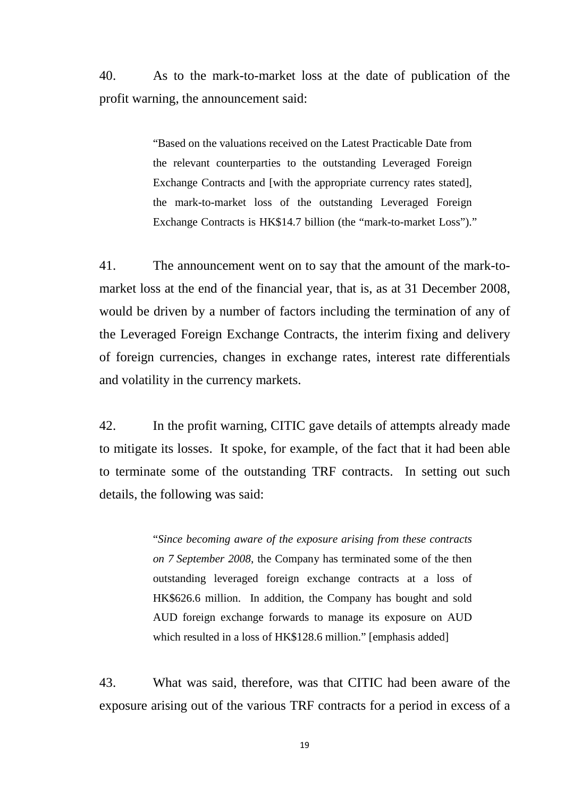40. As to the mark-to-market loss at the date of publication of the profit warning, the announcement said:

> "Based on the valuations received on the Latest Practicable Date from the relevant counterparties to the outstanding Leveraged Foreign Exchange Contracts and [with the appropriate currency rates stated], the mark-to-market loss of the outstanding Leveraged Foreign Exchange Contracts is HK\$14.7 billion (the "mark-to-market Loss")."

41. The announcement went on to say that the amount of the mark-tomarket loss at the end of the financial year, that is, as at 31 December 2008, would be driven by a number of factors including the termination of any of the Leveraged Foreign Exchange Contracts, the interim fixing and delivery of foreign currencies, changes in exchange rates, interest rate differentials and volatility in the currency markets.

42. In the profit warning, CITIC gave details of attempts already made to mitigate its losses. It spoke, for example, of the fact that it had been able to terminate some of the outstanding TRF contracts. In setting out such details, the following was said:

> "*Since becoming aware of the exposure arising from these contracts on 7 September 2008*, the Company has terminated some of the then outstanding leveraged foreign exchange contracts at a loss of HK\$626.6 million. In addition, the Company has bought and sold AUD foreign exchange forwards to manage its exposure on AUD which resulted in a loss of HK\$128.6 million." [emphasis added]

43. What was said, therefore, was that CITIC had been aware of the exposure arising out of the various TRF contracts for a period in excess of a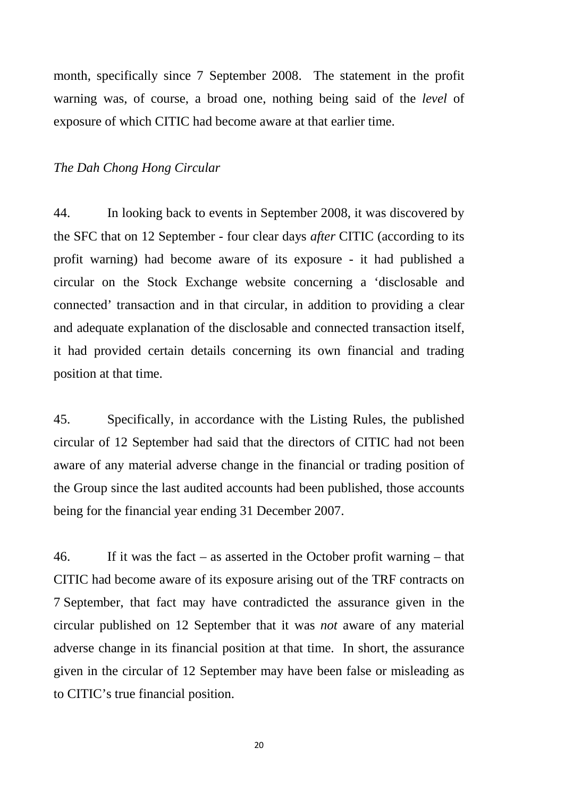month, specifically since 7 September 2008. The statement in the profit warning was, of course, a broad one, nothing being said of the *level* of exposure of which CITIC had become aware at that earlier time.

#### *The Dah Chong Hong Circular*

44. In looking back to events in September 2008, it was discovered by the SFC that on 12 September - four clear days *after* CITIC (according to its profit warning) had become aware of its exposure - it had published a circular on the Stock Exchange website concerning a 'disclosable and connected' transaction and in that circular, in addition to providing a clear and adequate explanation of the disclosable and connected transaction itself, it had provided certain details concerning its own financial and trading position at that time.

45. Specifically, in accordance with the Listing Rules, the published circular of 12 September had said that the directors of CITIC had not been aware of any material adverse change in the financial or trading position of the Group since the last audited accounts had been published, those accounts being for the financial year ending 31 December 2007.

46. If it was the fact – as asserted in the October profit warning – that CITIC had become aware of its exposure arising out of the TRF contracts on 7 September, that fact may have contradicted the assurance given in the circular published on 12 September that it was *not* aware of any material adverse change in its financial position at that time. In short, the assurance given in the circular of 12 September may have been false or misleading as to CITIC's true financial position.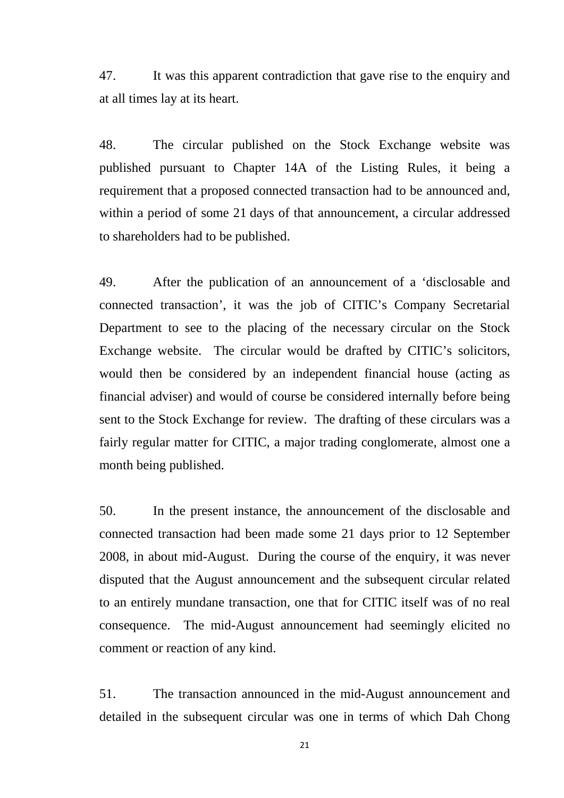47. It was this apparent contradiction that gave rise to the enquiry and at all times lay at its heart.

48. The circular published on the Stock Exchange website was published pursuant to Chapter 14A of the Listing Rules, it being a requirement that a proposed connected transaction had to be announced and, within a period of some 21 days of that announcement, a circular addressed to shareholders had to be published.

49. After the publication of an announcement of a 'disclosable and connected transaction', it was the job of CITIC's Company Secretarial Department to see to the placing of the necessary circular on the Stock Exchange website. The circular would be drafted by CITIC's solicitors, would then be considered by an independent financial house (acting as financial adviser) and would of course be considered internally before being sent to the Stock Exchange for review. The drafting of these circulars was a fairly regular matter for CITIC, a major trading conglomerate, almost one a month being published.

50. In the present instance, the announcement of the disclosable and connected transaction had been made some 21 days prior to 12 September 2008, in about mid-August. During the course of the enquiry, it was never disputed that the August announcement and the subsequent circular related to an entirely mundane transaction, one that for CITIC itself was of no real consequence. The mid-August announcement had seemingly elicited no comment or reaction of any kind.

51. The transaction announced in the mid-August announcement and detailed in the subsequent circular was one in terms of which Dah Chong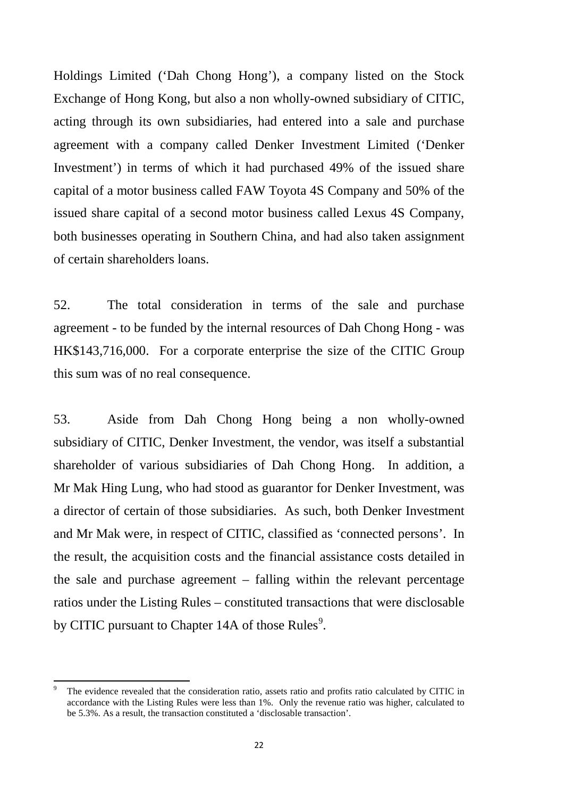Holdings Limited ('Dah Chong Hong'), a company listed on the Stock Exchange of Hong Kong, but also a non wholly-owned subsidiary of CITIC, acting through its own subsidiaries, had entered into a sale and purchase agreement with a company called Denker Investment Limited ('Denker Investment') in terms of which it had purchased 49% of the issued share capital of a motor business called FAW Toyota 4S Company and 50% of the issued share capital of a second motor business called Lexus 4S Company, both businesses operating in Southern China, and had also taken assignment of certain shareholders loans.

52. The total consideration in terms of the sale and purchase agreement - to be funded by the internal resources of Dah Chong Hong - was HK\$143,716,000. For a corporate enterprise the size of the CITIC Group this sum was of no real consequence.

53. Aside from Dah Chong Hong being a non wholly-owned subsidiary of CITIC, Denker Investment, the vendor, was itself a substantial shareholder of various subsidiaries of Dah Chong Hong. In addition, a Mr Mak Hing Lung, who had stood as guarantor for Denker Investment, was a director of certain of those subsidiaries. As such, both Denker Investment and Mr Mak were, in respect of CITIC, classified as 'connected persons'. In the result, the acquisition costs and the financial assistance costs detailed in the sale and purchase agreement – falling within the relevant percentage ratios under the Listing Rules – constituted transactions that were disclosable by CITIC pursuant to Chapter 14A of those Rules<sup>[9](#page-25-0)</sup>.

<span id="page-25-0"></span><sup>9</sup> The evidence revealed that the consideration ratio, assets ratio and profits ratio calculated by CITIC in accordance with the Listing Rules were less than 1%. Only the revenue ratio was higher, calculated to be 5.3%. As a result, the transaction constituted a 'disclosable transaction'.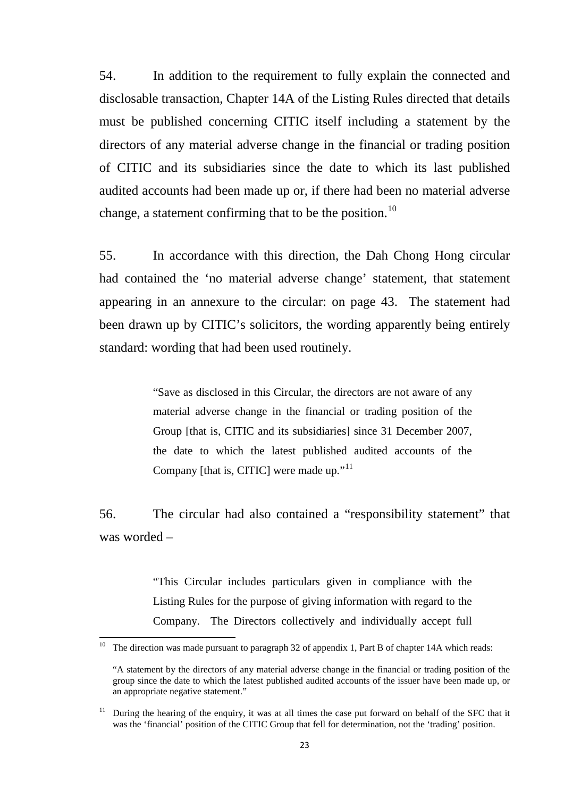54. In addition to the requirement to fully explain the connected and disclosable transaction, Chapter 14A of the Listing Rules directed that details must be published concerning CITIC itself including a statement by the directors of any material adverse change in the financial or trading position of CITIC and its subsidiaries since the date to which its last published audited accounts had been made up or, if there had been no material adverse change, a statement confirming that to be the position.<sup>[10](#page-26-0)</sup>

55. In accordance with this direction, the Dah Chong Hong circular had contained the 'no material adverse change' statement, that statement appearing in an annexure to the circular: on page 43. The statement had been drawn up by CITIC's solicitors, the wording apparently being entirely standard: wording that had been used routinely.

> "Save as disclosed in this Circular, the directors are not aware of any material adverse change in the financial or trading position of the Group [that is, CITIC and its subsidiaries] since 31 December 2007, the date to which the latest published audited accounts of the Company [that is, CITIC] were made up."<sup>[11](#page-26-1)</sup>

56. The circular had also contained a "responsibility statement" that was worded –

> "This Circular includes particulars given in compliance with the Listing Rules for the purpose of giving information with regard to the Company. The Directors collectively and individually accept full

<span id="page-26-0"></span><sup>&</sup>lt;sup>10</sup> The direction was made pursuant to paragraph 32 of appendix 1, Part B of chapter 14A which reads:

<sup>&</sup>quot;A statement by the directors of any material adverse change in the financial or trading position of the group since the date to which the latest published audited accounts of the issuer have been made up, or an appropriate negative statement."

<span id="page-26-1"></span><sup>&</sup>lt;sup>11</sup> During the hearing of the enquiry, it was at all times the case put forward on behalf of the SFC that it was the 'financial' position of the CITIC Group that fell for determination, not the 'trading' position.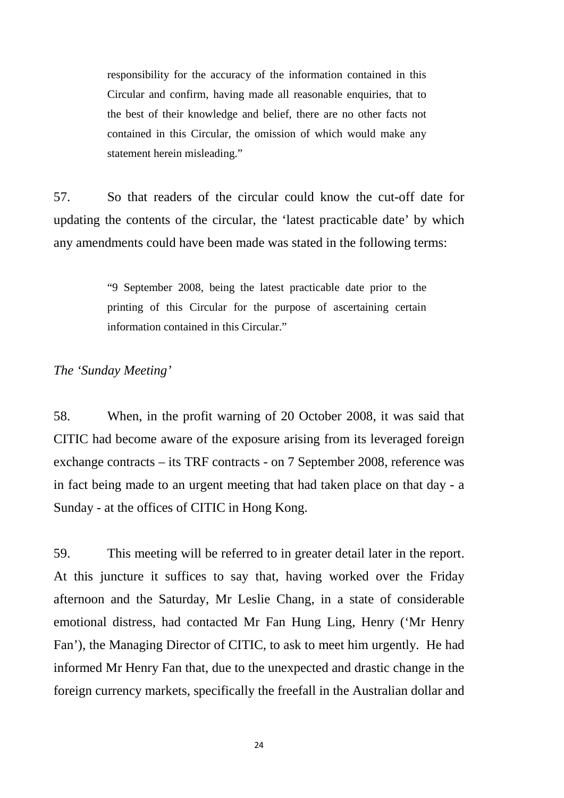responsibility for the accuracy of the information contained in this Circular and confirm, having made all reasonable enquiries, that to the best of their knowledge and belief, there are no other facts not contained in this Circular, the omission of which would make any statement herein misleading."

57. So that readers of the circular could know the cut-off date for updating the contents of the circular, the 'latest practicable date' by which any amendments could have been made was stated in the following terms:

> "9 September 2008, being the latest practicable date prior to the printing of this Circular for the purpose of ascertaining certain information contained in this Circular."

# *The 'Sunday Meeting'*

58. When, in the profit warning of 20 October 2008, it was said that CITIC had become aware of the exposure arising from its leveraged foreign exchange contracts – its TRF contracts - on 7 September 2008, reference was in fact being made to an urgent meeting that had taken place on that day - a Sunday - at the offices of CITIC in Hong Kong.

59. This meeting will be referred to in greater detail later in the report. At this juncture it suffices to say that, having worked over the Friday afternoon and the Saturday, Mr Leslie Chang, in a state of considerable emotional distress, had contacted Mr Fan Hung Ling, Henry ('Mr Henry Fan'), the Managing Director of CITIC, to ask to meet him urgently. He had informed Mr Henry Fan that, due to the unexpected and drastic change in the foreign currency markets, specifically the freefall in the Australian dollar and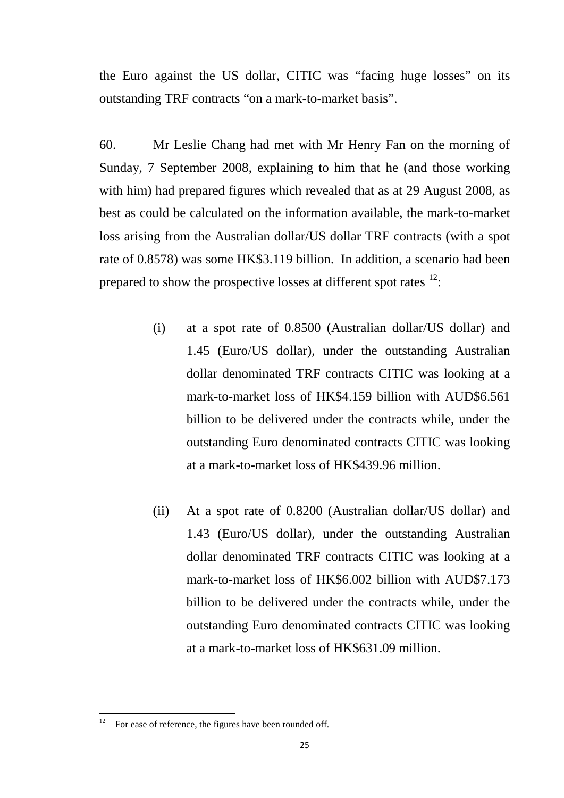the Euro against the US dollar, CITIC was "facing huge losses" on its outstanding TRF contracts "on a mark-to-market basis".

60. Mr Leslie Chang had met with Mr Henry Fan on the morning of Sunday, 7 September 2008, explaining to him that he (and those working with him) had prepared figures which revealed that as at 29 August 2008, as best as could be calculated on the information available, the mark-to-market loss arising from the Australian dollar/US dollar TRF contracts (with a spot rate of 0.8578) was some HK\$3.119 billion. In addition, a scenario had been prepared to show the prospective losses at different spot rates  $12$ .

- (i) at a spot rate of 0.8500 (Australian dollar/US dollar) and 1.45 (Euro/US dollar), under the outstanding Australian dollar denominated TRF contracts CITIC was looking at a mark-to-market loss of HK\$4.159 billion with AUD\$6.561 billion to be delivered under the contracts while, under the outstanding Euro denominated contracts CITIC was looking at a mark-to-market loss of HK\$439.96 million.
- (ii) At a spot rate of 0.8200 (Australian dollar/US dollar) and 1.43 (Euro/US dollar), under the outstanding Australian dollar denominated TRF contracts CITIC was looking at a mark-to-market loss of HK\$6.002 billion with AUD\$7.173 billion to be delivered under the contracts while, under the outstanding Euro denominated contracts CITIC was looking at a mark-to-market loss of HK\$631.09 million.

<span id="page-28-0"></span>For ease of reference, the figures have been rounded off.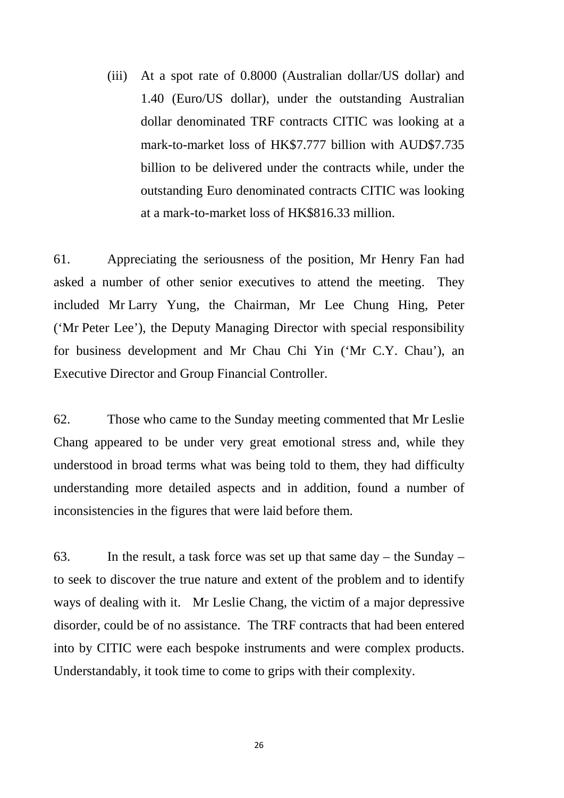(iii) At a spot rate of 0.8000 (Australian dollar/US dollar) and 1.40 (Euro/US dollar), under the outstanding Australian dollar denominated TRF contracts CITIC was looking at a mark-to-market loss of HK\$7.777 billion with AUD\$7.735 billion to be delivered under the contracts while, under the outstanding Euro denominated contracts CITIC was looking at a mark-to-market loss of HK\$816.33 million.

61. Appreciating the seriousness of the position, Mr Henry Fan had asked a number of other senior executives to attend the meeting. They included Mr Larry Yung, the Chairman, Mr Lee Chung Hing, Peter ('Mr Peter Lee'), the Deputy Managing Director with special responsibility for business development and Mr Chau Chi Yin ('Mr C.Y. Chau'), an Executive Director and Group Financial Controller.

62. Those who came to the Sunday meeting commented that Mr Leslie Chang appeared to be under very great emotional stress and, while they understood in broad terms what was being told to them, they had difficulty understanding more detailed aspects and in addition, found a number of inconsistencies in the figures that were laid before them.

63. In the result, a task force was set up that same  $day -$  the Sunday – to seek to discover the true nature and extent of the problem and to identify ways of dealing with it. Mr Leslie Chang, the victim of a major depressive disorder, could be of no assistance. The TRF contracts that had been entered into by CITIC were each bespoke instruments and were complex products. Understandably, it took time to come to grips with their complexity.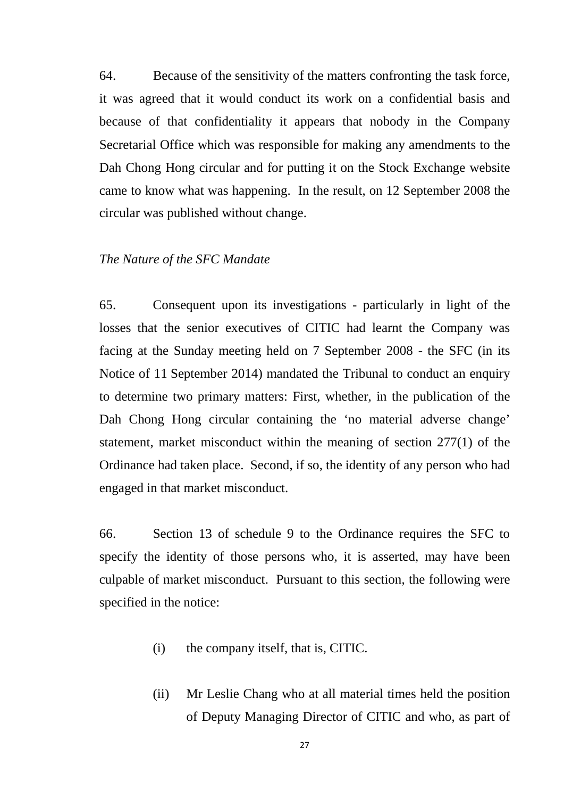64. Because of the sensitivity of the matters confronting the task force, it was agreed that it would conduct its work on a confidential basis and because of that confidentiality it appears that nobody in the Company Secretarial Office which was responsible for making any amendments to the Dah Chong Hong circular and for putting it on the Stock Exchange website came to know what was happening. In the result, on 12 September 2008 the circular was published without change.

#### *The Nature of the SFC Mandate*

65. Consequent upon its investigations - particularly in light of the losses that the senior executives of CITIC had learnt the Company was facing at the Sunday meeting held on 7 September 2008 - the SFC (in its Notice of 11 September 2014) mandated the Tribunal to conduct an enquiry to determine two primary matters: First, whether, in the publication of the Dah Chong Hong circular containing the 'no material adverse change' statement, market misconduct within the meaning of section 277(1) of the Ordinance had taken place. Second, if so, the identity of any person who had engaged in that market misconduct.

66. Section 13 of schedule 9 to the Ordinance requires the SFC to specify the identity of those persons who, it is asserted, may have been culpable of market misconduct. Pursuant to this section, the following were specified in the notice:

- (i) the company itself, that is, CITIC.
- (ii) Mr Leslie Chang who at all material times held the position of Deputy Managing Director of CITIC and who, as part of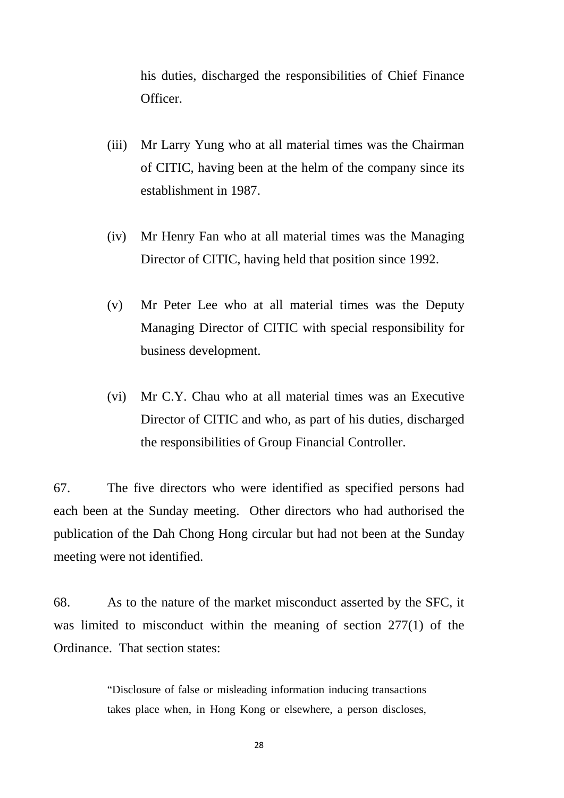his duties, discharged the responsibilities of Chief Finance Officer.

- (iii) Mr Larry Yung who at all material times was the Chairman of CITIC, having been at the helm of the company since its establishment in 1987.
- (iv) Mr Henry Fan who at all material times was the Managing Director of CITIC, having held that position since 1992.
- (v) Mr Peter Lee who at all material times was the Deputy Managing Director of CITIC with special responsibility for business development.
- (vi) Mr C.Y. Chau who at all material times was an Executive Director of CITIC and who, as part of his duties, discharged the responsibilities of Group Financial Controller.

67. The five directors who were identified as specified persons had each been at the Sunday meeting. Other directors who had authorised the publication of the Dah Chong Hong circular but had not been at the Sunday meeting were not identified.

68. As to the nature of the market misconduct asserted by the SFC, it was limited to misconduct within the meaning of section 277(1) of the Ordinance. That section states:

> "Disclosure of false or misleading information inducing transactions takes place when, in Hong Kong or elsewhere, a person discloses,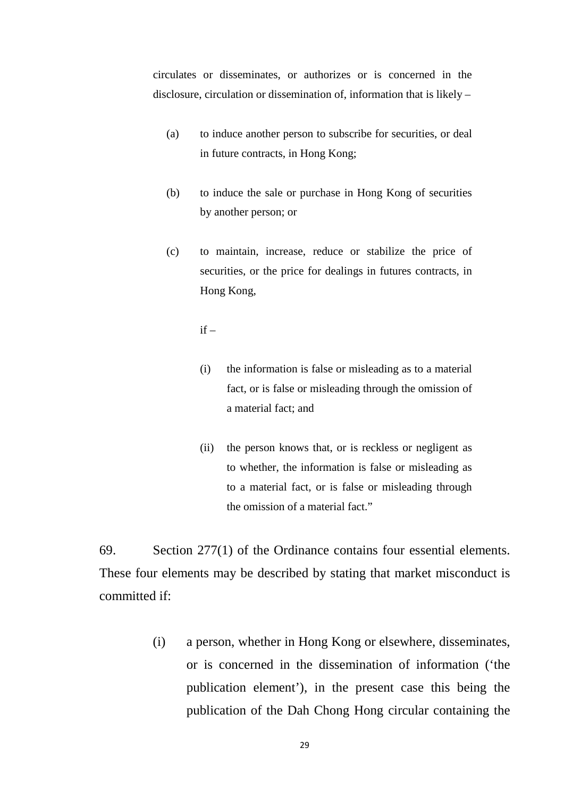circulates or disseminates, or authorizes or is concerned in the disclosure, circulation or dissemination of, information that is likely –

- (a) to induce another person to subscribe for securities, or deal in future contracts, in Hong Kong;
- (b) to induce the sale or purchase in Hong Kong of securities by another person; or
- (c) to maintain, increase, reduce or stabilize the price of securities, or the price for dealings in futures contracts, in Hong Kong,

 $if =$ 

- (i) the information is false or misleading as to a material fact, or is false or misleading through the omission of a material fact; and
- (ii) the person knows that, or is reckless or negligent as to whether, the information is false or misleading as to a material fact, or is false or misleading through the omission of a material fact."

69. Section 277(1) of the Ordinance contains four essential elements. These four elements may be described by stating that market misconduct is committed if:

> (i) a person, whether in Hong Kong or elsewhere, disseminates, or is concerned in the dissemination of information ('the publication element'), in the present case this being the publication of the Dah Chong Hong circular containing the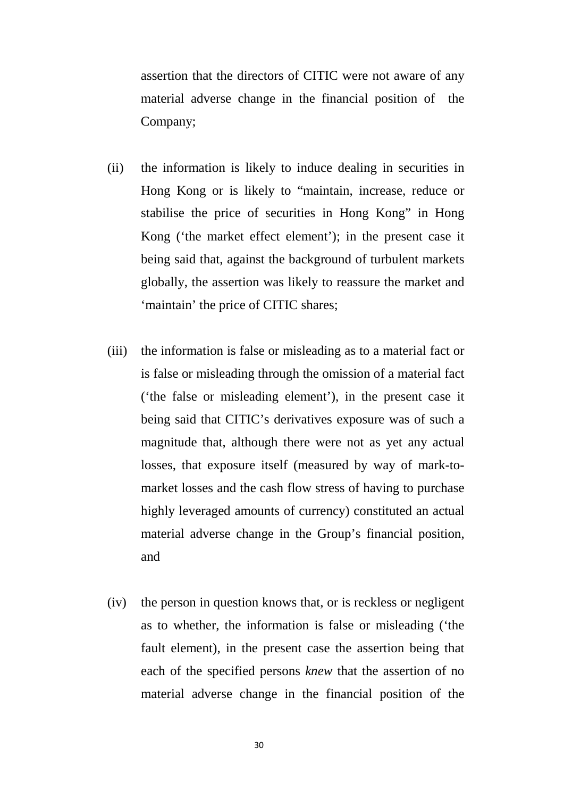assertion that the directors of CITIC were not aware of any material adverse change in the financial position of the Company;

- (ii) the information is likely to induce dealing in securities in Hong Kong or is likely to "maintain, increase, reduce or stabilise the price of securities in Hong Kong" in Hong Kong ('the market effect element'); in the present case it being said that, against the background of turbulent markets globally, the assertion was likely to reassure the market and 'maintain' the price of CITIC shares;
- (iii) the information is false or misleading as to a material fact or is false or misleading through the omission of a material fact ('the false or misleading element'), in the present case it being said that CITIC's derivatives exposure was of such a magnitude that, although there were not as yet any actual losses, that exposure itself (measured by way of mark-tomarket losses and the cash flow stress of having to purchase highly leveraged amounts of currency) constituted an actual material adverse change in the Group's financial position, and
- (iv) the person in question knows that, or is reckless or negligent as to whether, the information is false or misleading ('the fault element), in the present case the assertion being that each of the specified persons *knew* that the assertion of no material adverse change in the financial position of the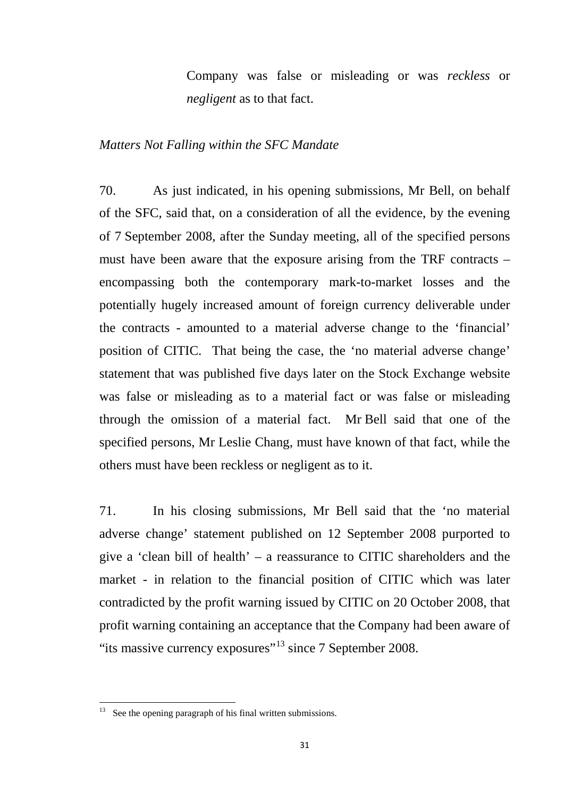Company was false or misleading or was *reckless* or *negligent* as to that fact.

#### *Matters Not Falling within the SFC Mandate*

70. As just indicated, in his opening submissions, Mr Bell, on behalf of the SFC, said that, on a consideration of all the evidence, by the evening of 7 September 2008, after the Sunday meeting, all of the specified persons must have been aware that the exposure arising from the TRF contracts – encompassing both the contemporary mark-to-market losses and the potentially hugely increased amount of foreign currency deliverable under the contracts - amounted to a material adverse change to the 'financial' position of CITIC. That being the case, the 'no material adverse change' statement that was published five days later on the Stock Exchange website was false or misleading as to a material fact or was false or misleading through the omission of a material fact. Mr Bell said that one of the specified persons, Mr Leslie Chang, must have known of that fact, while the others must have been reckless or negligent as to it.

71. In his closing submissions, Mr Bell said that the 'no material adverse change' statement published on 12 September 2008 purported to give a 'clean bill of health' – a reassurance to CITIC shareholders and the market - in relation to the financial position of CITIC which was later contradicted by the profit warning issued by CITIC on 20 October 2008, that profit warning containing an acceptance that the Company had been aware of "its massive currency exposures"<sup>[13](#page-34-0)</sup> since 7 September 2008.

<span id="page-34-0"></span><sup>&</sup>lt;sup>13</sup> See the opening paragraph of his final written submissions.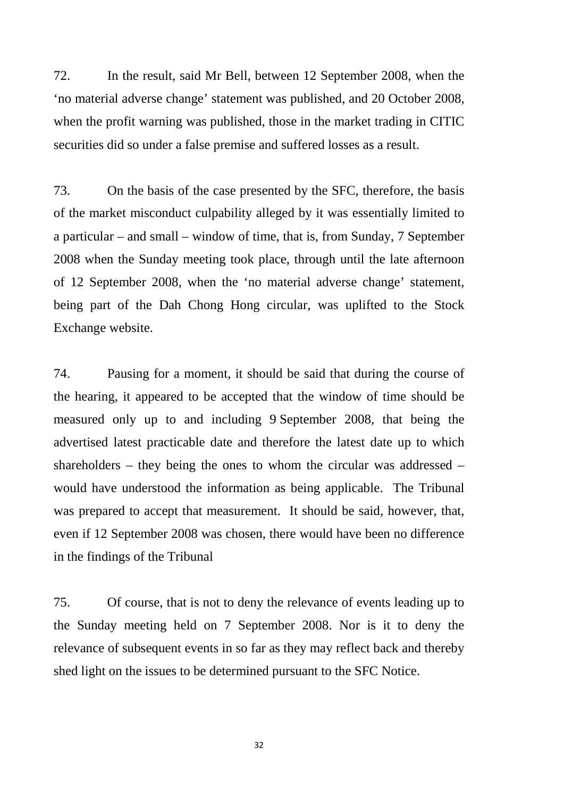72. In the result, said Mr Bell, between 12 September 2008, when the 'no material adverse change' statement was published, and 20 October 2008, when the profit warning was published, those in the market trading in CITIC securities did so under a false premise and suffered losses as a result.

73. On the basis of the case presented by the SFC, therefore, the basis of the market misconduct culpability alleged by it was essentially limited to a particular – and small – window of time, that is, from Sunday, 7 September 2008 when the Sunday meeting took place, through until the late afternoon of 12 September 2008, when the 'no material adverse change' statement, being part of the Dah Chong Hong circular, was uplifted to the Stock Exchange website.

74. Pausing for a moment, it should be said that during the course of the hearing, it appeared to be accepted that the window of time should be measured only up to and including 9 September 2008, that being the advertised latest practicable date and therefore the latest date up to which shareholders – they being the ones to whom the circular was addressed – would have understood the information as being applicable. The Tribunal was prepared to accept that measurement. It should be said, however, that, even if 12 September 2008 was chosen, there would have been no difference in the findings of the Tribunal

75. Of course, that is not to deny the relevance of events leading up to the Sunday meeting held on 7 September 2008. Nor is it to deny the relevance of subsequent events in so far as they may reflect back and thereby shed light on the issues to be determined pursuant to the SFC Notice.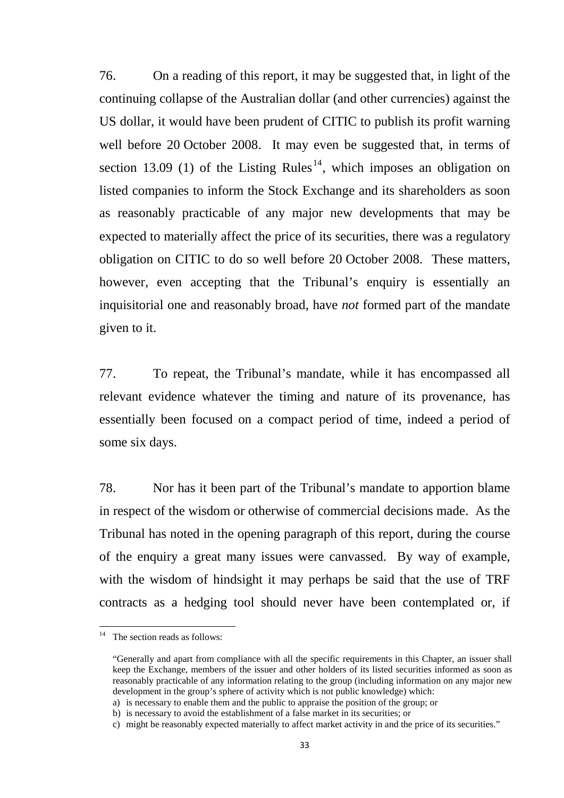76. On a reading of this report, it may be suggested that, in light of the continuing collapse of the Australian dollar (and other currencies) against the US dollar, it would have been prudent of CITIC to publish its profit warning well before 20 October 2008. It may even be suggested that, in terms of section 13.09 (1) of the Listing Rules<sup>[14](#page-36-0)</sup>, which imposes an obligation on listed companies to inform the Stock Exchange and its shareholders as soon as reasonably practicable of any major new developments that may be expected to materially affect the price of its securities, there was a regulatory obligation on CITIC to do so well before 20 October 2008. These matters, however, even accepting that the Tribunal's enquiry is essentially an inquisitorial one and reasonably broad, have *not* formed part of the mandate given to it.

77. To repeat, the Tribunal's mandate, while it has encompassed all relevant evidence whatever the timing and nature of its provenance, has essentially been focused on a compact period of time, indeed a period of some six days.

78. Nor has it been part of the Tribunal's mandate to apportion blame in respect of the wisdom or otherwise of commercial decisions made. As the Tribunal has noted in the opening paragraph of this report, during the course of the enquiry a great many issues were canvassed. By way of example, with the wisdom of hindsight it may perhaps be said that the use of TRF contracts as a hedging tool should never have been contemplated or, if

<span id="page-36-0"></span> $14$  The section reads as follows:

<sup>&</sup>quot;Generally and apart from compliance with all the specific requirements in this Chapter, an issuer shall keep the Exchange, members of the issuer and other holders of its listed securities informed as soon as reasonably practicable of any information relating to the group (including information on any major new development in the group's sphere of activity which is not public knowledge) which:

a) is necessary to enable them and the public to appraise the position of the group; or

b) is necessary to avoid the establishment of a false market in its securities; or

c) might be reasonably expected materially to affect market activity in and the price of its securities."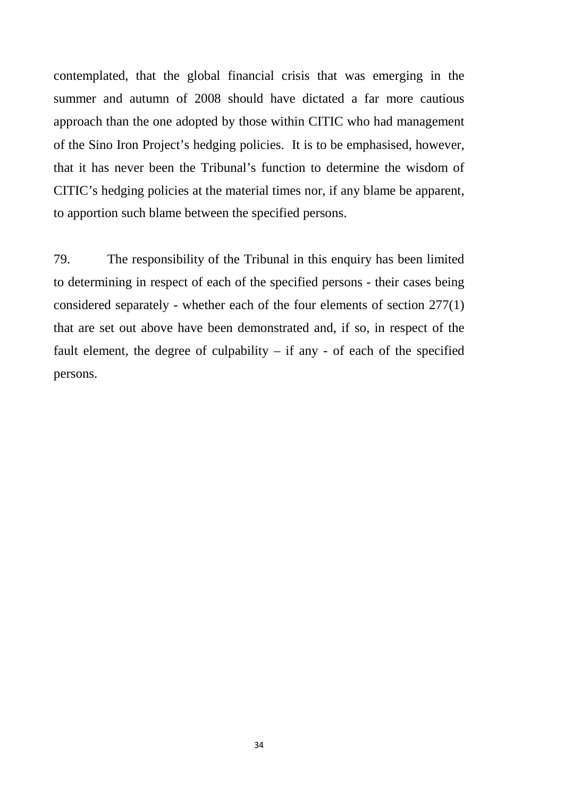contemplated, that the global financial crisis that was emerging in the summer and autumn of 2008 should have dictated a far more cautious approach than the one adopted by those within CITIC who had management of the Sino Iron Project's hedging policies. It is to be emphasised, however, that it has never been the Tribunal's function to determine the wisdom of CITIC's hedging policies at the material times nor, if any blame be apparent, to apportion such blame between the specified persons.

79. The responsibility of the Tribunal in this enquiry has been limited to determining in respect of each of the specified persons - their cases being considered separately - whether each of the four elements of section 277(1) that are set out above have been demonstrated and, if so, in respect of the fault element, the degree of culpability  $-$  if any  $-$  of each of the specified persons.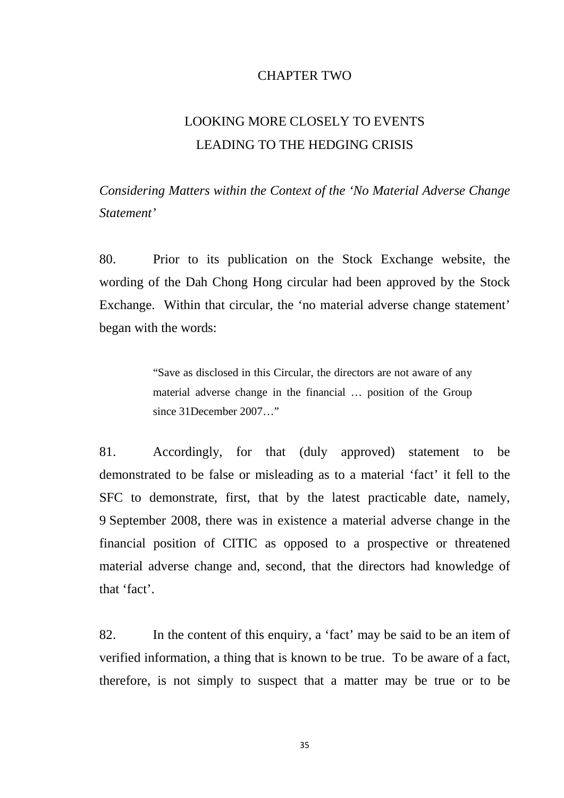#### CHAPTER TWO

# LOOKING MORE CLOSELY TO EVENTS LEADING TO THE HEDGING CRISIS

*Considering Matters within the Context of the 'No Material Adverse Change Statement'*

80. Prior to its publication on the Stock Exchange website, the wording of the Dah Chong Hong circular had been approved by the Stock Exchange. Within that circular, the 'no material adverse change statement' began with the words:

> "Save as disclosed in this Circular, the directors are not aware of any material adverse change in the financial … position of the Group since 31December 2007…"

81. Accordingly, for that (duly approved) statement to be demonstrated to be false or misleading as to a material 'fact' it fell to the SFC to demonstrate, first, that by the latest practicable date, namely, 9 September 2008, there was in existence a material adverse change in the financial position of CITIC as opposed to a prospective or threatened material adverse change and, second, that the directors had knowledge of that 'fact'.

82. In the content of this enquiry, a 'fact' may be said to be an item of verified information, a thing that is known to be true. To be aware of a fact, therefore, is not simply to suspect that a matter may be true or to be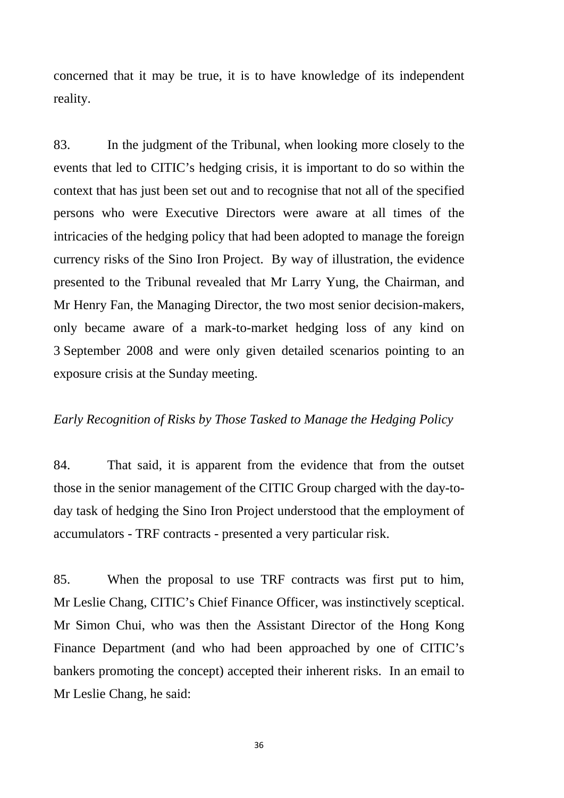concerned that it may be true, it is to have knowledge of its independent reality.

83. In the judgment of the Tribunal, when looking more closely to the events that led to CITIC's hedging crisis, it is important to do so within the context that has just been set out and to recognise that not all of the specified persons who were Executive Directors were aware at all times of the intricacies of the hedging policy that had been adopted to manage the foreign currency risks of the Sino Iron Project. By way of illustration, the evidence presented to the Tribunal revealed that Mr Larry Yung, the Chairman, and Mr Henry Fan, the Managing Director, the two most senior decision-makers, only became aware of a mark-to-market hedging loss of any kind on 3 September 2008 and were only given detailed scenarios pointing to an exposure crisis at the Sunday meeting.

#### *Early Recognition of Risks by Those Tasked to Manage the Hedging Policy*

84. That said, it is apparent from the evidence that from the outset those in the senior management of the CITIC Group charged with the day-today task of hedging the Sino Iron Project understood that the employment of accumulators - TRF contracts - presented a very particular risk.

85. When the proposal to use TRF contracts was first put to him, Mr Leslie Chang, CITIC's Chief Finance Officer, was instinctively sceptical. Mr Simon Chui, who was then the Assistant Director of the Hong Kong Finance Department (and who had been approached by one of CITIC's bankers promoting the concept) accepted their inherent risks. In an email to Mr Leslie Chang, he said: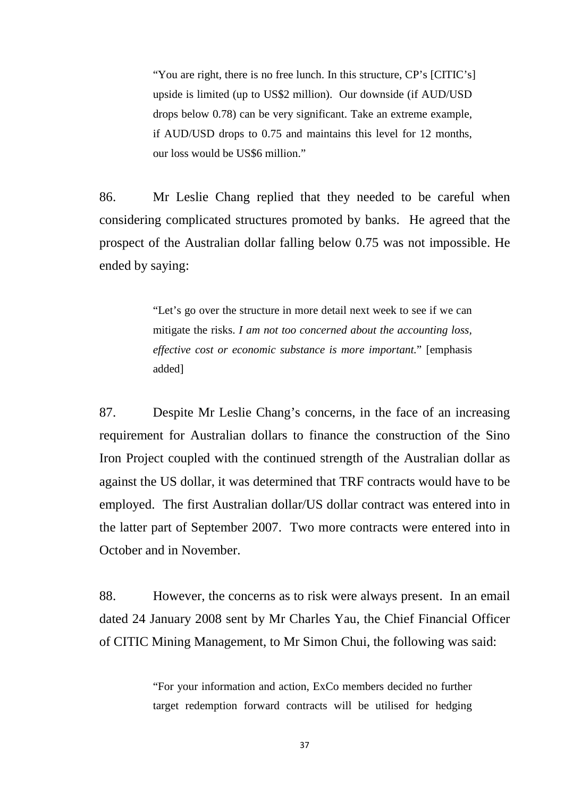"You are right, there is no free lunch. In this structure, CP's [CITIC's] upside is limited (up to US\$2 million). Our downside (if AUD/USD drops below 0.78) can be very significant. Take an extreme example, if AUD/USD drops to 0.75 and maintains this level for 12 months, our loss would be US\$6 million."

86. Mr Leslie Chang replied that they needed to be careful when considering complicated structures promoted by banks. He agreed that the prospect of the Australian dollar falling below 0.75 was not impossible. He ended by saying:

> "Let's go over the structure in more detail next week to see if we can mitigate the risks. *I am not too concerned about the accounting loss, effective cost or economic substance is more important.*" [emphasis added]

87. Despite Mr Leslie Chang's concerns, in the face of an increasing requirement for Australian dollars to finance the construction of the Sino Iron Project coupled with the continued strength of the Australian dollar as against the US dollar, it was determined that TRF contracts would have to be employed. The first Australian dollar/US dollar contract was entered into in the latter part of September 2007. Two more contracts were entered into in October and in November.

88. However, the concerns as to risk were always present. In an email dated 24 January 2008 sent by Mr Charles Yau, the Chief Financial Officer of CITIC Mining Management, to Mr Simon Chui, the following was said:

> "For your information and action, ExCo members decided no further target redemption forward contracts will be utilised for hedging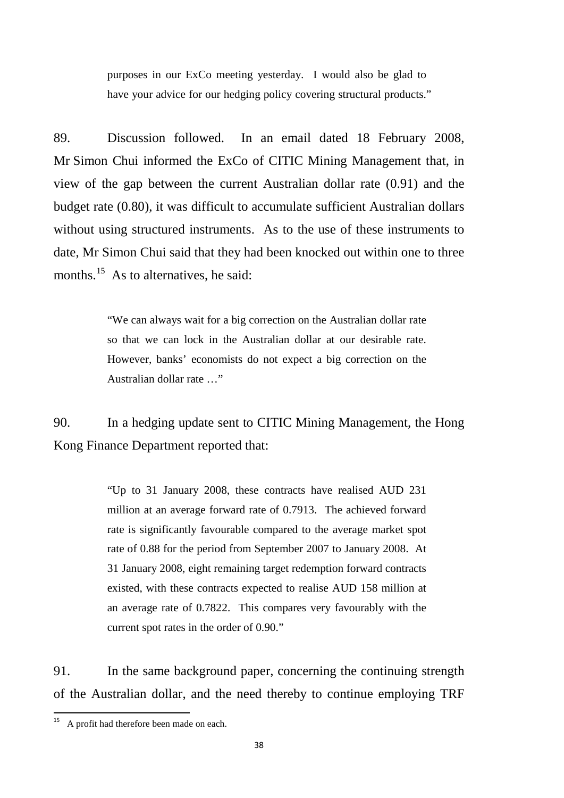purposes in our ExCo meeting yesterday. I would also be glad to have your advice for our hedging policy covering structural products."

89. Discussion followed. In an email dated 18 February 2008, Mr Simon Chui informed the ExCo of CITIC Mining Management that, in view of the gap between the current Australian dollar rate (0.91) and the budget rate (0.80), it was difficult to accumulate sufficient Australian dollars without using structured instruments. As to the use of these instruments to date, Mr Simon Chui said that they had been knocked out within one to three months.<sup>[15](#page-41-0)</sup> As to alternatives, he said:

> "We can always wait for a big correction on the Australian dollar rate so that we can lock in the Australian dollar at our desirable rate. However, banks' economists do not expect a big correction on the Australian dollar rate …"

90. In a hedging update sent to CITIC Mining Management, the Hong Kong Finance Department reported that:

> "Up to 31 January 2008, these contracts have realised AUD 231 million at an average forward rate of 0.7913. The achieved forward rate is significantly favourable compared to the average market spot rate of 0.88 for the period from September 2007 to January 2008. At 31 January 2008, eight remaining target redemption forward contracts existed, with these contracts expected to realise AUD 158 million at an average rate of 0.7822. This compares very favourably with the current spot rates in the order of 0.90."

91. In the same background paper, concerning the continuing strength of the Australian dollar, and the need thereby to continue employing TRF

<span id="page-41-0"></span><sup>&</sup>lt;sup>15</sup> A profit had therefore been made on each.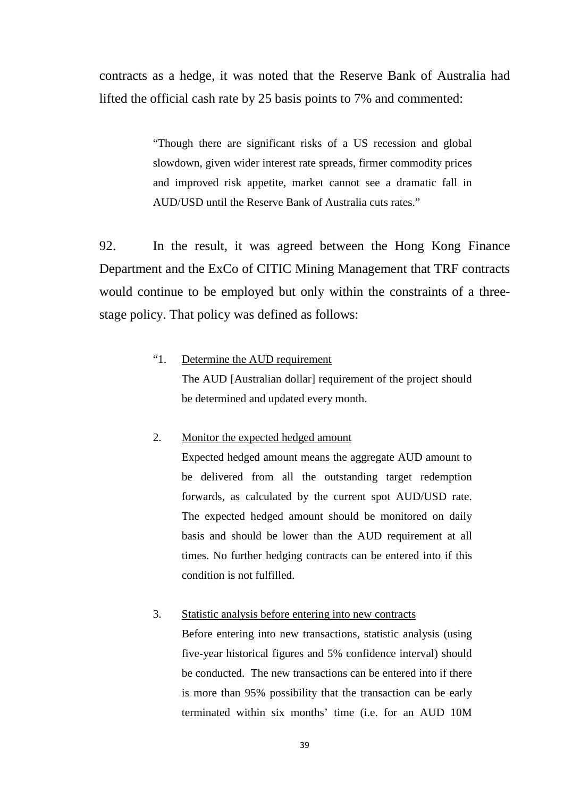contracts as a hedge, it was noted that the Reserve Bank of Australia had lifted the official cash rate by 25 basis points to 7% and commented:

> "Though there are significant risks of a US recession and global slowdown, given wider interest rate spreads, firmer commodity prices and improved risk appetite, market cannot see a dramatic fall in AUD/USD until the Reserve Bank of Australia cuts rates."

92. In the result, it was agreed between the Hong Kong Finance Department and the ExCo of CITIC Mining Management that TRF contracts would continue to be employed but only within the constraints of a threestage policy. That policy was defined as follows:

## "1. Determine the AUD requirement The AUD [Australian dollar] requirement of the project should be determined and updated every month.

#### 2. Monitor the expected hedged amount

Expected hedged amount means the aggregate AUD amount to be delivered from all the outstanding target redemption forwards, as calculated by the current spot AUD/USD rate. The expected hedged amount should be monitored on daily basis and should be lower than the AUD requirement at all times. No further hedging contracts can be entered into if this condition is not fulfilled.

#### 3. Statistic analysis before entering into new contracts

Before entering into new transactions, statistic analysis (using five-year historical figures and 5% confidence interval) should be conducted. The new transactions can be entered into if there is more than 95% possibility that the transaction can be early terminated within six months' time (i.e. for an AUD 10M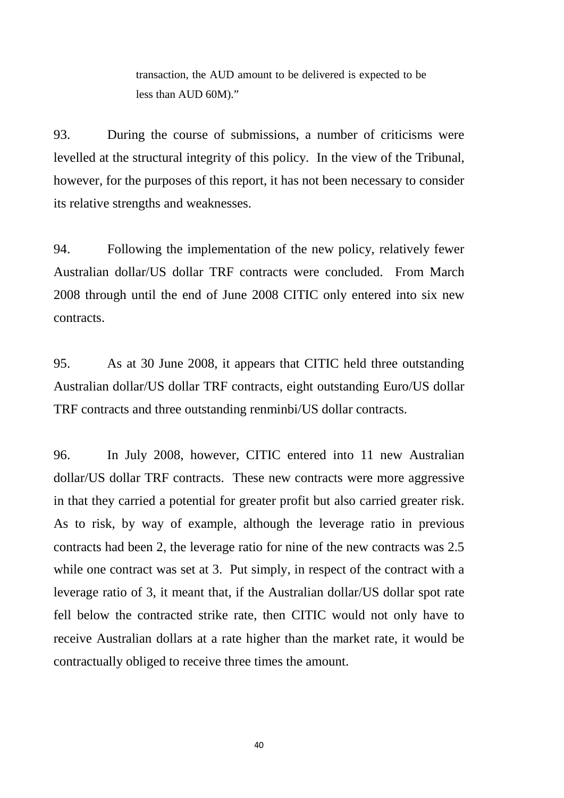transaction, the AUD amount to be delivered is expected to be less than AUD 60M)."

93. During the course of submissions, a number of criticisms were levelled at the structural integrity of this policy. In the view of the Tribunal, however, for the purposes of this report, it has not been necessary to consider its relative strengths and weaknesses.

94. Following the implementation of the new policy, relatively fewer Australian dollar/US dollar TRF contracts were concluded. From March 2008 through until the end of June 2008 CITIC only entered into six new contracts.

95. As at 30 June 2008, it appears that CITIC held three outstanding Australian dollar/US dollar TRF contracts, eight outstanding Euro/US dollar TRF contracts and three outstanding renminbi/US dollar contracts.

96. In July 2008, however, CITIC entered into 11 new Australian dollar/US dollar TRF contracts. These new contracts were more aggressive in that they carried a potential for greater profit but also carried greater risk. As to risk, by way of example, although the leverage ratio in previous contracts had been 2, the leverage ratio for nine of the new contracts was 2.5 while one contract was set at 3. Put simply, in respect of the contract with a leverage ratio of 3, it meant that, if the Australian dollar/US dollar spot rate fell below the contracted strike rate, then CITIC would not only have to receive Australian dollars at a rate higher than the market rate, it would be contractually obliged to receive three times the amount.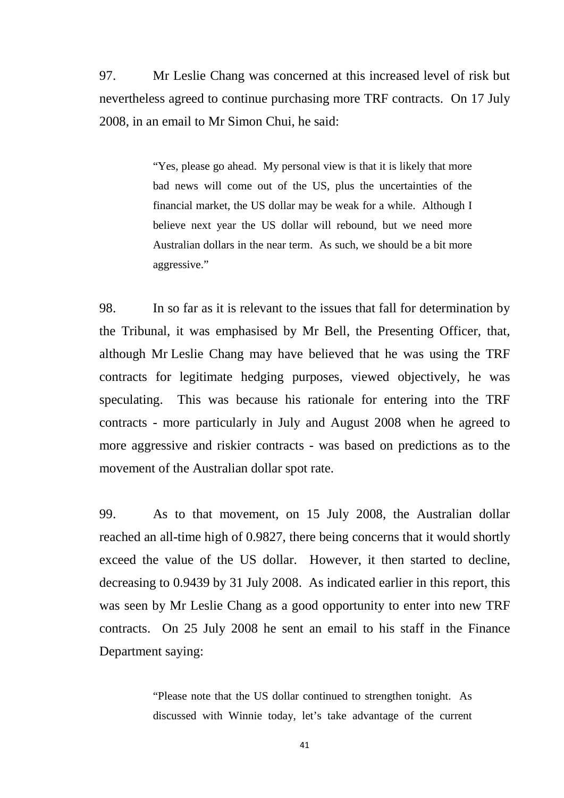97. Mr Leslie Chang was concerned at this increased level of risk but nevertheless agreed to continue purchasing more TRF contracts. On 17 July 2008, in an email to Mr Simon Chui, he said:

> "Yes, please go ahead. My personal view is that it is likely that more bad news will come out of the US, plus the uncertainties of the financial market, the US dollar may be weak for a while. Although I believe next year the US dollar will rebound, but we need more Australian dollars in the near term. As such, we should be a bit more aggressive."

98. In so far as it is relevant to the issues that fall for determination by the Tribunal, it was emphasised by Mr Bell, the Presenting Officer, that, although Mr Leslie Chang may have believed that he was using the TRF contracts for legitimate hedging purposes, viewed objectively, he was speculating. This was because his rationale for entering into the TRF contracts - more particularly in July and August 2008 when he agreed to more aggressive and riskier contracts - was based on predictions as to the movement of the Australian dollar spot rate.

99. As to that movement, on 15 July 2008, the Australian dollar reached an all-time high of 0.9827, there being concerns that it would shortly exceed the value of the US dollar. However, it then started to decline, decreasing to 0.9439 by 31 July 2008. As indicated earlier in this report, this was seen by Mr Leslie Chang as a good opportunity to enter into new TRF contracts. On 25 July 2008 he sent an email to his staff in the Finance Department saying:

> "Please note that the US dollar continued to strengthen tonight. As discussed with Winnie today, let's take advantage of the current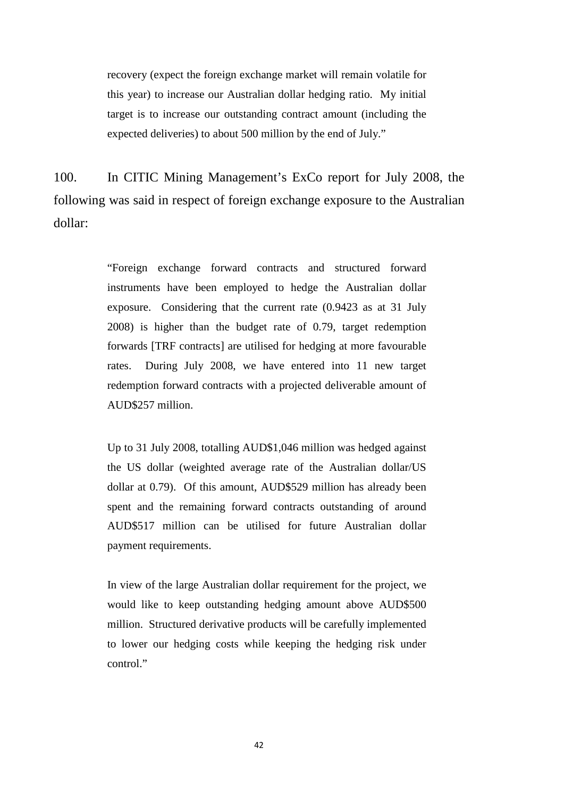recovery (expect the foreign exchange market will remain volatile for this year) to increase our Australian dollar hedging ratio. My initial target is to increase our outstanding contract amount (including the expected deliveries) to about 500 million by the end of July."

100. In CITIC Mining Management's ExCo report for July 2008, the following was said in respect of foreign exchange exposure to the Australian dollar:

> "Foreign exchange forward contracts and structured forward instruments have been employed to hedge the Australian dollar exposure. Considering that the current rate (0.9423 as at 31 July 2008) is higher than the budget rate of 0.79, target redemption forwards [TRF contracts] are utilised for hedging at more favourable rates. During July 2008, we have entered into 11 new target redemption forward contracts with a projected deliverable amount of AUD\$257 million.

> Up to 31 July 2008, totalling AUD\$1,046 million was hedged against the US dollar (weighted average rate of the Australian dollar/US dollar at 0.79). Of this amount, AUD\$529 million has already been spent and the remaining forward contracts outstanding of around AUD\$517 million can be utilised for future Australian dollar payment requirements.

> In view of the large Australian dollar requirement for the project, we would like to keep outstanding hedging amount above AUD\$500 million. Structured derivative products will be carefully implemented to lower our hedging costs while keeping the hedging risk under control."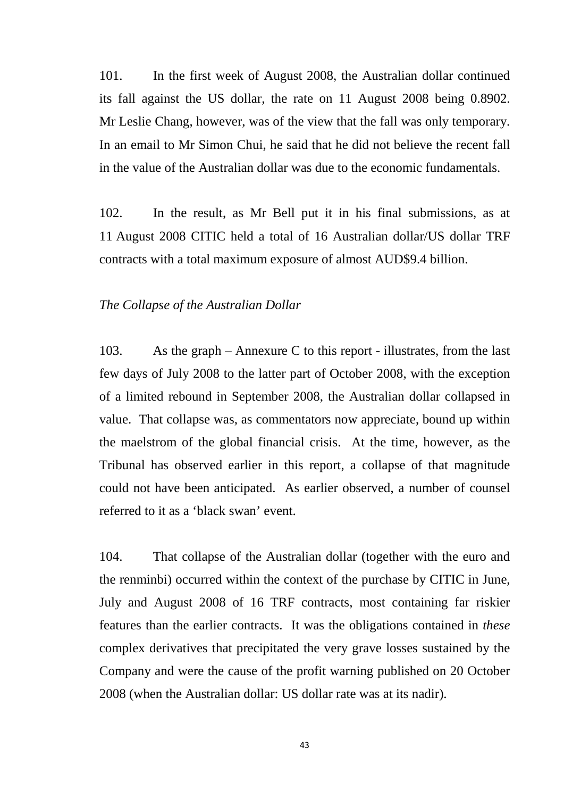101. In the first week of August 2008, the Australian dollar continued its fall against the US dollar, the rate on 11 August 2008 being 0.8902. Mr Leslie Chang, however, was of the view that the fall was only temporary. In an email to Mr Simon Chui, he said that he did not believe the recent fall in the value of the Australian dollar was due to the economic fundamentals.

102. In the result, as Mr Bell put it in his final submissions, as at 11 August 2008 CITIC held a total of 16 Australian dollar/US dollar TRF contracts with a total maximum exposure of almost AUD\$9.4 billion.

#### *The Collapse of the Australian Dollar*

103. As the graph – Annexure C to this report - illustrates, from the last few days of July 2008 to the latter part of October 2008, with the exception of a limited rebound in September 2008, the Australian dollar collapsed in value. That collapse was, as commentators now appreciate, bound up within the maelstrom of the global financial crisis. At the time, however, as the Tribunal has observed earlier in this report, a collapse of that magnitude could not have been anticipated. As earlier observed, a number of counsel referred to it as a 'black swan' event.

104. That collapse of the Australian dollar (together with the euro and the renminbi) occurred within the context of the purchase by CITIC in June, July and August 2008 of 16 TRF contracts, most containing far riskier features than the earlier contracts. It was the obligations contained in *these* complex derivatives that precipitated the very grave losses sustained by the Company and were the cause of the profit warning published on 20 October 2008 (when the Australian dollar: US dollar rate was at its nadir).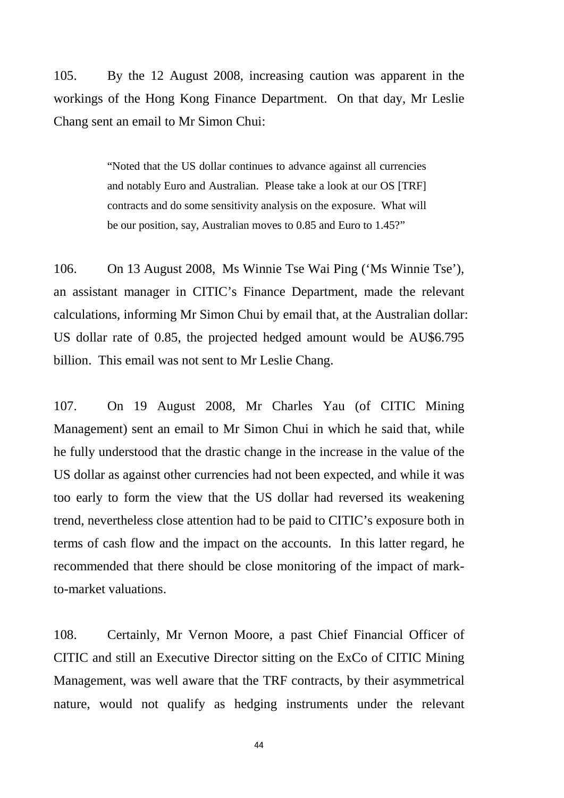105. By the 12 August 2008, increasing caution was apparent in the workings of the Hong Kong Finance Department. On that day, Mr Leslie Chang sent an email to Mr Simon Chui:

> "Noted that the US dollar continues to advance against all currencies and notably Euro and Australian. Please take a look at our OS [TRF] contracts and do some sensitivity analysis on the exposure. What will be our position, say, Australian moves to 0.85 and Euro to 1.45?"

106. On 13 August 2008, Ms Winnie Tse Wai Ping ('Ms Winnie Tse'), an assistant manager in CITIC's Finance Department, made the relevant calculations, informing Mr Simon Chui by email that, at the Australian dollar: US dollar rate of 0.85, the projected hedged amount would be AU\$6.795 billion. This email was not sent to Mr Leslie Chang.

107. On 19 August 2008, Mr Charles Yau (of CITIC Mining Management) sent an email to Mr Simon Chui in which he said that, while he fully understood that the drastic change in the increase in the value of the US dollar as against other currencies had not been expected, and while it was too early to form the view that the US dollar had reversed its weakening trend, nevertheless close attention had to be paid to CITIC's exposure both in terms of cash flow and the impact on the accounts. In this latter regard, he recommended that there should be close monitoring of the impact of markto-market valuations.

108. Certainly, Mr Vernon Moore, a past Chief Financial Officer of CITIC and still an Executive Director sitting on the ExCo of CITIC Mining Management, was well aware that the TRF contracts, by their asymmetrical nature, would not qualify as hedging instruments under the relevant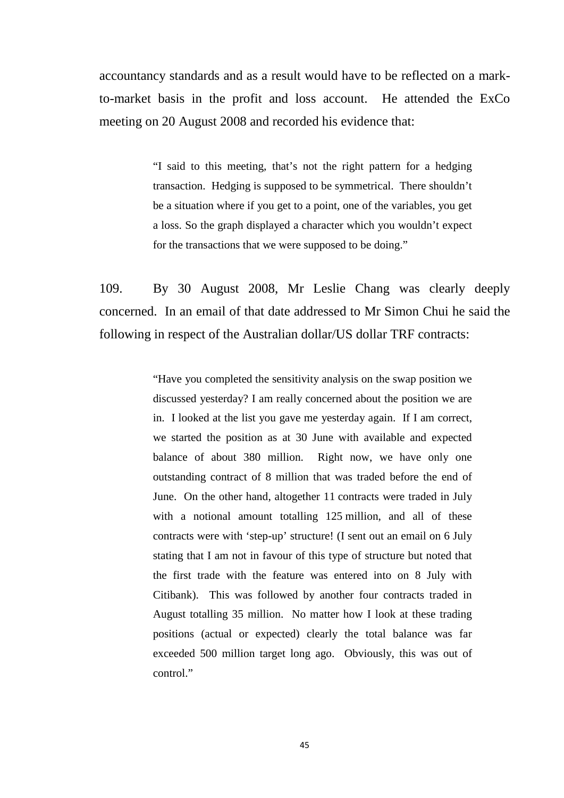accountancy standards and as a result would have to be reflected on a markto-market basis in the profit and loss account. He attended the ExCo meeting on 20 August 2008 and recorded his evidence that:

> "I said to this meeting, that's not the right pattern for a hedging transaction. Hedging is supposed to be symmetrical. There shouldn't be a situation where if you get to a point, one of the variables, you get a loss. So the graph displayed a character which you wouldn't expect for the transactions that we were supposed to be doing."

109. By 30 August 2008, Mr Leslie Chang was clearly deeply concerned. In an email of that date addressed to Mr Simon Chui he said the following in respect of the Australian dollar/US dollar TRF contracts:

> "Have you completed the sensitivity analysis on the swap position we discussed yesterday? I am really concerned about the position we are in. I looked at the list you gave me yesterday again. If I am correct, we started the position as at 30 June with available and expected balance of about 380 million. Right now, we have only one outstanding contract of 8 million that was traded before the end of June. On the other hand, altogether 11 contracts were traded in July with a notional amount totalling 125 million, and all of these contracts were with 'step-up' structure! (I sent out an email on 6 July stating that I am not in favour of this type of structure but noted that the first trade with the feature was entered into on 8 July with Citibank). This was followed by another four contracts traded in August totalling 35 million. No matter how I look at these trading positions (actual or expected) clearly the total balance was far exceeded 500 million target long ago. Obviously, this was out of control."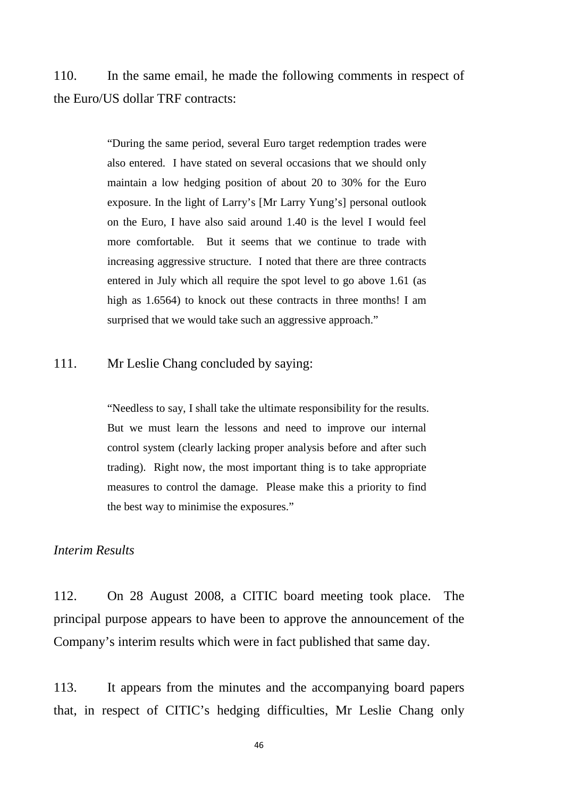110. In the same email, he made the following comments in respect of the Euro/US dollar TRF contracts:

> "During the same period, several Euro target redemption trades were also entered. I have stated on several occasions that we should only maintain a low hedging position of about 20 to 30% for the Euro exposure. In the light of Larry's [Mr Larry Yung's] personal outlook on the Euro, I have also said around 1.40 is the level I would feel more comfortable. But it seems that we continue to trade with increasing aggressive structure. I noted that there are three contracts entered in July which all require the spot level to go above 1.61 (as high as 1.6564) to knock out these contracts in three months! I am surprised that we would take such an aggressive approach."

## 111. Mr Leslie Chang concluded by saying:

"Needless to say, I shall take the ultimate responsibility for the results. But we must learn the lessons and need to improve our internal control system (clearly lacking proper analysis before and after such trading). Right now, the most important thing is to take appropriate measures to control the damage. Please make this a priority to find the best way to minimise the exposures."

#### *Interim Results*

112. On 28 August 2008, a CITIC board meeting took place. The principal purpose appears to have been to approve the announcement of the Company's interim results which were in fact published that same day.

113. It appears from the minutes and the accompanying board papers that, in respect of CITIC's hedging difficulties, Mr Leslie Chang only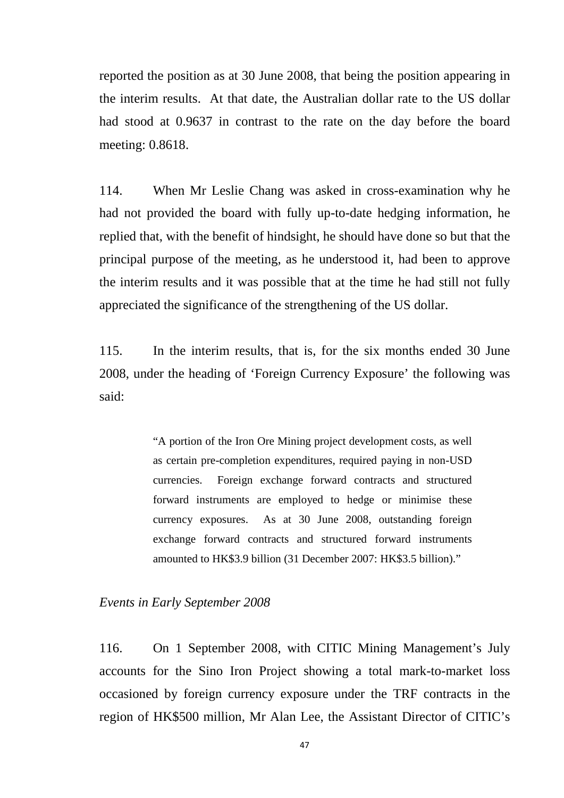reported the position as at 30 June 2008, that being the position appearing in the interim results. At that date, the Australian dollar rate to the US dollar had stood at 0.9637 in contrast to the rate on the day before the board meeting: 0.8618.

114. When Mr Leslie Chang was asked in cross-examination why he had not provided the board with fully up-to-date hedging information, he replied that, with the benefit of hindsight, he should have done so but that the principal purpose of the meeting, as he understood it, had been to approve the interim results and it was possible that at the time he had still not fully appreciated the significance of the strengthening of the US dollar.

115. In the interim results, that is, for the six months ended 30 June 2008, under the heading of 'Foreign Currency Exposure' the following was said:

> "A portion of the Iron Ore Mining project development costs, as well as certain pre-completion expenditures, required paying in non-USD currencies. Foreign exchange forward contracts and structured forward instruments are employed to hedge or minimise these currency exposures. As at 30 June 2008, outstanding foreign exchange forward contracts and structured forward instruments amounted to HK\$3.9 billion (31 December 2007: HK\$3.5 billion)."

#### *Events in Early September 2008*

116. On 1 September 2008, with CITIC Mining Management's July accounts for the Sino Iron Project showing a total mark-to-market loss occasioned by foreign currency exposure under the TRF contracts in the region of HK\$500 million, Mr Alan Lee, the Assistant Director of CITIC's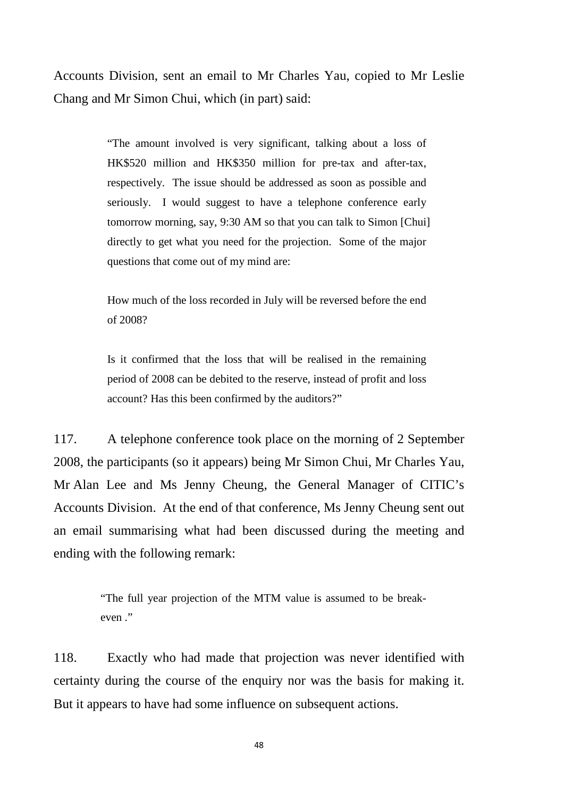Accounts Division, sent an email to Mr Charles Yau, copied to Mr Leslie Chang and Mr Simon Chui, which (in part) said:

> "The amount involved is very significant, talking about a loss of HK\$520 million and HK\$350 million for pre-tax and after-tax, respectively. The issue should be addressed as soon as possible and seriously. I would suggest to have a telephone conference early tomorrow morning, say, 9:30 AM so that you can talk to Simon [Chui] directly to get what you need for the projection. Some of the major questions that come out of my mind are:

How much of the loss recorded in July will be reversed before the end of 2008?

Is it confirmed that the loss that will be realised in the remaining period of 2008 can be debited to the reserve, instead of profit and loss account? Has this been confirmed by the auditors?"

117. A telephone conference took place on the morning of 2 September 2008, the participants (so it appears) being Mr Simon Chui, Mr Charles Yau, Mr Alan Lee and Ms Jenny Cheung, the General Manager of CITIC's Accounts Division. At the end of that conference, Ms Jenny Cheung sent out an email summarising what had been discussed during the meeting and ending with the following remark:

> "The full year projection of the MTM value is assumed to be breakeven ."

118. Exactly who had made that projection was never identified with certainty during the course of the enquiry nor was the basis for making it. But it appears to have had some influence on subsequent actions.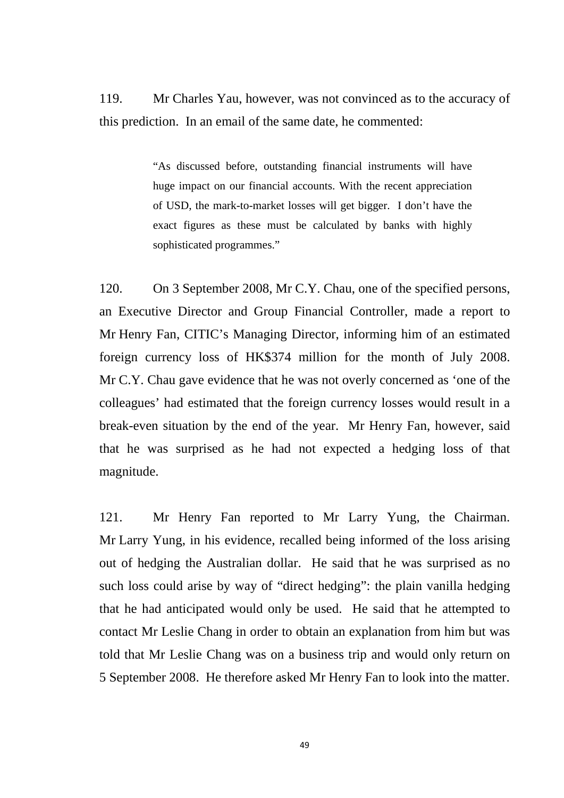119. Mr Charles Yau, however, was not convinced as to the accuracy of this prediction. In an email of the same date, he commented:

> "As discussed before, outstanding financial instruments will have huge impact on our financial accounts. With the recent appreciation of USD, the mark-to-market losses will get bigger. I don't have the exact figures as these must be calculated by banks with highly sophisticated programmes."

120. On 3 September 2008, Mr C.Y. Chau, one of the specified persons, an Executive Director and Group Financial Controller, made a report to Mr Henry Fan, CITIC's Managing Director, informing him of an estimated foreign currency loss of HK\$374 million for the month of July 2008. Mr C.Y. Chau gave evidence that he was not overly concerned as 'one of the colleagues' had estimated that the foreign currency losses would result in a break-even situation by the end of the year. Mr Henry Fan, however, said that he was surprised as he had not expected a hedging loss of that magnitude.

121. Mr Henry Fan reported to Mr Larry Yung, the Chairman. Mr Larry Yung, in his evidence, recalled being informed of the loss arising out of hedging the Australian dollar. He said that he was surprised as no such loss could arise by way of "direct hedging": the plain vanilla hedging that he had anticipated would only be used. He said that he attempted to contact Mr Leslie Chang in order to obtain an explanation from him but was told that Mr Leslie Chang was on a business trip and would only return on 5 September 2008. He therefore asked Mr Henry Fan to look into the matter.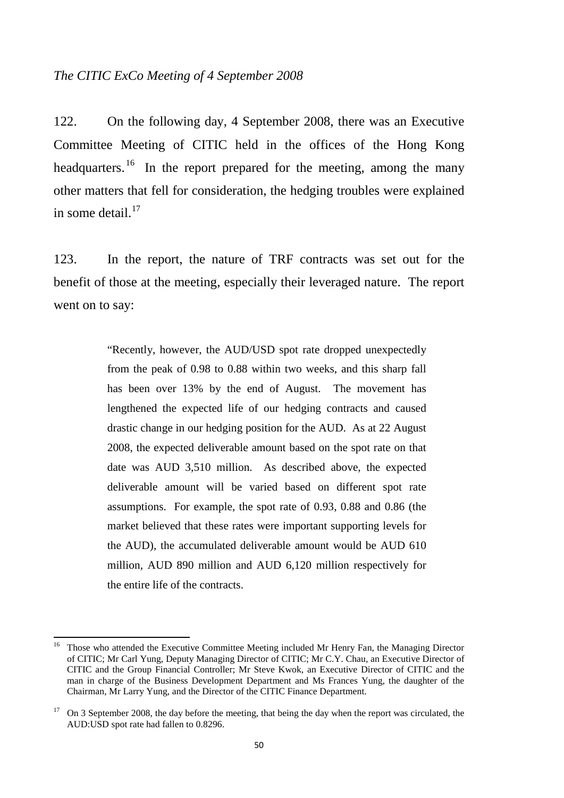### *The CITIC ExCo Meeting of 4 September 2008*

122. On the following day, 4 September 2008, there was an Executive Committee Meeting of CITIC held in the offices of the Hong Kong headquarters.<sup>[16](#page-53-0)</sup> In the report prepared for the meeting, among the many other matters that fell for consideration, the hedging troubles were explained in some detail. $^{17}$  $^{17}$  $^{17}$ 

123. In the report, the nature of TRF contracts was set out for the benefit of those at the meeting, especially their leveraged nature. The report went on to say:

> "Recently, however, the AUD/USD spot rate dropped unexpectedly from the peak of 0.98 to 0.88 within two weeks, and this sharp fall has been over 13% by the end of August. The movement has lengthened the expected life of our hedging contracts and caused drastic change in our hedging position for the AUD. As at 22 August 2008, the expected deliverable amount based on the spot rate on that date was AUD 3,510 million. As described above, the expected deliverable amount will be varied based on different spot rate assumptions. For example, the spot rate of 0.93, 0.88 and 0.86 (the market believed that these rates were important supporting levels for the AUD), the accumulated deliverable amount would be AUD 610 million, AUD 890 million and AUD 6,120 million respectively for the entire life of the contracts.

<span id="page-53-0"></span><sup>&</sup>lt;sup>16</sup> Those who attended the Executive Committee Meeting included Mr Henry Fan, the Managing Director of CITIC; Mr Carl Yung, Deputy Managing Director of CITIC; Mr C.Y. Chau, an Executive Director of CITIC and the Group Financial Controller; Mr Steve Kwok, an Executive Director of CITIC and the man in charge of the Business Development Department and Ms Frances Yung, the daughter of the Chairman, Mr Larry Yung, and the Director of the CITIC Finance Department.

<span id="page-53-1"></span><sup>&</sup>lt;sup>17</sup> On 3 September 2008, the day before the meeting, that being the day when the report was circulated, the AUD:USD spot rate had fallen to 0.8296.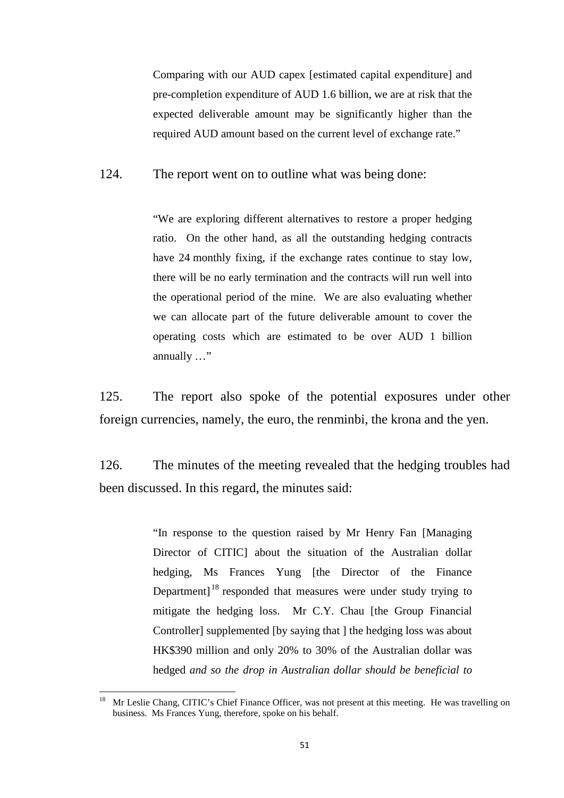Comparing with our AUD capex [estimated capital expenditure] and pre-completion expenditure of AUD 1.6 billion, we are at risk that the expected deliverable amount may be significantly higher than the required AUD amount based on the current level of exchange rate."

124. The report went on to outline what was being done:

"We are exploring different alternatives to restore a proper hedging ratio. On the other hand, as all the outstanding hedging contracts have 24 monthly fixing, if the exchange rates continue to stay low, there will be no early termination and the contracts will run well into the operational period of the mine. We are also evaluating whether we can allocate part of the future deliverable amount to cover the operating costs which are estimated to be over AUD 1 billion annually …"

125. The report also spoke of the potential exposures under other foreign currencies, namely, the euro, the renminbi, the krona and the yen.

126. The minutes of the meeting revealed that the hedging troubles had been discussed. In this regard, the minutes said:

> "In response to the question raised by Mr Henry Fan [Managing Director of CITIC] about the situation of the Australian dollar hedging, Ms Frances Yung [the Director of the Finance Department]<sup>[18](#page-54-0)</sup> responded that measures were under study trying to mitigate the hedging loss. Mr C.Y. Chau [the Group Financial Controller] supplemented [by saying that ] the hedging loss was about HK\$390 million and only 20% to 30% of the Australian dollar was hedged *and so the drop in Australian dollar should be beneficial to*

<span id="page-54-0"></span><sup>18</sup> Mr Leslie Chang, CITIC's Chief Finance Officer, was not present at this meeting. He was travelling on business. Ms Frances Yung, therefore, spoke on his behalf.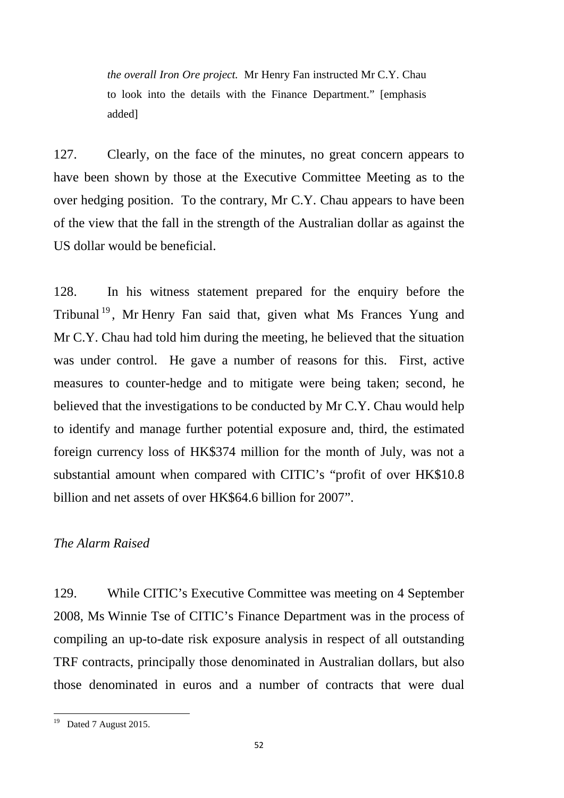*the overall Iron Ore project.* Mr Henry Fan instructed Mr C.Y. Chau to look into the details with the Finance Department." [emphasis added]

127. Clearly, on the face of the minutes, no great concern appears to have been shown by those at the Executive Committee Meeting as to the over hedging position. To the contrary, Mr C.Y. Chau appears to have been of the view that the fall in the strength of the Australian dollar as against the US dollar would be beneficial.

128. In his witness statement prepared for the enquiry before the Tribunal<sup>[19](#page-55-0)</sup>, Mr Henry Fan said that, given what Ms Frances Yung and Mr C.Y. Chau had told him during the meeting, he believed that the situation was under control. He gave a number of reasons for this. First, active measures to counter-hedge and to mitigate were being taken; second, he believed that the investigations to be conducted by Mr C.Y. Chau would help to identify and manage further potential exposure and, third, the estimated foreign currency loss of HK\$374 million for the month of July, was not a substantial amount when compared with CITIC's "profit of over HK\$10.8 billion and net assets of over HK\$64.6 billion for 2007".

## *The Alarm Raised*

129. While CITIC's Executive Committee was meeting on 4 September 2008, Ms Winnie Tse of CITIC's Finance Department was in the process of compiling an up-to-date risk exposure analysis in respect of all outstanding TRF contracts, principally those denominated in Australian dollars, but also those denominated in euros and a number of contracts that were dual

<span id="page-55-0"></span><sup>&</sup>lt;sup>19</sup> Dated 7 August 2015.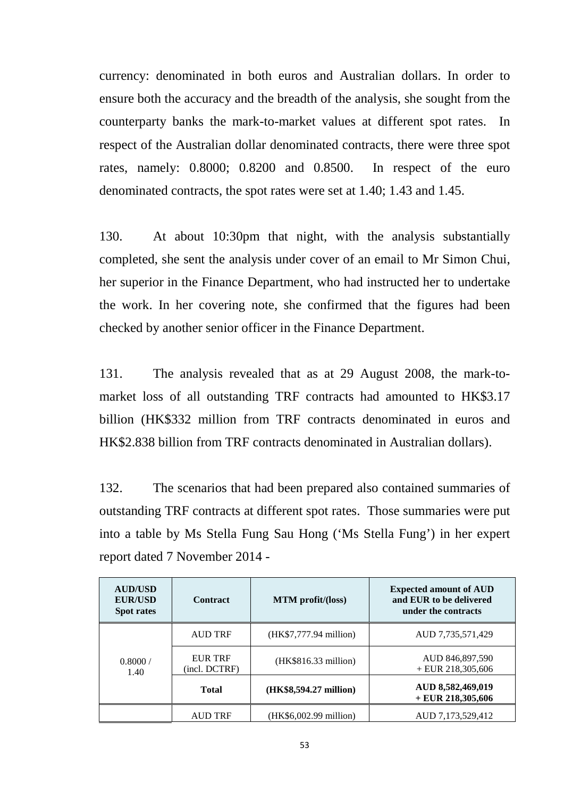currency: denominated in both euros and Australian dollars. In order to ensure both the accuracy and the breadth of the analysis, she sought from the counterparty banks the mark-to-market values at different spot rates. In respect of the Australian dollar denominated contracts, there were three spot rates, namely: 0.8000; 0.8200 and 0.8500. In respect of the euro denominated contracts, the spot rates were set at 1.40; 1.43 and 1.45.

130. At about 10:30pm that night, with the analysis substantially completed, she sent the analysis under cover of an email to Mr Simon Chui, her superior in the Finance Department, who had instructed her to undertake the work. In her covering note, she confirmed that the figures had been checked by another senior officer in the Finance Department.

131. The analysis revealed that as at 29 August 2008, the mark-tomarket loss of all outstanding TRF contracts had amounted to HK\$3.17 billion (HK\$332 million from TRF contracts denominated in euros and HK\$2.838 billion from TRF contracts denominated in Australian dollars).

132. The scenarios that had been prepared also contained summaries of outstanding TRF contracts at different spot rates. Those summaries were put into a table by Ms Stella Fung Sau Hong ('Ms Stella Fung') in her expert report dated 7 November 2014 -

| <b>AUD/USD</b><br><b>EUR/USD</b><br><b>Spot rates</b> | <b>Contract</b>                 | <b>MTM</b> profit/(loss) | <b>Expected amount of AUD</b><br>and EUR to be delivered<br>under the contracts |
|-------------------------------------------------------|---------------------------------|--------------------------|---------------------------------------------------------------------------------|
| 0.8000 /<br>1.40                                      | <b>AUD TRF</b>                  | (HK\$7,777.94 million)   | AUD 7,735,571,429                                                               |
|                                                       | <b>EUR TRF</b><br>(incl. DCTRF) | (HK\$816.33 million)     | AUD 846,897,590<br>$+$ EUR 218,305,606                                          |
|                                                       | <b>Total</b>                    | (HK\$8,594.27 million)   | AUD 8,582,469,019<br>$+$ EUR 218,305,606                                        |
|                                                       | <b>AUD TRF</b>                  | (HK\$6,002.99 million)   | AUD 7,173,529,412                                                               |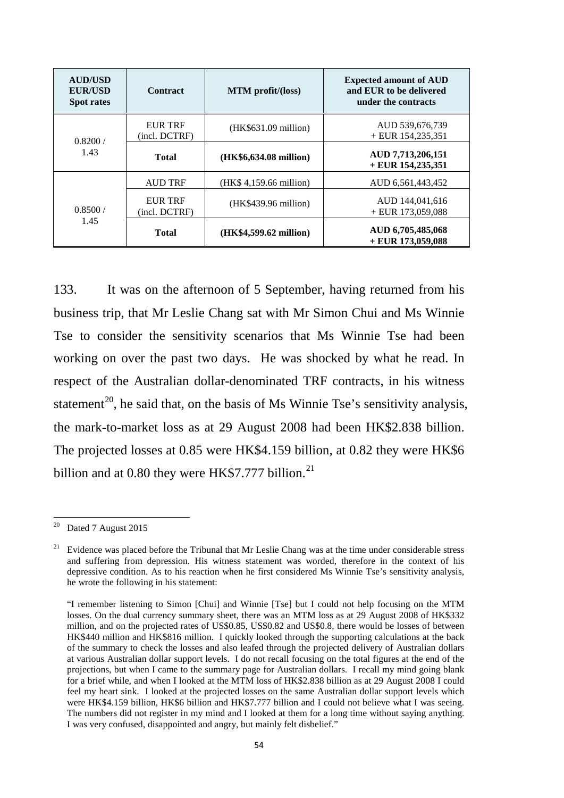| <b>AUD/USD</b><br><b>EUR/USD</b><br><b>Spot rates</b> | <b>Contract</b>                 | MTM profit/(loss)       | <b>Expected amount of AUD</b><br>and EUR to be delivered<br>under the contracts |
|-------------------------------------------------------|---------------------------------|-------------------------|---------------------------------------------------------------------------------|
| 0.8200/<br>1.43                                       | <b>EUR TRF</b><br>(incl. DCTRF) | (HK\$631.09 million)    | AUD 539,676,739<br>$+$ EUR 154,235,351                                          |
|                                                       | <b>Total</b>                    | (HK\$6,634.08 million)  | AUD 7,713,206,151<br>$+$ EUR 154,235,351                                        |
| 0.8500/<br>1.45                                       | <b>AUD TRF</b>                  | (HK\$ 4,159.66 million) | AUD 6,561,443,452                                                               |
|                                                       | <b>EUR TRF</b><br>(incl. DCTRF) | (HK\$439.96 million)    | AUD 144,041,616<br>$+$ EUR 173,059,088                                          |
|                                                       | <b>Total</b>                    | (HK\$4,599.62 million)  | AUD 6,705,485,068<br>$+$ EUR 173,059,088                                        |

133. It was on the afternoon of 5 September, having returned from his business trip, that Mr Leslie Chang sat with Mr Simon Chui and Ms Winnie Tse to consider the sensitivity scenarios that Ms Winnie Tse had been working on over the past two days. He was shocked by what he read. In respect of the Australian dollar-denominated TRF contracts, in his witness statement<sup>20</sup>, he said that, on the basis of Ms Winnie Tse's sensitivity analysis, the mark-to-market loss as at 29 August 2008 had been HK\$2.838 billion. The projected losses at 0.85 were HK\$4.159 billion, at 0.82 they were HK\$6 billion and at 0.80 they were HK\$7.777 billion.<sup>[21](#page-57-1)</sup>

<span id="page-57-0"></span><sup>&</sup>lt;sup>20</sup> Dated 7 August 2015

<span id="page-57-1"></span><sup>21</sup> Evidence was placed before the Tribunal that Mr Leslie Chang was at the time under considerable stress and suffering from depression. His witness statement was worded, therefore in the context of his depressive condition. As to his reaction when he first considered Ms Winnie Tse's sensitivity analysis, he wrote the following in his statement:

<sup>&</sup>quot;I remember listening to Simon [Chui] and Winnie [Tse] but I could not help focusing on the MTM losses. On the dual currency summary sheet, there was an MTM loss as at 29 August 2008 of HK\$332 million, and on the projected rates of US\$0.85, US\$0.82 and US\$0.8, there would be losses of between HK\$440 million and HK\$816 million. I quickly looked through the supporting calculations at the back of the summary to check the losses and also leafed through the projected delivery of Australian dollars at various Australian dollar support levels. I do not recall focusing on the total figures at the end of the projections, but when I came to the summary page for Australian dollars. I recall my mind going blank for a brief while, and when I looked at the MTM loss of HK\$2.838 billion as at 29 August 2008 I could feel my heart sink. I looked at the projected losses on the same Australian dollar support levels which were HK\$4.159 billion, HK\$6 billion and HK\$7.777 billion and I could not believe what I was seeing. The numbers did not register in my mind and I looked at them for a long time without saying anything. I was very confused, disappointed and angry, but mainly felt disbelief."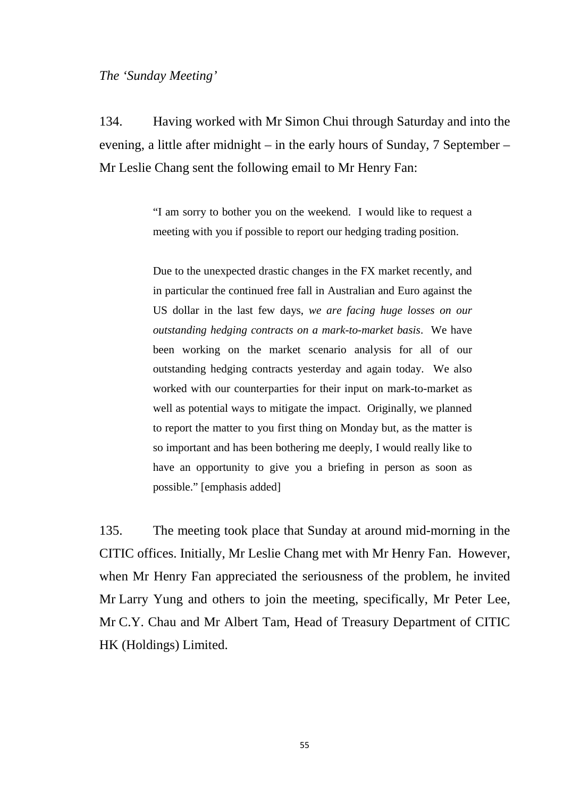#### *The 'Sunday Meeting'*

134. Having worked with Mr Simon Chui through Saturday and into the evening, a little after midnight – in the early hours of Sunday, 7 September – Mr Leslie Chang sent the following email to Mr Henry Fan:

> "I am sorry to bother you on the weekend. I would like to request a meeting with you if possible to report our hedging trading position.

> Due to the unexpected drastic changes in the FX market recently, and in particular the continued free fall in Australian and Euro against the US dollar in the last few days, *we are facing huge losses on our outstanding hedging contracts on a mark-to-market basis*. We have been working on the market scenario analysis for all of our outstanding hedging contracts yesterday and again today. We also worked with our counterparties for their input on mark-to-market as well as potential ways to mitigate the impact. Originally, we planned to report the matter to you first thing on Monday but, as the matter is so important and has been bothering me deeply, I would really like to have an opportunity to give you a briefing in person as soon as possible." [emphasis added]

135. The meeting took place that Sunday at around mid-morning in the CITIC offices. Initially, Mr Leslie Chang met with Mr Henry Fan. However, when Mr Henry Fan appreciated the seriousness of the problem, he invited Mr Larry Yung and others to join the meeting, specifically, Mr Peter Lee, Mr C.Y. Chau and Mr Albert Tam, Head of Treasury Department of CITIC HK (Holdings) Limited.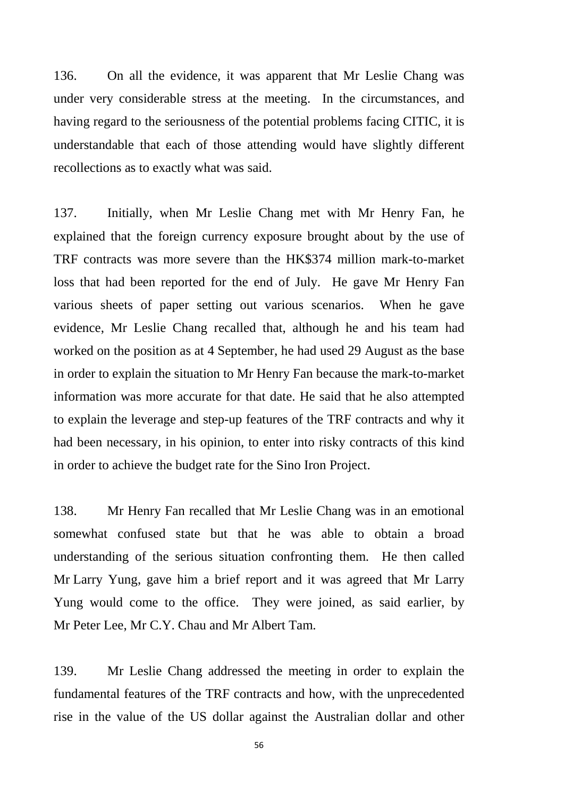136. On all the evidence, it was apparent that Mr Leslie Chang was under very considerable stress at the meeting. In the circumstances, and having regard to the seriousness of the potential problems facing CITIC, it is understandable that each of those attending would have slightly different recollections as to exactly what was said.

137. Initially, when Mr Leslie Chang met with Mr Henry Fan, he explained that the foreign currency exposure brought about by the use of TRF contracts was more severe than the HK\$374 million mark-to-market loss that had been reported for the end of July. He gave Mr Henry Fan various sheets of paper setting out various scenarios. When he gave evidence, Mr Leslie Chang recalled that, although he and his team had worked on the position as at 4 September, he had used 29 August as the base in order to explain the situation to Mr Henry Fan because the mark-to-market information was more accurate for that date. He said that he also attempted to explain the leverage and step-up features of the TRF contracts and why it had been necessary, in his opinion, to enter into risky contracts of this kind in order to achieve the budget rate for the Sino Iron Project.

138. Mr Henry Fan recalled that Mr Leslie Chang was in an emotional somewhat confused state but that he was able to obtain a broad understanding of the serious situation confronting them. He then called Mr Larry Yung, gave him a brief report and it was agreed that Mr Larry Yung would come to the office. They were joined, as said earlier, by Mr Peter Lee, Mr C.Y. Chau and Mr Albert Tam.

139. Mr Leslie Chang addressed the meeting in order to explain the fundamental features of the TRF contracts and how, with the unprecedented rise in the value of the US dollar against the Australian dollar and other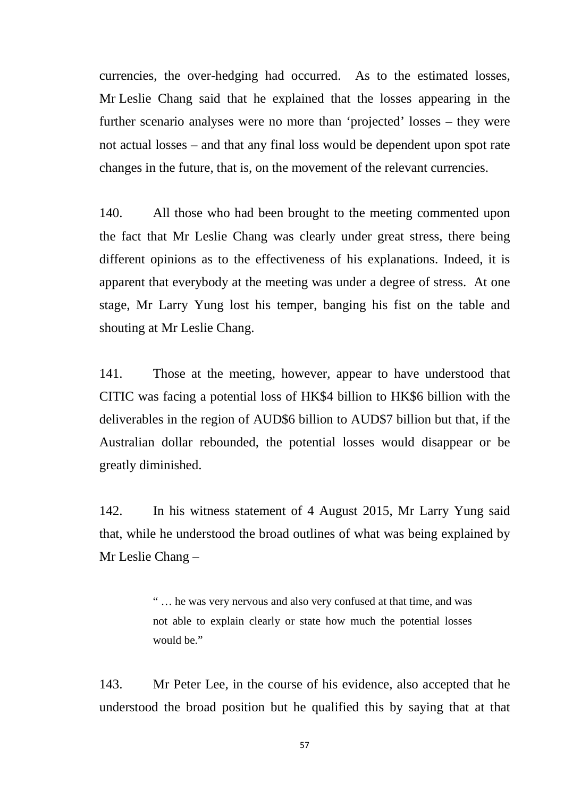currencies, the over-hedging had occurred. As to the estimated losses, Mr Leslie Chang said that he explained that the losses appearing in the further scenario analyses were no more than 'projected' losses – they were not actual losses – and that any final loss would be dependent upon spot rate changes in the future, that is, on the movement of the relevant currencies.

140. All those who had been brought to the meeting commented upon the fact that Mr Leslie Chang was clearly under great stress, there being different opinions as to the effectiveness of his explanations. Indeed, it is apparent that everybody at the meeting was under a degree of stress. At one stage, Mr Larry Yung lost his temper, banging his fist on the table and shouting at Mr Leslie Chang.

141. Those at the meeting, however, appear to have understood that CITIC was facing a potential loss of HK\$4 billion to HK\$6 billion with the deliverables in the region of AUD\$6 billion to AUD\$7 billion but that, if the Australian dollar rebounded, the potential losses would disappear or be greatly diminished.

142. In his witness statement of 4 August 2015, Mr Larry Yung said that, while he understood the broad outlines of what was being explained by Mr Leslie Chang –

> " … he was very nervous and also very confused at that time, and was not able to explain clearly or state how much the potential losses would be."

143. Mr Peter Lee, in the course of his evidence, also accepted that he understood the broad position but he qualified this by saying that at that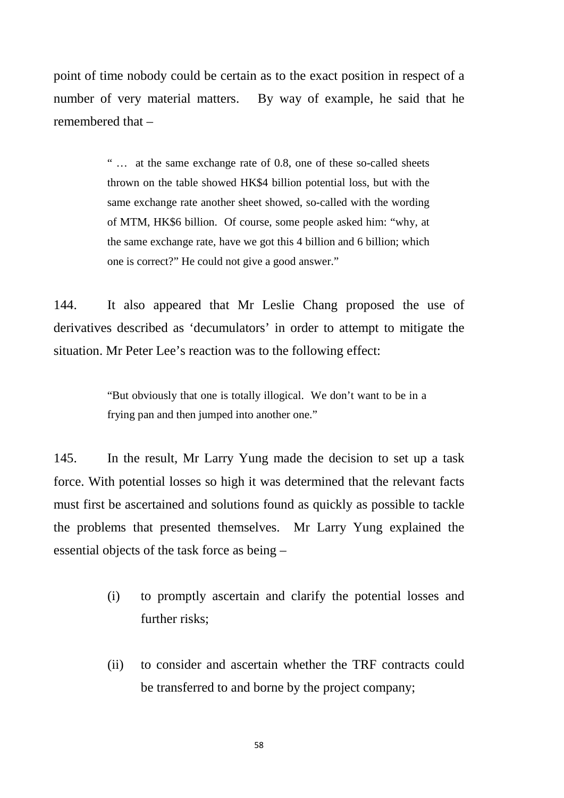point of time nobody could be certain as to the exact position in respect of a number of very material matters. By way of example, he said that he remembered that –

> " … at the same exchange rate of 0.8, one of these so-called sheets thrown on the table showed HK\$4 billion potential loss, but with the same exchange rate another sheet showed, so-called with the wording of MTM, HK\$6 billion. Of course, some people asked him: "why, at the same exchange rate, have we got this 4 billion and 6 billion; which one is correct?" He could not give a good answer."

144. It also appeared that Mr Leslie Chang proposed the use of derivatives described as 'decumulators' in order to attempt to mitigate the situation. Mr Peter Lee's reaction was to the following effect:

> "But obviously that one is totally illogical. We don't want to be in a frying pan and then jumped into another one."

145. In the result, Mr Larry Yung made the decision to set up a task force. With potential losses so high it was determined that the relevant facts must first be ascertained and solutions found as quickly as possible to tackle the problems that presented themselves. Mr Larry Yung explained the essential objects of the task force as being –

- (i) to promptly ascertain and clarify the potential losses and further risks;
- (ii) to consider and ascertain whether the TRF contracts could be transferred to and borne by the project company;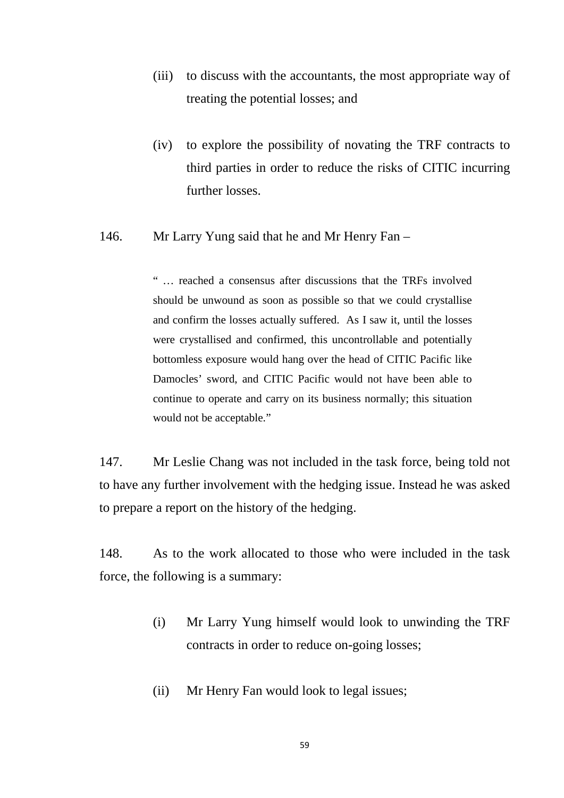- (iii) to discuss with the accountants, the most appropriate way of treating the potential losses; and
- (iv) to explore the possibility of novating the TRF contracts to third parties in order to reduce the risks of CITIC incurring further losses.

## 146. Mr Larry Yung said that he and Mr Henry Fan –

" … reached a consensus after discussions that the TRFs involved should be unwound as soon as possible so that we could crystallise and confirm the losses actually suffered. As I saw it, until the losses were crystallised and confirmed, this uncontrollable and potentially bottomless exposure would hang over the head of CITIC Pacific like Damocles' sword, and CITIC Pacific would not have been able to continue to operate and carry on its business normally; this situation would not be acceptable."

147. Mr Leslie Chang was not included in the task force, being told not to have any further involvement with the hedging issue. Instead he was asked to prepare a report on the history of the hedging.

148. As to the work allocated to those who were included in the task force, the following is a summary:

- (i) Mr Larry Yung himself would look to unwinding the TRF contracts in order to reduce on-going losses;
- (ii) Mr Henry Fan would look to legal issues;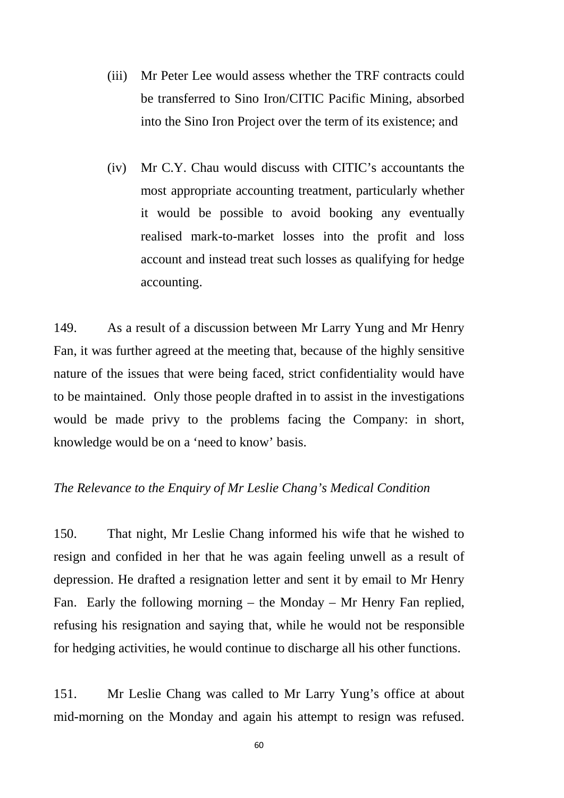- (iii) Mr Peter Lee would assess whether the TRF contracts could be transferred to Sino Iron/CITIC Pacific Mining, absorbed into the Sino Iron Project over the term of its existence; and
- (iv) Mr C.Y. Chau would discuss with CITIC's accountants the most appropriate accounting treatment, particularly whether it would be possible to avoid booking any eventually realised mark-to-market losses into the profit and loss account and instead treat such losses as qualifying for hedge accounting.

149. As a result of a discussion between Mr Larry Yung and Mr Henry Fan, it was further agreed at the meeting that, because of the highly sensitive nature of the issues that were being faced, strict confidentiality would have to be maintained. Only those people drafted in to assist in the investigations would be made privy to the problems facing the Company: in short, knowledge would be on a 'need to know' basis.

## *The Relevance to the Enquiry of Mr Leslie Chang's Medical Condition*

150. That night, Mr Leslie Chang informed his wife that he wished to resign and confided in her that he was again feeling unwell as a result of depression. He drafted a resignation letter and sent it by email to Mr Henry Fan. Early the following morning – the Monday – Mr Henry Fan replied, refusing his resignation and saying that, while he would not be responsible for hedging activities, he would continue to discharge all his other functions.

151. Mr Leslie Chang was called to Mr Larry Yung's office at about mid-morning on the Monday and again his attempt to resign was refused.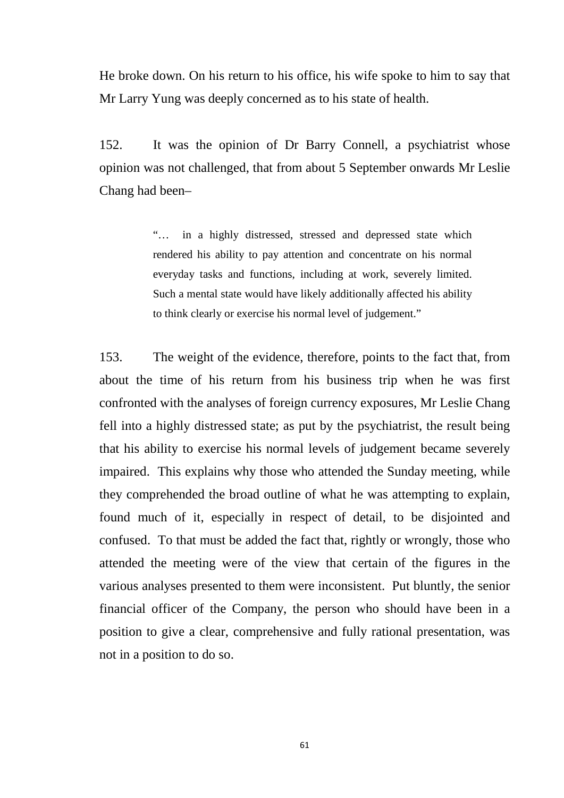He broke down. On his return to his office, his wife spoke to him to say that Mr Larry Yung was deeply concerned as to his state of health.

152. It was the opinion of Dr Barry Connell, a psychiatrist whose opinion was not challenged, that from about 5 September onwards Mr Leslie Chang had been–

> "… in a highly distressed, stressed and depressed state which rendered his ability to pay attention and concentrate on his normal everyday tasks and functions, including at work, severely limited. Such a mental state would have likely additionally affected his ability to think clearly or exercise his normal level of judgement."

153. The weight of the evidence, therefore, points to the fact that, from about the time of his return from his business trip when he was first confronted with the analyses of foreign currency exposures, Mr Leslie Chang fell into a highly distressed state; as put by the psychiatrist, the result being that his ability to exercise his normal levels of judgement became severely impaired. This explains why those who attended the Sunday meeting, while they comprehended the broad outline of what he was attempting to explain, found much of it, especially in respect of detail, to be disjointed and confused. To that must be added the fact that, rightly or wrongly, those who attended the meeting were of the view that certain of the figures in the various analyses presented to them were inconsistent. Put bluntly, the senior financial officer of the Company, the person who should have been in a position to give a clear, comprehensive and fully rational presentation, was not in a position to do so.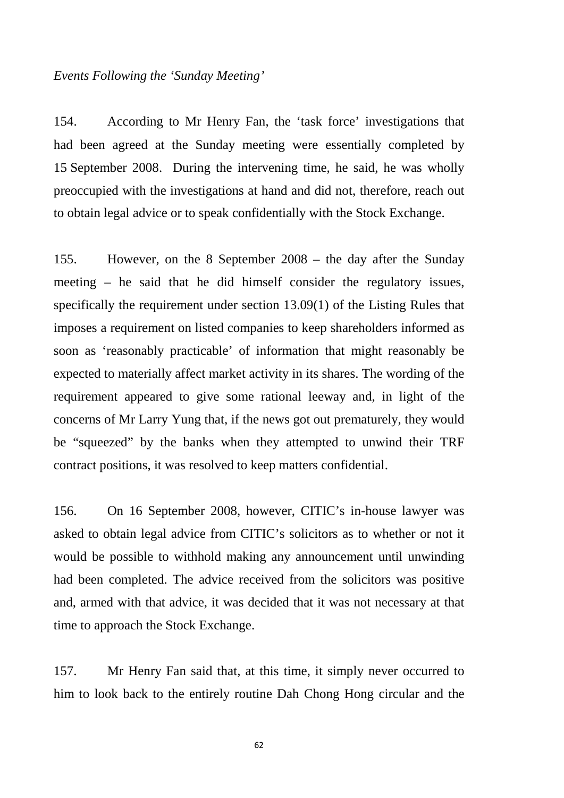#### *Events Following the 'Sunday Meeting'*

154. According to Mr Henry Fan, the 'task force' investigations that had been agreed at the Sunday meeting were essentially completed by 15 September 2008. During the intervening time, he said, he was wholly preoccupied with the investigations at hand and did not, therefore, reach out to obtain legal advice or to speak confidentially with the Stock Exchange.

155. However, on the 8 September 2008 – the day after the Sunday meeting – he said that he did himself consider the regulatory issues, specifically the requirement under section 13.09(1) of the Listing Rules that imposes a requirement on listed companies to keep shareholders informed as soon as 'reasonably practicable' of information that might reasonably be expected to materially affect market activity in its shares. The wording of the requirement appeared to give some rational leeway and, in light of the concerns of Mr Larry Yung that, if the news got out prematurely, they would be "squeezed" by the banks when they attempted to unwind their TRF contract positions, it was resolved to keep matters confidential.

156. On 16 September 2008, however, CITIC's in-house lawyer was asked to obtain legal advice from CITIC's solicitors as to whether or not it would be possible to withhold making any announcement until unwinding had been completed. The advice received from the solicitors was positive and, armed with that advice, it was decided that it was not necessary at that time to approach the Stock Exchange.

157. Mr Henry Fan said that, at this time, it simply never occurred to him to look back to the entirely routine Dah Chong Hong circular and the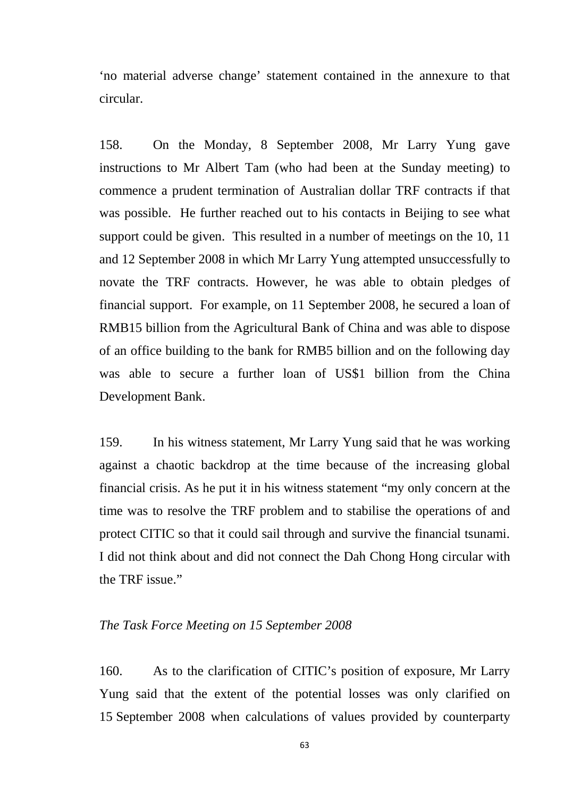'no material adverse change' statement contained in the annexure to that circular.

158. On the Monday, 8 September 2008, Mr Larry Yung gave instructions to Mr Albert Tam (who had been at the Sunday meeting) to commence a prudent termination of Australian dollar TRF contracts if that was possible. He further reached out to his contacts in Beijing to see what support could be given. This resulted in a number of meetings on the 10, 11 and 12 September 2008 in which Mr Larry Yung attempted unsuccessfully to novate the TRF contracts. However, he was able to obtain pledges of financial support. For example, on 11 September 2008, he secured a loan of RMB15 billion from the Agricultural Bank of China and was able to dispose of an office building to the bank for RMB5 billion and on the following day was able to secure a further loan of US\$1 billion from the China Development Bank.

159. In his witness statement, Mr Larry Yung said that he was working against a chaotic backdrop at the time because of the increasing global financial crisis. As he put it in his witness statement "my only concern at the time was to resolve the TRF problem and to stabilise the operations of and protect CITIC so that it could sail through and survive the financial tsunami. I did not think about and did not connect the Dah Chong Hong circular with the TRF issue."

#### *The Task Force Meeting on 15 September 2008*

160. As to the clarification of CITIC's position of exposure, Mr Larry Yung said that the extent of the potential losses was only clarified on 15 September 2008 when calculations of values provided by counterparty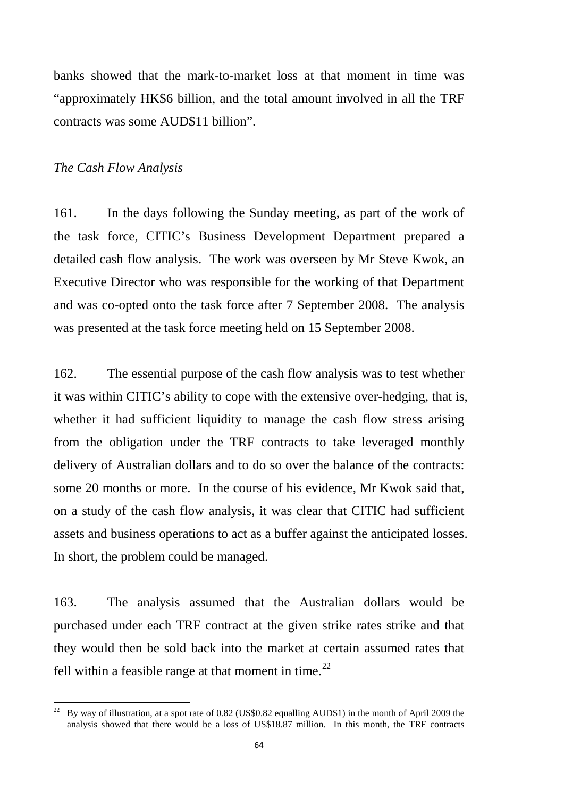banks showed that the mark-to-market loss at that moment in time was "approximately HK\$6 billion, and the total amount involved in all the TRF contracts was some AUD\$11 billion".

### *The Cash Flow Analysis*

161. In the days following the Sunday meeting, as part of the work of the task force, CITIC's Business Development Department prepared a detailed cash flow analysis. The work was overseen by Mr Steve Kwok, an Executive Director who was responsible for the working of that Department and was co-opted onto the task force after 7 September 2008. The analysis was presented at the task force meeting held on 15 September 2008.

162. The essential purpose of the cash flow analysis was to test whether it was within CITIC's ability to cope with the extensive over-hedging, that is, whether it had sufficient liquidity to manage the cash flow stress arising from the obligation under the TRF contracts to take leveraged monthly delivery of Australian dollars and to do so over the balance of the contracts: some 20 months or more. In the course of his evidence, Mr Kwok said that, on a study of the cash flow analysis, it was clear that CITIC had sufficient assets and business operations to act as a buffer against the anticipated losses. In short, the problem could be managed.

163. The analysis assumed that the Australian dollars would be purchased under each TRF contract at the given strike rates strike and that they would then be sold back into the market at certain assumed rates that fell within a feasible range at that moment in time.<sup>[22](#page-67-0)</sup>

<span id="page-67-0"></span><sup>22</sup> By way of illustration, at a spot rate of 0.82 (US\$0.82 equalling AUD\$1) in the month of April 2009 the analysis showed that there would be a loss of US\$18.87 million. In this month, the TRF contracts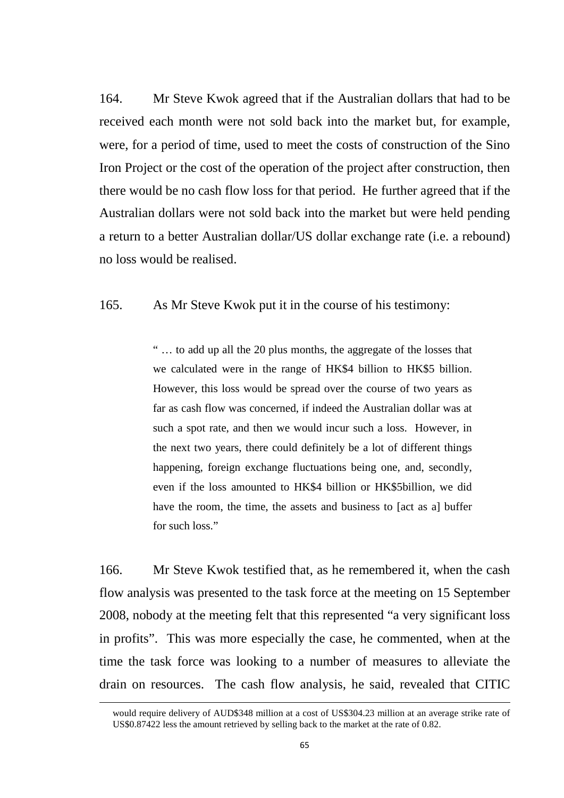164. Mr Steve Kwok agreed that if the Australian dollars that had to be received each month were not sold back into the market but, for example, were, for a period of time, used to meet the costs of construction of the Sino Iron Project or the cost of the operation of the project after construction, then there would be no cash flow loss for that period. He further agreed that if the Australian dollars were not sold back into the market but were held pending a return to a better Australian dollar/US dollar exchange rate (i.e. a rebound) no loss would be realised.

165. As Mr Steve Kwok put it in the course of his testimony:

" … to add up all the 20 plus months, the aggregate of the losses that we calculated were in the range of HK\$4 billion to HK\$5 billion. However, this loss would be spread over the course of two years as far as cash flow was concerned, if indeed the Australian dollar was at such a spot rate, and then we would incur such a loss. However, in the next two years, there could definitely be a lot of different things happening, foreign exchange fluctuations being one, and, secondly, even if the loss amounted to HK\$4 billion or HK\$5billion, we did have the room, the time, the assets and business to [act as a] buffer for such loss."

166. Mr Steve Kwok testified that, as he remembered it, when the cash flow analysis was presented to the task force at the meeting on 15 September 2008, nobody at the meeting felt that this represented "a very significant loss in profits". This was more especially the case, he commented, when at the time the task force was looking to a number of measures to alleviate the drain on resources. The cash flow analysis, he said, revealed that CITIC

 $\overline{a}$ 

would require delivery of AUD\$348 million at a cost of US\$304.23 million at an average strike rate of US\$0.87422 less the amount retrieved by selling back to the market at the rate of 0.82.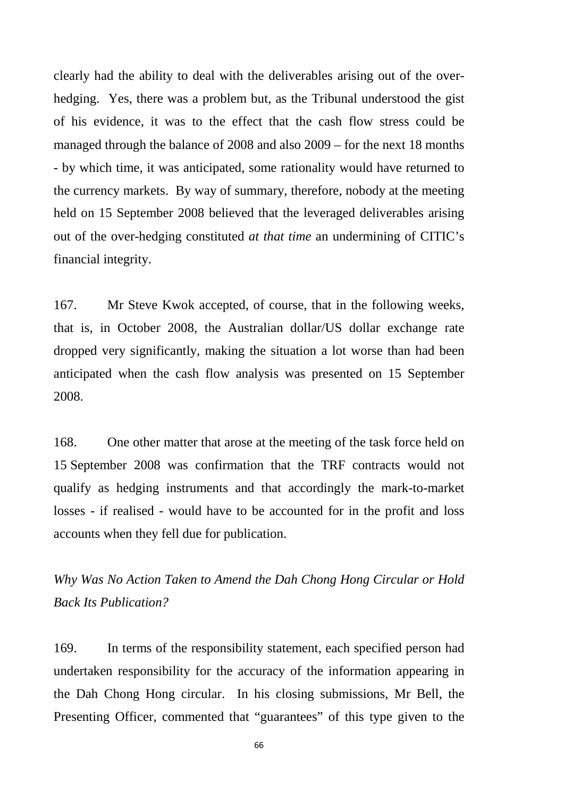clearly had the ability to deal with the deliverables arising out of the overhedging. Yes, there was a problem but, as the Tribunal understood the gist of his evidence, it was to the effect that the cash flow stress could be managed through the balance of 2008 and also 2009 – for the next 18 months - by which time, it was anticipated, some rationality would have returned to the currency markets. By way of summary, therefore, nobody at the meeting held on 15 September 2008 believed that the leveraged deliverables arising out of the over-hedging constituted *at that time* an undermining of CITIC's financial integrity.

167. Mr Steve Kwok accepted, of course, that in the following weeks, that is, in October 2008, the Australian dollar/US dollar exchange rate dropped very significantly, making the situation a lot worse than had been anticipated when the cash flow analysis was presented on 15 September 2008.

168. One other matter that arose at the meeting of the task force held on 15 September 2008 was confirmation that the TRF contracts would not qualify as hedging instruments and that accordingly the mark-to-market losses - if realised - would have to be accounted for in the profit and loss accounts when they fell due for publication.

*Why Was No Action Taken to Amend the Dah Chong Hong Circular or Hold Back Its Publication?*

169. In terms of the responsibility statement, each specified person had undertaken responsibility for the accuracy of the information appearing in the Dah Chong Hong circular. In his closing submissions, Mr Bell, the Presenting Officer, commented that "guarantees" of this type given to the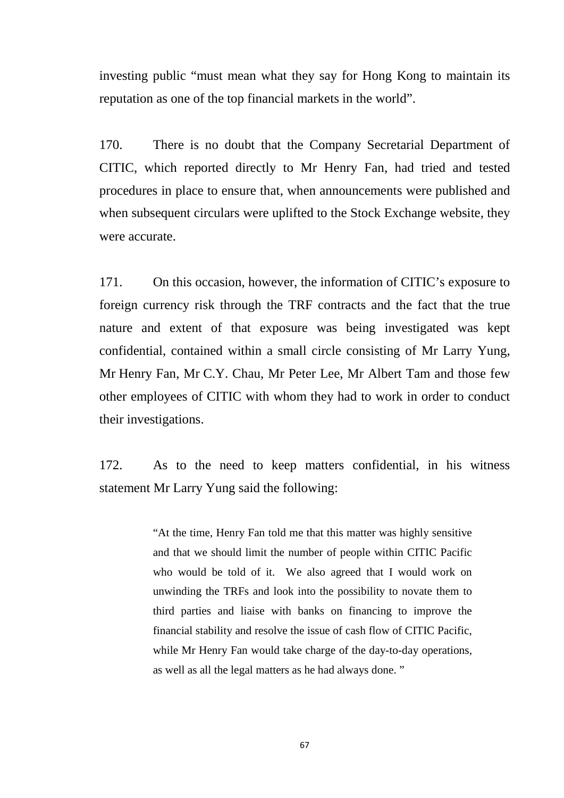investing public "must mean what they say for Hong Kong to maintain its reputation as one of the top financial markets in the world".

170. There is no doubt that the Company Secretarial Department of CITIC, which reported directly to Mr Henry Fan, had tried and tested procedures in place to ensure that, when announcements were published and when subsequent circulars were uplifted to the Stock Exchange website, they were accurate.

171. On this occasion, however, the information of CITIC's exposure to foreign currency risk through the TRF contracts and the fact that the true nature and extent of that exposure was being investigated was kept confidential, contained within a small circle consisting of Mr Larry Yung, Mr Henry Fan, Mr C.Y. Chau, Mr Peter Lee, Mr Albert Tam and those few other employees of CITIC with whom they had to work in order to conduct their investigations.

172. As to the need to keep matters confidential, in his witness statement Mr Larry Yung said the following:

> "At the time, Henry Fan told me that this matter was highly sensitive and that we should limit the number of people within CITIC Pacific who would be told of it. We also agreed that I would work on unwinding the TRFs and look into the possibility to novate them to third parties and liaise with banks on financing to improve the financial stability and resolve the issue of cash flow of CITIC Pacific, while Mr Henry Fan would take charge of the day-to-day operations, as well as all the legal matters as he had always done. "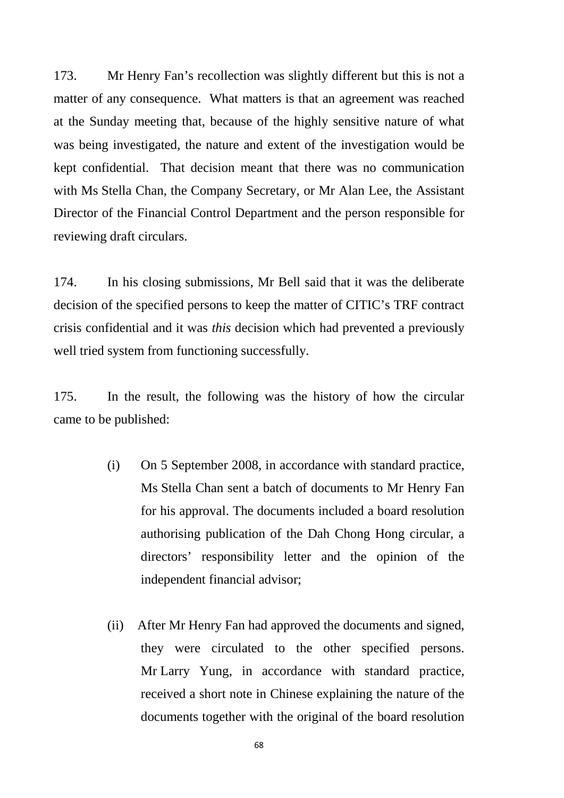173. Mr Henry Fan's recollection was slightly different but this is not a matter of any consequence. What matters is that an agreement was reached at the Sunday meeting that, because of the highly sensitive nature of what was being investigated, the nature and extent of the investigation would be kept confidential. That decision meant that there was no communication with Ms Stella Chan, the Company Secretary, or Mr Alan Lee, the Assistant Director of the Financial Control Department and the person responsible for reviewing draft circulars.

174. In his closing submissions, Mr Bell said that it was the deliberate decision of the specified persons to keep the matter of CITIC's TRF contract crisis confidential and it was *this* decision which had prevented a previously well tried system from functioning successfully.

175. In the result, the following was the history of how the circular came to be published:

- (i) On 5 September 2008, in accordance with standard practice, Ms Stella Chan sent a batch of documents to Mr Henry Fan for his approval. The documents included a board resolution authorising publication of the Dah Chong Hong circular, a directors' responsibility letter and the opinion of the independent financial advisor;
- (ii) After Mr Henry Fan had approved the documents and signed, they were circulated to the other specified persons. Mr Larry Yung, in accordance with standard practice, received a short note in Chinese explaining the nature of the documents together with the original of the board resolution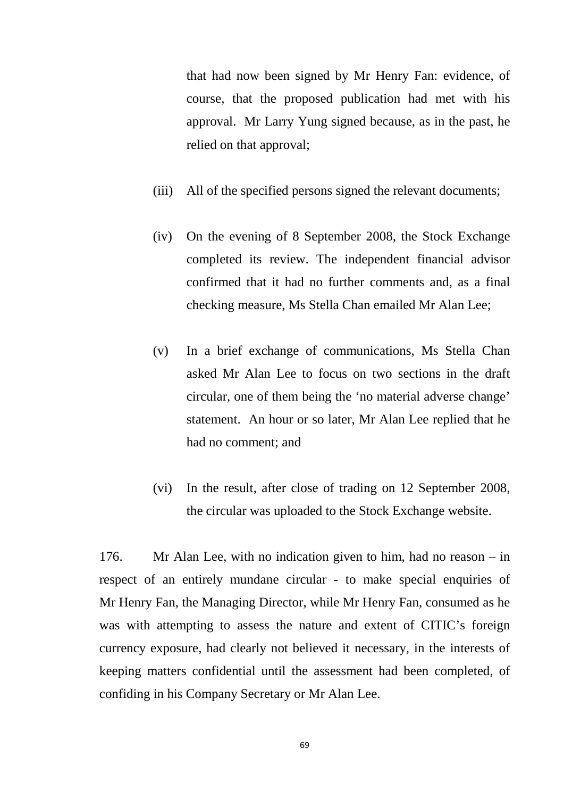that had now been signed by Mr Henry Fan: evidence, of course, that the proposed publication had met with his approval. Mr Larry Yung signed because, as in the past, he relied on that approval;

- (iii) All of the specified persons signed the relevant documents;
- (iv) On the evening of 8 September 2008, the Stock Exchange completed its review. The independent financial advisor confirmed that it had no further comments and, as a final checking measure, Ms Stella Chan emailed Mr Alan Lee;
- (v) In a brief exchange of communications, Ms Stella Chan asked Mr Alan Lee to focus on two sections in the draft circular, one of them being the 'no material adverse change' statement. An hour or so later, Mr Alan Lee replied that he had no comment; and
- (vi) In the result, after close of trading on 12 September 2008, the circular was uploaded to the Stock Exchange website.

176. Mr Alan Lee, with no indication given to him, had no reason – in respect of an entirely mundane circular - to make special enquiries of Mr Henry Fan, the Managing Director, while Mr Henry Fan, consumed as he was with attempting to assess the nature and extent of CITIC's foreign currency exposure, had clearly not believed it necessary, in the interests of keeping matters confidential until the assessment had been completed, of confiding in his Company Secretary or Mr Alan Lee.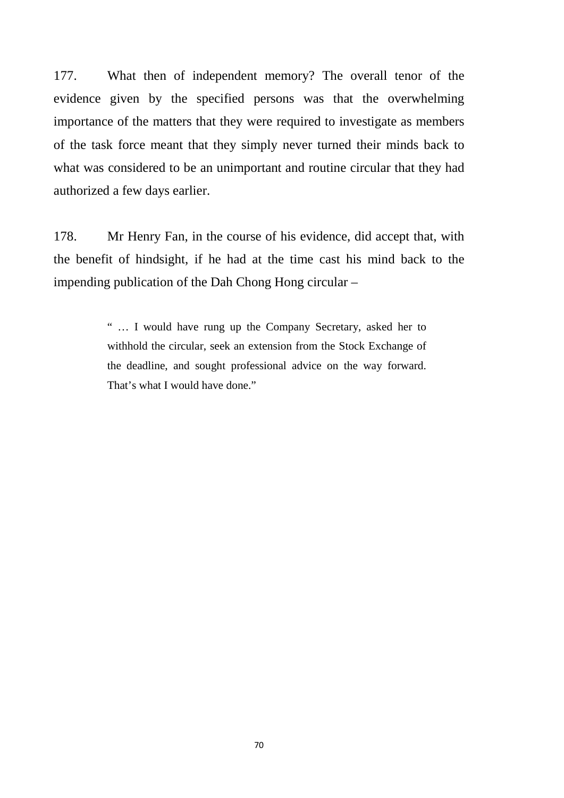177. What then of independent memory? The overall tenor of the evidence given by the specified persons was that the overwhelming importance of the matters that they were required to investigate as members of the task force meant that they simply never turned their minds back to what was considered to be an unimportant and routine circular that they had authorized a few days earlier.

178. Mr Henry Fan, in the course of his evidence, did accept that, with the benefit of hindsight, if he had at the time cast his mind back to the impending publication of the Dah Chong Hong circular –

> " … I would have rung up the Company Secretary, asked her to withhold the circular, seek an extension from the Stock Exchange of the deadline, and sought professional advice on the way forward. That's what I would have done."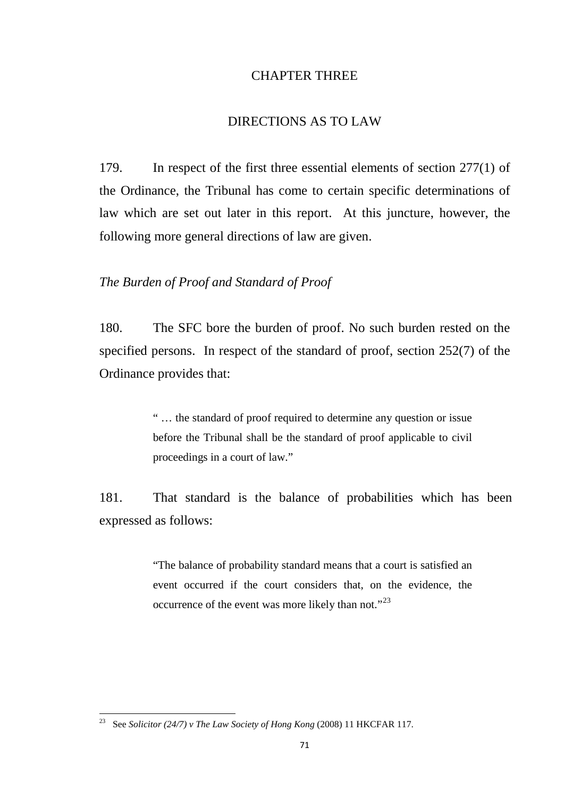## CHAPTER THREE

### DIRECTIONS AS TO LAW

179. In respect of the first three essential elements of section 277(1) of the Ordinance, the Tribunal has come to certain specific determinations of law which are set out later in this report. At this juncture, however, the following more general directions of law are given.

### *The Burden of Proof and Standard of Proof*

180. The SFC bore the burden of proof. No such burden rested on the specified persons. In respect of the standard of proof, section 252(7) of the Ordinance provides that:

> " … the standard of proof required to determine any question or issue before the Tribunal shall be the standard of proof applicable to civil proceedings in a court of law."

181. That standard is the balance of probabilities which has been expressed as follows:

> "The balance of probability standard means that a court is satisfied an event occurred if the court considers that, on the evidence, the occurrence of the event was more likely than not."<sup>[23](#page-74-0)</sup>

<span id="page-74-0"></span><sup>23</sup> See *Solicitor (24/7) v The Law Society of Hong Kong* (2008) 11 HKCFAR 117.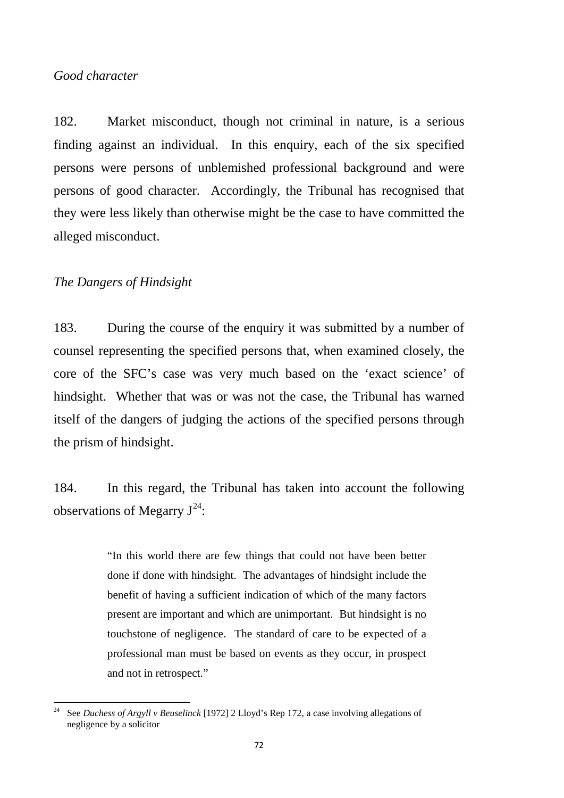## *Good character*

182. Market misconduct, though not criminal in nature, is a serious finding against an individual. In this enquiry, each of the six specified persons were persons of unblemished professional background and were persons of good character. Accordingly, the Tribunal has recognised that they were less likely than otherwise might be the case to have committed the alleged misconduct.

## *The Dangers of Hindsight*

183. During the course of the enquiry it was submitted by a number of counsel representing the specified persons that, when examined closely, the core of the SFC's case was very much based on the 'exact science' of hindsight. Whether that was or was not the case, the Tribunal has warned itself of the dangers of judging the actions of the specified persons through the prism of hindsight.

184. In this regard, the Tribunal has taken into account the following observations of Megarry  $J^{24}$  $J^{24}$  $J^{24}$ :

> "In this world there are few things that could not have been better done if done with hindsight. The advantages of hindsight include the benefit of having a sufficient indication of which of the many factors present are important and which are unimportant. But hindsight is no touchstone of negligence. The standard of care to be expected of a professional man must be based on events as they occur, in prospect and not in retrospect."

<span id="page-75-0"></span><sup>24</sup> See *Duchess of Argyll v Beuselinck* [1972] 2 Lloyd's Rep 172, a case involving allegations of negligence by a solicitor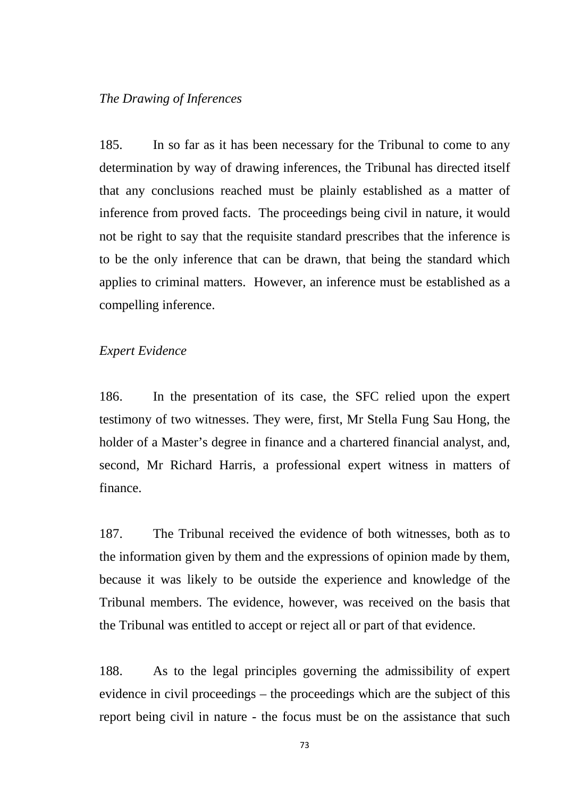### *The Drawing of Inferences*

185. In so far as it has been necessary for the Tribunal to come to any determination by way of drawing inferences, the Tribunal has directed itself that any conclusions reached must be plainly established as a matter of inference from proved facts. The proceedings being civil in nature, it would not be right to say that the requisite standard prescribes that the inference is to be the only inference that can be drawn, that being the standard which applies to criminal matters. However, an inference must be established as a compelling inference.

## *Expert Evidence*

186. In the presentation of its case, the SFC relied upon the expert testimony of two witnesses. They were, first, Mr Stella Fung Sau Hong, the holder of a Master's degree in finance and a chartered financial analyst, and, second, Mr Richard Harris, a professional expert witness in matters of finance.

187. The Tribunal received the evidence of both witnesses, both as to the information given by them and the expressions of opinion made by them, because it was likely to be outside the experience and knowledge of the Tribunal members. The evidence, however, was received on the basis that the Tribunal was entitled to accept or reject all or part of that evidence.

188. As to the legal principles governing the admissibility of expert evidence in civil proceedings – the proceedings which are the subject of this report being civil in nature - the focus must be on the assistance that such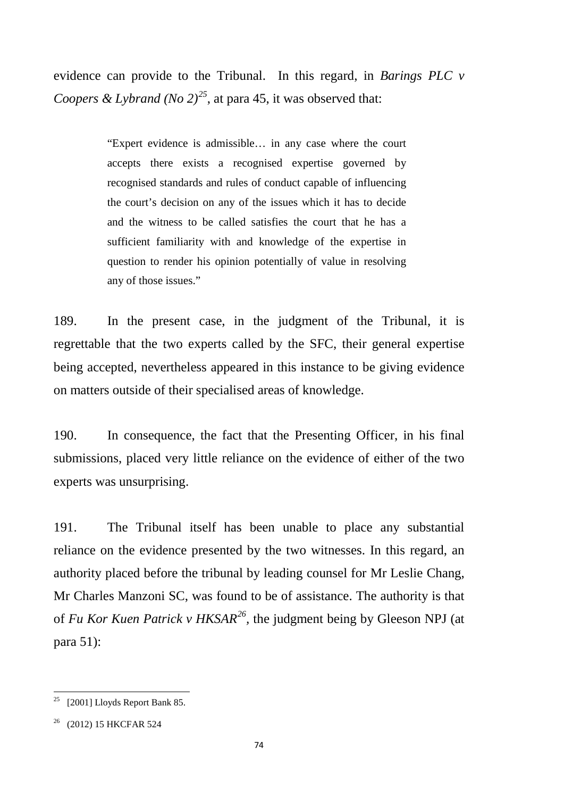evidence can provide to the Tribunal. In this regard, in *Barings PLC v Coopers & Lybrand (No 2)*<sup>[25](#page-77-0)</sup>, at para 45, it was observed that:

> "Expert evidence is admissible… in any case where the court accepts there exists a recognised expertise governed by recognised standards and rules of conduct capable of influencing the court's decision on any of the issues which it has to decide and the witness to be called satisfies the court that he has a sufficient familiarity with and knowledge of the expertise in question to render his opinion potentially of value in resolving any of those issues."

189. In the present case, in the judgment of the Tribunal, it is regrettable that the two experts called by the SFC, their general expertise being accepted, nevertheless appeared in this instance to be giving evidence on matters outside of their specialised areas of knowledge.

190. In consequence, the fact that the Presenting Officer, in his final submissions, placed very little reliance on the evidence of either of the two experts was unsurprising.

191. The Tribunal itself has been unable to place any substantial reliance on the evidence presented by the two witnesses. In this regard, an authority placed before the tribunal by leading counsel for Mr Leslie Chang, Mr Charles Manzoni SC, was found to be of assistance. The authority is that of *Fu Kor Kuen Patrick v HKSAR[26,](#page-77-1)* the judgment being by Gleeson NPJ (at para 51):

<span id="page-77-0"></span><sup>&</sup>lt;sup>25</sup> [2001] Lloyds Report Bank 85.

<span id="page-77-1"></span><sup>26</sup> (2012) 15 HKCFAR 524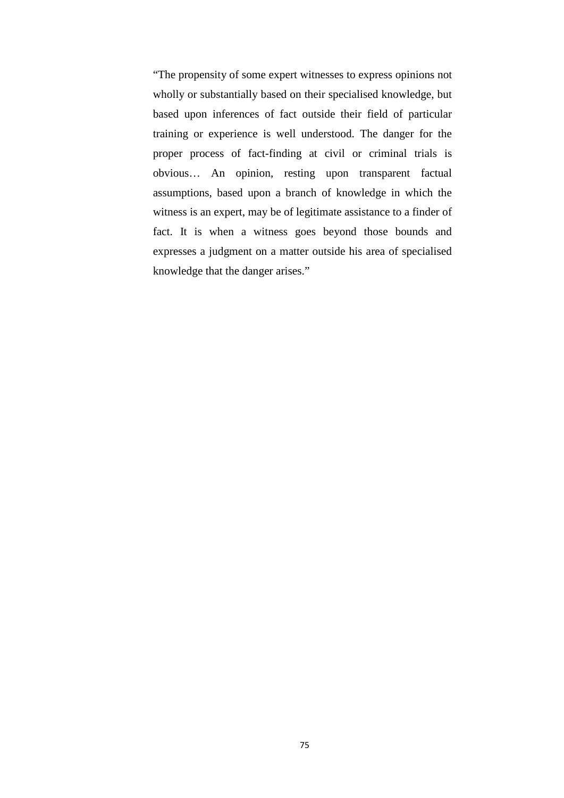"The propensity of some expert witnesses to express opinions not wholly or substantially based on their specialised knowledge, but based upon inferences of fact outside their field of particular training or experience is well understood. The danger for the proper process of fact-finding at civil or criminal trials is obvious… An opinion, resting upon transparent factual assumptions, based upon a branch of knowledge in which the witness is an expert, may be of legitimate assistance to a finder of fact. It is when a witness goes beyond those bounds and expresses a judgment on a matter outside his area of specialised knowledge that the danger arises."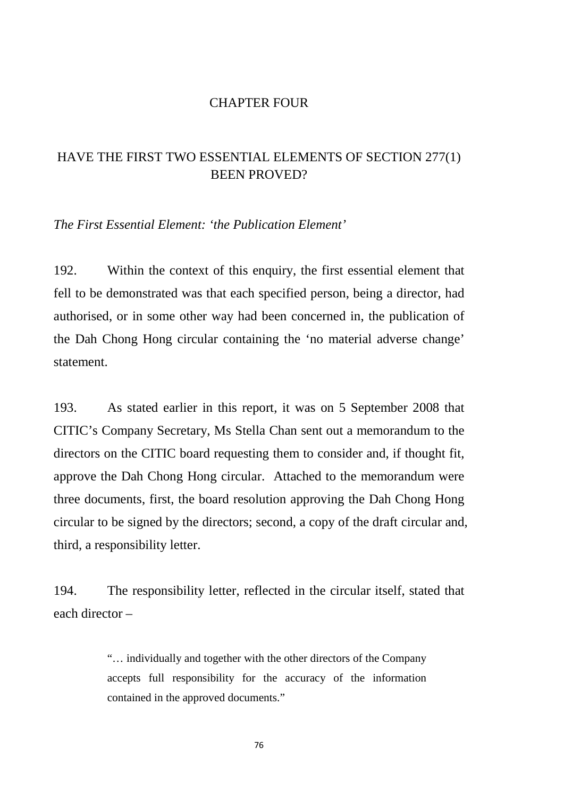#### CHAPTER FOUR

# HAVE THE FIRST TWO ESSENTIAL ELEMENTS OF SECTION 277(1) BEEN PROVED?

*The First Essential Element: 'the Publication Element'*

192. Within the context of this enquiry, the first essential element that fell to be demonstrated was that each specified person, being a director, had authorised, or in some other way had been concerned in, the publication of the Dah Chong Hong circular containing the 'no material adverse change' statement.

193. As stated earlier in this report, it was on 5 September 2008 that CITIC's Company Secretary, Ms Stella Chan sent out a memorandum to the directors on the CITIC board requesting them to consider and, if thought fit, approve the Dah Chong Hong circular. Attached to the memorandum were three documents, first, the board resolution approving the Dah Chong Hong circular to be signed by the directors; second, a copy of the draft circular and, third, a responsibility letter.

194. The responsibility letter, reflected in the circular itself, stated that each director –

> "… individually and together with the other directors of the Company accepts full responsibility for the accuracy of the information contained in the approved documents."

> > 76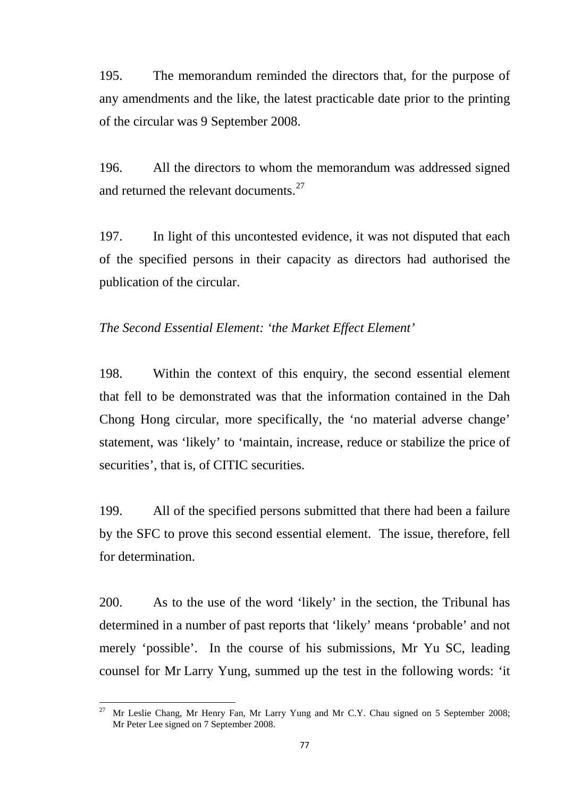195. The memorandum reminded the directors that, for the purpose of any amendments and the like, the latest practicable date prior to the printing of the circular was 9 September 2008.

196. All the directors to whom the memorandum was addressed signed and returned the relevant documents.<sup>[27](#page-80-0)</sup>

197. In light of this uncontested evidence, it was not disputed that each of the specified persons in their capacity as directors had authorised the publication of the circular.

# *The Second Essential Element: 'the Market Effect Element'*

198. Within the context of this enquiry, the second essential element that fell to be demonstrated was that the information contained in the Dah Chong Hong circular, more specifically, the 'no material adverse change' statement, was 'likely' to 'maintain, increase, reduce or stabilize the price of securities', that is, of CITIC securities.

199. All of the specified persons submitted that there had been a failure by the SFC to prove this second essential element. The issue, therefore, fell for determination.

200. As to the use of the word 'likely' in the section, the Tribunal has determined in a number of past reports that 'likely' means 'probable' and not merely 'possible'. In the course of his submissions, Mr Yu SC, leading counsel for Mr Larry Yung, summed up the test in the following words: 'it

<span id="page-80-0"></span><sup>27</sup> Mr Leslie Chang, Mr Henry Fan, Mr Larry Yung and Mr C.Y. Chau signed on 5 September 2008; Mr Peter Lee signed on 7 September 2008.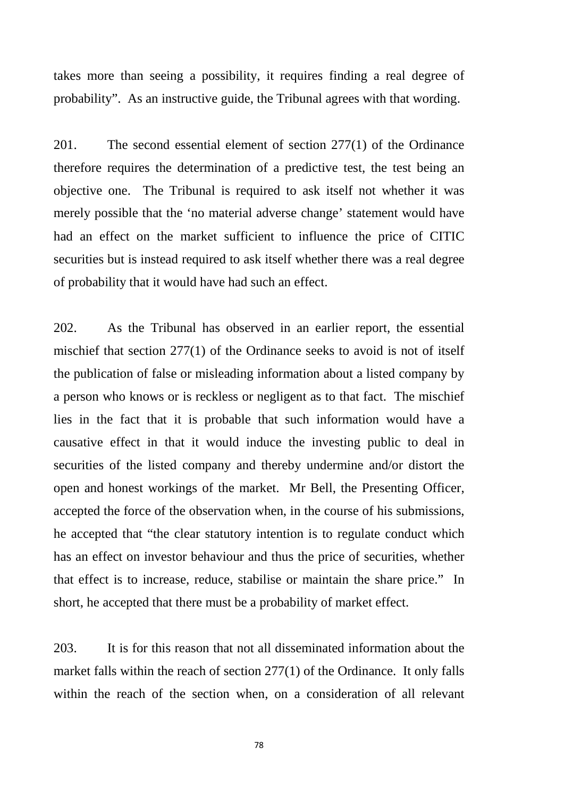takes more than seeing a possibility, it requires finding a real degree of probability". As an instructive guide, the Tribunal agrees with that wording.

201. The second essential element of section 277(1) of the Ordinance therefore requires the determination of a predictive test, the test being an objective one. The Tribunal is required to ask itself not whether it was merely possible that the 'no material adverse change' statement would have had an effect on the market sufficient to influence the price of CITIC securities but is instead required to ask itself whether there was a real degree of probability that it would have had such an effect.

202. As the Tribunal has observed in an earlier report, the essential mischief that section 277(1) of the Ordinance seeks to avoid is not of itself the publication of false or misleading information about a listed company by a person who knows or is reckless or negligent as to that fact. The mischief lies in the fact that it is probable that such information would have a causative effect in that it would induce the investing public to deal in securities of the listed company and thereby undermine and/or distort the open and honest workings of the market. Mr Bell, the Presenting Officer, accepted the force of the observation when, in the course of his submissions, he accepted that "the clear statutory intention is to regulate conduct which has an effect on investor behaviour and thus the price of securities, whether that effect is to increase, reduce, stabilise or maintain the share price." In short, he accepted that there must be a probability of market effect.

203. It is for this reason that not all disseminated information about the market falls within the reach of section 277(1) of the Ordinance. It only falls within the reach of the section when, on a consideration of all relevant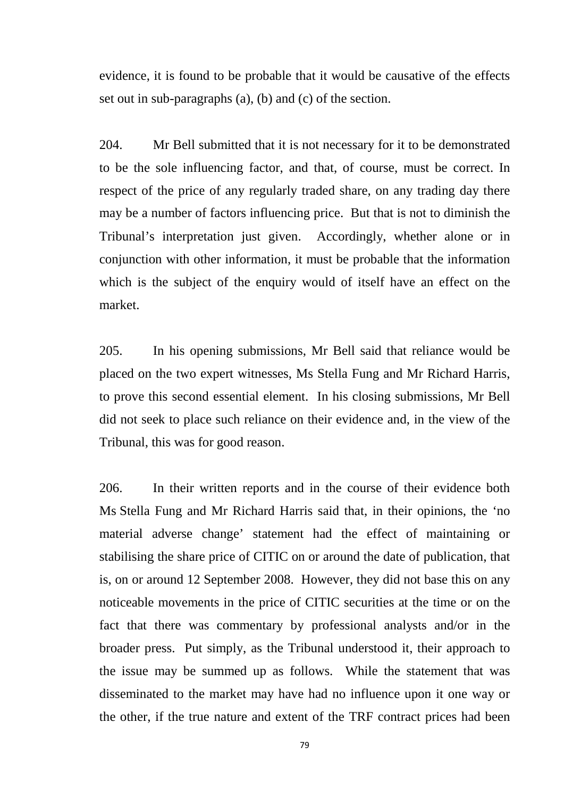evidence, it is found to be probable that it would be causative of the effects set out in sub-paragraphs (a), (b) and (c) of the section.

204. Mr Bell submitted that it is not necessary for it to be demonstrated to be the sole influencing factor, and that, of course, must be correct. In respect of the price of any regularly traded share, on any trading day there may be a number of factors influencing price. But that is not to diminish the Tribunal's interpretation just given. Accordingly, whether alone or in conjunction with other information, it must be probable that the information which is the subject of the enquiry would of itself have an effect on the market.

205. In his opening submissions, Mr Bell said that reliance would be placed on the two expert witnesses, Ms Stella Fung and Mr Richard Harris, to prove this second essential element. In his closing submissions, Mr Bell did not seek to place such reliance on their evidence and, in the view of the Tribunal, this was for good reason.

206. In their written reports and in the course of their evidence both Ms Stella Fung and Mr Richard Harris said that, in their opinions, the 'no material adverse change' statement had the effect of maintaining or stabilising the share price of CITIC on or around the date of publication, that is, on or around 12 September 2008. However, they did not base this on any noticeable movements in the price of CITIC securities at the time or on the fact that there was commentary by professional analysts and/or in the broader press. Put simply, as the Tribunal understood it, their approach to the issue may be summed up as follows. While the statement that was disseminated to the market may have had no influence upon it one way or the other, if the true nature and extent of the TRF contract prices had been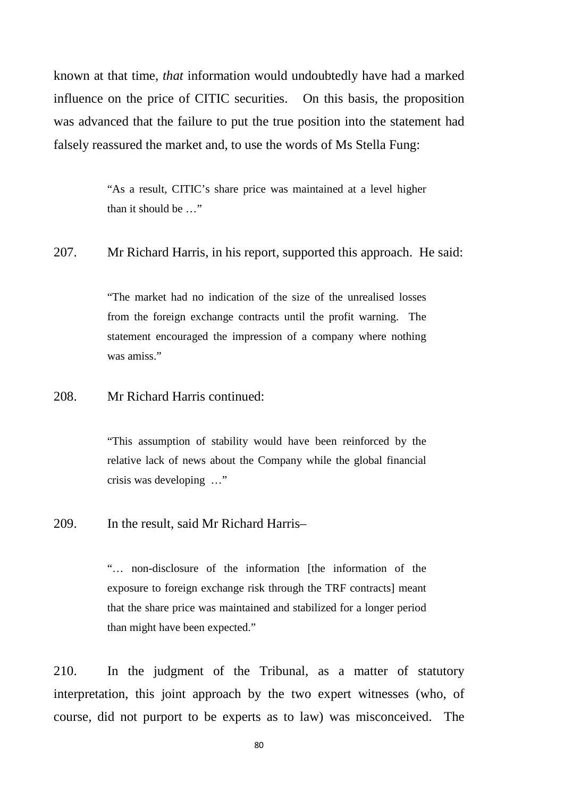known at that time, *that* information would undoubtedly have had a marked influence on the price of CITIC securities. On this basis, the proposition was advanced that the failure to put the true position into the statement had falsely reassured the market and, to use the words of Ms Stella Fung:

> "As a result, CITIC's share price was maintained at a level higher than it should be …"

#### 207. Mr Richard Harris, in his report, supported this approach. He said:

"The market had no indication of the size of the unrealised losses from the foreign exchange contracts until the profit warning. The statement encouraged the impression of a company where nothing was amiss."

## 208. Mr Richard Harris continued:

"This assumption of stability would have been reinforced by the relative lack of news about the Company while the global financial crisis was developing …"

#### 209. In the result, said Mr Richard Harris–

"... non-disclosure of the information [the information of the exposure to foreign exchange risk through the TRF contracts] meant that the share price was maintained and stabilized for a longer period than might have been expected."

210. In the judgment of the Tribunal, as a matter of statutory interpretation, this joint approach by the two expert witnesses (who, of course, did not purport to be experts as to law) was misconceived. The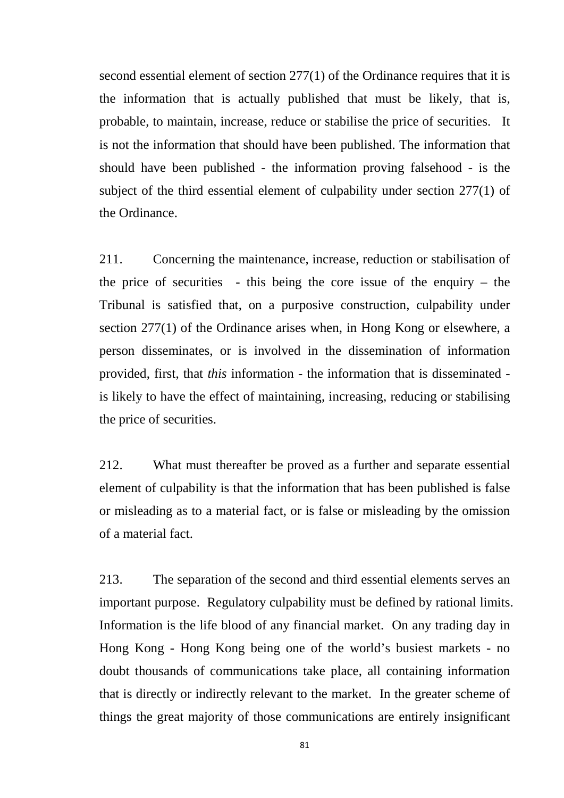second essential element of section 277(1) of the Ordinance requires that it is the information that is actually published that must be likely, that is, probable, to maintain, increase, reduce or stabilise the price of securities. It is not the information that should have been published. The information that should have been published - the information proving falsehood - is the subject of the third essential element of culpability under section 277(1) of the Ordinance.

211. Concerning the maintenance, increase, reduction or stabilisation of the price of securities - this being the core issue of the enquiry  $-$  the Tribunal is satisfied that, on a purposive construction, culpability under section 277(1) of the Ordinance arises when, in Hong Kong or elsewhere, a person disseminates, or is involved in the dissemination of information provided, first, that *this* information - the information that is disseminated is likely to have the effect of maintaining, increasing, reducing or stabilising the price of securities.

212. What must thereafter be proved as a further and separate essential element of culpability is that the information that has been published is false or misleading as to a material fact, or is false or misleading by the omission of a material fact.

213. The separation of the second and third essential elements serves an important purpose. Regulatory culpability must be defined by rational limits. Information is the life blood of any financial market. On any trading day in Hong Kong - Hong Kong being one of the world's busiest markets - no doubt thousands of communications take place, all containing information that is directly or indirectly relevant to the market. In the greater scheme of things the great majority of those communications are entirely insignificant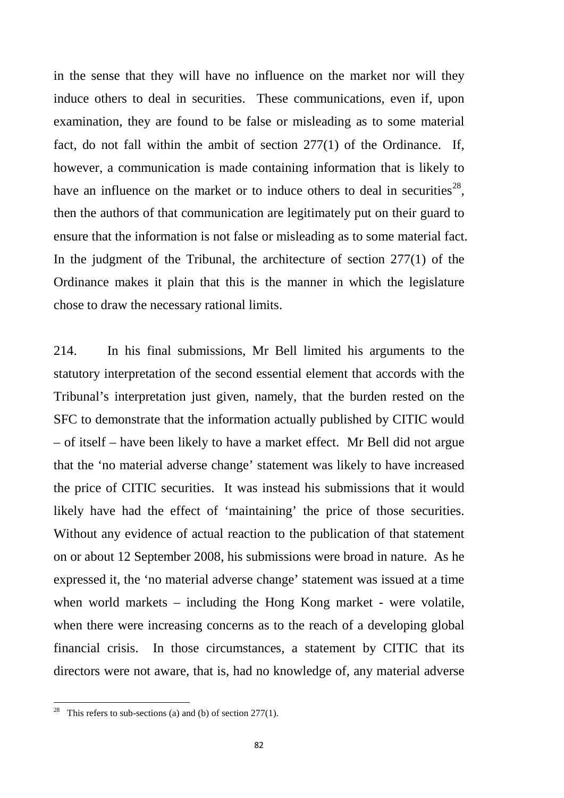in the sense that they will have no influence on the market nor will they induce others to deal in securities. These communications, even if, upon examination, they are found to be false or misleading as to some material fact, do not fall within the ambit of section 277(1) of the Ordinance. If, however, a communication is made containing information that is likely to have an influence on the market or to induce others to deal in securities<sup>28</sup>. then the authors of that communication are legitimately put on their guard to ensure that the information is not false or misleading as to some material fact. In the judgment of the Tribunal, the architecture of section 277(1) of the Ordinance makes it plain that this is the manner in which the legislature chose to draw the necessary rational limits.

214. In his final submissions, Mr Bell limited his arguments to the statutory interpretation of the second essential element that accords with the Tribunal's interpretation just given, namely, that the burden rested on the SFC to demonstrate that the information actually published by CITIC would – of itself – have been likely to have a market effect. Mr Bell did not argue that the 'no material adverse change' statement was likely to have increased the price of CITIC securities. It was instead his submissions that it would likely have had the effect of 'maintaining' the price of those securities. Without any evidence of actual reaction to the publication of that statement on or about 12 September 2008, his submissions were broad in nature. As he expressed it, the 'no material adverse change' statement was issued at a time when world markets – including the Hong Kong market - were volatile, when there were increasing concerns as to the reach of a developing global financial crisis. In those circumstances, a statement by CITIC that its directors were not aware, that is, had no knowledge of, any material adverse

<span id="page-85-0"></span><sup>&</sup>lt;sup>28</sup> This refers to sub-sections (a) and (b) of section 277(1).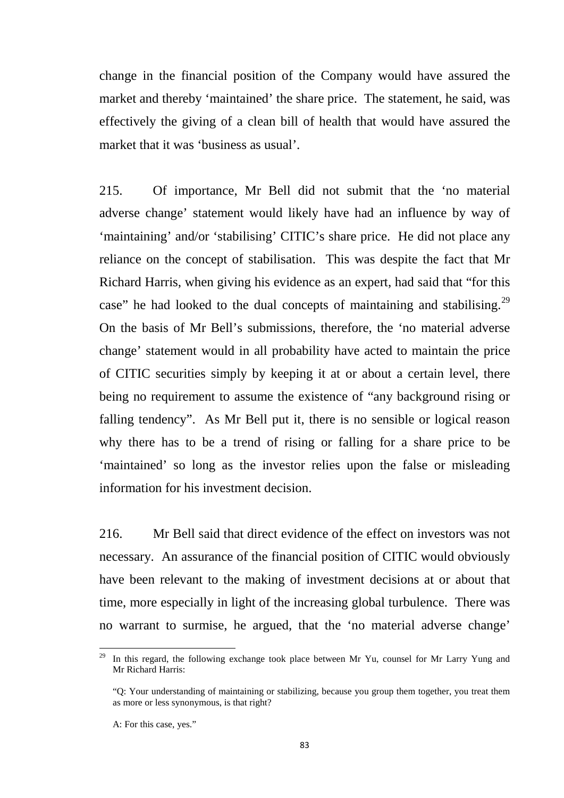change in the financial position of the Company would have assured the market and thereby 'maintained' the share price. The statement, he said, was effectively the giving of a clean bill of health that would have assured the market that it was 'business as usual'.

215. Of importance, Mr Bell did not submit that the 'no material adverse change' statement would likely have had an influence by way of 'maintaining' and/or 'stabilising' CITIC's share price. He did not place any reliance on the concept of stabilisation. This was despite the fact that Mr Richard Harris, when giving his evidence as an expert, had said that "for this case" he had looked to the dual concepts of maintaining and stabilising.<sup>29</sup> On the basis of Mr Bell's submissions, therefore, the 'no material adverse change' statement would in all probability have acted to maintain the price of CITIC securities simply by keeping it at or about a certain level, there being no requirement to assume the existence of "any background rising or falling tendency". As Mr Bell put it, there is no sensible or logical reason why there has to be a trend of rising or falling for a share price to be 'maintained' so long as the investor relies upon the false or misleading information for his investment decision.

216. Mr Bell said that direct evidence of the effect on investors was not necessary. An assurance of the financial position of CITIC would obviously have been relevant to the making of investment decisions at or about that time, more especially in light of the increasing global turbulence. There was no warrant to surmise, he argued, that the 'no material adverse change'

<span id="page-86-0"></span>In this regard, the following exchange took place between Mr Yu, counsel for Mr Larry Yung and Mr Richard Harris:

<sup>&</sup>quot;Q: Your understanding of maintaining or stabilizing, because you group them together, you treat them as more or less synonymous, is that right?

A: For this case, yes."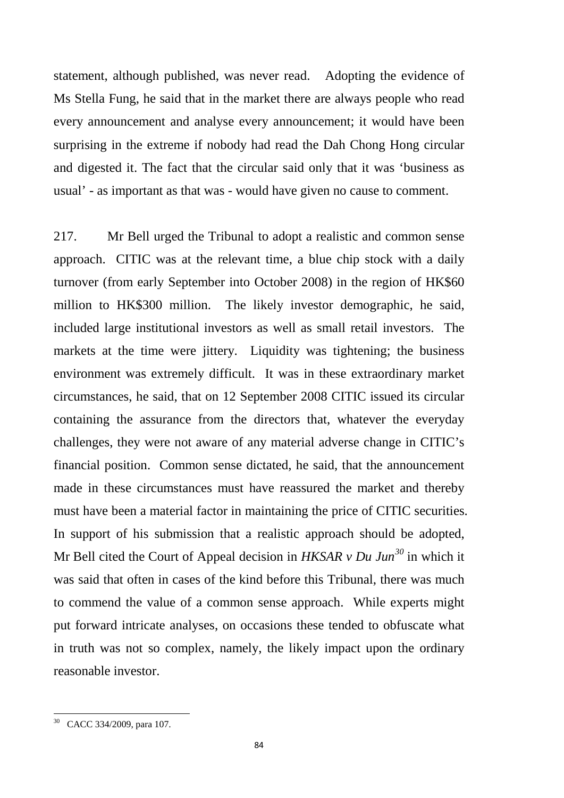statement, although published, was never read. Adopting the evidence of Ms Stella Fung, he said that in the market there are always people who read every announcement and analyse every announcement; it would have been surprising in the extreme if nobody had read the Dah Chong Hong circular and digested it. The fact that the circular said only that it was 'business as usual' - as important as that was - would have given no cause to comment.

217. Mr Bell urged the Tribunal to adopt a realistic and common sense approach. CITIC was at the relevant time, a blue chip stock with a daily turnover (from early September into October 2008) in the region of HK\$60 million to HK\$300 million. The likely investor demographic, he said, included large institutional investors as well as small retail investors. The markets at the time were jittery. Liquidity was tightening; the business environment was extremely difficult. It was in these extraordinary market circumstances, he said, that on 12 September 2008 CITIC issued its circular containing the assurance from the directors that, whatever the everyday challenges, they were not aware of any material adverse change in CITIC's financial position. Common sense dictated, he said, that the announcement made in these circumstances must have reassured the market and thereby must have been a material factor in maintaining the price of CITIC securities. In support of his submission that a realistic approach should be adopted, Mr Bell cited the Court of Appeal decision in *HKSAR v Du Jun[30](#page-87-0)* in which it was said that often in cases of the kind before this Tribunal, there was much to commend the value of a common sense approach. While experts might put forward intricate analyses, on occasions these tended to obfuscate what in truth was not so complex, namely, the likely impact upon the ordinary reasonable investor.

<span id="page-87-0"></span><sup>30</sup> CACC 334/2009, para 107.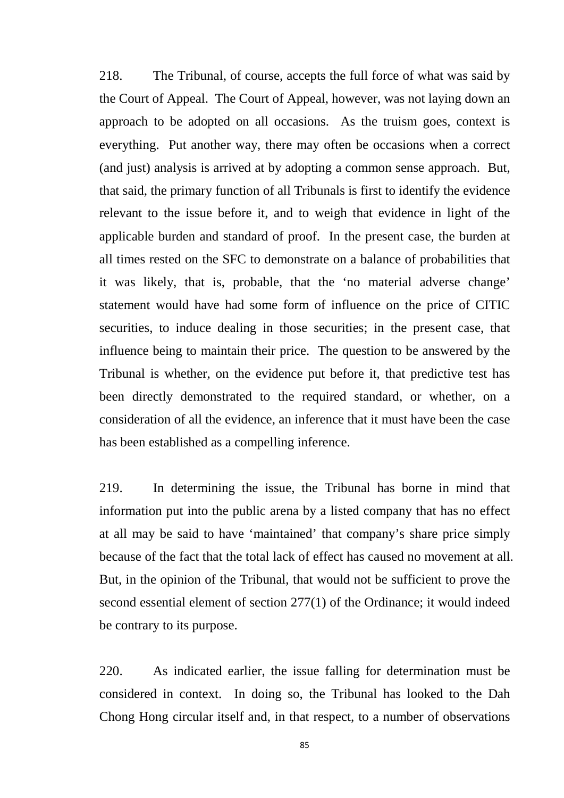218. The Tribunal, of course, accepts the full force of what was said by the Court of Appeal. The Court of Appeal, however, was not laying down an approach to be adopted on all occasions. As the truism goes, context is everything. Put another way, there may often be occasions when a correct (and just) analysis is arrived at by adopting a common sense approach. But, that said, the primary function of all Tribunals is first to identify the evidence relevant to the issue before it, and to weigh that evidence in light of the applicable burden and standard of proof. In the present case, the burden at all times rested on the SFC to demonstrate on a balance of probabilities that it was likely, that is, probable, that the 'no material adverse change' statement would have had some form of influence on the price of CITIC securities, to induce dealing in those securities; in the present case, that influence being to maintain their price. The question to be answered by the Tribunal is whether, on the evidence put before it, that predictive test has been directly demonstrated to the required standard, or whether, on a consideration of all the evidence, an inference that it must have been the case has been established as a compelling inference.

219. In determining the issue, the Tribunal has borne in mind that information put into the public arena by a listed company that has no effect at all may be said to have 'maintained' that company's share price simply because of the fact that the total lack of effect has caused no movement at all. But, in the opinion of the Tribunal, that would not be sufficient to prove the second essential element of section 277(1) of the Ordinance; it would indeed be contrary to its purpose.

220. As indicated earlier, the issue falling for determination must be considered in context. In doing so, the Tribunal has looked to the Dah Chong Hong circular itself and, in that respect, to a number of observations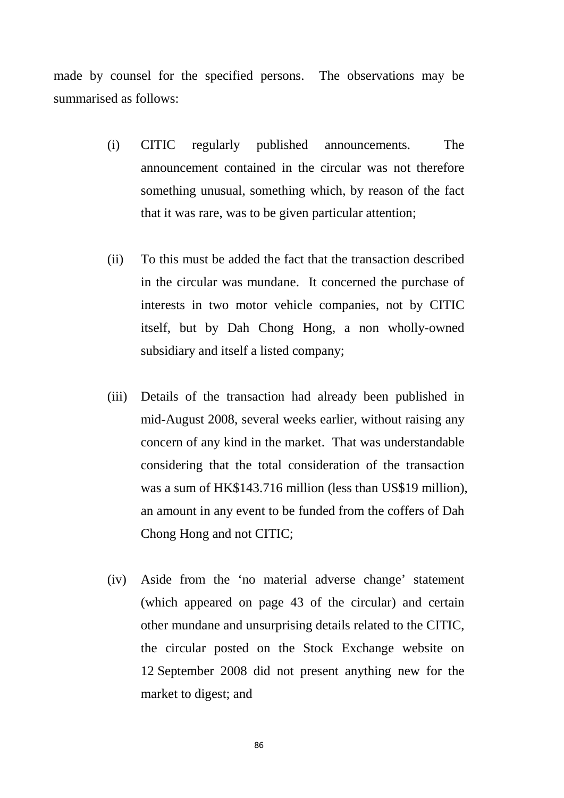made by counsel for the specified persons. The observations may be summarised as follows:

- (i) CITIC regularly published announcements. The announcement contained in the circular was not therefore something unusual, something which, by reason of the fact that it was rare, was to be given particular attention;
- (ii) To this must be added the fact that the transaction described in the circular was mundane. It concerned the purchase of interests in two motor vehicle companies, not by CITIC itself, but by Dah Chong Hong, a non wholly-owned subsidiary and itself a listed company;
- (iii) Details of the transaction had already been published in mid-August 2008, several weeks earlier, without raising any concern of any kind in the market. That was understandable considering that the total consideration of the transaction was a sum of HK\$143.716 million (less than US\$19 million), an amount in any event to be funded from the coffers of Dah Chong Hong and not CITIC;
- (iv) Aside from the 'no material adverse change' statement (which appeared on page 43 of the circular) and certain other mundane and unsurprising details related to the CITIC, the circular posted on the Stock Exchange website on 12 September 2008 did not present anything new for the market to digest; and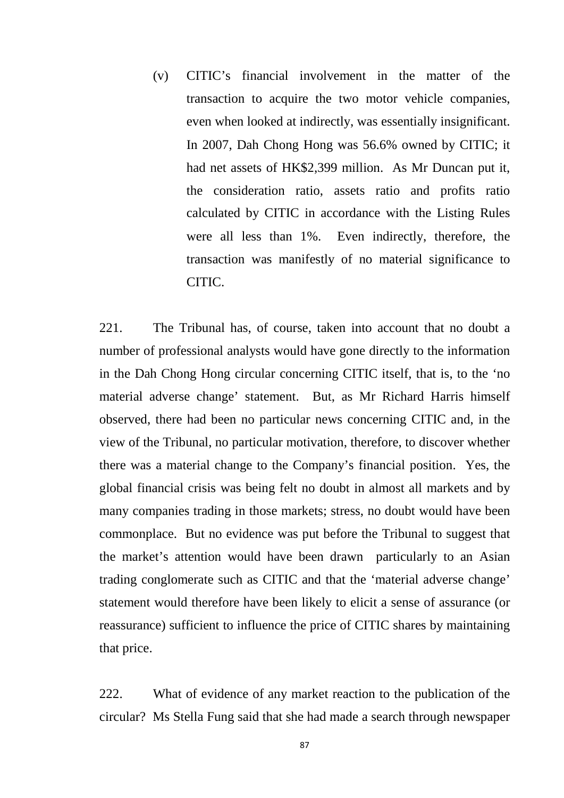(v) CITIC's financial involvement in the matter of the transaction to acquire the two motor vehicle companies, even when looked at indirectly, was essentially insignificant. In 2007, Dah Chong Hong was 56.6% owned by CITIC; it had net assets of HK\$2,399 million. As Mr Duncan put it, the consideration ratio, assets ratio and profits ratio calculated by CITIC in accordance with the Listing Rules were all less than 1%. Even indirectly, therefore, the transaction was manifestly of no material significance to CITIC.

221. The Tribunal has, of course, taken into account that no doubt a number of professional analysts would have gone directly to the information in the Dah Chong Hong circular concerning CITIC itself, that is, to the 'no material adverse change' statement. But, as Mr Richard Harris himself observed, there had been no particular news concerning CITIC and, in the view of the Tribunal, no particular motivation, therefore, to discover whether there was a material change to the Company's financial position. Yes, the global financial crisis was being felt no doubt in almost all markets and by many companies trading in those markets; stress, no doubt would have been commonplace. But no evidence was put before the Tribunal to suggest that the market's attention would have been drawn particularly to an Asian trading conglomerate such as CITIC and that the 'material adverse change' statement would therefore have been likely to elicit a sense of assurance (or reassurance) sufficient to influence the price of CITIC shares by maintaining that price.

222. What of evidence of any market reaction to the publication of the circular? Ms Stella Fung said that she had made a search through newspaper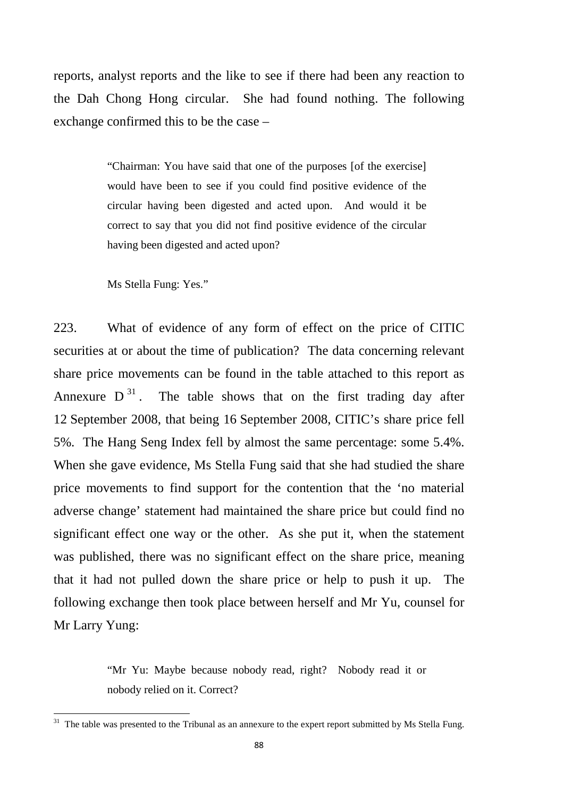reports, analyst reports and the like to see if there had been any reaction to the Dah Chong Hong circular. She had found nothing. The following exchange confirmed this to be the case –

> "Chairman: You have said that one of the purposes [of the exercise] would have been to see if you could find positive evidence of the circular having been digested and acted upon. And would it be correct to say that you did not find positive evidence of the circular having been digested and acted upon?

Ms Stella Fung: Yes."

223. What of evidence of any form of effect on the price of CITIC securities at or about the time of publication? The data concerning relevant share price movements can be found in the table attached to this report as Annexure  $D^{31}$  $D^{31}$  $D^{31}$ . The table shows that on the first trading day after 12 September 2008, that being 16 September 2008, CITIC's share price fell 5%. The Hang Seng Index fell by almost the same percentage: some 5.4%. When she gave evidence, Ms Stella Fung said that she had studied the share price movements to find support for the contention that the 'no material adverse change' statement had maintained the share price but could find no significant effect one way or the other. As she put it, when the statement was published, there was no significant effect on the share price, meaning that it had not pulled down the share price or help to push it up. The following exchange then took place between herself and Mr Yu, counsel for Mr Larry Yung:

> "Mr Yu: Maybe because nobody read, right? Nobody read it or nobody relied on it. Correct?

<span id="page-91-0"></span><sup>&</sup>lt;sup>31</sup> The table was presented to the Tribunal as an annexure to the expert report submitted by Ms Stella Fung.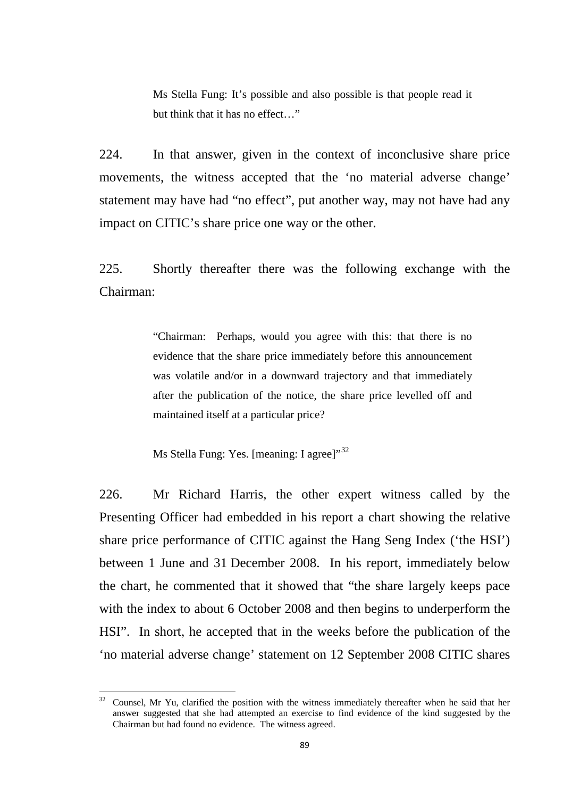Ms Stella Fung: It's possible and also possible is that people read it but think that it has no effect…"

224. In that answer, given in the context of inconclusive share price movements, the witness accepted that the 'no material adverse change' statement may have had "no effect", put another way, may not have had any impact on CITIC's share price one way or the other.

225. Shortly thereafter there was the following exchange with the Chairman:

> "Chairman: Perhaps, would you agree with this: that there is no evidence that the share price immediately before this announcement was volatile and/or in a downward trajectory and that immediately after the publication of the notice, the share price levelled off and maintained itself at a particular price?

Ms Stella Fung: Yes. [meaning: I agree]"<sup>[32](#page-92-0)</sup>

226. Mr Richard Harris, the other expert witness called by the Presenting Officer had embedded in his report a chart showing the relative share price performance of CITIC against the Hang Seng Index ('the HSI') between 1 June and 31 December 2008. In his report, immediately below the chart, he commented that it showed that "the share largely keeps pace with the index to about 6 October 2008 and then begins to underperform the HSI". In short, he accepted that in the weeks before the publication of the 'no material adverse change' statement on 12 September 2008 CITIC shares

<span id="page-92-0"></span><sup>32</sup> Counsel, Mr Yu, clarified the position with the witness immediately thereafter when he said that her answer suggested that she had attempted an exercise to find evidence of the kind suggested by the Chairman but had found no evidence. The witness agreed.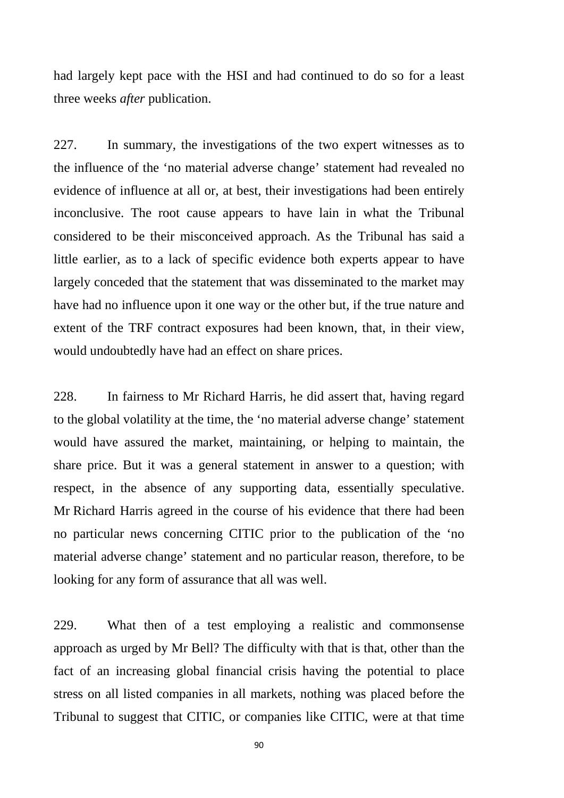had largely kept pace with the HSI and had continued to do so for a least three weeks *after* publication.

227. In summary, the investigations of the two expert witnesses as to the influence of the 'no material adverse change' statement had revealed no evidence of influence at all or, at best, their investigations had been entirely inconclusive. The root cause appears to have lain in what the Tribunal considered to be their misconceived approach. As the Tribunal has said a little earlier, as to a lack of specific evidence both experts appear to have largely conceded that the statement that was disseminated to the market may have had no influence upon it one way or the other but, if the true nature and extent of the TRF contract exposures had been known, that, in their view, would undoubtedly have had an effect on share prices.

228. In fairness to Mr Richard Harris, he did assert that, having regard to the global volatility at the time, the 'no material adverse change' statement would have assured the market, maintaining, or helping to maintain, the share price. But it was a general statement in answer to a question; with respect, in the absence of any supporting data, essentially speculative. Mr Richard Harris agreed in the course of his evidence that there had been no particular news concerning CITIC prior to the publication of the 'no material adverse change' statement and no particular reason, therefore, to be looking for any form of assurance that all was well.

229. What then of a test employing a realistic and commonsense approach as urged by Mr Bell? The difficulty with that is that, other than the fact of an increasing global financial crisis having the potential to place stress on all listed companies in all markets, nothing was placed before the Tribunal to suggest that CITIC, or companies like CITIC, were at that time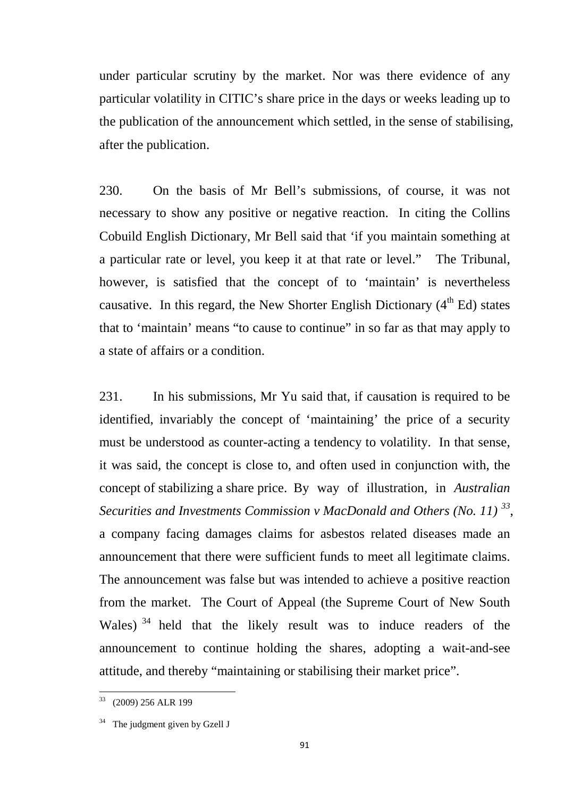under particular scrutiny by the market. Nor was there evidence of any particular volatility in CITIC's share price in the days or weeks leading up to the publication of the announcement which settled, in the sense of stabilising, after the publication.

230. On the basis of Mr Bell's submissions, of course, it was not necessary to show any positive or negative reaction. In citing the Collins Cobuild English Dictionary, Mr Bell said that 'if you maintain something at a particular rate or level, you keep it at that rate or level." The Tribunal, however, is satisfied that the concept of to 'maintain' is nevertheless causative. In this regard, the New Shorter English Dictionary  $(4<sup>th</sup> Ed)$  states that to 'maintain' means "to cause to continue" in so far as that may apply to a state of affairs or a condition.

231. In his submissions, Mr Yu said that, if causation is required to be identified, invariably the concept of 'maintaining' the price of a security must be understood as counter-acting a tendency to volatility. In that sense, it was said, the concept is close to, and often used in conjunction with, the concept of stabilizing a share price. By way of illustration, in *Australian Securities and Investments Commission v MacDonald and Others (No. 11) [33](#page-94-0)*, a company facing damages claims for asbestos related diseases made an announcement that there were sufficient funds to meet all legitimate claims. The announcement was false but was intended to achieve a positive reaction from the market. The Court of Appeal (the Supreme Court of New South Wales)<sup>[34](#page-94-1)</sup> held that the likely result was to induce readers of the announcement to continue holding the shares, adopting a wait-and-see attitude, and thereby "maintaining or stabilising their market price".

<span id="page-94-0"></span><sup>33</sup> (2009) 256 ALR 199

<span id="page-94-1"></span> $34$  The judgment given by Gzell J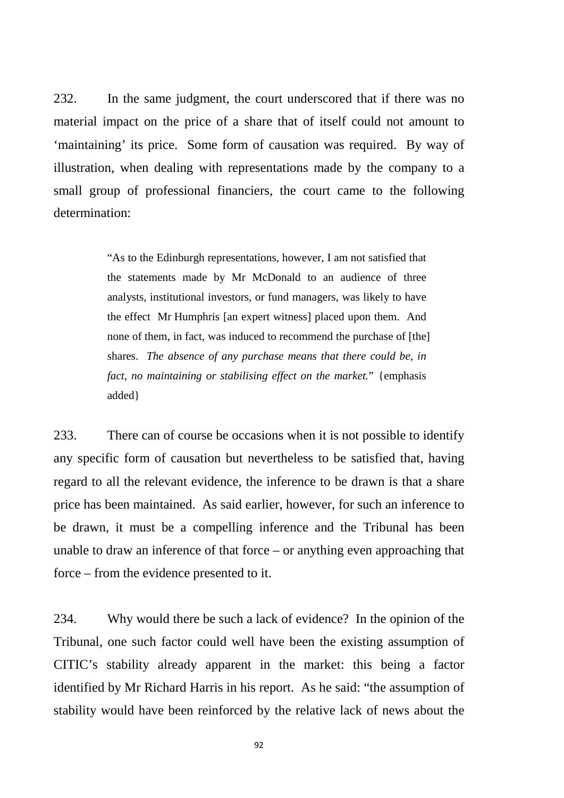232. In the same judgment, the court underscored that if there was no material impact on the price of a share that of itself could not amount to 'maintaining' its price. Some form of causation was required. By way of illustration, when dealing with representations made by the company to a small group of professional financiers, the court came to the following determination:

> "As to the Edinburgh representations, however, I am not satisfied that the statements made by Mr McDonald to an audience of three analysts, institutional investors, or fund managers, was likely to have the effect Mr Humphris [an expert witness] placed upon them. And none of them, in fact, was induced to recommend the purchase of [the] shares. *The absence of any purchase means that there could be, in fact, no maintaining or stabilising effect on the market.*" {emphasis added}

233. There can of course be occasions when it is not possible to identify any specific form of causation but nevertheless to be satisfied that, having regard to all the relevant evidence, the inference to be drawn is that a share price has been maintained. As said earlier, however, for such an inference to be drawn, it must be a compelling inference and the Tribunal has been unable to draw an inference of that force – or anything even approaching that force – from the evidence presented to it.

234. Why would there be such a lack of evidence? In the opinion of the Tribunal, one such factor could well have been the existing assumption of CITIC's stability already apparent in the market: this being a factor identified by Mr Richard Harris in his report. As he said: "the assumption of stability would have been reinforced by the relative lack of news about the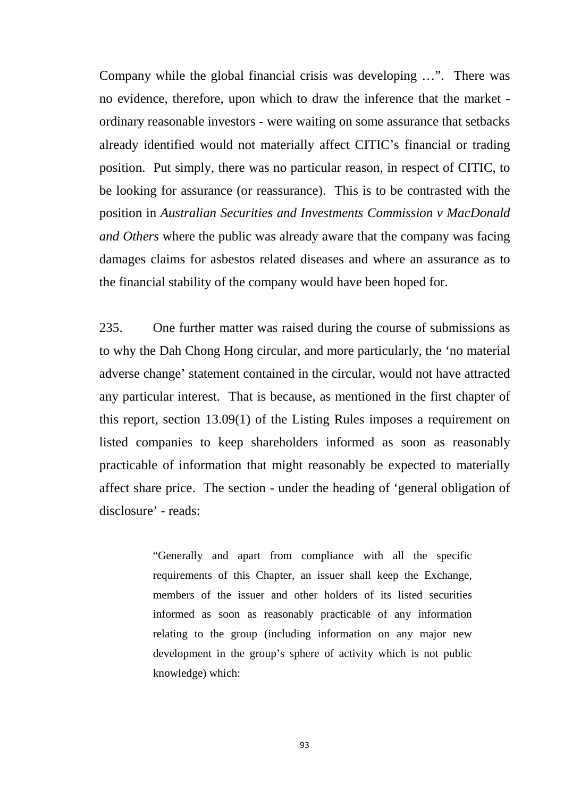Company while the global financial crisis was developing …". There was no evidence, therefore, upon which to draw the inference that the market ordinary reasonable investors - were waiting on some assurance that setbacks already identified would not materially affect CITIC's financial or trading position. Put simply, there was no particular reason, in respect of CITIC, to be looking for assurance (or reassurance). This is to be contrasted with the position in *Australian Securities and Investments Commission v MacDonald and Others* where the public was already aware that the company was facing damages claims for asbestos related diseases and where an assurance as to the financial stability of the company would have been hoped for.

235. One further matter was raised during the course of submissions as to why the Dah Chong Hong circular, and more particularly, the 'no material adverse change' statement contained in the circular, would not have attracted any particular interest. That is because, as mentioned in the first chapter of this report, section 13.09(1) of the Listing Rules imposes a requirement on listed companies to keep shareholders informed as soon as reasonably practicable of information that might reasonably be expected to materially affect share price. The section - under the heading of 'general obligation of disclosure' - reads:

> "Generally and apart from compliance with all the specific requirements of this Chapter, an issuer shall keep the Exchange, members of the issuer and other holders of its listed securities informed as soon as reasonably practicable of any information relating to the group (including information on any major new development in the group's sphere of activity which is not public knowledge) which: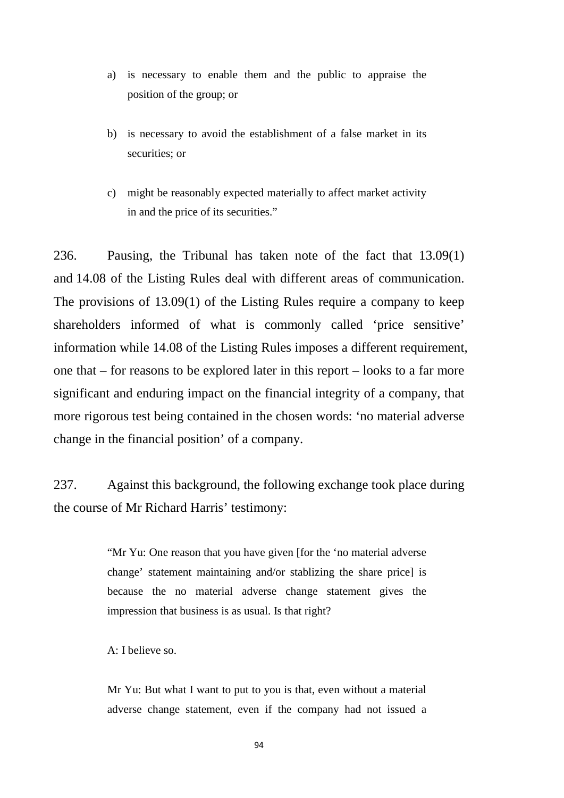- a) is necessary to enable them and the public to appraise the position of the group; or
- b) is necessary to avoid the establishment of a false market in its securities; or
- c) might be reasonably expected materially to affect market activity in and the price of its securities."

236. Pausing, the Tribunal has taken note of the fact that 13.09(1) and 14.08 of the Listing Rules deal with different areas of communication. The provisions of 13.09(1) of the Listing Rules require a company to keep shareholders informed of what is commonly called 'price sensitive' information while 14.08 of the Listing Rules imposes a different requirement, one that – for reasons to be explored later in this report – looks to a far more significant and enduring impact on the financial integrity of a company, that more rigorous test being contained in the chosen words: 'no material adverse change in the financial position' of a company.

237. Against this background, the following exchange took place during the course of Mr Richard Harris' testimony:

> "Mr Yu: One reason that you have given [for the 'no material adverse change' statement maintaining and/or stablizing the share price] is because the no material adverse change statement gives the impression that business is as usual. Is that right?

A: I believe so.

Mr Yu: But what I want to put to you is that, even without a material adverse change statement, even if the company had not issued a

94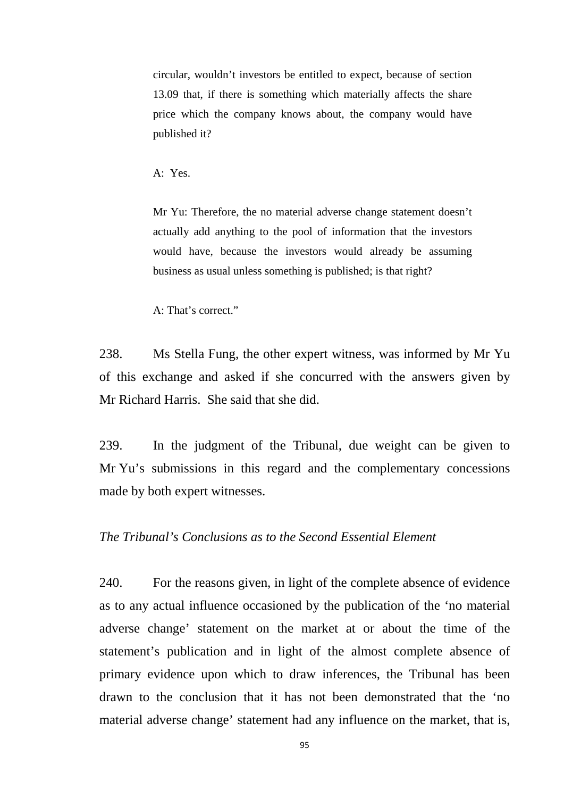circular, wouldn't investors be entitled to expect, because of section 13.09 that, if there is something which materially affects the share price which the company knows about, the company would have published it?

A: Yes.

Mr Yu: Therefore, the no material adverse change statement doesn't actually add anything to the pool of information that the investors would have, because the investors would already be assuming business as usual unless something is published; is that right?

A: That's correct."

238. Ms Stella Fung, the other expert witness, was informed by Mr Yu of this exchange and asked if she concurred with the answers given by Mr Richard Harris. She said that she did.

239. In the judgment of the Tribunal, due weight can be given to Mr Yu's submissions in this regard and the complementary concessions made by both expert witnesses.

#### *The Tribunal's Conclusions as to the Second Essential Element*

240. For the reasons given, in light of the complete absence of evidence as to any actual influence occasioned by the publication of the 'no material adverse change' statement on the market at or about the time of the statement's publication and in light of the almost complete absence of primary evidence upon which to draw inferences, the Tribunal has been drawn to the conclusion that it has not been demonstrated that the 'no material adverse change' statement had any influence on the market, that is,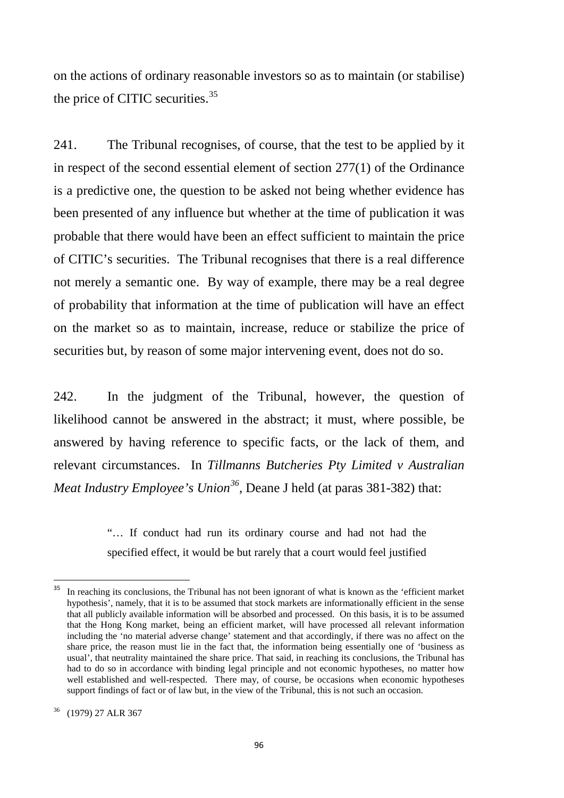on the actions of ordinary reasonable investors so as to maintain (or stabilise) the price of CITIC securities.<sup>[35](#page-99-0)</sup>

241. The Tribunal recognises, of course, that the test to be applied by it in respect of the second essential element of section 277(1) of the Ordinance is a predictive one, the question to be asked not being whether evidence has been presented of any influence but whether at the time of publication it was probable that there would have been an effect sufficient to maintain the price of CITIC's securities. The Tribunal recognises that there is a real difference not merely a semantic one. By way of example, there may be a real degree of probability that information at the time of publication will have an effect on the market so as to maintain, increase, reduce or stabilize the price of securities but, by reason of some major intervening event, does not do so.

242. In the judgment of the Tribunal, however, the question of likelihood cannot be answered in the abstract; it must, where possible, be answered by having reference to specific facts, or the lack of them, and relevant circumstances. In *Tillmanns Butcheries Pty Limited v Australian Meat Industry Employee's Union[36](#page-99-1)*, Deane J held (at paras 381-382) that:

> "… If conduct had run its ordinary course and had not had the specified effect, it would be but rarely that a court would feel justified

<span id="page-99-1"></span><span id="page-99-0"></span>In reaching its conclusions, the Tribunal has not been ignorant of what is known as the 'efficient market hypothesis', namely, that it is to be assumed that stock markets are informationally efficient in the sense that all publicly available information will be absorbed and processed. On this basis, it is to be assumed that the Hong Kong market, being an efficient market, will have processed all relevant information including the 'no material adverse change' statement and that accordingly, if there was no affect on the share price, the reason must lie in the fact that, the information being essentially one of 'business as usual', that neutrality maintained the share price. That said, in reaching its conclusions, the Tribunal has had to do so in accordance with binding legal principle and not economic hypotheses, no matter how well established and well-respected. There may, of course, be occasions when economic hypotheses support findings of fact or of law but, in the view of the Tribunal, this is not such an occasion.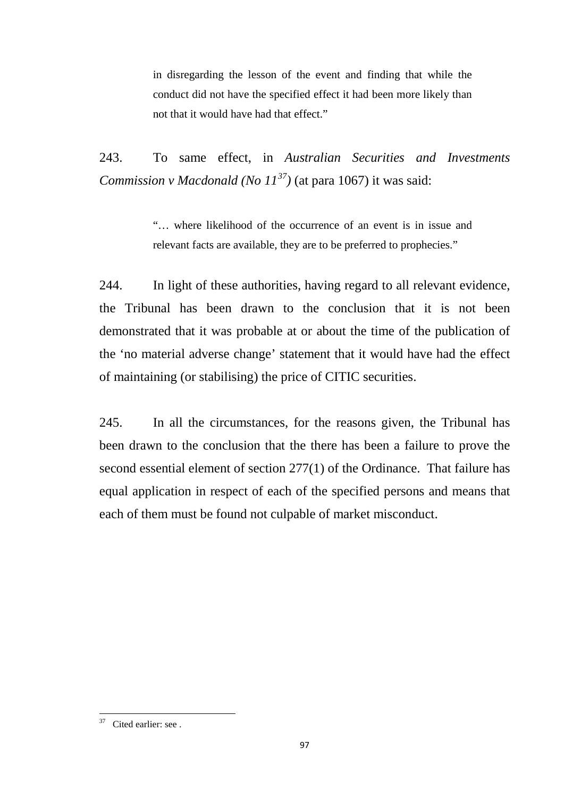in disregarding the lesson of the event and finding that while the conduct did not have the specified effect it had been more likely than not that it would have had that effect."

243. To same effect, in *Australian Securities and Investments Commission v Macdonald (No 11[37\)](#page-100-0)* (at para 1067) it was said:

> "… where likelihood of the occurrence of an event is in issue and relevant facts are available, they are to be preferred to prophecies."

244. In light of these authorities, having regard to all relevant evidence, the Tribunal has been drawn to the conclusion that it is not been demonstrated that it was probable at or about the time of the publication of the 'no material adverse change' statement that it would have had the effect of maintaining (or stabilising) the price of CITIC securities.

245. In all the circumstances, for the reasons given, the Tribunal has been drawn to the conclusion that the there has been a failure to prove the second essential element of section 277(1) of the Ordinance. That failure has equal application in respect of each of the specified persons and means that each of them must be found not culpable of market misconduct.

<span id="page-100-0"></span><sup>&</sup>lt;sup>37</sup> Cited earlier: see .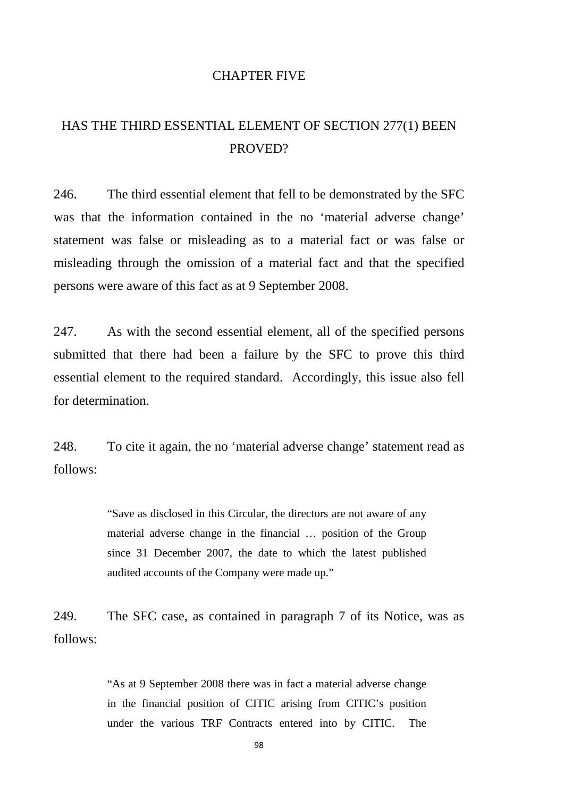#### CHAPTER FIVE

# HAS THE THIRD ESSENTIAL ELEMENT OF SECTION 277(1) BEEN PROVED?

246. The third essential element that fell to be demonstrated by the SFC was that the information contained in the no 'material adverse change' statement was false or misleading as to a material fact or was false or misleading through the omission of a material fact and that the specified persons were aware of this fact as at 9 September 2008.

247. As with the second essential element, all of the specified persons submitted that there had been a failure by the SFC to prove this third essential element to the required standard. Accordingly, this issue also fell for determination.

248. To cite it again, the no 'material adverse change' statement read as follows:

> "Save as disclosed in this Circular, the directors are not aware of any material adverse change in the financial … position of the Group since 31 December 2007, the date to which the latest published audited accounts of the Company were made up."

249. The SFC case, as contained in paragraph 7 of its Notice, was as follows:

> "As at 9 September 2008 there was in fact a material adverse change in the financial position of CITIC arising from CITIC's position under the various TRF Contracts entered into by CITIC. The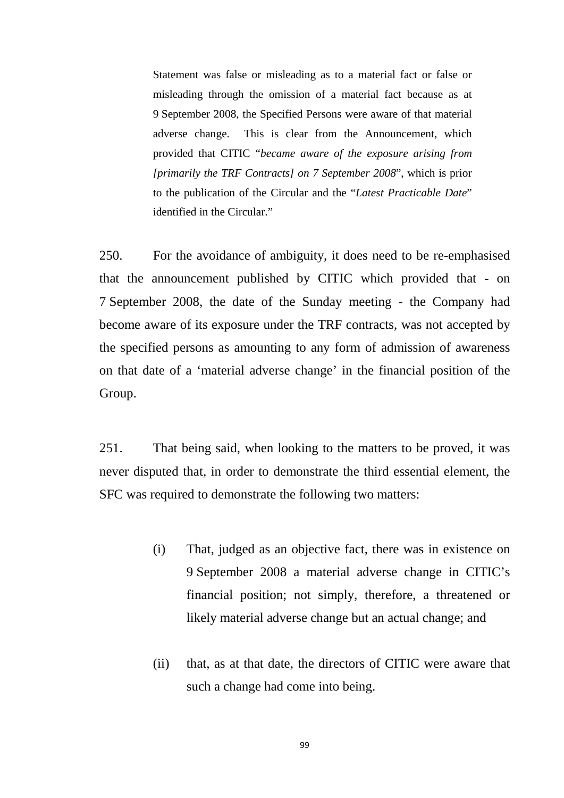Statement was false or misleading as to a material fact or false or misleading through the omission of a material fact because as at 9 September 2008, the Specified Persons were aware of that material adverse change. This is clear from the Announcement, which provided that CITIC "*became aware of the exposure arising from [primarily the TRF Contracts] on 7 September 2008*", which is prior to the publication of the Circular and the "*Latest Practicable Date*" identified in the Circular."

250. For the avoidance of ambiguity, it does need to be re-emphasised that the announcement published by CITIC which provided that - on 7 September 2008, the date of the Sunday meeting - the Company had become aware of its exposure under the TRF contracts, was not accepted by the specified persons as amounting to any form of admission of awareness on that date of a 'material adverse change' in the financial position of the Group.

251. That being said, when looking to the matters to be proved, it was never disputed that, in order to demonstrate the third essential element, the SFC was required to demonstrate the following two matters:

- (i) That, judged as an objective fact, there was in existence on 9 September 2008 a material adverse change in CITIC's financial position; not simply, therefore, a threatened or likely material adverse change but an actual change; and
- (ii) that, as at that date, the directors of CITIC were aware that such a change had come into being.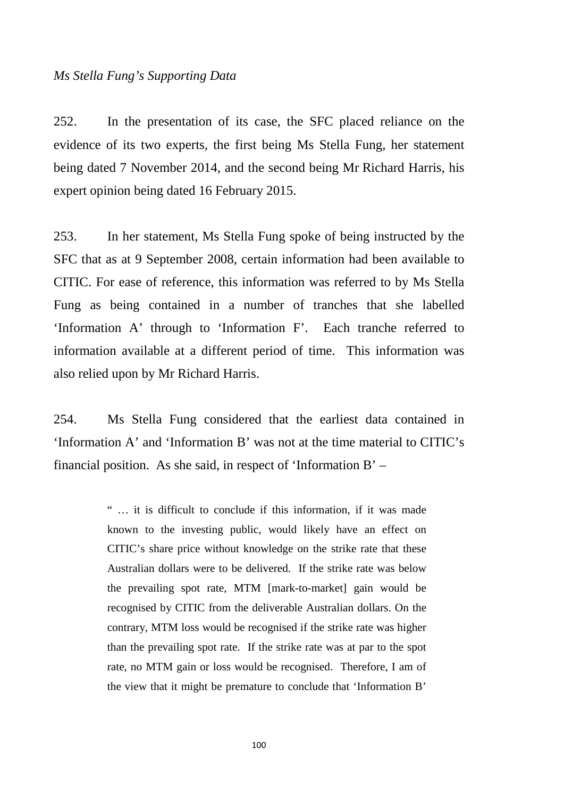#### *Ms Stella Fung's Supporting Data*

252. In the presentation of its case, the SFC placed reliance on the evidence of its two experts, the first being Ms Stella Fung, her statement being dated 7 November 2014, and the second being Mr Richard Harris, his expert opinion being dated 16 February 2015.

253. In her statement, Ms Stella Fung spoke of being instructed by the SFC that as at 9 September 2008, certain information had been available to CITIC. For ease of reference, this information was referred to by Ms Stella Fung as being contained in a number of tranches that she labelled 'Information A' through to 'Information F'. Each tranche referred to information available at a different period of time. This information was also relied upon by Mr Richard Harris.

254. Ms Stella Fung considered that the earliest data contained in 'Information A' and 'Information B' was not at the time material to CITIC's financial position. As she said, in respect of 'Information B' –

> " … it is difficult to conclude if this information, if it was made known to the investing public, would likely have an effect on CITIC's share price without knowledge on the strike rate that these Australian dollars were to be delivered. If the strike rate was below the prevailing spot rate, MTM [mark-to-market] gain would be recognised by CITIC from the deliverable Australian dollars. On the contrary, MTM loss would be recognised if the strike rate was higher than the prevailing spot rate. If the strike rate was at par to the spot rate, no MTM gain or loss would be recognised. Therefore, I am of the view that it might be premature to conclude that 'Information B'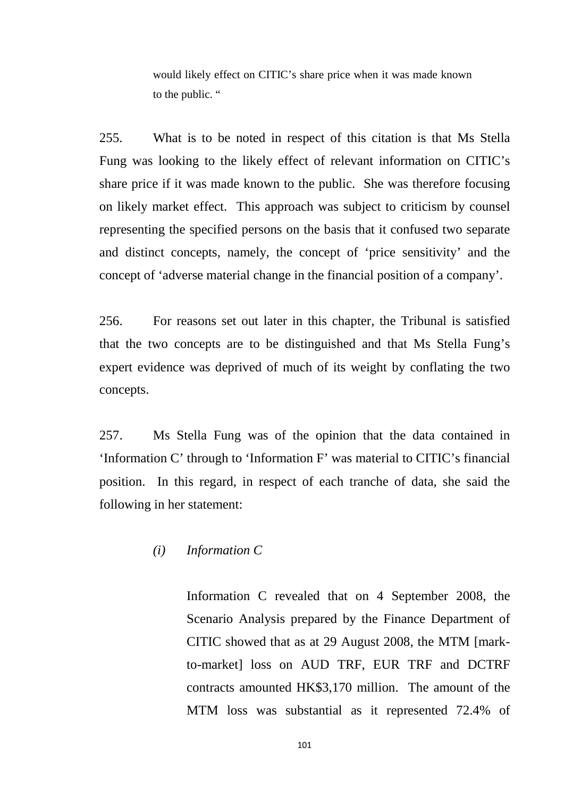would likely effect on CITIC's share price when it was made known to the public. "

255. What is to be noted in respect of this citation is that Ms Stella Fung was looking to the likely effect of relevant information on CITIC's share price if it was made known to the public. She was therefore focusing on likely market effect. This approach was subject to criticism by counsel representing the specified persons on the basis that it confused two separate and distinct concepts, namely, the concept of 'price sensitivity' and the concept of 'adverse material change in the financial position of a company'.

256. For reasons set out later in this chapter, the Tribunal is satisfied that the two concepts are to be distinguished and that Ms Stella Fung's expert evidence was deprived of much of its weight by conflating the two concepts.

257. Ms Stella Fung was of the opinion that the data contained in 'Information C' through to 'Information F' was material to CITIC's financial position. In this regard, in respect of each tranche of data, she said the following in her statement:

## *(i) Information C*

Information C revealed that on 4 September 2008, the Scenario Analysis prepared by the Finance Department of CITIC showed that as at 29 August 2008, the MTM [markto-market] loss on AUD TRF, EUR TRF and DCTRF contracts amounted HK\$3,170 million. The amount of the MTM loss was substantial as it represented 72.4% of

101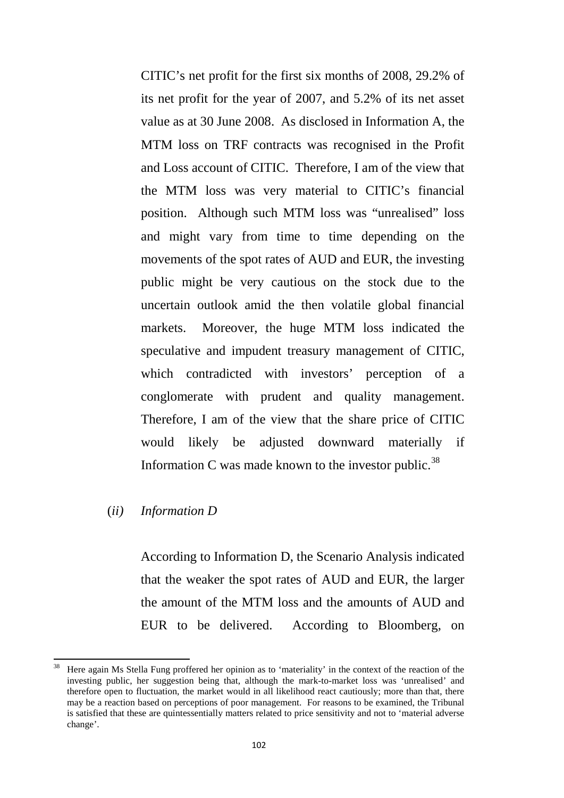CITIC's net profit for the first six months of 2008, 29.2% of its net profit for the year of 2007, and 5.2% of its net asset value as at 30 June 2008. As disclosed in Information A, the MTM loss on TRF contracts was recognised in the Profit and Loss account of CITIC. Therefore, I am of the view that the MTM loss was very material to CITIC's financial position. Although such MTM loss was "unrealised" loss and might vary from time to time depending on the movements of the spot rates of AUD and EUR, the investing public might be very cautious on the stock due to the uncertain outlook amid the then volatile global financial markets. Moreover, the huge MTM loss indicated the speculative and impudent treasury management of CITIC, which contradicted with investors' perception of a conglomerate with prudent and quality management. Therefore, I am of the view that the share price of CITIC would likely be adjusted downward materially if Information C was made known to the investor public.<sup>[38](#page-105-0)</sup>

#### (*ii) Information D*

According to Information D, the Scenario Analysis indicated that the weaker the spot rates of AUD and EUR, the larger the amount of the MTM loss and the amounts of AUD and EUR to be delivered. According to Bloomberg, on

<span id="page-105-0"></span><sup>&</sup>lt;sup>38</sup> Here again Ms Stella Fung proffered her opinion as to 'materiality' in the context of the reaction of the investing public, her suggestion being that, although the mark-to-market loss was 'unrealised' and therefore open to fluctuation, the market would in all likelihood react cautiously; more than that, there may be a reaction based on perceptions of poor management. For reasons to be examined, the Tribunal is satisfied that these are quintessentially matters related to price sensitivity and not to 'material adverse change'.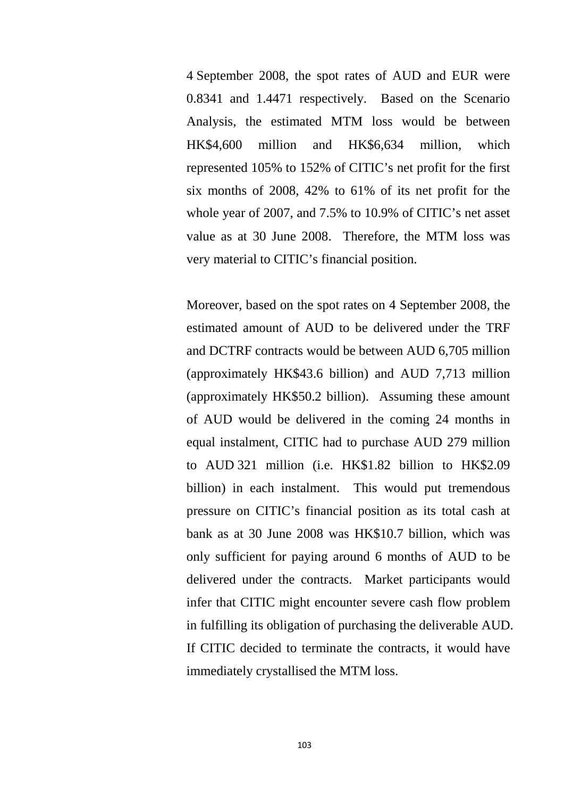4 September 2008, the spot rates of AUD and EUR were 0.8341 and 1.4471 respectively. Based on the Scenario Analysis, the estimated MTM loss would be between HK\$4,600 million and HK\$6,634 million, which represented 105% to 152% of CITIC's net profit for the first six months of 2008, 42% to 61% of its net profit for the whole year of 2007, and 7.5% to 10.9% of CITIC's net asset value as at 30 June 2008. Therefore, the MTM loss was very material to CITIC's financial position.

Moreover, based on the spot rates on 4 September 2008, the estimated amount of AUD to be delivered under the TRF and DCTRF contracts would be between AUD 6,705 million (approximately HK\$43.6 billion) and AUD 7,713 million (approximately HK\$50.2 billion). Assuming these amount of AUD would be delivered in the coming 24 months in equal instalment, CITIC had to purchase AUD 279 million to AUD 321 million (i.e. HK\$1.82 billion to HK\$2.09 billion) in each instalment. This would put tremendous pressure on CITIC's financial position as its total cash at bank as at 30 June 2008 was HK\$10.7 billion, which was only sufficient for paying around 6 months of AUD to be delivered under the contracts. Market participants would infer that CITIC might encounter severe cash flow problem in fulfilling its obligation of purchasing the deliverable AUD. If CITIC decided to terminate the contracts, it would have immediately crystallised the MTM loss.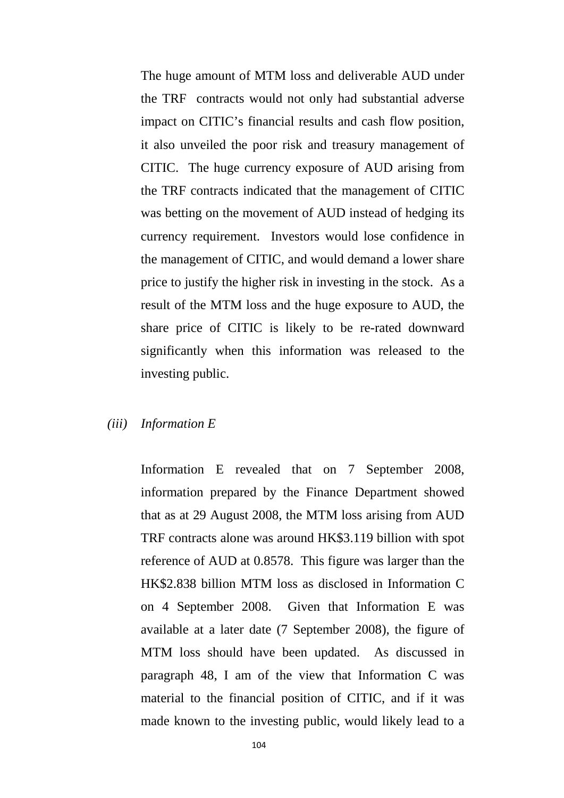The huge amount of MTM loss and deliverable AUD under the TRF contracts would not only had substantial adverse impact on CITIC's financial results and cash flow position, it also unveiled the poor risk and treasury management of CITIC. The huge currency exposure of AUD arising from the TRF contracts indicated that the management of CITIC was betting on the movement of AUD instead of hedging its currency requirement. Investors would lose confidence in the management of CITIC, and would demand a lower share price to justify the higher risk in investing in the stock. As a result of the MTM loss and the huge exposure to AUD, the share price of CITIC is likely to be re-rated downward significantly when this information was released to the investing public.

#### *(iii) Information E*

Information E revealed that on 7 September 2008, information prepared by the Finance Department showed that as at 29 August 2008, the MTM loss arising from AUD TRF contracts alone was around HK\$3.119 billion with spot reference of AUD at 0.8578. This figure was larger than the HK\$2.838 billion MTM loss as disclosed in Information C on 4 September 2008. Given that Information E was available at a later date (7 September 2008), the figure of MTM loss should have been updated. As discussed in paragraph 48, I am of the view that Information C was material to the financial position of CITIC, and if it was made known to the investing public, would likely lead to a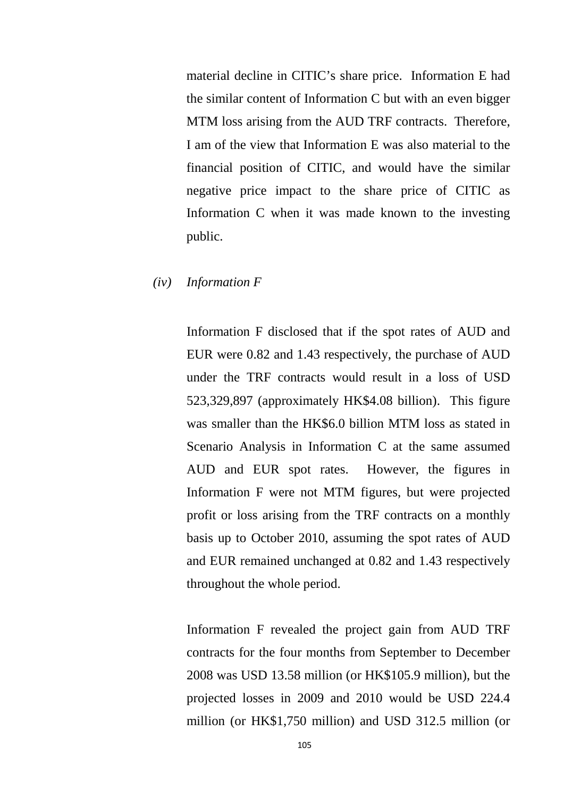material decline in CITIC's share price. Information E had the similar content of Information C but with an even bigger MTM loss arising from the AUD TRF contracts. Therefore, I am of the view that Information E was also material to the financial position of CITIC, and would have the similar negative price impact to the share price of CITIC as Information C when it was made known to the investing public.

#### *(iv) Information F*

Information F disclosed that if the spot rates of AUD and EUR were 0.82 and 1.43 respectively, the purchase of AUD under the TRF contracts would result in a loss of USD 523,329,897 (approximately HK\$4.08 billion). This figure was smaller than the HK\$6.0 billion MTM loss as stated in Scenario Analysis in Information C at the same assumed AUD and EUR spot rates. However, the figures in Information F were not MTM figures, but were projected profit or loss arising from the TRF contracts on a monthly basis up to October 2010, assuming the spot rates of AUD and EUR remained unchanged at 0.82 and 1.43 respectively throughout the whole period.

Information F revealed the project gain from AUD TRF contracts for the four months from September to December 2008 was USD 13.58 million (or HK\$105.9 million), but the projected losses in 2009 and 2010 would be USD 224.4 million (or HK\$1,750 million) and USD 312.5 million (or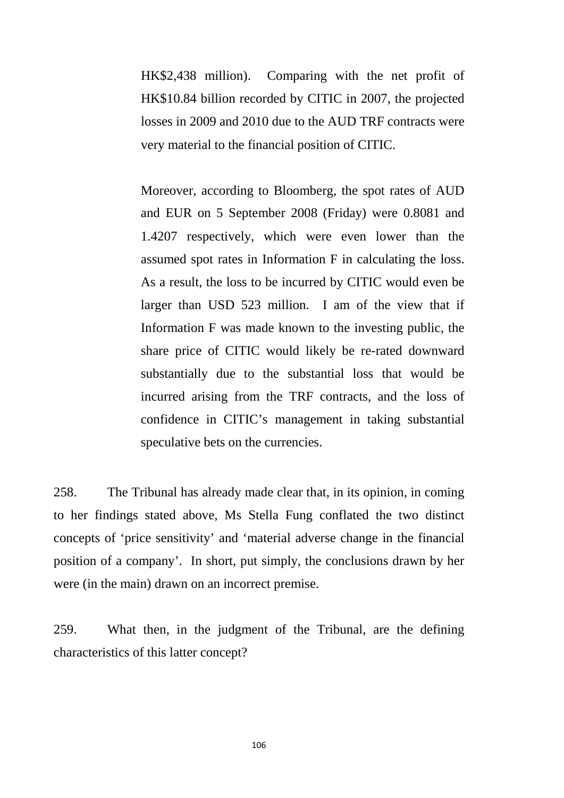HK\$2,438 million). Comparing with the net profit of HK\$10.84 billion recorded by CITIC in 2007, the projected losses in 2009 and 2010 due to the AUD TRF contracts were very material to the financial position of CITIC.

Moreover, according to Bloomberg, the spot rates of AUD and EUR on 5 September 2008 (Friday) were 0.8081 and 1.4207 respectively, which were even lower than the assumed spot rates in Information F in calculating the loss. As a result, the loss to be incurred by CITIC would even be larger than USD 523 million. I am of the view that if Information F was made known to the investing public, the share price of CITIC would likely be re-rated downward substantially due to the substantial loss that would be incurred arising from the TRF contracts, and the loss of confidence in CITIC's management in taking substantial speculative bets on the currencies.

258. The Tribunal has already made clear that, in its opinion, in coming to her findings stated above, Ms Stella Fung conflated the two distinct concepts of 'price sensitivity' and 'material adverse change in the financial position of a company'. In short, put simply, the conclusions drawn by her were (in the main) drawn on an incorrect premise.

259. What then, in the judgment of the Tribunal, are the defining characteristics of this latter concept?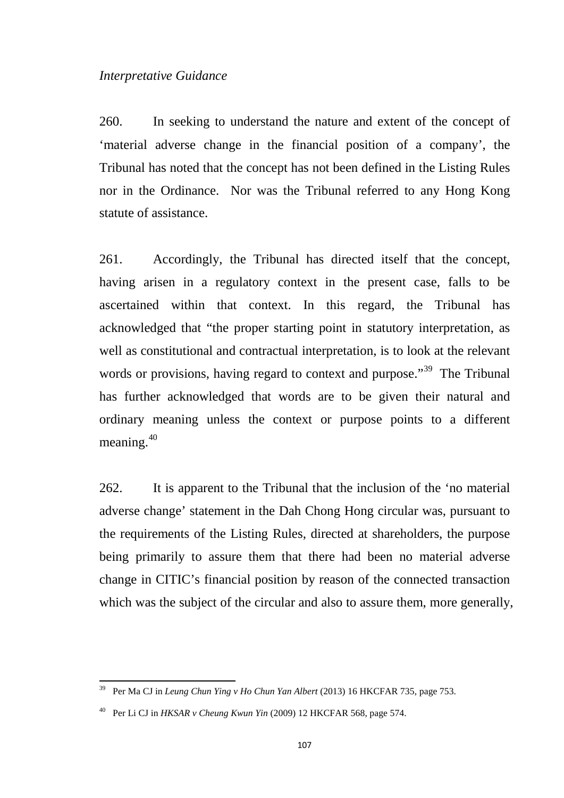#### *Interpretative Guidance*

260. In seeking to understand the nature and extent of the concept of 'material adverse change in the financial position of a company', the Tribunal has noted that the concept has not been defined in the Listing Rules nor in the Ordinance. Nor was the Tribunal referred to any Hong Kong statute of assistance.

261. Accordingly, the Tribunal has directed itself that the concept, having arisen in a regulatory context in the present case, falls to be ascertained within that context. In this regard, the Tribunal has acknowledged that "the proper starting point in statutory interpretation, as well as constitutional and contractual interpretation, is to look at the relevant words or provisions, having regard to context and purpose.<sup>[39](#page-110-0)</sup> The Tribunal has further acknowledged that words are to be given their natural and ordinary meaning unless the context or purpose points to a different meaning.[40](#page-110-1)

262. It is apparent to the Tribunal that the inclusion of the 'no material adverse change' statement in the Dah Chong Hong circular was, pursuant to the requirements of the Listing Rules, directed at shareholders, the purpose being primarily to assure them that there had been no material adverse change in CITIC's financial position by reason of the connected transaction which was the subject of the circular and also to assure them, more generally,

<span id="page-110-0"></span><sup>39</sup> Per Ma CJ in *Leung Chun Ying v Ho Chun Yan Albert* (2013) 16 HKCFAR 735, page 753.

<span id="page-110-1"></span><sup>40</sup> Per Li CJ in *HKSAR v Cheung Kwun Yin* (2009) 12 HKCFAR 568, page 574.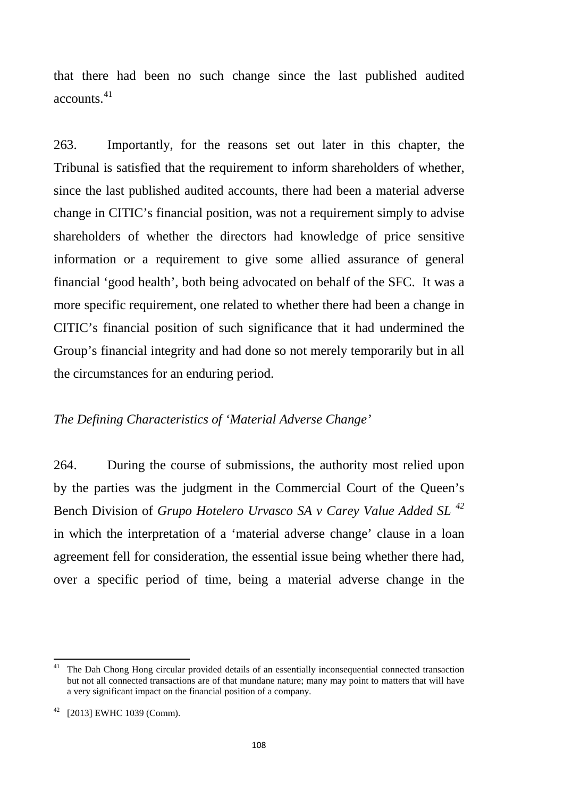that there had been no such change since the last published audited accounts.[41](#page-111-0)

263. Importantly, for the reasons set out later in this chapter, the Tribunal is satisfied that the requirement to inform shareholders of whether, since the last published audited accounts, there had been a material adverse change in CITIC's financial position, was not a requirement simply to advise shareholders of whether the directors had knowledge of price sensitive information or a requirement to give some allied assurance of general financial 'good health', both being advocated on behalf of the SFC. It was a more specific requirement, one related to whether there had been a change in CITIC's financial position of such significance that it had undermined the Group's financial integrity and had done so not merely temporarily but in all the circumstances for an enduring period.

# *The Defining Characteristics of 'Material Adverse Change'*

264. During the course of submissions, the authority most relied upon by the parties was the judgment in the Commercial Court of the Queen's Bench Division of *Grupo Hotelero Urvasco SA v Carey Value Added SL [42](#page-111-1)* in which the interpretation of a 'material adverse change' clause in a loan agreement fell for consideration, the essential issue being whether there had, over a specific period of time, being a material adverse change in the

<span id="page-111-0"></span><sup>&</sup>lt;sup>41</sup> The Dah Chong Hong circular provided details of an essentially inconsequential connected transaction but not all connected transactions are of that mundane nature; many may point to matters that will have a very significant impact on the financial position of a company.

<span id="page-111-1"></span><sup>42</sup> [2013] EWHC 1039 (Comm).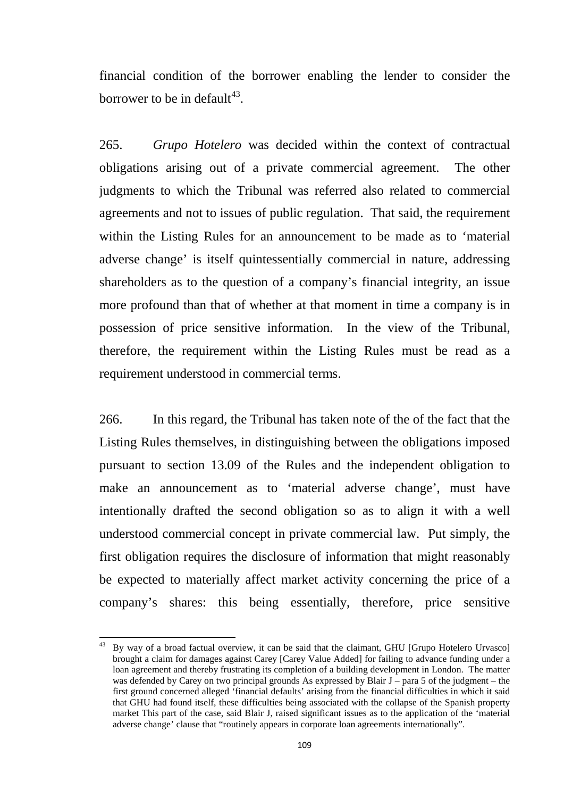financial condition of the borrower enabling the lender to consider the borrower to be in default<sup>43</sup>.

265. *Grupo Hotelero* was decided within the context of contractual obligations arising out of a private commercial agreement. The other judgments to which the Tribunal was referred also related to commercial agreements and not to issues of public regulation. That said, the requirement within the Listing Rules for an announcement to be made as to 'material adverse change' is itself quintessentially commercial in nature, addressing shareholders as to the question of a company's financial integrity, an issue more profound than that of whether at that moment in time a company is in possession of price sensitive information. In the view of the Tribunal, therefore, the requirement within the Listing Rules must be read as a requirement understood in commercial terms.

266. In this regard, the Tribunal has taken note of the of the fact that the Listing Rules themselves, in distinguishing between the obligations imposed pursuant to section 13.09 of the Rules and the independent obligation to make an announcement as to 'material adverse change', must have intentionally drafted the second obligation so as to align it with a well understood commercial concept in private commercial law. Put simply, the first obligation requires the disclosure of information that might reasonably be expected to materially affect market activity concerning the price of a company's shares: this being essentially, therefore, price sensitive

<span id="page-112-0"></span>By way of a broad factual overview, it can be said that the claimant, GHU [Grupo Hotelero Urvasco] brought a claim for damages against Carey [Carey Value Added] for failing to advance funding under a loan agreement and thereby frustrating its completion of a building development in London. The matter was defended by Carey on two principal grounds As expressed by Blair J – para 5 of the judgment – the first ground concerned alleged 'financial defaults' arising from the financial difficulties in which it said that GHU had found itself, these difficulties being associated with the collapse of the Spanish property market This part of the case, said Blair J, raised significant issues as to the application of the 'material adverse change' clause that "routinely appears in corporate loan agreements internationally".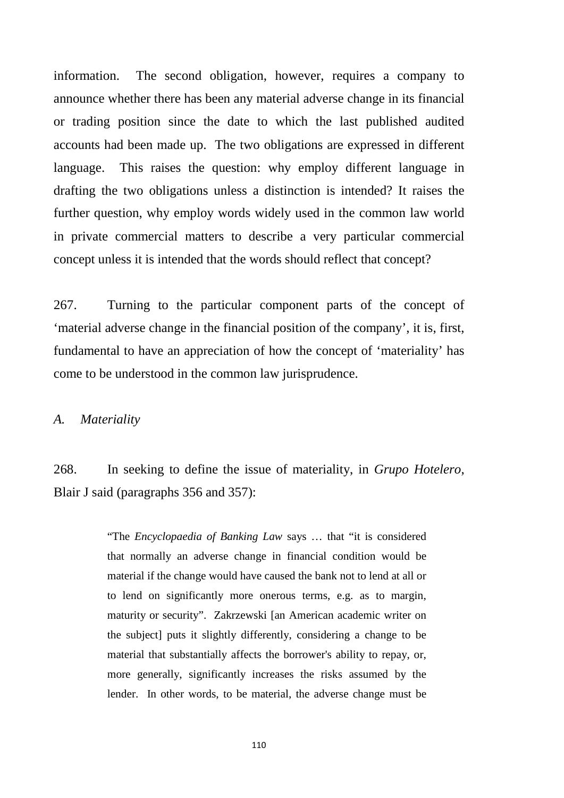information. The second obligation, however, requires a company to announce whether there has been any material adverse change in its financial or trading position since the date to which the last published audited accounts had been made up. The two obligations are expressed in different language. This raises the question: why employ different language in drafting the two obligations unless a distinction is intended? It raises the further question, why employ words widely used in the common law world in private commercial matters to describe a very particular commercial concept unless it is intended that the words should reflect that concept?

267. Turning to the particular component parts of the concept of 'material adverse change in the financial position of the company', it is, first, fundamental to have an appreciation of how the concept of 'materiality' has come to be understood in the common law jurisprudence.

*A. Materiality*

268. In seeking to define the issue of materiality, in *Grupo Hotelero*, Blair J said (paragraphs 356 and 357):

> "The *Encyclopaedia of Banking Law* says … that "it is considered that normally an adverse change in financial condition would be material if the change would have caused the bank not to lend at all or to lend on significantly more onerous terms, e.g. as to margin, maturity or security". Zakrzewski [an American academic writer on the subject] puts it slightly differently, considering a change to be material that substantially affects the borrower's ability to repay, or, more generally, significantly increases the risks assumed by the lender. In other words, to be material, the adverse change must be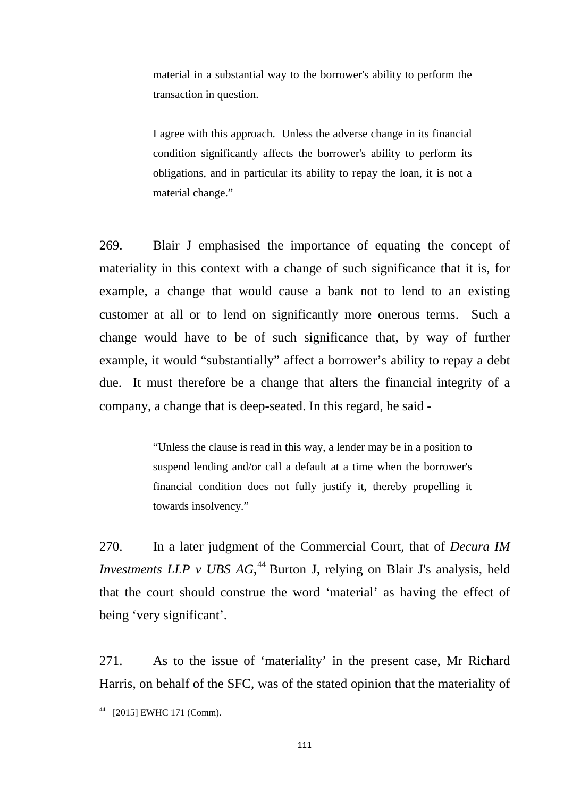material in a substantial way to the borrower's ability to perform the transaction in question.

I agree with this approach. Unless the adverse change in its financial condition significantly affects the borrower's ability to perform its obligations, and in particular its ability to repay the loan, it is not a material change."

269. Blair J emphasised the importance of equating the concept of materiality in this context with a change of such significance that it is, for example, a change that would cause a bank not to lend to an existing customer at all or to lend on significantly more onerous terms. Such a change would have to be of such significance that, by way of further example, it would "substantially" affect a borrower's ability to repay a debt due. It must therefore be a change that alters the financial integrity of a company, a change that is deep-seated. In this regard, he said -

> "Unless the clause is read in this way, a lender may be in a position to suspend lending and/or call a default at a time when the borrower's financial condition does not fully justify it, thereby propelling it towards insolvency."

270. In a later judgment of the Commercial Court, that of *Decura IM Investments LLP v UBS AG*,<sup>[44](#page-114-0)</sup> Burton J, relying on Blair J's analysis, held that the court should construe the word 'material' as having the effect of being 'very significant'.

271. As to the issue of 'materiality' in the present case, Mr Richard Harris, on behalf of the SFC, was of the stated opinion that the materiality of

<span id="page-114-0"></span><sup>44</sup> [2015] EWHC 171 (Comm).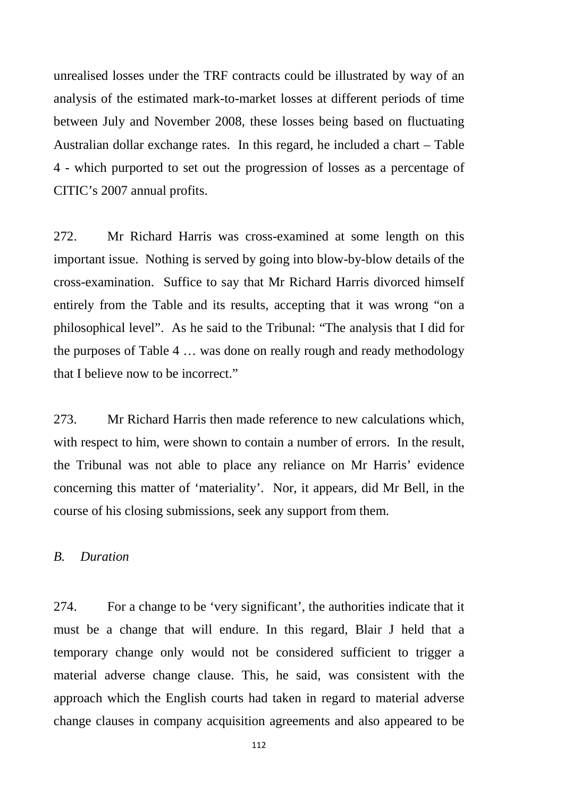unrealised losses under the TRF contracts could be illustrated by way of an analysis of the estimated mark-to-market losses at different periods of time between July and November 2008, these losses being based on fluctuating Australian dollar exchange rates. In this regard, he included a chart – Table 4 - which purported to set out the progression of losses as a percentage of CITIC's 2007 annual profits.

272. Mr Richard Harris was cross-examined at some length on this important issue. Nothing is served by going into blow-by-blow details of the cross-examination. Suffice to say that Mr Richard Harris divorced himself entirely from the Table and its results, accepting that it was wrong "on a philosophical level". As he said to the Tribunal: "The analysis that I did for the purposes of Table 4 … was done on really rough and ready methodology that I believe now to be incorrect."

273. Mr Richard Harris then made reference to new calculations which, with respect to him, were shown to contain a number of errors. In the result, the Tribunal was not able to place any reliance on Mr Harris' evidence concerning this matter of 'materiality'. Nor, it appears, did Mr Bell, in the course of his closing submissions, seek any support from them.

### *B. Duration*

274. For a change to be 'very significant', the authorities indicate that it must be a change that will endure. In this regard, Blair J held that a temporary change only would not be considered sufficient to trigger a material adverse change clause. This, he said, was consistent with the approach which the English courts had taken in regard to material adverse change clauses in company acquisition agreements and also appeared to be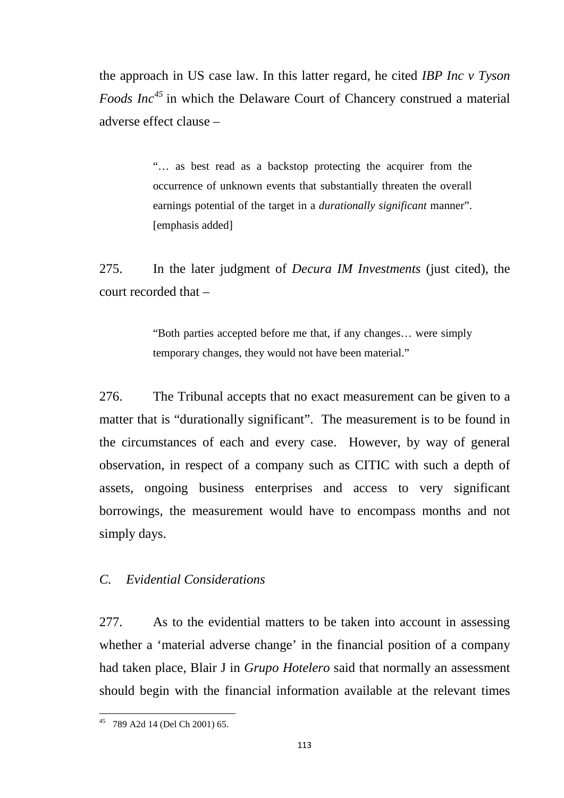the approach in US case law. In this latter regard, he cited *IBP Inc v Tyson Foods Inc[45](#page-116-0)* in which the Delaware Court of Chancery construed a material adverse effect clause –

> "… as best read as a backstop protecting the acquirer from the occurrence of unknown events that substantially threaten the overall earnings potential of the target in a *durationally significant* manner". [emphasis added]

275. In the later judgment of *Decura IM Investments* (just cited), the court recorded that –

> "Both parties accepted before me that, if any changes… were simply temporary changes, they would not have been material."

276. The Tribunal accepts that no exact measurement can be given to a matter that is "durationally significant". The measurement is to be found in the circumstances of each and every case. However, by way of general observation, in respect of a company such as CITIC with such a depth of assets, ongoing business enterprises and access to very significant borrowings, the measurement would have to encompass months and not simply days.

# *C. Evidential Considerations*

277. As to the evidential matters to be taken into account in assessing whether a 'material adverse change' in the financial position of a company had taken place, Blair J in *Grupo Hotelero* said that normally an assessment should begin with the financial information available at the relevant times

<span id="page-116-0"></span><sup>45</sup> 789 A2d 14 (Del Ch 2001) 65.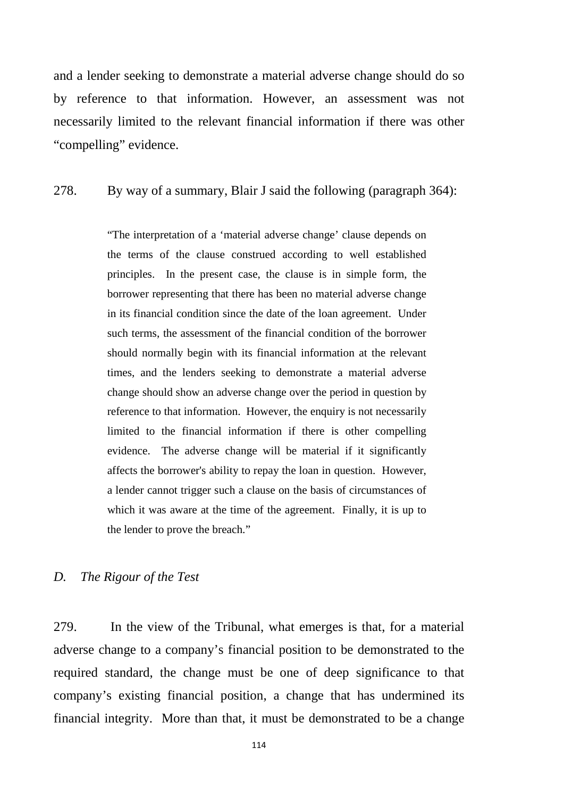and a lender seeking to demonstrate a material adverse change should do so by reference to that information. However, an assessment was not necessarily limited to the relevant financial information if there was other "compelling" evidence.

#### 278. By way of a summary, Blair J said the following (paragraph 364):

"The interpretation of a 'material adverse change' clause depends on the terms of the clause construed according to well established principles. In the present case, the clause is in simple form, the borrower representing that there has been no material adverse change in its financial condition since the date of the loan agreement. Under such terms, the assessment of the financial condition of the borrower should normally begin with its financial information at the relevant times, and the lenders seeking to demonstrate a material adverse change should show an adverse change over the period in question by reference to that information. However, the enquiry is not necessarily limited to the financial information if there is other compelling evidence. The adverse change will be material if it significantly affects the borrower's ability to repay the loan in question. However, a lender cannot trigger such a clause on the basis of circumstances of which it was aware at the time of the agreement. Finally, it is up to the lender to prove the breach."

### *D. The Rigour of the Test*

279. In the view of the Tribunal, what emerges is that, for a material adverse change to a company's financial position to be demonstrated to the required standard, the change must be one of deep significance to that company's existing financial position, a change that has undermined its financial integrity. More than that, it must be demonstrated to be a change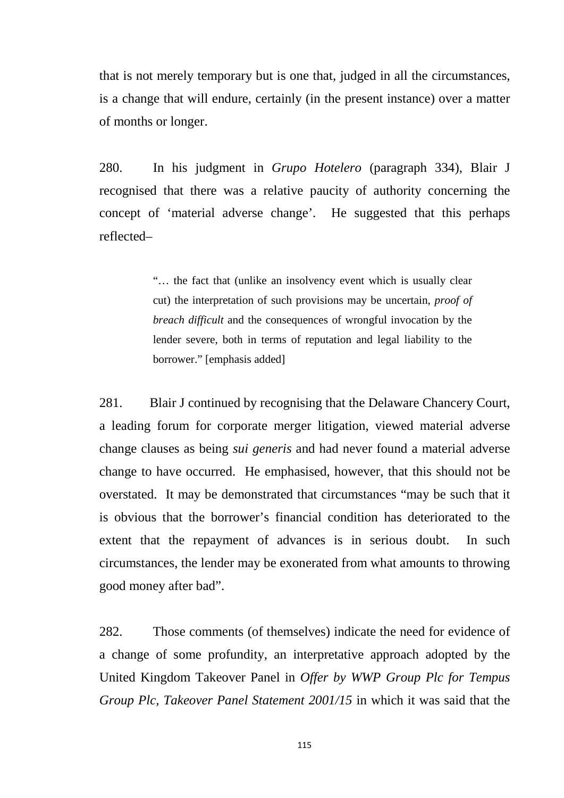that is not merely temporary but is one that, judged in all the circumstances, is a change that will endure, certainly (in the present instance) over a matter of months or longer.

280. In his judgment in *Grupo Hotelero* (paragraph 334), Blair J recognised that there was a relative paucity of authority concerning the concept of 'material adverse change'. He suggested that this perhaps reflected–

> "… the fact that (unlike an insolvency event which is usually clear cut) the interpretation of such provisions may be uncertain, *proof of breach difficult* and the consequences of wrongful invocation by the lender severe, both in terms of reputation and legal liability to the borrower." [emphasis added]

281. Blair J continued by recognising that the Delaware Chancery Court, a leading forum for corporate merger litigation, viewed material adverse change clauses as being *sui generis* and had never found a material adverse change to have occurred. He emphasised, however, that this should not be overstated. It may be demonstrated that circumstances "may be such that it is obvious that the borrower's financial condition has deteriorated to the extent that the repayment of advances is in serious doubt. In such circumstances, the lender may be exonerated from what amounts to throwing good money after bad".

282. Those comments (of themselves) indicate the need for evidence of a change of some profundity, an interpretative approach adopted by the United Kingdom Takeover Panel in *Offer by WWP Group Plc for Tempus Group Plc, Takeover Panel Statement 2001/15* in which it was said that the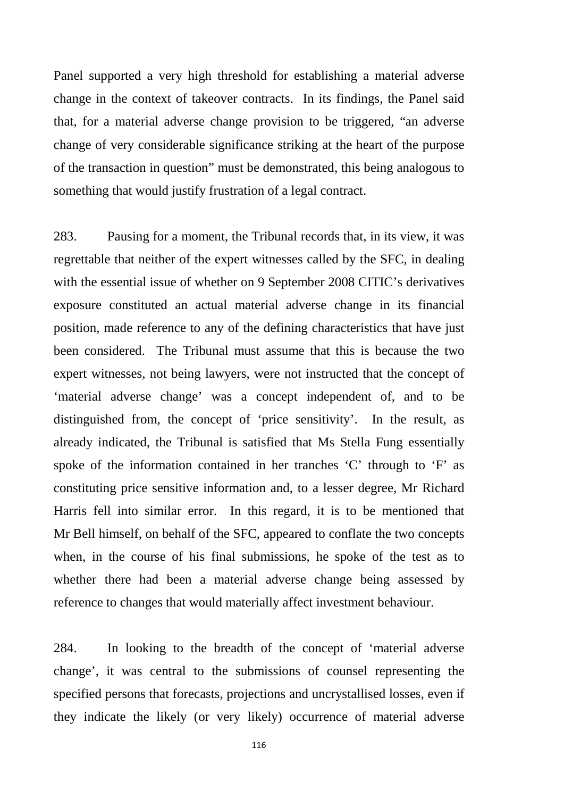Panel supported a very high threshold for establishing a material adverse change in the context of takeover contracts. In its findings, the Panel said that, for a material adverse change provision to be triggered, "an adverse change of very considerable significance striking at the heart of the purpose of the transaction in question" must be demonstrated, this being analogous to something that would justify frustration of a legal contract.

283. Pausing for a moment, the Tribunal records that, in its view, it was regrettable that neither of the expert witnesses called by the SFC, in dealing with the essential issue of whether on 9 September 2008 CITIC's derivatives exposure constituted an actual material adverse change in its financial position, made reference to any of the defining characteristics that have just been considered. The Tribunal must assume that this is because the two expert witnesses, not being lawyers, were not instructed that the concept of 'material adverse change' was a concept independent of, and to be distinguished from, the concept of 'price sensitivity'. In the result, as already indicated, the Tribunal is satisfied that Ms Stella Fung essentially spoke of the information contained in her tranches 'C' through to 'F' as constituting price sensitive information and, to a lesser degree, Mr Richard Harris fell into similar error. In this regard, it is to be mentioned that Mr Bell himself, on behalf of the SFC, appeared to conflate the two concepts when, in the course of his final submissions, he spoke of the test as to whether there had been a material adverse change being assessed by reference to changes that would materially affect investment behaviour.

284. In looking to the breadth of the concept of 'material adverse change', it was central to the submissions of counsel representing the specified persons that forecasts, projections and uncrystallised losses, even if they indicate the likely (or very likely) occurrence of material adverse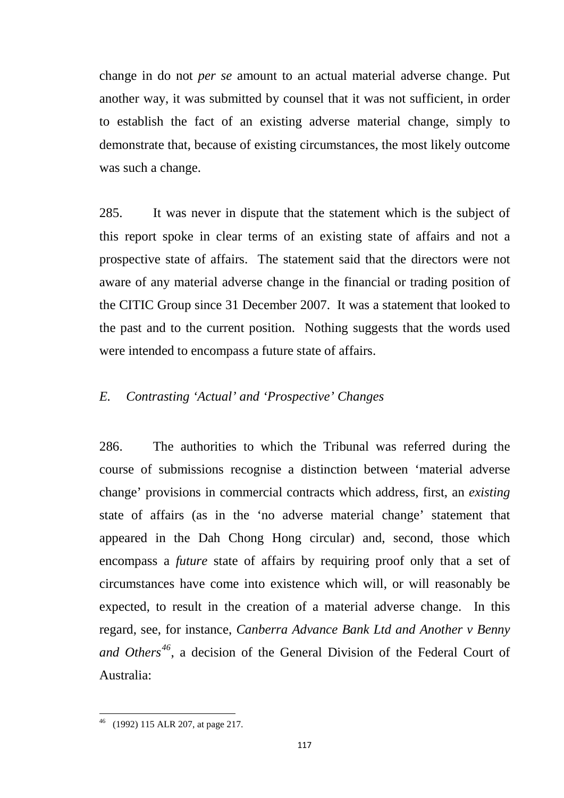change in do not *per se* amount to an actual material adverse change. Put another way, it was submitted by counsel that it was not sufficient, in order to establish the fact of an existing adverse material change, simply to demonstrate that, because of existing circumstances, the most likely outcome was such a change.

285. It was never in dispute that the statement which is the subject of this report spoke in clear terms of an existing state of affairs and not a prospective state of affairs. The statement said that the directors were not aware of any material adverse change in the financial or trading position of the CITIC Group since 31 December 2007. It was a statement that looked to the past and to the current position. Nothing suggests that the words used were intended to encompass a future state of affairs.

## *E. Contrasting 'Actual' and 'Prospective' Changes*

286. The authorities to which the Tribunal was referred during the course of submissions recognise a distinction between 'material adverse change' provisions in commercial contracts which address, first, an *existing* state of affairs (as in the 'no adverse material change' statement that appeared in the Dah Chong Hong circular) and, second, those which encompass a *future* state of affairs by requiring proof only that a set of circumstances have come into existence which will, or will reasonably be expected, to result in the creation of a material adverse change. In this regard, see, for instance, *Canberra Advance Bank Ltd and Another v Benny and Others[46](#page-120-0)*, a decision of the General Division of the Federal Court of Australia:

<span id="page-120-0"></span><sup>46</sup> (1992) 115 ALR 207, at page 217.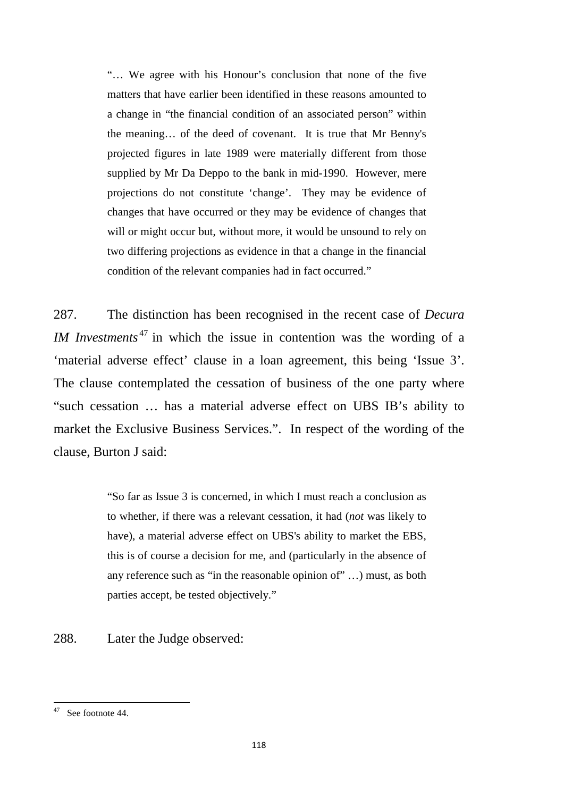"… We agree with his Honour's conclusion that none of the five matters that have earlier been identified in these reasons amounted to a change in "the financial condition of an associated person" within the meaning… of the deed of covenant. It is true that Mr Benny's projected figures in late 1989 were materially different from those supplied by Mr Da Deppo to the bank in mid-1990. However, mere projections do not constitute 'change'. They may be evidence of changes that have occurred or they may be evidence of changes that will or might occur but, without more, it would be unsound to rely on two differing projections as evidence in that a change in the financial condition of the relevant companies had in fact occurred."

287. The distinction has been recognised in the recent case of *Decura IM Investments*<sup>[47](#page-121-0)</sup> in which the issue in contention was the wording of a 'material adverse effect' clause in a loan agreement, this being 'Issue 3'. The clause contemplated the cessation of business of the one party where "such cessation … has a material adverse effect on UBS IB's ability to market the Exclusive Business Services.". In respect of the wording of the clause, Burton J said:

> "So far as Issue 3 is concerned, in which I must reach a conclusion as to whether, if there was a relevant cessation, it had (*not* was likely to have), a material adverse effect on UBS's ability to market the EBS, this is of course a decision for me, and (particularly in the absence of any reference such as "in the reasonable opinion of" …) must, as both parties accept, be tested objectively."

288. Later the Judge observed:

<span id="page-121-0"></span><sup>47</sup> See footnote 44.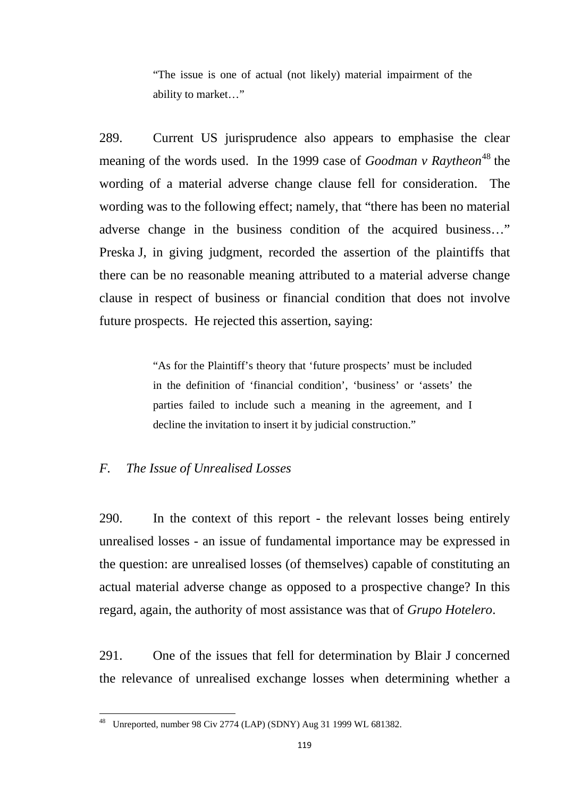"The issue is one of actual (not likely) material impairment of the ability to market…"

289. Current US jurisprudence also appears to emphasise the clear meaning of the words used. In the 1999 case of *Goodman v Raytheon*<sup>[48](#page-122-0)</sup> the wording of a material adverse change clause fell for consideration. The wording was to the following effect; namely, that "there has been no material adverse change in the business condition of the acquired business…" Preska J, in giving judgment, recorded the assertion of the plaintiffs that there can be no reasonable meaning attributed to a material adverse change clause in respect of business or financial condition that does not involve future prospects. He rejected this assertion, saying:

> "As for the Plaintiff's theory that 'future prospects' must be included in the definition of 'financial condition', 'business' or 'assets' the parties failed to include such a meaning in the agreement, and I decline the invitation to insert it by judicial construction."

### *F. The Issue of Unrealised Losses*

290. In the context of this report - the relevant losses being entirely unrealised losses - an issue of fundamental importance may be expressed in the question: are unrealised losses (of themselves) capable of constituting an actual material adverse change as opposed to a prospective change? In this regard, again, the authority of most assistance was that of *Grupo Hotelero*.

291. One of the issues that fell for determination by Blair J concerned the relevance of unrealised exchange losses when determining whether a

<span id="page-122-0"></span><sup>48</sup> Unreported, number 98 Civ 2774 (LAP) (SDNY) Aug 31 1999 WL 681382.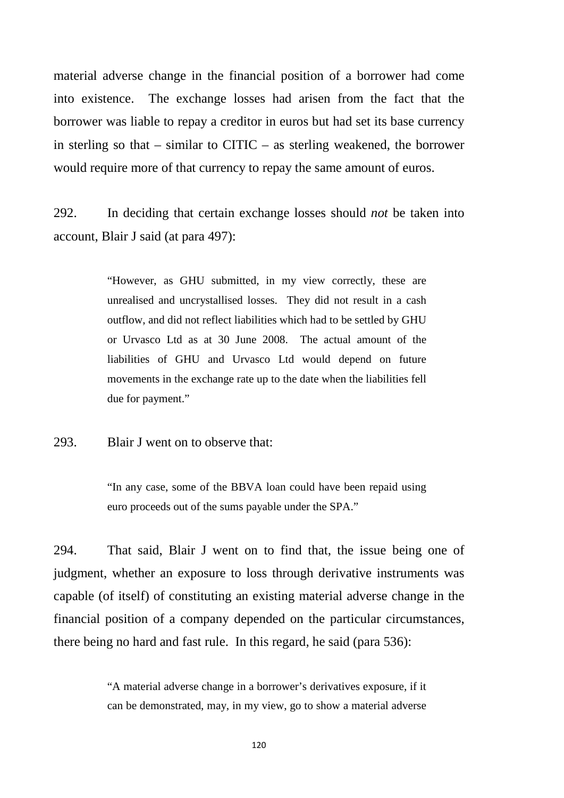material adverse change in the financial position of a borrower had come into existence. The exchange losses had arisen from the fact that the borrower was liable to repay a creditor in euros but had set its base currency in sterling so that – similar to CITIC – as sterling weakened, the borrower would require more of that currency to repay the same amount of euros.

292. In deciding that certain exchange losses should *not* be taken into account, Blair J said (at para 497):

> "However, as GHU submitted, in my view correctly, these are unrealised and uncrystallised losses. They did not result in a cash outflow, and did not reflect liabilities which had to be settled by GHU or Urvasco Ltd as at 30 June 2008. The actual amount of the liabilities of GHU and Urvasco Ltd would depend on future movements in the exchange rate up to the date when the liabilities fell due for payment."

293. Blair J went on to observe that:

"In any case, some of the BBVA loan could have been repaid using euro proceeds out of the sums payable under the SPA."

294. That said, Blair J went on to find that, the issue being one of judgment, whether an exposure to loss through derivative instruments was capable (of itself) of constituting an existing material adverse change in the financial position of a company depended on the particular circumstances, there being no hard and fast rule. In this regard, he said (para 536):

> "A material adverse change in a borrower's derivatives exposure, if it can be demonstrated, may, in my view, go to show a material adverse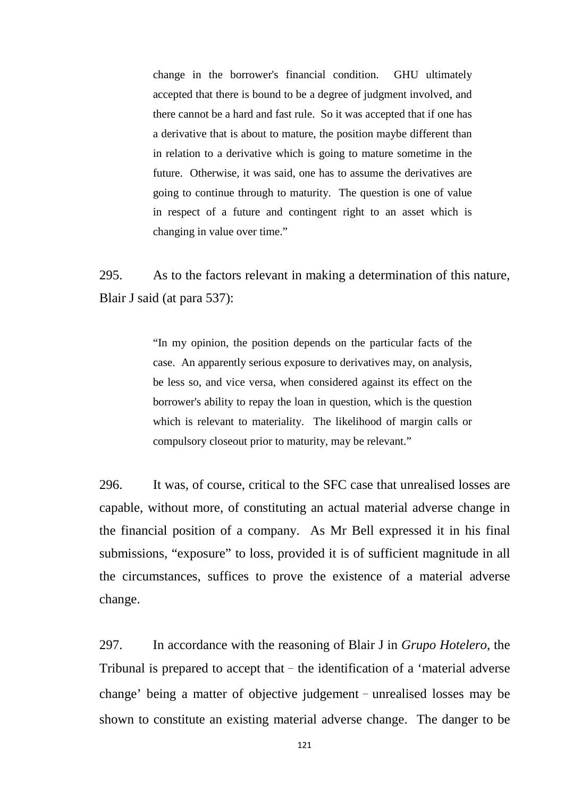change in the borrower's financial condition. GHU ultimately accepted that there is bound to be a degree of judgment involved, and there cannot be a hard and fast rule. So it was accepted that if one has a derivative that is about to mature, the position maybe different than in relation to a derivative which is going to mature sometime in the future. Otherwise, it was said, one has to assume the derivatives are going to continue through to maturity. The question is one of value in respect of a future and contingent right to an asset which is changing in value over time."

295. As to the factors relevant in making a determination of this nature, Blair J said (at para 537):

> "In my opinion, the position depends on the particular facts of the case. An apparently serious exposure to derivatives may, on analysis, be less so, and vice versa, when considered against its effect on the borrower's ability to repay the loan in question, which is the question which is relevant to materiality. The likelihood of margin calls or compulsory closeout prior to maturity, may be relevant."

296. It was, of course, critical to the SFC case that unrealised losses are capable, without more, of constituting an actual material adverse change in the financial position of a company. As Mr Bell expressed it in his final submissions, "exposure" to loss, provided it is of sufficient magnitude in all the circumstances, suffices to prove the existence of a material adverse change.

297. In accordance with the reasoning of Blair J in *Grupo Hotelero*, the Tribunal is prepared to accept that  $-$  the identification of a 'material adverse change' being a matter of objective judgement–unrealised losses may be shown to constitute an existing material adverse change. The danger to be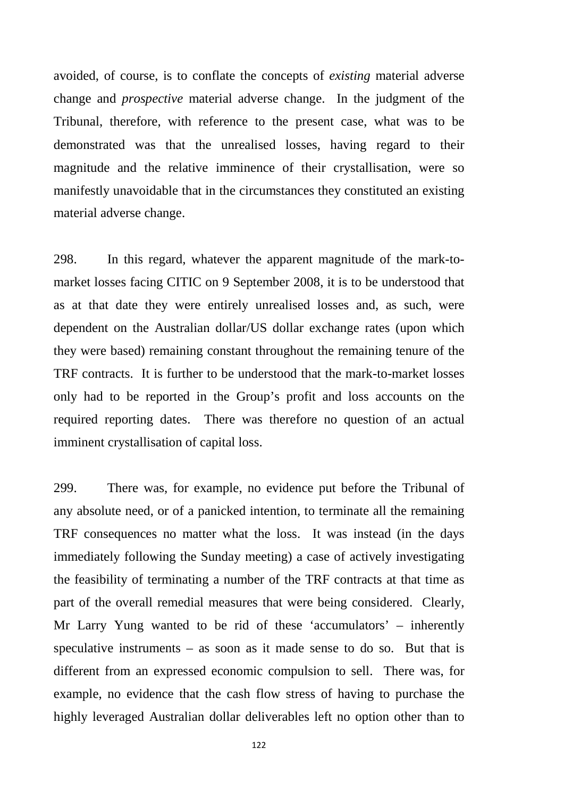avoided, of course, is to conflate the concepts of *existing* material adverse change and *prospective* material adverse change. In the judgment of the Tribunal, therefore, with reference to the present case, what was to be demonstrated was that the unrealised losses, having regard to their magnitude and the relative imminence of their crystallisation, were so manifestly unavoidable that in the circumstances they constituted an existing material adverse change.

298. In this regard, whatever the apparent magnitude of the mark-tomarket losses facing CITIC on 9 September 2008, it is to be understood that as at that date they were entirely unrealised losses and, as such, were dependent on the Australian dollar/US dollar exchange rates (upon which they were based) remaining constant throughout the remaining tenure of the TRF contracts. It is further to be understood that the mark-to-market losses only had to be reported in the Group's profit and loss accounts on the required reporting dates. There was therefore no question of an actual imminent crystallisation of capital loss.

299. There was, for example, no evidence put before the Tribunal of any absolute need, or of a panicked intention, to terminate all the remaining TRF consequences no matter what the loss. It was instead (in the days immediately following the Sunday meeting) a case of actively investigating the feasibility of terminating a number of the TRF contracts at that time as part of the overall remedial measures that were being considered. Clearly, Mr Larry Yung wanted to be rid of these 'accumulators' – inherently speculative instruments – as soon as it made sense to do so. But that is different from an expressed economic compulsion to sell. There was, for example, no evidence that the cash flow stress of having to purchase the highly leveraged Australian dollar deliverables left no option other than to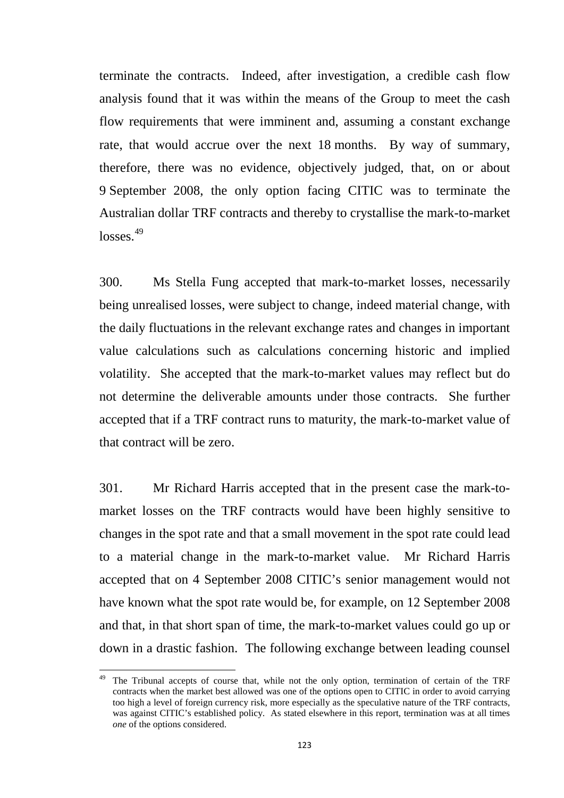terminate the contracts. Indeed, after investigation, a credible cash flow analysis found that it was within the means of the Group to meet the cash flow requirements that were imminent and, assuming a constant exchange rate, that would accrue over the next 18 months. By way of summary, therefore, there was no evidence, objectively judged, that, on or about 9 September 2008, the only option facing CITIC was to terminate the Australian dollar TRF contracts and thereby to crystallise the mark-to-market losses. [49](#page-126-0)

300. Ms Stella Fung accepted that mark-to-market losses, necessarily being unrealised losses, were subject to change, indeed material change, with the daily fluctuations in the relevant exchange rates and changes in important value calculations such as calculations concerning historic and implied volatility. She accepted that the mark-to-market values may reflect but do not determine the deliverable amounts under those contracts. She further accepted that if a TRF contract runs to maturity, the mark-to-market value of that contract will be zero.

301. Mr Richard Harris accepted that in the present case the mark-tomarket losses on the TRF contracts would have been highly sensitive to changes in the spot rate and that a small movement in the spot rate could lead to a material change in the mark-to-market value. Mr Richard Harris accepted that on 4 September 2008 CITIC's senior management would not have known what the spot rate would be, for example, on 12 September 2008 and that, in that short span of time, the mark-to-market values could go up or down in a drastic fashion. The following exchange between leading counsel

<span id="page-126-0"></span>The Tribunal accepts of course that, while not the only option, termination of certain of the TRF contracts when the market best allowed was one of the options open to CITIC in order to avoid carrying too high a level of foreign currency risk, more especially as the speculative nature of the TRF contracts, was against CITIC's established policy. As stated elsewhere in this report, termination was at all times *one* of the options considered.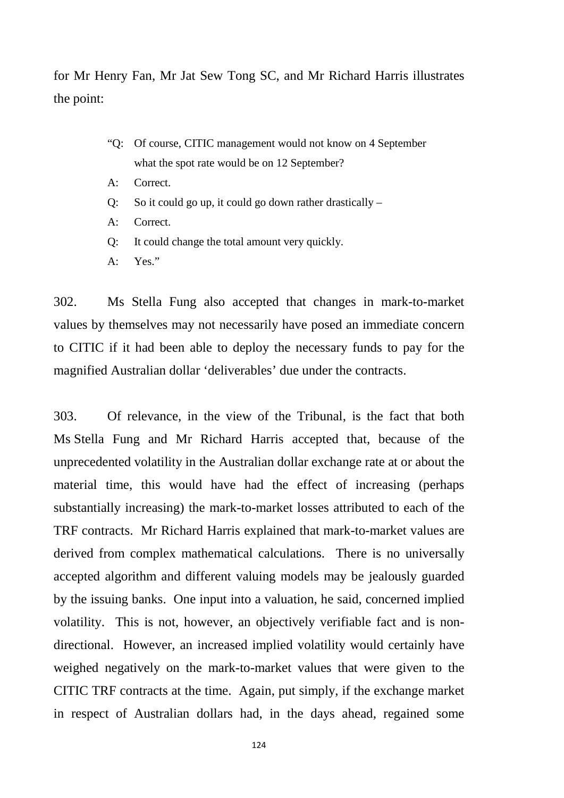for Mr Henry Fan, Mr Jat Sew Tong SC, and Mr Richard Harris illustrates the point:

- "Q: Of course, CITIC management would not know on 4 September what the spot rate would be on 12 September?
- A: Correct.
- Q: So it could go up, it could go down rather drastically –
- A: Correct.
- Q: It could change the total amount very quickly.
- $A:$  Yes."

302. Ms Stella Fung also accepted that changes in mark-to-market values by themselves may not necessarily have posed an immediate concern to CITIC if it had been able to deploy the necessary funds to pay for the magnified Australian dollar 'deliverables' due under the contracts.

303. Of relevance, in the view of the Tribunal, is the fact that both Ms Stella Fung and Mr Richard Harris accepted that, because of the unprecedented volatility in the Australian dollar exchange rate at or about the material time, this would have had the effect of increasing (perhaps substantially increasing) the mark-to-market losses attributed to each of the TRF contracts. Mr Richard Harris explained that mark-to-market values are derived from complex mathematical calculations. There is no universally accepted algorithm and different valuing models may be jealously guarded by the issuing banks. One input into a valuation, he said, concerned implied volatility. This is not, however, an objectively verifiable fact and is nondirectional. However, an increased implied volatility would certainly have weighed negatively on the mark-to-market values that were given to the CITIC TRF contracts at the time. Again, put simply, if the exchange market in respect of Australian dollars had, in the days ahead, regained some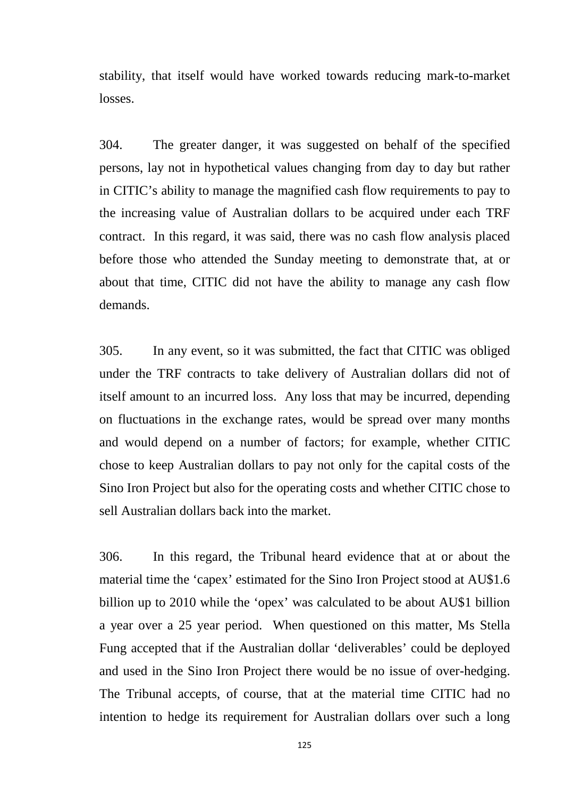stability, that itself would have worked towards reducing mark-to-market losses.

304. The greater danger, it was suggested on behalf of the specified persons, lay not in hypothetical values changing from day to day but rather in CITIC's ability to manage the magnified cash flow requirements to pay to the increasing value of Australian dollars to be acquired under each TRF contract. In this regard, it was said, there was no cash flow analysis placed before those who attended the Sunday meeting to demonstrate that, at or about that time, CITIC did not have the ability to manage any cash flow demands.

305. In any event, so it was submitted, the fact that CITIC was obliged under the TRF contracts to take delivery of Australian dollars did not of itself amount to an incurred loss. Any loss that may be incurred, depending on fluctuations in the exchange rates, would be spread over many months and would depend on a number of factors; for example, whether CITIC chose to keep Australian dollars to pay not only for the capital costs of the Sino Iron Project but also for the operating costs and whether CITIC chose to sell Australian dollars back into the market.

306. In this regard, the Tribunal heard evidence that at or about the material time the 'capex' estimated for the Sino Iron Project stood at AU\$1.6 billion up to 2010 while the 'opex' was calculated to be about AU\$1 billion a year over a 25 year period. When questioned on this matter, Ms Stella Fung accepted that if the Australian dollar 'deliverables' could be deployed and used in the Sino Iron Project there would be no issue of over-hedging. The Tribunal accepts, of course, that at the material time CITIC had no intention to hedge its requirement for Australian dollars over such a long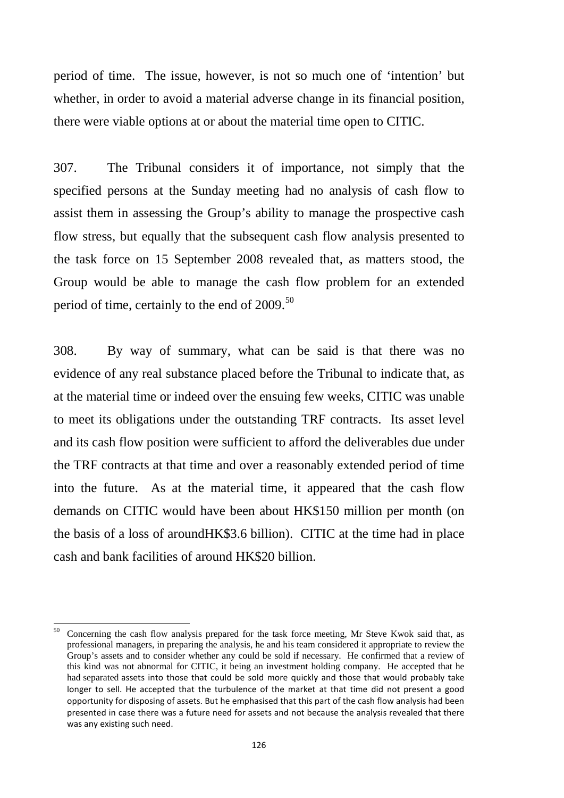period of time. The issue, however, is not so much one of 'intention' but whether, in order to avoid a material adverse change in its financial position, there were viable options at or about the material time open to CITIC.

307. The Tribunal considers it of importance, not simply that the specified persons at the Sunday meeting had no analysis of cash flow to assist them in assessing the Group's ability to manage the prospective cash flow stress, but equally that the subsequent cash flow analysis presented to the task force on 15 September 2008 revealed that, as matters stood, the Group would be able to manage the cash flow problem for an extended period of time, certainly to the end of 2009.<sup>[50](#page-129-0)</sup>

308. By way of summary, what can be said is that there was no evidence of any real substance placed before the Tribunal to indicate that, as at the material time or indeed over the ensuing few weeks, CITIC was unable to meet its obligations under the outstanding TRF contracts. Its asset level and its cash flow position were sufficient to afford the deliverables due under the TRF contracts at that time and over a reasonably extended period of time into the future. As at the material time, it appeared that the cash flow demands on CITIC would have been about HK\$150 million per month (on the basis of a loss of aroundHK\$3.6 billion). CITIC at the time had in place cash and bank facilities of around HK\$20 billion.

<span id="page-129-0"></span><sup>&</sup>lt;sup>50</sup> Concerning the cash flow analysis prepared for the task force meeting, Mr Steve Kwok said that, as professional managers, in preparing the analysis, he and his team considered it appropriate to review the Group's assets and to consider whether any could be sold if necessary. He confirmed that a review of this kind was not abnormal for CITIC, it being an investment holding company. He accepted that he had separated assets into those that could be sold more quickly and those that would probably take longer to sell. He accepted that the turbulence of the market at that time did not present a good opportunity for disposing of assets. But he emphasised that this part of the cash flow analysis had been presented in case there was a future need for assets and not because the analysis revealed that there was any existing such need.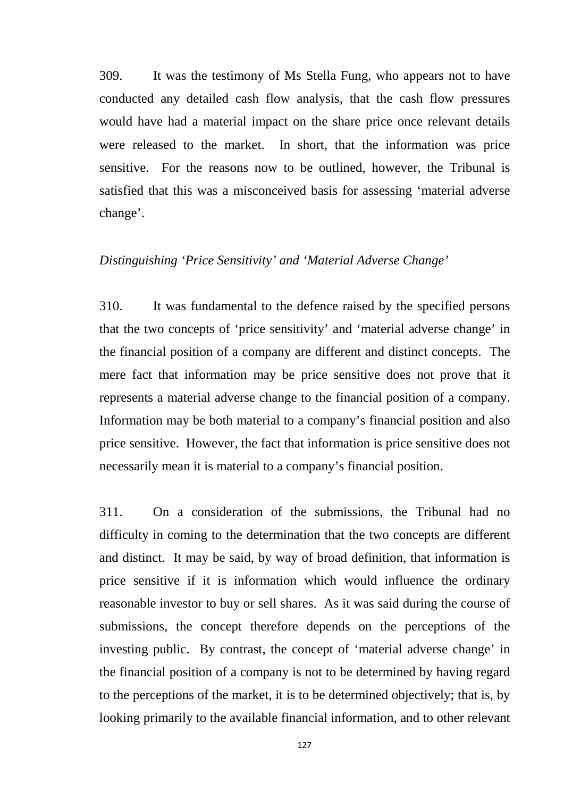309. It was the testimony of Ms Stella Fung, who appears not to have conducted any detailed cash flow analysis, that the cash flow pressures would have had a material impact on the share price once relevant details were released to the market. In short, that the information was price sensitive. For the reasons now to be outlined, however, the Tribunal is satisfied that this was a misconceived basis for assessing 'material adverse change'.

### *Distinguishing 'Price Sensitivity' and 'Material Adverse Change'*

310. It was fundamental to the defence raised by the specified persons that the two concepts of 'price sensitivity' and 'material adverse change' in the financial position of a company are different and distinct concepts. The mere fact that information may be price sensitive does not prove that it represents a material adverse change to the financial position of a company. Information may be both material to a company's financial position and also price sensitive. However, the fact that information is price sensitive does not necessarily mean it is material to a company's financial position.

311. On a consideration of the submissions, the Tribunal had no difficulty in coming to the determination that the two concepts are different and distinct. It may be said, by way of broad definition, that information is price sensitive if it is information which would influence the ordinary reasonable investor to buy or sell shares. As it was said during the course of submissions, the concept therefore depends on the perceptions of the investing public. By contrast, the concept of 'material adverse change' in the financial position of a company is not to be determined by having regard to the perceptions of the market, it is to be determined objectively; that is, by looking primarily to the available financial information, and to other relevant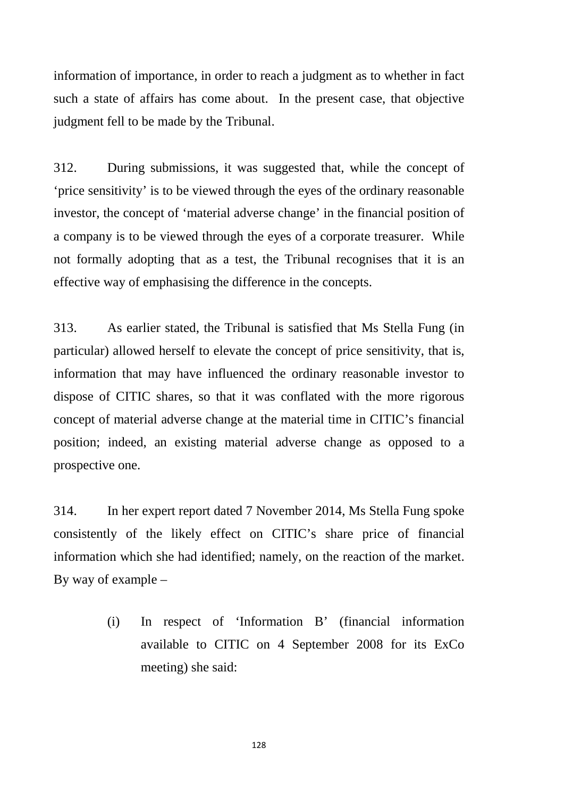information of importance, in order to reach a judgment as to whether in fact such a state of affairs has come about. In the present case, that objective judgment fell to be made by the Tribunal.

312. During submissions, it was suggested that, while the concept of 'price sensitivity' is to be viewed through the eyes of the ordinary reasonable investor, the concept of 'material adverse change' in the financial position of a company is to be viewed through the eyes of a corporate treasurer. While not formally adopting that as a test, the Tribunal recognises that it is an effective way of emphasising the difference in the concepts.

313. As earlier stated, the Tribunal is satisfied that Ms Stella Fung (in particular) allowed herself to elevate the concept of price sensitivity, that is, information that may have influenced the ordinary reasonable investor to dispose of CITIC shares, so that it was conflated with the more rigorous concept of material adverse change at the material time in CITIC's financial position; indeed, an existing material adverse change as opposed to a prospective one.

314. In her expert report dated 7 November 2014, Ms Stella Fung spoke consistently of the likely effect on CITIC's share price of financial information which she had identified; namely, on the reaction of the market. By way of example –

> (i) In respect of 'Information B' (financial information available to CITIC on 4 September 2008 for its ExCo meeting) she said: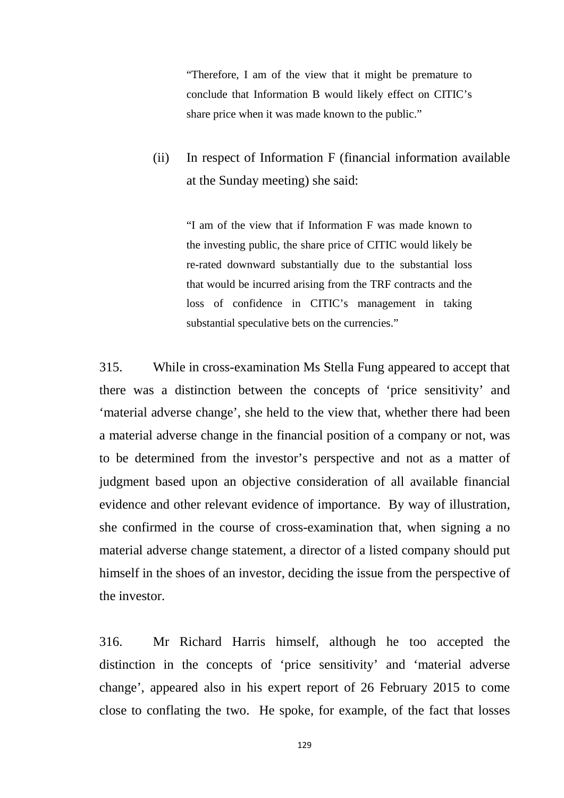"Therefore, I am of the view that it might be premature to conclude that Information B would likely effect on CITIC's share price when it was made known to the public."

(ii) In respect of Information F (financial information available at the Sunday meeting) she said:

"I am of the view that if Information F was made known to the investing public, the share price of CITIC would likely be re-rated downward substantially due to the substantial loss that would be incurred arising from the TRF contracts and the loss of confidence in CITIC's management in taking substantial speculative bets on the currencies."

315. While in cross-examination Ms Stella Fung appeared to accept that there was a distinction between the concepts of 'price sensitivity' and 'material adverse change', she held to the view that, whether there had been a material adverse change in the financial position of a company or not, was to be determined from the investor's perspective and not as a matter of judgment based upon an objective consideration of all available financial evidence and other relevant evidence of importance. By way of illustration, she confirmed in the course of cross-examination that, when signing a no material adverse change statement, a director of a listed company should put himself in the shoes of an investor, deciding the issue from the perspective of the investor.

316. Mr Richard Harris himself, although he too accepted the distinction in the concepts of 'price sensitivity' and 'material adverse change', appeared also in his expert report of 26 February 2015 to come close to conflating the two. He spoke, for example, of the fact that losses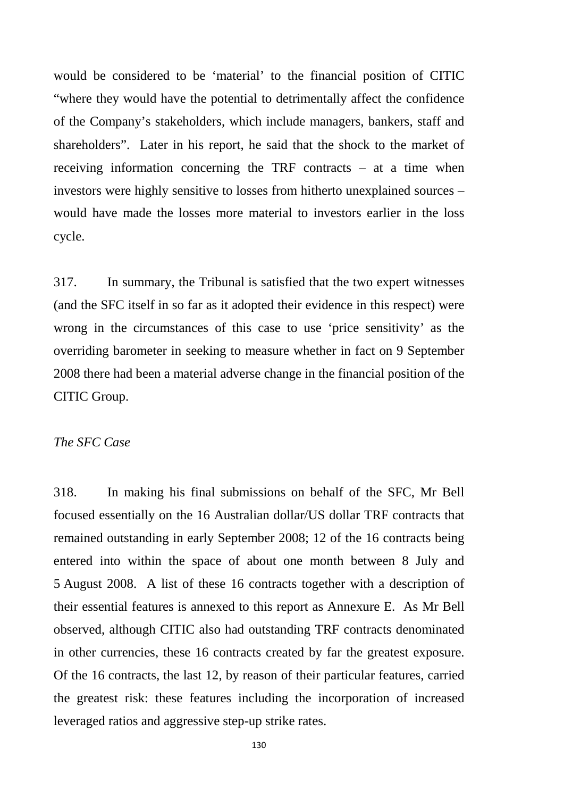would be considered to be 'material' to the financial position of CITIC "where they would have the potential to detrimentally affect the confidence of the Company's stakeholders, which include managers, bankers, staff and shareholders". Later in his report, he said that the shock to the market of receiving information concerning the TRF contracts – at a time when investors were highly sensitive to losses from hitherto unexplained sources – would have made the losses more material to investors earlier in the loss cycle.

317. In summary, the Tribunal is satisfied that the two expert witnesses (and the SFC itself in so far as it adopted their evidence in this respect) were wrong in the circumstances of this case to use 'price sensitivity' as the overriding barometer in seeking to measure whether in fact on 9 September 2008 there had been a material adverse change in the financial position of the CITIC Group.

# *The SFC Case*

318. In making his final submissions on behalf of the SFC, Mr Bell focused essentially on the 16 Australian dollar/US dollar TRF contracts that remained outstanding in early September 2008; 12 of the 16 contracts being entered into within the space of about one month between 8 July and 5 August 2008. A list of these 16 contracts together with a description of their essential features is annexed to this report as Annexure E. As Mr Bell observed, although CITIC also had outstanding TRF contracts denominated in other currencies, these 16 contracts created by far the greatest exposure. Of the 16 contracts, the last 12, by reason of their particular features, carried the greatest risk: these features including the incorporation of increased leveraged ratios and aggressive step-up strike rates.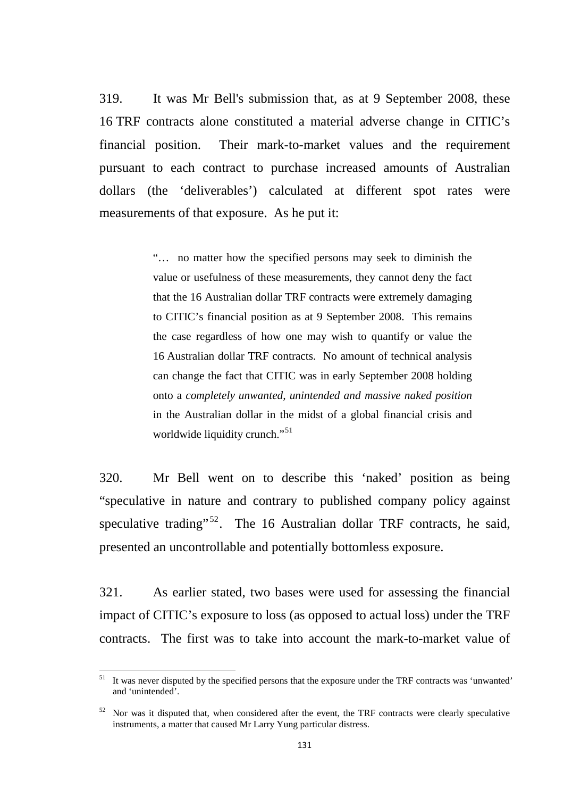319. It was Mr Bell's submission that, as at 9 September 2008, these 16 TRF contracts alone constituted a material adverse change in CITIC's financial position. Their mark-to-market values and the requirement pursuant to each contract to purchase increased amounts of Australian dollars (the 'deliverables') calculated at different spot rates were measurements of that exposure. As he put it:

> "… no matter how the specified persons may seek to diminish the value or usefulness of these measurements, they cannot deny the fact that the 16 Australian dollar TRF contracts were extremely damaging to CITIC's financial position as at 9 September 2008. This remains the case regardless of how one may wish to quantify or value the 16 Australian dollar TRF contracts. No amount of technical analysis can change the fact that CITIC was in early September 2008 holding onto a *completely unwanted, unintended and massive naked position* in the Australian dollar in the midst of a global financial crisis and worldwide liquidity crunch."<sup>[51](#page-134-0)</sup>

320. Mr Bell went on to describe this 'naked' position as being "speculative in nature and contrary to published company policy against speculative trading"<sup>[52](#page-134-1)</sup>. The 16 Australian dollar TRF contracts, he said, presented an uncontrollable and potentially bottomless exposure.

321. As earlier stated, two bases were used for assessing the financial impact of CITIC's exposure to loss (as opposed to actual loss) under the TRF contracts. The first was to take into account the mark-to-market value of

<span id="page-134-0"></span> $51$  It was never disputed by the specified persons that the exposure under the TRF contracts was 'unwanted' and 'unintended'.

<span id="page-134-1"></span><sup>&</sup>lt;sup>52</sup> Nor was it disputed that, when considered after the event, the TRF contracts were clearly speculative instruments, a matter that caused Mr Larry Yung particular distress.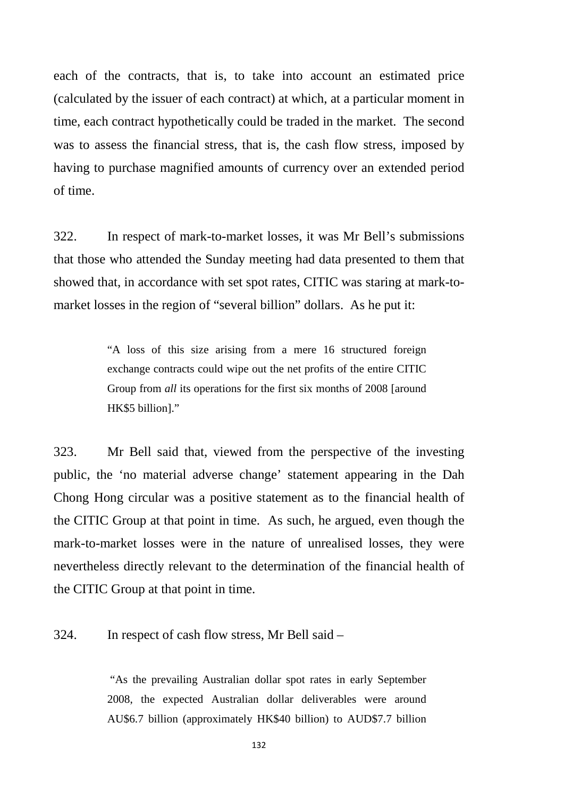each of the contracts, that is, to take into account an estimated price (calculated by the issuer of each contract) at which, at a particular moment in time, each contract hypothetically could be traded in the market. The second was to assess the financial stress, that is, the cash flow stress, imposed by having to purchase magnified amounts of currency over an extended period of time.

322. In respect of mark-to-market losses, it was Mr Bell's submissions that those who attended the Sunday meeting had data presented to them that showed that, in accordance with set spot rates, CITIC was staring at mark-tomarket losses in the region of "several billion" dollars. As he put it:

> "A loss of this size arising from a mere 16 structured foreign exchange contracts could wipe out the net profits of the entire CITIC Group from *all* its operations for the first six months of 2008 [around HK\$5 billion]."

323. Mr Bell said that, viewed from the perspective of the investing public, the 'no material adverse change' statement appearing in the Dah Chong Hong circular was a positive statement as to the financial health of the CITIC Group at that point in time. As such, he argued, even though the mark-to-market losses were in the nature of unrealised losses, they were nevertheless directly relevant to the determination of the financial health of the CITIC Group at that point in time.

324. In respect of cash flow stress, Mr Bell said –

"As the prevailing Australian dollar spot rates in early September 2008, the expected Australian dollar deliverables were around AU\$6.7 billion (approximately HK\$40 billion) to AUD\$7.7 billion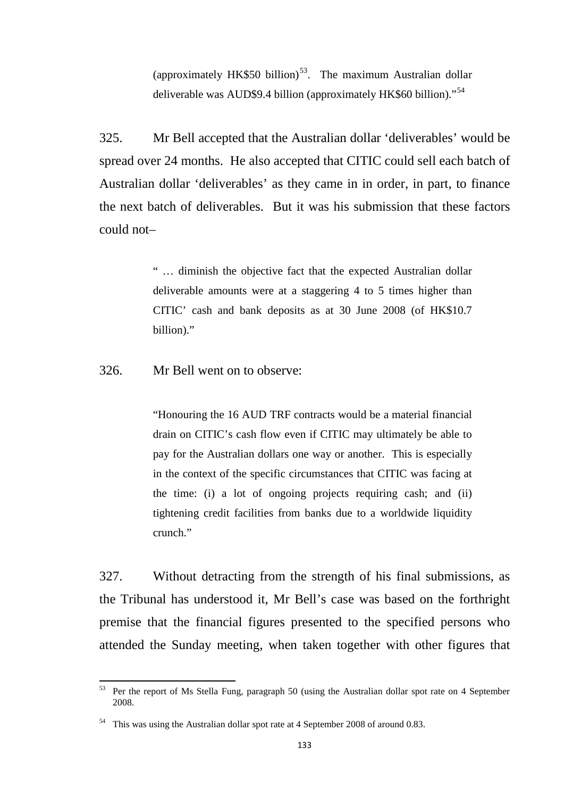(approximately HK\$50 billion)<sup>53</sup>. The maximum Australian dollar deliverable was AUD\$9.4 billion (approximately HK\$60 billion)."[54](#page-136-1)

325. Mr Bell accepted that the Australian dollar 'deliverables' would be spread over 24 months. He also accepted that CITIC could sell each batch of Australian dollar 'deliverables' as they came in in order, in part, to finance the next batch of deliverables. But it was his submission that these factors could not–

> " … diminish the objective fact that the expected Australian dollar deliverable amounts were at a staggering 4 to 5 times higher than CITIC' cash and bank deposits as at 30 June 2008 (of HK\$10.7 billion)."

326. Mr Bell went on to observe:

"Honouring the 16 AUD TRF contracts would be a material financial drain on CITIC's cash flow even if CITIC may ultimately be able to pay for the Australian dollars one way or another. This is especially in the context of the specific circumstances that CITIC was facing at the time: (i) a lot of ongoing projects requiring cash; and (ii) tightening credit facilities from banks due to a worldwide liquidity crunch."

327. Without detracting from the strength of his final submissions, as the Tribunal has understood it, Mr Bell's case was based on the forthright premise that the financial figures presented to the specified persons who attended the Sunday meeting, when taken together with other figures that

<span id="page-136-0"></span><sup>53</sup> Per the report of Ms Stella Fung, paragraph 50 (using the Australian dollar spot rate on 4 September 2008.

<span id="page-136-1"></span><sup>54</sup> This was using the Australian dollar spot rate at 4 September 2008 of around 0.83.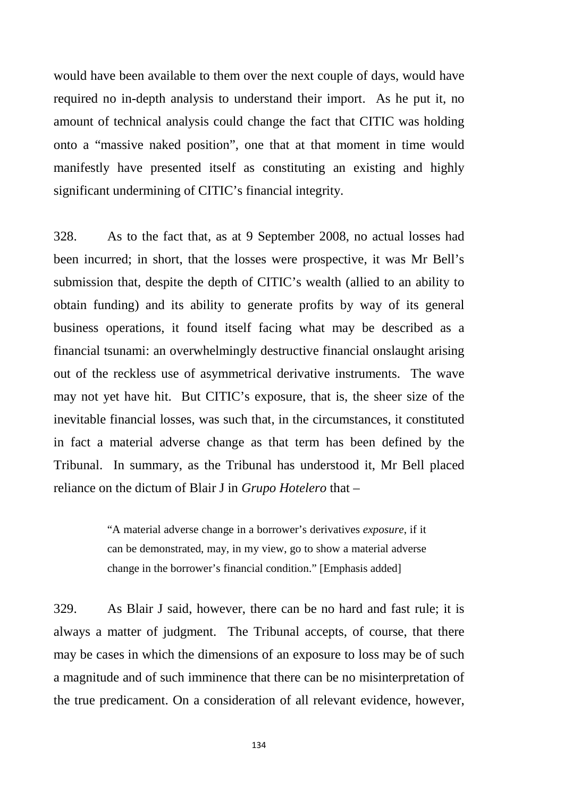would have been available to them over the next couple of days, would have required no in-depth analysis to understand their import. As he put it, no amount of technical analysis could change the fact that CITIC was holding onto a "massive naked position", one that at that moment in time would manifestly have presented itself as constituting an existing and highly significant undermining of CITIC's financial integrity.

328. As to the fact that, as at 9 September 2008, no actual losses had been incurred; in short, that the losses were prospective, it was Mr Bell's submission that, despite the depth of CITIC's wealth (allied to an ability to obtain funding) and its ability to generate profits by way of its general business operations, it found itself facing what may be described as a financial tsunami: an overwhelmingly destructive financial onslaught arising out of the reckless use of asymmetrical derivative instruments. The wave may not yet have hit. But CITIC's exposure, that is, the sheer size of the inevitable financial losses, was such that, in the circumstances, it constituted in fact a material adverse change as that term has been defined by the Tribunal. In summary, as the Tribunal has understood it, Mr Bell placed reliance on the dictum of Blair J in *Grupo Hotelero* that –

> "A material adverse change in a borrower's derivatives *exposure*, if it can be demonstrated, may, in my view, go to show a material adverse change in the borrower's financial condition." [Emphasis added]

329. As Blair J said, however, there can be no hard and fast rule; it is always a matter of judgment. The Tribunal accepts, of course, that there may be cases in which the dimensions of an exposure to loss may be of such a magnitude and of such imminence that there can be no misinterpretation of the true predicament. On a consideration of all relevant evidence, however,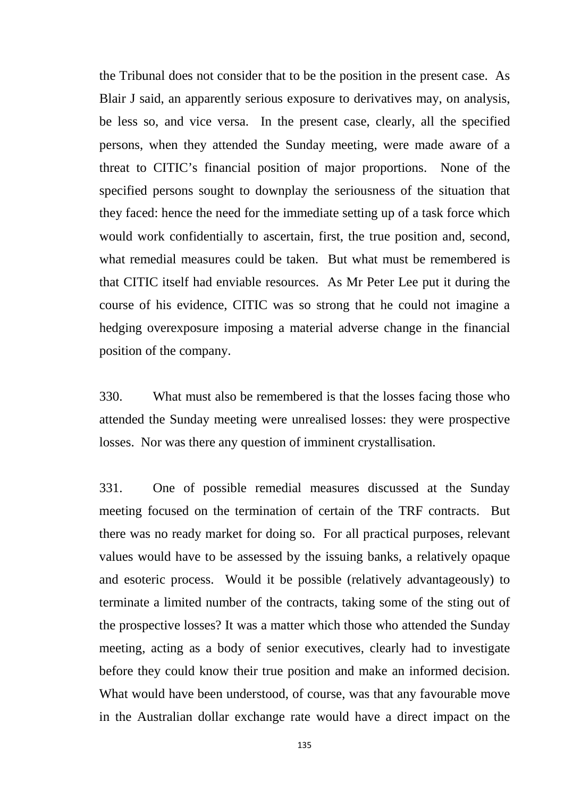the Tribunal does not consider that to be the position in the present case. As Blair J said, an apparently serious exposure to derivatives may, on analysis, be less so, and vice versa. In the present case, clearly, all the specified persons, when they attended the Sunday meeting, were made aware of a threat to CITIC's financial position of major proportions. None of the specified persons sought to downplay the seriousness of the situation that they faced: hence the need for the immediate setting up of a task force which would work confidentially to ascertain, first, the true position and, second, what remedial measures could be taken. But what must be remembered is that CITIC itself had enviable resources. As Mr Peter Lee put it during the course of his evidence, CITIC was so strong that he could not imagine a hedging overexposure imposing a material adverse change in the financial position of the company.

330. What must also be remembered is that the losses facing those who attended the Sunday meeting were unrealised losses: they were prospective losses. Nor was there any question of imminent crystallisation.

331. One of possible remedial measures discussed at the Sunday meeting focused on the termination of certain of the TRF contracts. But there was no ready market for doing so. For all practical purposes, relevant values would have to be assessed by the issuing banks, a relatively opaque and esoteric process. Would it be possible (relatively advantageously) to terminate a limited number of the contracts, taking some of the sting out of the prospective losses? It was a matter which those who attended the Sunday meeting, acting as a body of senior executives, clearly had to investigate before they could know their true position and make an informed decision. What would have been understood, of course, was that any favourable move in the Australian dollar exchange rate would have a direct impact on the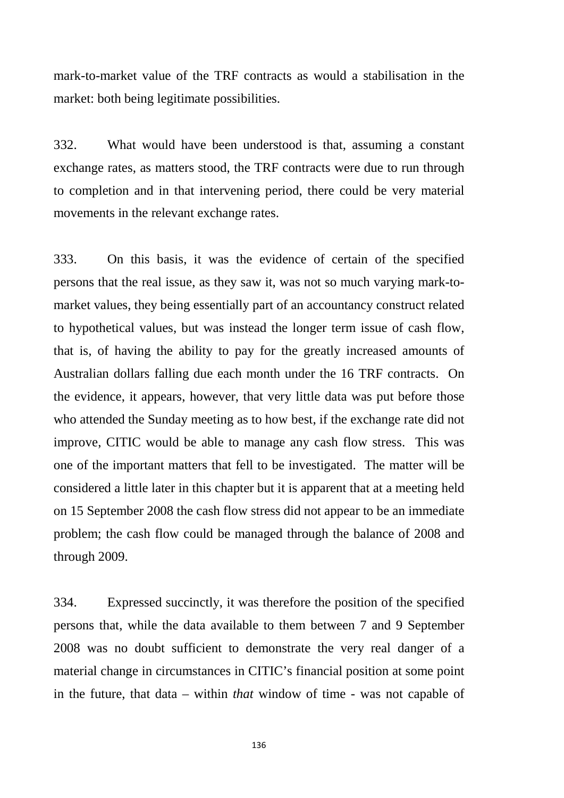mark-to-market value of the TRF contracts as would a stabilisation in the market: both being legitimate possibilities.

332. What would have been understood is that, assuming a constant exchange rates, as matters stood, the TRF contracts were due to run through to completion and in that intervening period, there could be very material movements in the relevant exchange rates.

333. On this basis, it was the evidence of certain of the specified persons that the real issue, as they saw it, was not so much varying mark-tomarket values, they being essentially part of an accountancy construct related to hypothetical values, but was instead the longer term issue of cash flow, that is, of having the ability to pay for the greatly increased amounts of Australian dollars falling due each month under the 16 TRF contracts. On the evidence, it appears, however, that very little data was put before those who attended the Sunday meeting as to how best, if the exchange rate did not improve, CITIC would be able to manage any cash flow stress. This was one of the important matters that fell to be investigated. The matter will be considered a little later in this chapter but it is apparent that at a meeting held on 15 September 2008 the cash flow stress did not appear to be an immediate problem; the cash flow could be managed through the balance of 2008 and through 2009.

334. Expressed succinctly, it was therefore the position of the specified persons that, while the data available to them between 7 and 9 September 2008 was no doubt sufficient to demonstrate the very real danger of a material change in circumstances in CITIC's financial position at some point in the future, that data – within *that* window of time - was not capable of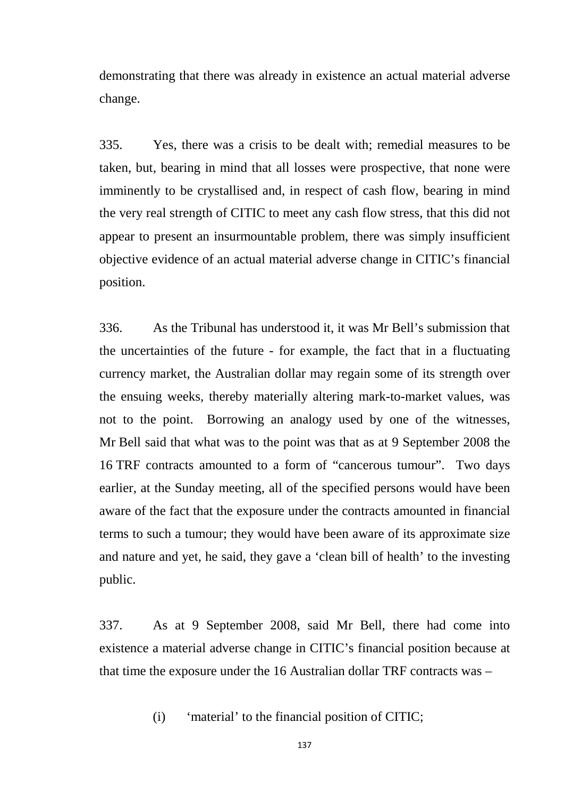demonstrating that there was already in existence an actual material adverse change.

335. Yes, there was a crisis to be dealt with; remedial measures to be taken, but, bearing in mind that all losses were prospective, that none were imminently to be crystallised and, in respect of cash flow, bearing in mind the very real strength of CITIC to meet any cash flow stress, that this did not appear to present an insurmountable problem, there was simply insufficient objective evidence of an actual material adverse change in CITIC's financial position.

336. As the Tribunal has understood it, it was Mr Bell's submission that the uncertainties of the future - for example, the fact that in a fluctuating currency market, the Australian dollar may regain some of its strength over the ensuing weeks, thereby materially altering mark-to-market values, was not to the point. Borrowing an analogy used by one of the witnesses, Mr Bell said that what was to the point was that as at 9 September 2008 the 16 TRF contracts amounted to a form of "cancerous tumour". Two days earlier, at the Sunday meeting, all of the specified persons would have been aware of the fact that the exposure under the contracts amounted in financial terms to such a tumour; they would have been aware of its approximate size and nature and yet, he said, they gave a 'clean bill of health' to the investing public.

337. As at 9 September 2008, said Mr Bell, there had come into existence a material adverse change in CITIC's financial position because at that time the exposure under the 16 Australian dollar TRF contracts was –

(i) 'material' to the financial position of CITIC;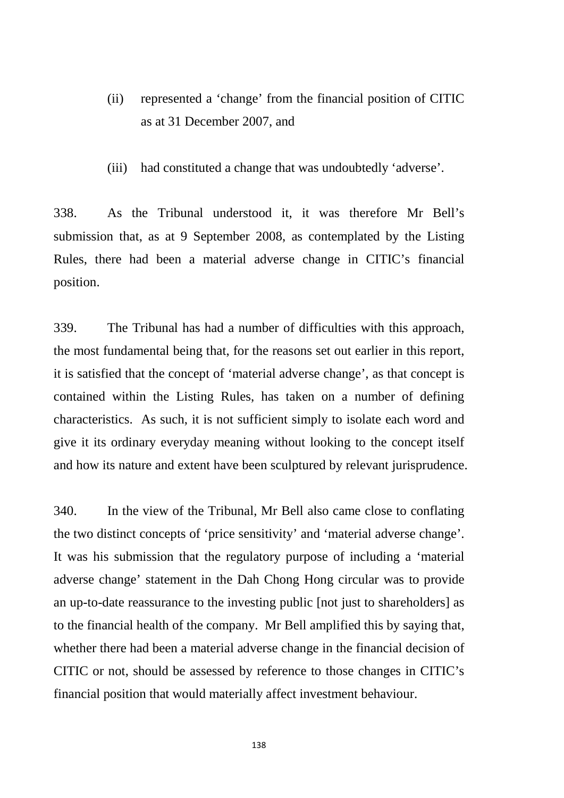- (ii) represented a 'change' from the financial position of CITIC as at 31 December 2007, and
- (iii) had constituted a change that was undoubtedly 'adverse'.

338. As the Tribunal understood it, it was therefore Mr Bell's submission that, as at 9 September 2008, as contemplated by the Listing Rules, there had been a material adverse change in CITIC's financial position.

339. The Tribunal has had a number of difficulties with this approach, the most fundamental being that, for the reasons set out earlier in this report, it is satisfied that the concept of 'material adverse change', as that concept is contained within the Listing Rules, has taken on a number of defining characteristics. As such, it is not sufficient simply to isolate each word and give it its ordinary everyday meaning without looking to the concept itself and how its nature and extent have been sculptured by relevant jurisprudence.

340. In the view of the Tribunal, Mr Bell also came close to conflating the two distinct concepts of 'price sensitivity' and 'material adverse change'. It was his submission that the regulatory purpose of including a 'material adverse change' statement in the Dah Chong Hong circular was to provide an up-to-date reassurance to the investing public [not just to shareholders] as to the financial health of the company. Mr Bell amplified this by saying that, whether there had been a material adverse change in the financial decision of CITIC or not, should be assessed by reference to those changes in CITIC's financial position that would materially affect investment behaviour.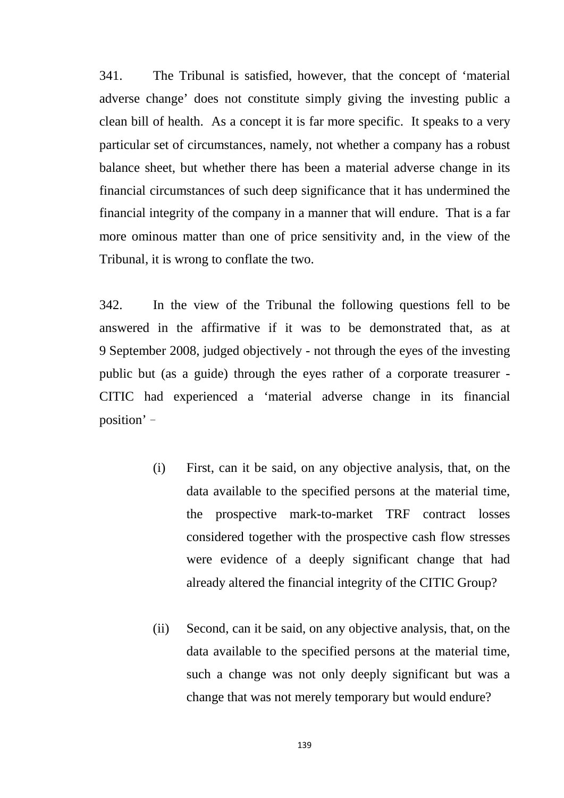341. The Tribunal is satisfied, however, that the concept of 'material adverse change' does not constitute simply giving the investing public a clean bill of health. As a concept it is far more specific. It speaks to a very particular set of circumstances, namely, not whether a company has a robust balance sheet, but whether there has been a material adverse change in its financial circumstances of such deep significance that it has undermined the financial integrity of the company in a manner that will endure. That is a far more ominous matter than one of price sensitivity and, in the view of the Tribunal, it is wrong to conflate the two.

342. In the view of the Tribunal the following questions fell to be answered in the affirmative if it was to be demonstrated that, as at 9 September 2008, judged objectively - not through the eyes of the investing public but (as a guide) through the eyes rather of a corporate treasurer - CITIC had experienced a 'material adverse change in its financial position'–

- (i) First, can it be said, on any objective analysis, that, on the data available to the specified persons at the material time, the prospective mark-to-market TRF contract losses considered together with the prospective cash flow stresses were evidence of a deeply significant change that had already altered the financial integrity of the CITIC Group?
- (ii) Second, can it be said, on any objective analysis, that, on the data available to the specified persons at the material time, such a change was not only deeply significant but was a change that was not merely temporary but would endure?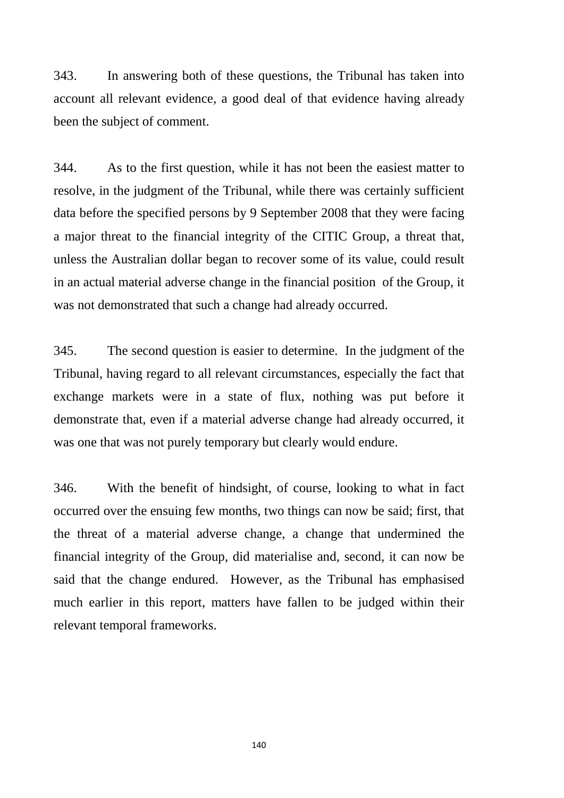343. In answering both of these questions, the Tribunal has taken into account all relevant evidence, a good deal of that evidence having already been the subject of comment.

344. As to the first question, while it has not been the easiest matter to resolve, in the judgment of the Tribunal, while there was certainly sufficient data before the specified persons by 9 September 2008 that they were facing a major threat to the financial integrity of the CITIC Group, a threat that, unless the Australian dollar began to recover some of its value, could result in an actual material adverse change in the financial position of the Group, it was not demonstrated that such a change had already occurred.

345. The second question is easier to determine. In the judgment of the Tribunal, having regard to all relevant circumstances, especially the fact that exchange markets were in a state of flux, nothing was put before it demonstrate that, even if a material adverse change had already occurred, it was one that was not purely temporary but clearly would endure.

346. With the benefit of hindsight, of course, looking to what in fact occurred over the ensuing few months, two things can now be said; first, that the threat of a material adverse change, a change that undermined the financial integrity of the Group, did materialise and, second, it can now be said that the change endured. However, as the Tribunal has emphasised much earlier in this report, matters have fallen to be judged within their relevant temporal frameworks.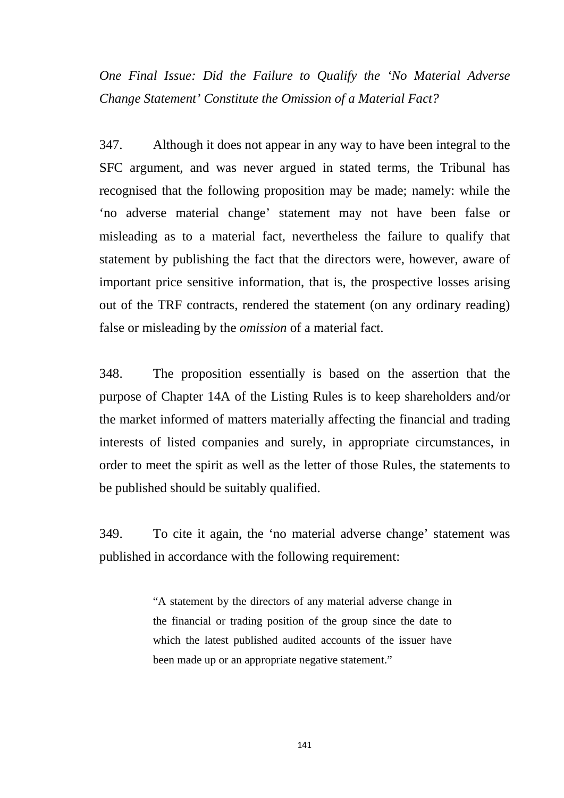*One Final Issue: Did the Failure to Qualify the 'No Material Adverse Change Statement' Constitute the Omission of a Material Fact?*

347. Although it does not appear in any way to have been integral to the SFC argument, and was never argued in stated terms, the Tribunal has recognised that the following proposition may be made; namely: while the 'no adverse material change' statement may not have been false or misleading as to a material fact, nevertheless the failure to qualify that statement by publishing the fact that the directors were, however, aware of important price sensitive information, that is, the prospective losses arising out of the TRF contracts, rendered the statement (on any ordinary reading) false or misleading by the *omission* of a material fact.

348. The proposition essentially is based on the assertion that the purpose of Chapter 14A of the Listing Rules is to keep shareholders and/or the market informed of matters materially affecting the financial and trading interests of listed companies and surely, in appropriate circumstances, in order to meet the spirit as well as the letter of those Rules, the statements to be published should be suitably qualified.

349. To cite it again, the 'no material adverse change' statement was published in accordance with the following requirement:

> "A statement by the directors of any material adverse change in the financial or trading position of the group since the date to which the latest published audited accounts of the issuer have been made up or an appropriate negative statement."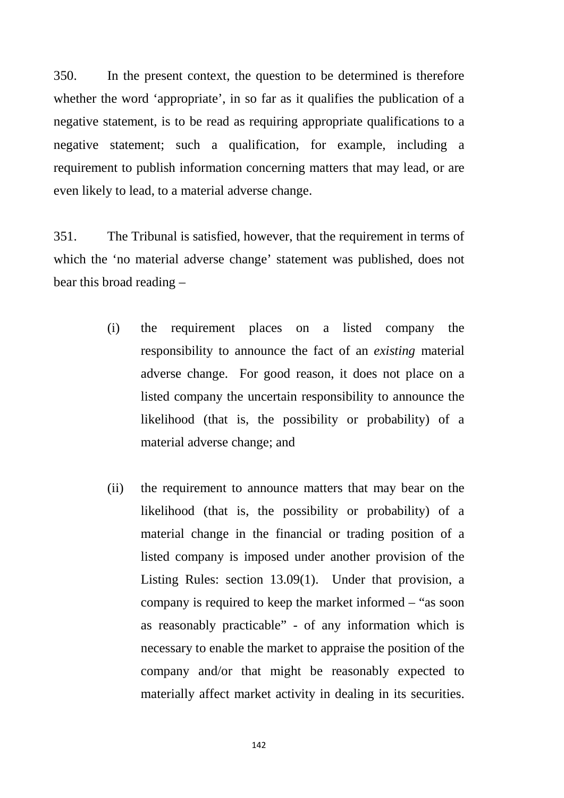350. In the present context, the question to be determined is therefore whether the word 'appropriate', in so far as it qualifies the publication of a negative statement, is to be read as requiring appropriate qualifications to a negative statement; such a qualification, for example, including a requirement to publish information concerning matters that may lead, or are even likely to lead, to a material adverse change.

351. The Tribunal is satisfied, however, that the requirement in terms of which the 'no material adverse change' statement was published, does not bear this broad reading –

- (i) the requirement places on a listed company the responsibility to announce the fact of an *existing* material adverse change. For good reason, it does not place on a listed company the uncertain responsibility to announce the likelihood (that is, the possibility or probability) of a material adverse change; and
- (ii) the requirement to announce matters that may bear on the likelihood (that is, the possibility or probability) of a material change in the financial or trading position of a listed company is imposed under another provision of the Listing Rules: section 13.09(1). Under that provision, a company is required to keep the market informed – "as soon as reasonably practicable" - of any information which is necessary to enable the market to appraise the position of the company and/or that might be reasonably expected to materially affect market activity in dealing in its securities.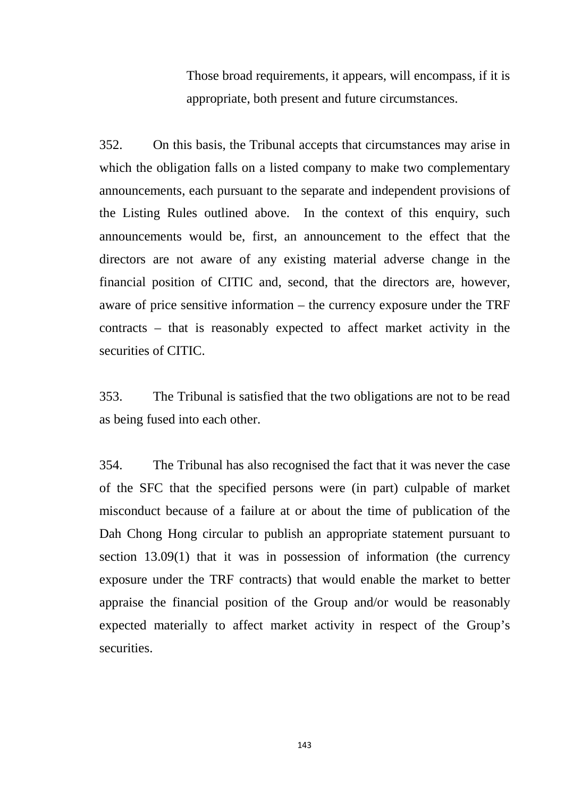Those broad requirements, it appears, will encompass, if it is appropriate, both present and future circumstances.

352. On this basis, the Tribunal accepts that circumstances may arise in which the obligation falls on a listed company to make two complementary announcements, each pursuant to the separate and independent provisions of the Listing Rules outlined above. In the context of this enquiry, such announcements would be, first, an announcement to the effect that the directors are not aware of any existing material adverse change in the financial position of CITIC and, second, that the directors are, however, aware of price sensitive information – the currency exposure under the TRF contracts – that is reasonably expected to affect market activity in the securities of CITIC.

353. The Tribunal is satisfied that the two obligations are not to be read as being fused into each other.

354. The Tribunal has also recognised the fact that it was never the case of the SFC that the specified persons were (in part) culpable of market misconduct because of a failure at or about the time of publication of the Dah Chong Hong circular to publish an appropriate statement pursuant to section 13.09(1) that it was in possession of information (the currency exposure under the TRF contracts) that would enable the market to better appraise the financial position of the Group and/or would be reasonably expected materially to affect market activity in respect of the Group's securities.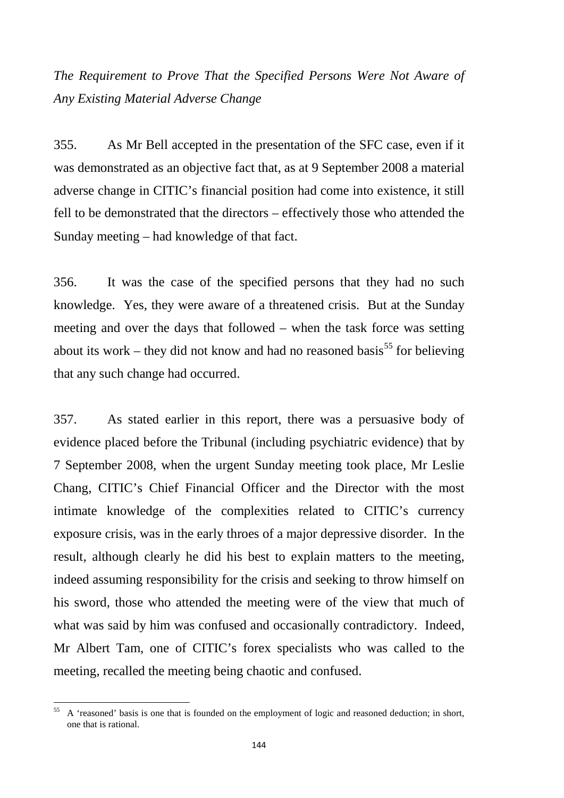*The Requirement to Prove That the Specified Persons Were Not Aware of Any Existing Material Adverse Change*

355. As Mr Bell accepted in the presentation of the SFC case, even if it was demonstrated as an objective fact that, as at 9 September 2008 a material adverse change in CITIC's financial position had come into existence, it still fell to be demonstrated that the directors – effectively those who attended the Sunday meeting – had knowledge of that fact.

356. It was the case of the specified persons that they had no such knowledge. Yes, they were aware of a threatened crisis. But at the Sunday meeting and over the days that followed – when the task force was setting about its work – they did not know and had no reasoned basis<sup>[55](#page-147-0)</sup> for believing that any such change had occurred.

357. As stated earlier in this report, there was a persuasive body of evidence placed before the Tribunal (including psychiatric evidence) that by 7 September 2008, when the urgent Sunday meeting took place, Mr Leslie Chang, CITIC's Chief Financial Officer and the Director with the most intimate knowledge of the complexities related to CITIC's currency exposure crisis, was in the early throes of a major depressive disorder. In the result, although clearly he did his best to explain matters to the meeting, indeed assuming responsibility for the crisis and seeking to throw himself on his sword, those who attended the meeting were of the view that much of what was said by him was confused and occasionally contradictory. Indeed, Mr Albert Tam, one of CITIC's forex specialists who was called to the meeting, recalled the meeting being chaotic and confused.

<span id="page-147-0"></span><sup>&</sup>lt;sup>55</sup> A 'reasoned' basis is one that is founded on the employment of logic and reasoned deduction; in short, one that is rational.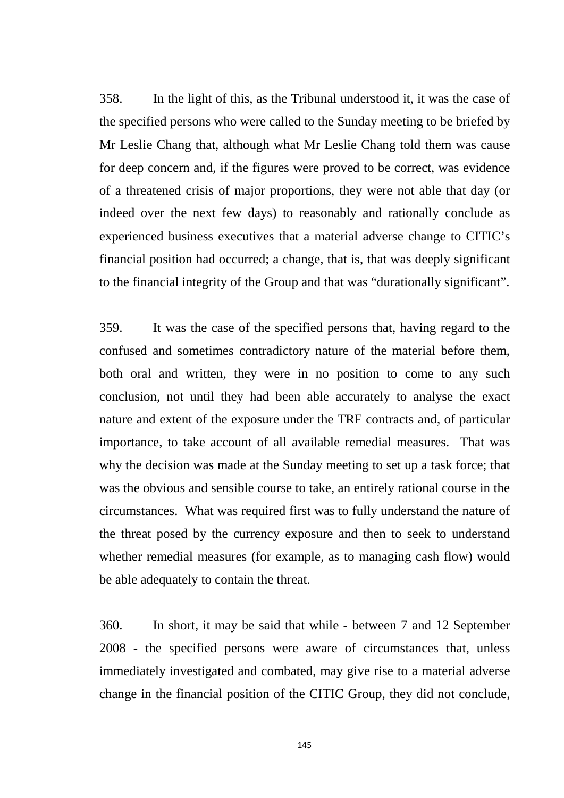358. In the light of this, as the Tribunal understood it, it was the case of the specified persons who were called to the Sunday meeting to be briefed by Mr Leslie Chang that, although what Mr Leslie Chang told them was cause for deep concern and, if the figures were proved to be correct, was evidence of a threatened crisis of major proportions, they were not able that day (or indeed over the next few days) to reasonably and rationally conclude as experienced business executives that a material adverse change to CITIC's financial position had occurred; a change, that is, that was deeply significant to the financial integrity of the Group and that was "durationally significant".

359. It was the case of the specified persons that, having regard to the confused and sometimes contradictory nature of the material before them, both oral and written, they were in no position to come to any such conclusion, not until they had been able accurately to analyse the exact nature and extent of the exposure under the TRF contracts and, of particular importance, to take account of all available remedial measures. That was why the decision was made at the Sunday meeting to set up a task force; that was the obvious and sensible course to take, an entirely rational course in the circumstances. What was required first was to fully understand the nature of the threat posed by the currency exposure and then to seek to understand whether remedial measures (for example, as to managing cash flow) would be able adequately to contain the threat.

360. In short, it may be said that while - between 7 and 12 September 2008 - the specified persons were aware of circumstances that, unless immediately investigated and combated, may give rise to a material adverse change in the financial position of the CITIC Group, they did not conclude,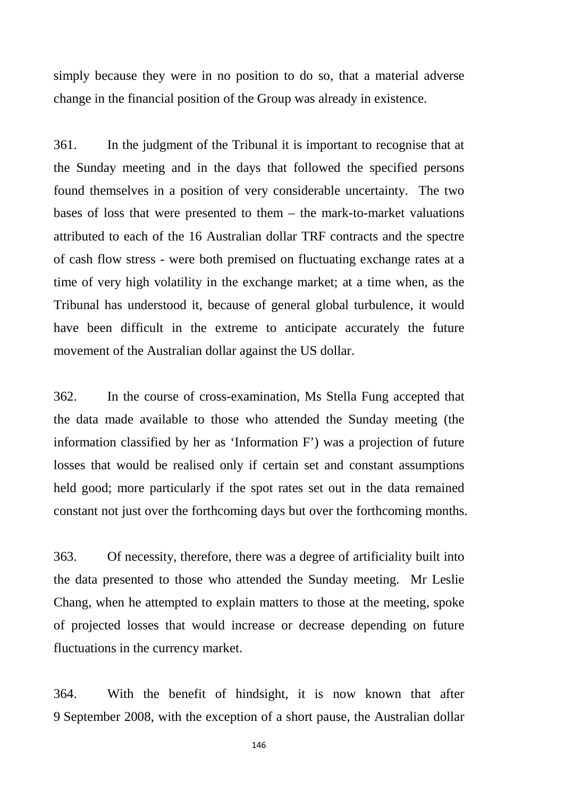simply because they were in no position to do so, that a material adverse change in the financial position of the Group was already in existence.

361. In the judgment of the Tribunal it is important to recognise that at the Sunday meeting and in the days that followed the specified persons found themselves in a position of very considerable uncertainty. The two bases of loss that were presented to them – the mark-to-market valuations attributed to each of the 16 Australian dollar TRF contracts and the spectre of cash flow stress - were both premised on fluctuating exchange rates at a time of very high volatility in the exchange market; at a time when, as the Tribunal has understood it, because of general global turbulence, it would have been difficult in the extreme to anticipate accurately the future movement of the Australian dollar against the US dollar.

362. In the course of cross-examination, Ms Stella Fung accepted that the data made available to those who attended the Sunday meeting (the information classified by her as 'Information F') was a projection of future losses that would be realised only if certain set and constant assumptions held good; more particularly if the spot rates set out in the data remained constant not just over the forthcoming days but over the forthcoming months.

363. Of necessity, therefore, there was a degree of artificiality built into the data presented to those who attended the Sunday meeting. Mr Leslie Chang, when he attempted to explain matters to those at the meeting, spoke of projected losses that would increase or decrease depending on future fluctuations in the currency market.

364. With the benefit of hindsight, it is now known that after 9 September 2008, with the exception of a short pause, the Australian dollar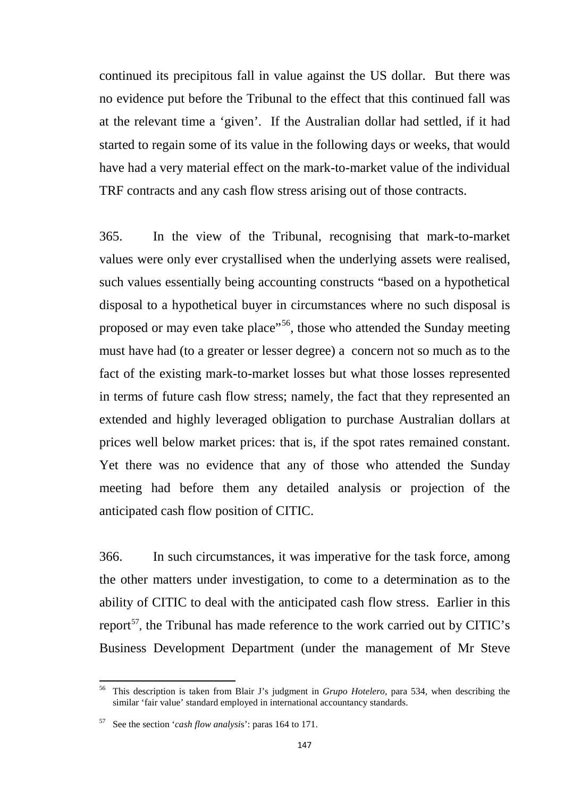continued its precipitous fall in value against the US dollar. But there was no evidence put before the Tribunal to the effect that this continued fall was at the relevant time a 'given'. If the Australian dollar had settled, if it had started to regain some of its value in the following days or weeks, that would have had a very material effect on the mark-to-market value of the individual TRF contracts and any cash flow stress arising out of those contracts.

365. In the view of the Tribunal, recognising that mark-to-market values were only ever crystallised when the underlying assets were realised, such values essentially being accounting constructs "based on a hypothetical disposal to a hypothetical buyer in circumstances where no such disposal is proposed or may even take place"<sup>56</sup>, those who attended the Sunday meeting must have had (to a greater or lesser degree) a concern not so much as to the fact of the existing mark-to-market losses but what those losses represented in terms of future cash flow stress; namely, the fact that they represented an extended and highly leveraged obligation to purchase Australian dollars at prices well below market prices: that is, if the spot rates remained constant. Yet there was no evidence that any of those who attended the Sunday meeting had before them any detailed analysis or projection of the anticipated cash flow position of CITIC.

366. In such circumstances, it was imperative for the task force, among the other matters under investigation, to come to a determination as to the ability of CITIC to deal with the anticipated cash flow stress. Earlier in this report<sup>[57](#page-150-1)</sup>, the Tribunal has made reference to the work carried out by CITIC's Business Development Department (under the management of Mr Steve

<span id="page-150-0"></span><sup>56</sup> This description is taken from Blair J's judgment in *Grupo Hotelero*, para 534, when describing the similar 'fair value' standard employed in international accountancy standards.

<span id="page-150-1"></span><sup>57</sup> See the section '*cash flow analysi*s': paras 164 to 171.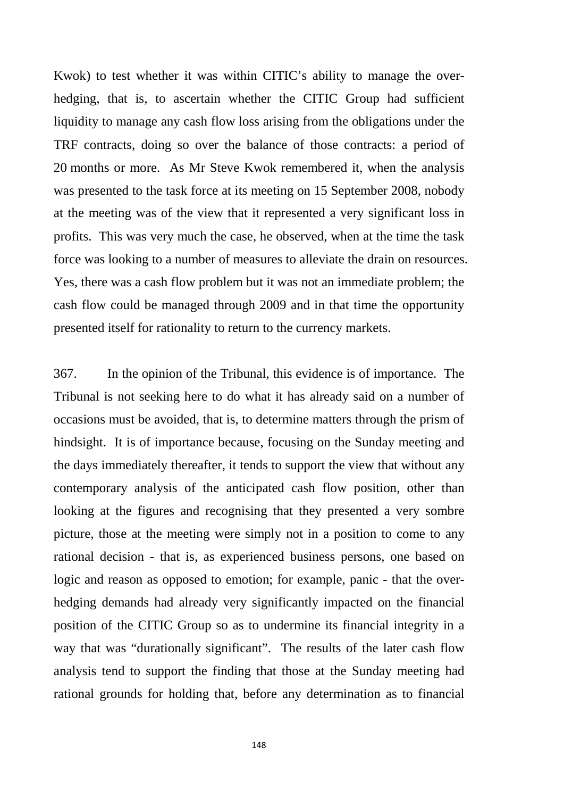Kwok) to test whether it was within CITIC's ability to manage the overhedging, that is, to ascertain whether the CITIC Group had sufficient liquidity to manage any cash flow loss arising from the obligations under the TRF contracts, doing so over the balance of those contracts: a period of 20 months or more. As Mr Steve Kwok remembered it, when the analysis was presented to the task force at its meeting on 15 September 2008, nobody at the meeting was of the view that it represented a very significant loss in profits. This was very much the case, he observed, when at the time the task force was looking to a number of measures to alleviate the drain on resources. Yes, there was a cash flow problem but it was not an immediate problem; the cash flow could be managed through 2009 and in that time the opportunity presented itself for rationality to return to the currency markets.

367. In the opinion of the Tribunal, this evidence is of importance. The Tribunal is not seeking here to do what it has already said on a number of occasions must be avoided, that is, to determine matters through the prism of hindsight. It is of importance because, focusing on the Sunday meeting and the days immediately thereafter, it tends to support the view that without any contemporary analysis of the anticipated cash flow position, other than looking at the figures and recognising that they presented a very sombre picture, those at the meeting were simply not in a position to come to any rational decision - that is, as experienced business persons, one based on logic and reason as opposed to emotion; for example, panic - that the overhedging demands had already very significantly impacted on the financial position of the CITIC Group so as to undermine its financial integrity in a way that was "durationally significant". The results of the later cash flow analysis tend to support the finding that those at the Sunday meeting had rational grounds for holding that, before any determination as to financial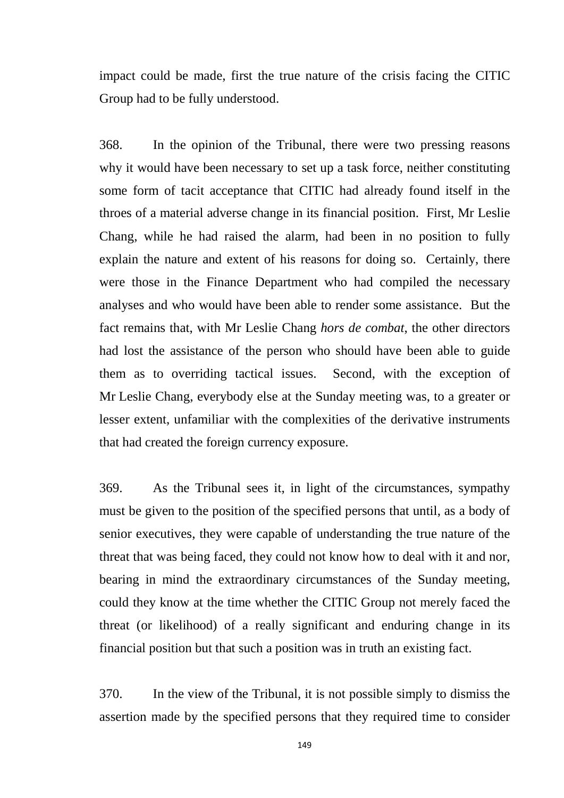impact could be made, first the true nature of the crisis facing the CITIC Group had to be fully understood.

368. In the opinion of the Tribunal, there were two pressing reasons why it would have been necessary to set up a task force, neither constituting some form of tacit acceptance that CITIC had already found itself in the throes of a material adverse change in its financial position. First, Mr Leslie Chang, while he had raised the alarm, had been in no position to fully explain the nature and extent of his reasons for doing so. Certainly, there were those in the Finance Department who had compiled the necessary analyses and who would have been able to render some assistance. But the fact remains that, with Mr Leslie Chang *hors de combat*, the other directors had lost the assistance of the person who should have been able to guide them as to overriding tactical issues. Second, with the exception of Mr Leslie Chang, everybody else at the Sunday meeting was, to a greater or lesser extent, unfamiliar with the complexities of the derivative instruments that had created the foreign currency exposure.

369. As the Tribunal sees it, in light of the circumstances, sympathy must be given to the position of the specified persons that until, as a body of senior executives, they were capable of understanding the true nature of the threat that was being faced, they could not know how to deal with it and nor, bearing in mind the extraordinary circumstances of the Sunday meeting, could they know at the time whether the CITIC Group not merely faced the threat (or likelihood) of a really significant and enduring change in its financial position but that such a position was in truth an existing fact.

370. In the view of the Tribunal, it is not possible simply to dismiss the assertion made by the specified persons that they required time to consider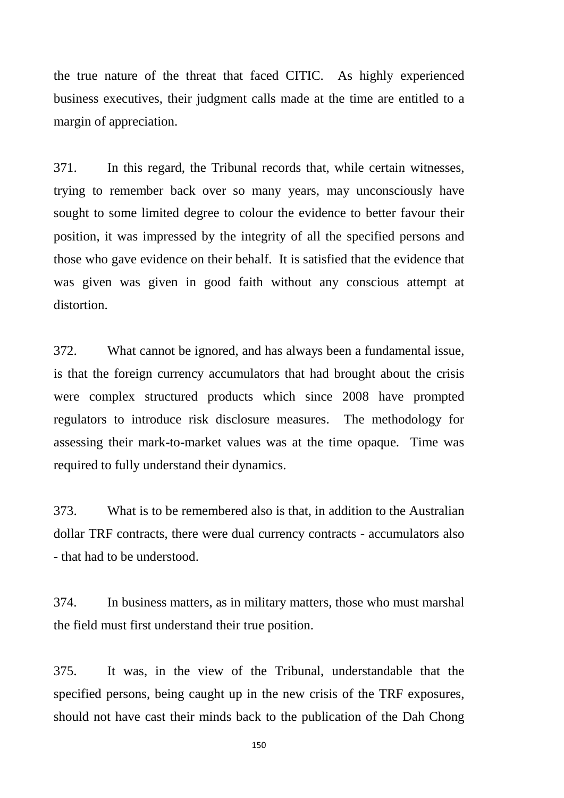the true nature of the threat that faced CITIC. As highly experienced business executives, their judgment calls made at the time are entitled to a margin of appreciation.

371. In this regard, the Tribunal records that, while certain witnesses, trying to remember back over so many years, may unconsciously have sought to some limited degree to colour the evidence to better favour their position, it was impressed by the integrity of all the specified persons and those who gave evidence on their behalf. It is satisfied that the evidence that was given was given in good faith without any conscious attempt at distortion.

372. What cannot be ignored, and has always been a fundamental issue, is that the foreign currency accumulators that had brought about the crisis were complex structured products which since 2008 have prompted regulators to introduce risk disclosure measures. The methodology for assessing their mark-to-market values was at the time opaque. Time was required to fully understand their dynamics.

373. What is to be remembered also is that, in addition to the Australian dollar TRF contracts, there were dual currency contracts - accumulators also - that had to be understood.

374. In business matters, as in military matters, those who must marshal the field must first understand their true position.

375. It was, in the view of the Tribunal, understandable that the specified persons, being caught up in the new crisis of the TRF exposures, should not have cast their minds back to the publication of the Dah Chong

150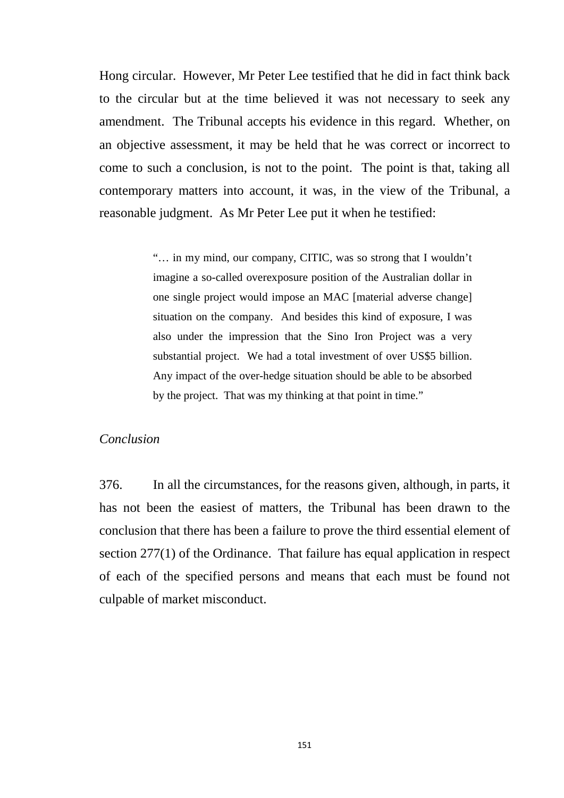Hong circular. However, Mr Peter Lee testified that he did in fact think back to the circular but at the time believed it was not necessary to seek any amendment. The Tribunal accepts his evidence in this regard. Whether, on an objective assessment, it may be held that he was correct or incorrect to come to such a conclusion, is not to the point. The point is that, taking all contemporary matters into account, it was, in the view of the Tribunal, a reasonable judgment. As Mr Peter Lee put it when he testified:

> "… in my mind, our company, CITIC, was so strong that I wouldn't imagine a so-called overexposure position of the Australian dollar in one single project would impose an MAC [material adverse change] situation on the company. And besides this kind of exposure, I was also under the impression that the Sino Iron Project was a very substantial project. We had a total investment of over US\$5 billion. Any impact of the over-hedge situation should be able to be absorbed by the project. That was my thinking at that point in time."

### *Conclusion*

376. In all the circumstances, for the reasons given, although, in parts, it has not been the easiest of matters, the Tribunal has been drawn to the conclusion that there has been a failure to prove the third essential element of section 277(1) of the Ordinance. That failure has equal application in respect of each of the specified persons and means that each must be found not culpable of market misconduct.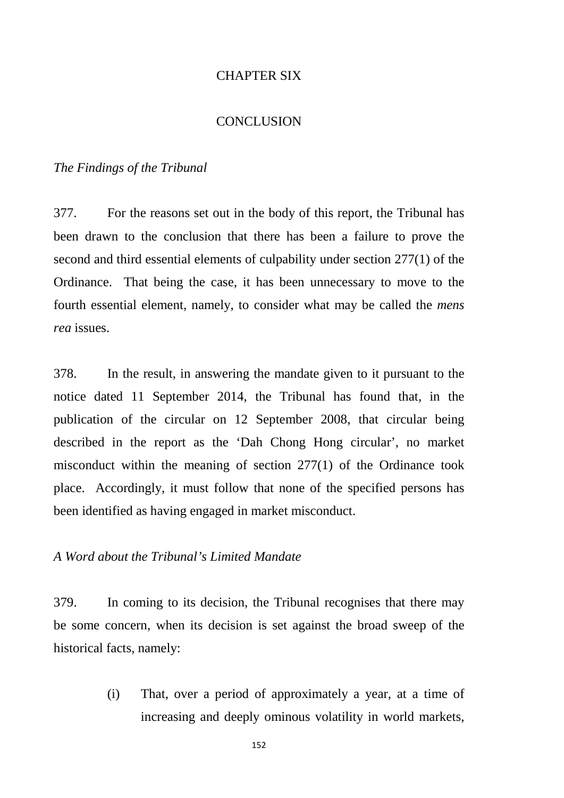## CHAPTER SIX

## CONCLUSION

#### *The Findings of the Tribunal*

377. For the reasons set out in the body of this report, the Tribunal has been drawn to the conclusion that there has been a failure to prove the second and third essential elements of culpability under section 277(1) of the Ordinance. That being the case, it has been unnecessary to move to the fourth essential element, namely, to consider what may be called the *mens rea* issues.

378. In the result, in answering the mandate given to it pursuant to the notice dated 11 September 2014, the Tribunal has found that, in the publication of the circular on 12 September 2008, that circular being described in the report as the 'Dah Chong Hong circular', no market misconduct within the meaning of section 277(1) of the Ordinance took place. Accordingly, it must follow that none of the specified persons has been identified as having engaged in market misconduct.

# *A Word about the Tribunal's Limited Mandate*

379. In coming to its decision, the Tribunal recognises that there may be some concern, when its decision is set against the broad sweep of the historical facts, namely:

> (i) That, over a period of approximately a year, at a time of increasing and deeply ominous volatility in world markets,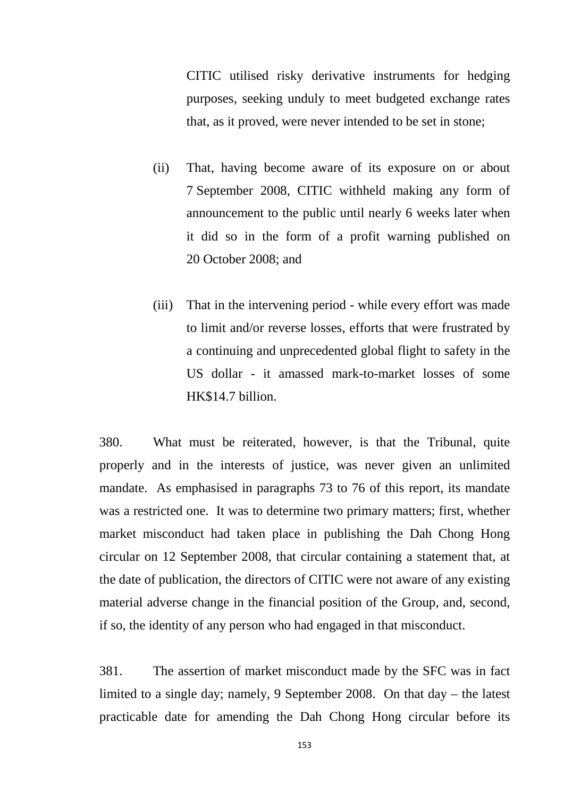CITIC utilised risky derivative instruments for hedging purposes, seeking unduly to meet budgeted exchange rates that, as it proved, were never intended to be set in stone;

- (ii) That, having become aware of its exposure on or about 7 September 2008, CITIC withheld making any form of announcement to the public until nearly 6 weeks later when it did so in the form of a profit warning published on 20 October 2008; and
- (iii) That in the intervening period while every effort was made to limit and/or reverse losses, efforts that were frustrated by a continuing and unprecedented global flight to safety in the US dollar - it amassed mark-to-market losses of some HK\$14.7 billion.

380. What must be reiterated, however, is that the Tribunal, quite properly and in the interests of justice, was never given an unlimited mandate. As emphasised in paragraphs 73 to 76 of this report, its mandate was a restricted one. It was to determine two primary matters; first, whether market misconduct had taken place in publishing the Dah Chong Hong circular on 12 September 2008, that circular containing a statement that, at the date of publication, the directors of CITIC were not aware of any existing material adverse change in the financial position of the Group, and, second, if so, the identity of any person who had engaged in that misconduct.

381. The assertion of market misconduct made by the SFC was in fact limited to a single day; namely, 9 September 2008. On that day – the latest practicable date for amending the Dah Chong Hong circular before its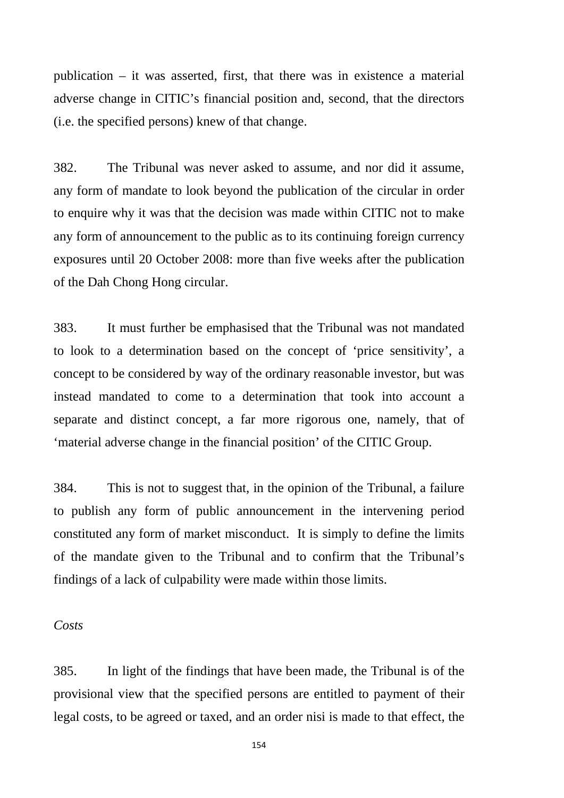publication – it was asserted, first, that there was in existence a material adverse change in CITIC's financial position and, second, that the directors (i.e. the specified persons) knew of that change.

382. The Tribunal was never asked to assume, and nor did it assume, any form of mandate to look beyond the publication of the circular in order to enquire why it was that the decision was made within CITIC not to make any form of announcement to the public as to its continuing foreign currency exposures until 20 October 2008: more than five weeks after the publication of the Dah Chong Hong circular.

383. It must further be emphasised that the Tribunal was not mandated to look to a determination based on the concept of 'price sensitivity', a concept to be considered by way of the ordinary reasonable investor, but was instead mandated to come to a determination that took into account a separate and distinct concept, a far more rigorous one, namely, that of 'material adverse change in the financial position' of the CITIC Group.

384. This is not to suggest that, in the opinion of the Tribunal, a failure to publish any form of public announcement in the intervening period constituted any form of market misconduct. It is simply to define the limits of the mandate given to the Tribunal and to confirm that the Tribunal's findings of a lack of culpability were made within those limits.

## *Costs*

385. In light of the findings that have been made, the Tribunal is of the provisional view that the specified persons are entitled to payment of their legal costs, to be agreed or taxed, and an order nisi is made to that effect, the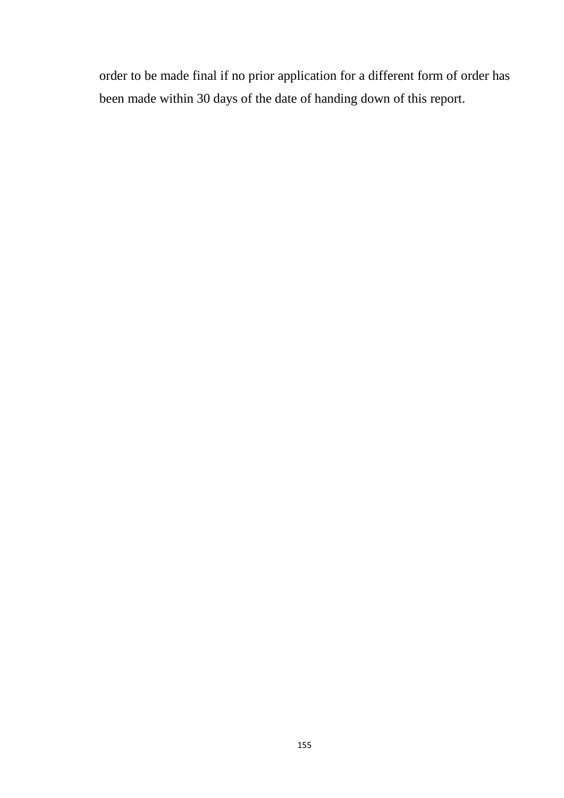order to be made final if no prior application for a different form of order has been made within 30 days of the date of handing down of this report.